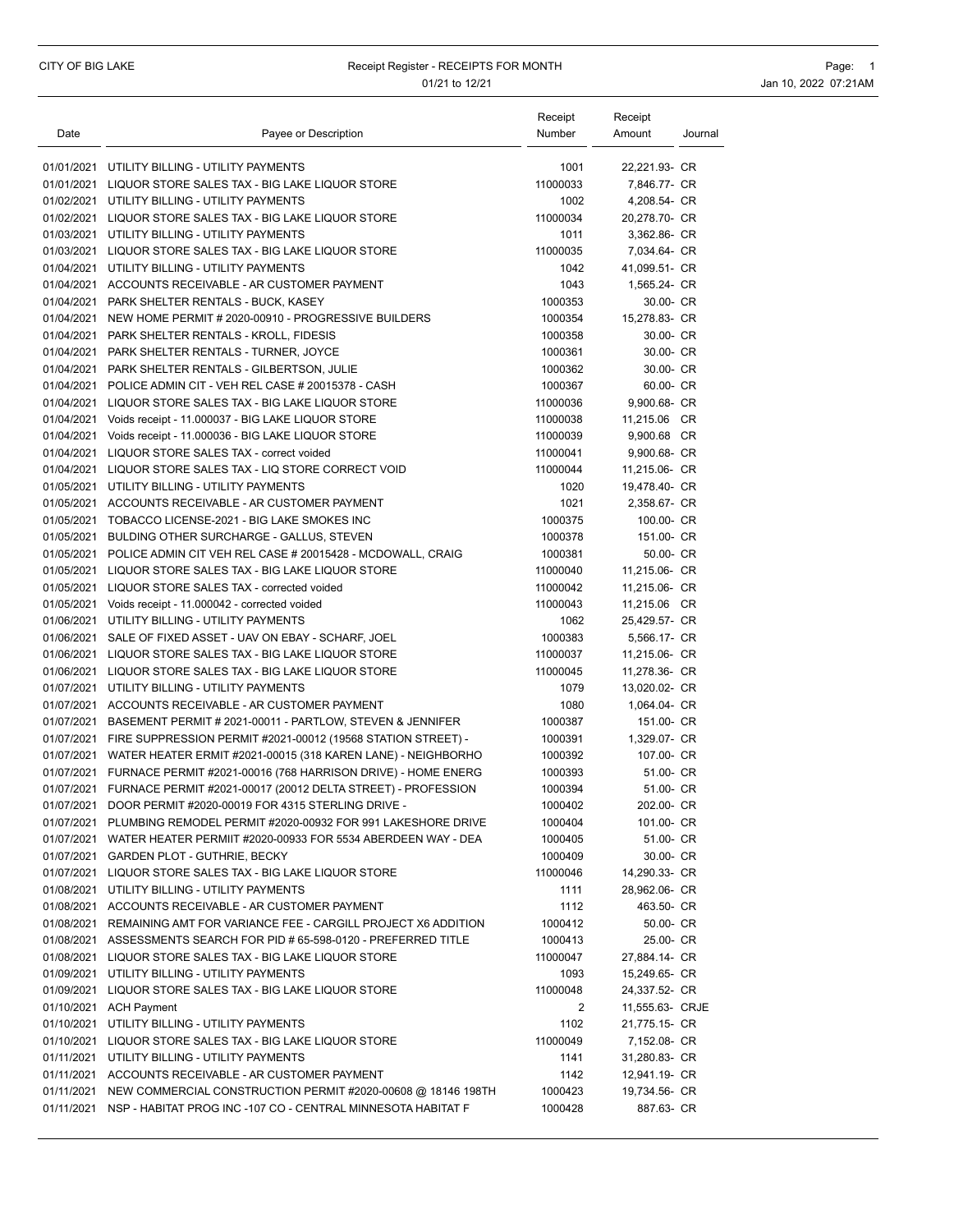| Date | Payee or Description                                                     | Receipt<br>Number | Receipt<br>Amount             | Journal |
|------|--------------------------------------------------------------------------|-------------------|-------------------------------|---------|
|      | 01/01/2021 UTILITY BILLING - UTILITY PAYMENTS                            | 1001              |                               |         |
|      | 01/01/2021 LIQUOR STORE SALES TAX - BIG LAKE LIQUOR STORE                | 11000033          | 22,221.93- CR<br>7,846.77- CR |         |
|      | 01/02/2021 UTILITY BILLING - UTILITY PAYMENTS                            | 1002              | 4,208.54- CR                  |         |
|      | 01/02/2021 LIQUOR STORE SALES TAX - BIG LAKE LIQUOR STORE                | 11000034          | 20,278.70- CR                 |         |
|      | 01/03/2021 UTILITY BILLING - UTILITY PAYMENTS                            | 1011              | 3,362.86- CR                  |         |
|      | 01/03/2021 LIQUOR STORE SALES TAX - BIG LAKE LIQUOR STORE                | 11000035          | 7,034.64- CR                  |         |
|      | 01/04/2021 UTILITY BILLING - UTILITY PAYMENTS                            | 1042              | 41,099.51- CR                 |         |
|      | 01/04/2021 ACCOUNTS RECEIVABLE - AR CUSTOMER PAYMENT                     | 1043              | 1,565.24- CR                  |         |
|      | 01/04/2021 PARK SHELTER RENTALS - BUCK, KASEY                            | 1000353           | 30.00- CR                     |         |
|      | 01/04/2021 NEW HOME PERMIT # 2020-00910 - PROGRESSIVE BUILDERS           | 1000354           | 15,278.83- CR                 |         |
|      | 01/04/2021 PARK SHELTER RENTALS - KROLL, FIDESIS                         | 1000358           | 30.00- CR                     |         |
|      | 01/04/2021 PARK SHELTER RENTALS - TURNER, JOYCE                          | 1000361           | 30.00- CR                     |         |
|      | 01/04/2021 PARK SHELTER RENTALS - GILBERTSON, JULIE                      | 1000362           | 30.00- CR                     |         |
|      | 01/04/2021 POLICE ADMIN CIT - VEH REL CASE # 20015378 - CASH             | 1000367           | 60.00- CR                     |         |
|      | 01/04/2021 LIQUOR STORE SALES TAX - BIG LAKE LIQUOR STORE                | 11000036          | 9,900.68- CR                  |         |
|      | 01/04/2021 Voids receipt - 11.000037 - BIG LAKE LIQUOR STORE             | 11000038          | 11,215.06 CR                  |         |
|      | 01/04/2021 Voids receipt - 11.000036 - BIG LAKE LIQUOR STORE             | 11000039          | 9,900.68 CR                   |         |
|      | 01/04/2021 LIQUOR STORE SALES TAX - correct voided                       | 11000041          | 9,900.68- CR                  |         |
|      | 01/04/2021 LIQUOR STORE SALES TAX - LIQ STORE CORRECT VOID               |                   |                               |         |
|      | 01/05/2021 UTILITY BILLING - UTILITY PAYMENTS                            | 11000044          | 11,215.06- CR                 |         |
|      |                                                                          | 1020              | 19,478.40- CR                 |         |
|      | 01/05/2021 ACCOUNTS RECEIVABLE - AR CUSTOMER PAYMENT                     | 1021              | 2,358.67- CR                  |         |
|      | 01/05/2021 TOBACCO LICENSE-2021 - BIG LAKE SMOKES INC                    | 1000375           | 100.00- CR                    |         |
|      | 01/05/2021 BULDING OTHER SURCHARGE - GALLUS, STEVEN                      | 1000378           | 151.00- CR                    |         |
|      | 01/05/2021 POLICE ADMIN CIT VEH REL CASE # 20015428 - MCDOWALL, CRAIG    | 1000381           | 50.00- CR                     |         |
|      | 01/05/2021 LIQUOR STORE SALES TAX - BIG LAKE LIQUOR STORE                | 11000040          | 11,215.06- CR                 |         |
|      | 01/05/2021 LIQUOR STORE SALES TAX - corrected voided                     | 11000042          | 11,215.06- CR                 |         |
|      | 01/05/2021 Voids receipt - 11.000042 - corrected voided                  | 11000043          | 11,215.06 CR                  |         |
|      | 01/06/2021 UTILITY BILLING - UTILITY PAYMENTS                            | 1062              | 25,429.57- CR                 |         |
|      | 01/06/2021 SALE OF FIXED ASSET - UAV ON EBAY - SCHARF, JOEL              | 1000383           | 5,566.17- CR                  |         |
|      | 01/06/2021 LIQUOR STORE SALES TAX - BIG LAKE LIQUOR STORE                | 11000037          | 11,215.06- CR                 |         |
|      | 01/06/2021 LIQUOR STORE SALES TAX - BIG LAKE LIQUOR STORE                | 11000045          | 11,278.36- CR                 |         |
|      | 01/07/2021 UTILITY BILLING - UTILITY PAYMENTS                            | 1079              | 13,020.02- CR                 |         |
|      | 01/07/2021 ACCOUNTS RECEIVABLE - AR CUSTOMER PAYMENT                     | 1080              | 1,064.04- CR                  |         |
|      | 01/07/2021 BASEMENT PERMIT # 2021-00011 - PARTLOW, STEVEN & JENNIFER     | 1000387           | 151.00- CR                    |         |
|      | 01/07/2021 FIRE SUPPRESSION PERMIT #2021-00012 (19568 STATION STREET) -  | 1000391           | 1,329.07- CR                  |         |
|      | 01/07/2021 WATER HEATER ERMIT #2021-00015 (318 KAREN LANE) - NEIGHBORHO  | 1000392           | 107.00- CR                    |         |
|      | 01/07/2021  FURNACE PERMIT #2021-00016 (768 HARRISON DRIVE) - HOME ENERG | 1000393           | 51.00- CR                     |         |
|      | 01/07/2021 FURNACE PERMIT #2021-00017 (20012 DELTA STREET) - PROFESSION  | 1000394           | 51.00- CR                     |         |
|      | 01/07/2021 DOOR PERMIT #2020-00019 FOR 4315 STERLING DRIVE -             | 1000402           | 202.00- CR                    |         |
|      | 01/07/2021 PLUMBING REMODEL PERMIT #2020-00932 FOR 991 LAKESHORE DRIVE   | 1000404           | 101.00- CR                    |         |
|      | 01/07/2021 WATER HEATER PERMIIT #2020-00933 FOR 5534 ABERDEEN WAY - DEA  | 1000405           | 51.00- CR                     |         |
|      | 01/07/2021 GARDEN PLOT - GUTHRIE, BECKY                                  | 1000409           | 30.00- CR                     |         |
|      | 01/07/2021 LIQUOR STORE SALES TAX - BIG LAKE LIQUOR STORE                | 11000046          | 14,290.33- CR                 |         |
|      | 01/08/2021 UTILITY BILLING - UTILITY PAYMENTS                            | 1111              | 28,962.06- CR                 |         |
|      | 01/08/2021 ACCOUNTS RECEIVABLE - AR CUSTOMER PAYMENT                     | 1112              | 463.50- CR                    |         |
|      | 01/08/2021 REMAINING AMT FOR VARIANCE FEE - CARGILL PROJECT X6 ADDITION  | 1000412           | 50.00- CR                     |         |
|      | 01/08/2021 ASSESSMENTS SEARCH FOR PID # 65-598-0120 - PREFERRED TITLE    | 1000413           | 25.00- CR                     |         |
|      | 01/08/2021 LIQUOR STORE SALES TAX - BIG LAKE LIQUOR STORE                | 11000047          | 27,884.14- CR                 |         |
|      | 01/09/2021 UTILITY BILLING - UTILITY PAYMENTS                            | 1093              | 15,249.65- CR                 |         |
|      | 01/09/2021 LIQUOR STORE SALES TAX - BIG LAKE LIQUOR STORE                | 11000048          | 24,337.52- CR                 |         |
|      | 01/10/2021 ACH Payment                                                   | $\overline{2}$    | 11,555.63- CRJE               |         |
|      | 01/10/2021 UTILITY BILLING - UTILITY PAYMENTS                            | 1102              | 21,775.15- CR                 |         |
|      | 01/10/2021 LIQUOR STORE SALES TAX - BIG LAKE LIQUOR STORE                | 11000049          | 7,152.08- CR                  |         |
|      | 01/11/2021 UTILITY BILLING - UTILITY PAYMENTS                            | 1141              | 31,280.83- CR                 |         |
|      | 01/11/2021 ACCOUNTS RECEIVABLE - AR CUSTOMER PAYMENT                     | 1142              | 12,941.19- CR                 |         |
|      | 01/11/2021 NEW COMMERCIAL CONSTRUCTION PERMIT #2020-00608 @ 18146 198TH  | 1000423           | 19,734.56- CR                 |         |
|      | 01/11/2021 NSP - HABITAT PROG INC -107 CO - CENTRAL MINNESOTA HABITAT F  | 1000428           | 887.63- CR                    |         |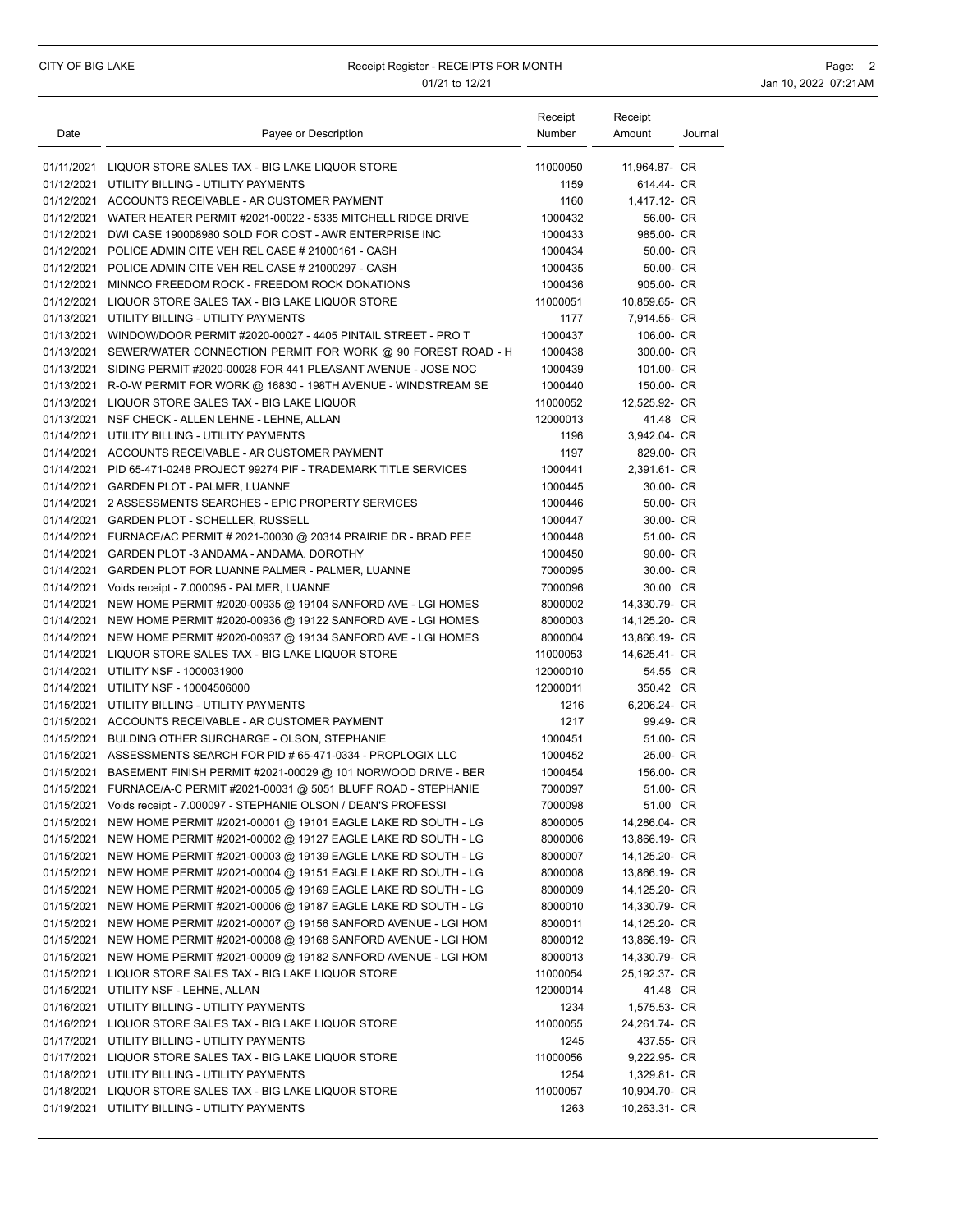### CITY OF BIG LAKE Page: 2 01/21 to 12/21 **Jan 10, 2022 07:21AM**

| Date       | Payee or Description                                         | Receipt<br>Number | Receipt<br>Amount | Journal |
|------------|--------------------------------------------------------------|-------------------|-------------------|---------|
|            |                                                              |                   |                   |         |
| 01/11/2021 | LIQUOR STORE SALES TAX - BIG LAKE LIQUOR STORE               | 11000050          | 11.964.87- CR     |         |
| 01/12/2021 | UTILITY BILLING - UTILITY PAYMENTS                           | 1159              | 614.44- CR        |         |
| 01/12/2021 | ACCOUNTS RECEIVABLE - AR CUSTOMER PAYMENT                    | 1160              | 1,417.12- CR      |         |
| 01/12/2021 | WATER HEATER PERMIT #2021-00022 - 5335 MITCHELL RIDGE DRIVE  | 1000432           | 56.00- CR         |         |
| 01/12/2021 | DWI CASE 190008980 SOLD FOR COST - AWR ENTERPRISE INC        | 1000433           | 985.00- CR        |         |
| 01/12/2021 | POLICE ADMIN CITE VEH REL CASE # 21000161 - CASH             | 1000434           | 50.00- CR         |         |
| 01/12/2021 | POLICE ADMIN CITE VEH REL CASE # 21000297 - CASH             | 1000435           | 50.00- CR         |         |
| 01/12/2021 | MINNCO FREEDOM ROCK - FREEDOM ROCK DONATIONS                 | 1000436           | 905.00- CR        |         |
| 01/12/2021 | LIQUOR STORE SALES TAX - BIG LAKE LIQUOR STORE               | 11000051          | 10,859.65- CR     |         |
| 01/13/2021 | UTILITY BILLING - UTILITY PAYMENTS                           | 1177              | 7.914.55- CR      |         |
| 01/13/2021 | WINDOW/DOOR PERMIT #2020-00027 - 4405 PINTAIL STREET - PRO T | 1000437           | 106.00- CR        |         |
| 01/13/2021 | SEWER/WATER CONNECTION PERMIT FOR WORK @ 90 FOREST ROAD - H  | 1000438           | 300.00- CR        |         |
| 01/13/2021 | SIDING PERMIT #2020-00028 FOR 441 PLEASANT AVENUE - JOSE NOC | 1000439           | 101.00- CR        |         |
| 01/13/2021 | R-O-W PERMIT FOR WORK @ 16830 - 198TH AVENUE - WINDSTREAM SE | 1000440           | 150.00- CR        |         |
| 01/13/2021 | LIQUOR STORE SALES TAX - BIG LAKE LIQUOR                     | 11000052          | 12.525.92- CR     |         |
| 01/13/2021 | NSF CHECK - ALLEN LEHNE - LEHNE, ALLAN                       | 12000013          | 41.48 CR          |         |
| 01/14/2021 | UTILITY BILLING - UTILITY PAYMENTS                           | 1196              | 3,942.04- CR      |         |
| 01/14/2021 | ACCOUNTS RECEIVABLE - AR CUSTOMER PAYMENT                    | 1197              | 829.00- CR        |         |
| 01/14/2021 | PID 65-471-0248 PROJECT 99274 PIF - TRADEMARK TITLE SERVICES | 1000441           | 2,391.61- CR      |         |
| 01/14/2021 | GARDEN PLOT - PALMER, LUANNE                                 | 1000445           | 30.00- CR         |         |
|            |                                                              |                   |                   |         |

| 01/14/2021 2 ASSESSMENTS SEARCHES - EPIC PROPERTY SERVICES              | 1000446  | 50.00- CR     |
|-------------------------------------------------------------------------|----------|---------------|
| 01/14/2021 GARDEN PLOT - SCHELLER, RUSSELL                              | 1000447  | 30.00- CR     |
| 01/14/2021 FURNACE/AC PERMIT # 2021-00030 @ 20314 PRAIRIE DR - BRAD PEE | 1000448  | 51.00- CR     |
| 01/14/2021 GARDEN PLOT-3 ANDAMA - ANDAMA, DOROTHY                       | 1000450  | 90.00- CR     |
| 01/14/2021 GARDEN PLOT FOR LUANNE PALMER - PALMER, LUANNE               | 7000095  | 30.00- CR     |
| 01/14/2021 Voids receipt - 7.000095 - PALMER, LUANNE                    | 7000096  | 30.00 CR      |
| 01/14/2021 NEW HOME PERMIT #2020-00935 @ 19104 SANFORD AVE - LGI HOMES  | 8000002  | 14,330.79- CR |
| 01/14/2021 NEW HOME PERMIT #2020-00936 @ 19122 SANFORD AVE - LGI HOMES  | 8000003  | 14,125.20- CR |
| 01/14/2021 NEW HOME PERMIT #2020-00937 @ 19134 SANFORD AVE - LGI HOMES  | 8000004  | 13,866.19- CR |
| 01/14/2021 LIQUOR STORE SALES TAX - BIG LAKE LIQUOR STORE               | 11000053 | 14,625.41- CR |
| 01/14/2021 UTILITY NSF - 1000031900                                     | 12000010 | 54.55 CR      |
| 01/14/2021 UTILITY NSF - 10004506000                                    | 12000011 | 350.42 CR     |
| 01/15/2021 UTILITY BILLING - UTILITY PAYMENTS                           | 1216     | 6,206.24- CR  |
| 01/15/2021 ACCOUNTS RECEIVABLE - AR CUSTOMER PAYMENT                    | 1217     | 99.49- CR     |
| 01/15/2021 BULDING OTHER SURCHARGE - OLSON, STEPHANIE                   | 1000451  | 51.00- CR     |
| 01/15/2021 ASSESSMENTS SEARCH FOR PID # 65-471-0334 - PROPLOGIX LLC     | 1000452  | 25.00- CR     |
| 01/15/2021 BASEMENT FINISH PERMIT #2021-00029 @ 101 NORWOOD DRIVE - BER | 1000454  | 156.00- CR    |
| 01/15/2021 FURNACE/A-C PERMIT #2021-00031 @ 5051 BLUFF ROAD - STEPHANIE | 7000097  | 51.00- CR     |
| 01/15/2021 Voids receipt - 7.000097 - STEPHANIE OLSON / DEAN'S PROFESSI | 7000098  | 51.00 CR      |
| 01/15/2021 NEW HOME PERMIT #2021-00001 @ 19101 EAGLE LAKE RD SOUTH - LG | 8000005  | 14,286.04- CR |
| 01/15/2021 NEW HOME PERMIT #2021-00002 @ 19127 EAGLE LAKE RD SOUTH - LG | 8000006  | 13,866.19- CR |
| 01/15/2021 NEW HOME PERMIT #2021-00003 @ 19139 EAGLE LAKE RD SOUTH - LG | 8000007  | 14,125.20- CR |
| 01/15/2021 NEW HOME PERMIT #2021-00004 @ 19151 EAGLE LAKE RD SOUTH - LG | 8000008  | 13,866.19- CR |
| 01/15/2021 NEW HOME PERMIT #2021-00005 @ 19169 EAGLE LAKE RD SOUTH - LG | 8000009  | 14,125.20- CR |
| 01/15/2021 NEW HOME PERMIT #2021-00006 @ 19187 EAGLE LAKE RD SOUTH - LG | 8000010  | 14,330.79- CR |
| 01/15/2021 NEW HOME PERMIT #2021-00007 @ 19156 SANFORD AVENUE - LGI HOM | 8000011  | 14,125.20- CR |
| 01/15/2021 NEW HOME PERMIT #2021-00008 @ 19168 SANFORD AVENUE - LGI HOM | 8000012  | 13,866.19- CR |
| 01/15/2021 NEW HOME PERMIT #2021-00009 @ 19182 SANFORD AVENUE - LGI HOM | 8000013  | 14,330.79- CR |
| 01/15/2021 LIQUOR STORE SALES TAX - BIG LAKE LIQUOR STORE               | 11000054 | 25,192.37- CR |
| 01/15/2021 UTILITY NSF - LEHNE, ALLAN                                   | 12000014 | 41.48 CR      |
| 01/16/2021 UTILITY BILLING - UTILITY PAYMENTS                           | 1234     | 1,575.53- CR  |
| 01/16/2021 LIQUOR STORE SALES TAX - BIG LAKE LIQUOR STORE               | 11000055 | 24,261.74- CR |
| 01/17/2021 UTILITY BILLING - UTILITY PAYMENTS                           | 1245     | 437.55- CR    |
| 01/17/2021 LIQUOR STORE SALES TAX - BIG LAKE LIQUOR STORE               | 11000056 | 9,222.95- CR  |
| 01/18/2021 UTILITY BILLING - UTILITY PAYMENTS                           | 1254     | 1,329.81- CR  |
| 01/18/2021 LIQUOR STORE SALES TAX - BIG LAKE LIQUOR STORE               | 11000057 | 10,904.70- CR |
| 01/19/2021 UTILITY BILLING - UTILITY PAYMENTS                           | 1263     | 10,263.31- CR |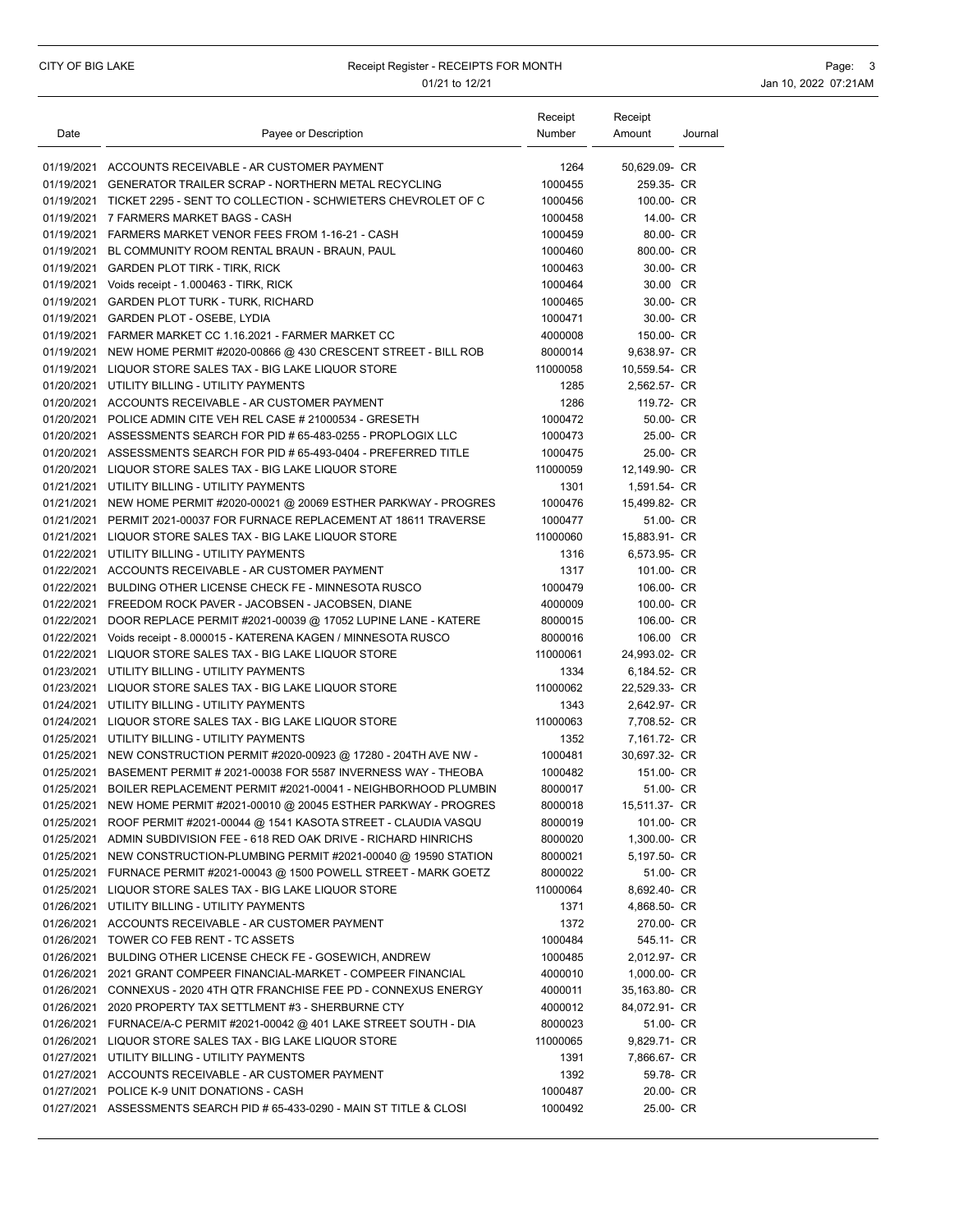| Date | Payee or Description                                                                                                                              | Receipt<br>Number  | Receipt<br>Amount | Journal |
|------|---------------------------------------------------------------------------------------------------------------------------------------------------|--------------------|-------------------|---------|
|      | 01/19/2021 ACCOUNTS RECEIVABLE - AR CUSTOMER PAYMENT                                                                                              | 1264               | 50,629.09- CR     |         |
|      | 01/19/2021 GENERATOR TRAILER SCRAP - NORTHERN METAL RECYCLING                                                                                     | 1000455            | 259.35- CR        |         |
|      | 01/19/2021 TICKET 2295 - SENT TO COLLECTION - SCHWIETERS CHEVROLET OF C                                                                           | 1000456            | 100.00- CR        |         |
|      | 01/19/2021 7 FARMERS MARKET BAGS - CASH                                                                                                           | 1000458            | 14.00- CR         |         |
|      | 01/19/2021 FARMERS MARKET VENOR FEES FROM 1-16-21 - CASH                                                                                          | 1000459            | 80.00- CR         |         |
|      | 01/19/2021 BL COMMUNITY ROOM RENTAL BRAUN - BRAUN, PAUL                                                                                           | 1000460            | 800.00- CR        |         |
|      | 01/19/2021 GARDEN PLOT TIRK - TIRK, RICK                                                                                                          | 1000463            | 30.00- CR         |         |
|      | 01/19/2021 Voids receipt - 1.000463 - TIRK, RICK                                                                                                  | 1000464            | 30.00 CR          |         |
|      | 01/19/2021 GARDEN PLOT TURK - TURK, RICHARD                                                                                                       | 1000465            | 30.00- CR         |         |
|      | 01/19/2021 GARDEN PLOT - OSEBE, LYDIA                                                                                                             | 1000471            | 30.00- CR         |         |
|      | 01/19/2021 FARMER MARKET CC 1.16.2021 - FARMER MARKET CC                                                                                          | 4000008            | 150.00- CR        |         |
|      | 01/19/2021 NEW HOME PERMIT #2020-00866 @ 430 CRESCENT STREET - BILL ROB                                                                           | 8000014            | 9,638.97- CR      |         |
|      | 01/19/2021 LIQUOR STORE SALES TAX - BIG LAKE LIQUOR STORE                                                                                         | 11000058           | 10,559.54- CR     |         |
|      | 01/20/2021 UTILITY BILLING - UTILITY PAYMENTS                                                                                                     | 1285               | 2,562.57- CR      |         |
|      | 01/20/2021 ACCOUNTS RECEIVABLE - AR CUSTOMER PAYMENT                                                                                              | 1286               | 119.72- CR        |         |
|      | 01/20/2021 POLICE ADMIN CITE VEH REL CASE # 21000534 - GRESETH                                                                                    | 1000472            | 50.00- CR         |         |
|      | 01/20/2021 ASSESSMENTS SEARCH FOR PID # 65-483-0255 - PROPLOGIX LLC                                                                               | 1000473            | 25.00- CR         |         |
|      | 01/20/2021 ASSESSMENTS SEARCH FOR PID # 65-493-0404 - PREFERRED TITLE                                                                             | 1000475            | 25.00- CR         |         |
|      | 01/20/2021 LIQUOR STORE SALES TAX - BIG LAKE LIQUOR STORE                                                                                         | 11000059           | 12,149.90- CR     |         |
|      | 01/21/2021 UTILITY BILLING - UTILITY PAYMENTS                                                                                                     | 1301               | 1,591.54- CR      |         |
|      |                                                                                                                                                   |                    | 15.499.82- CR     |         |
|      | 01/21/2021 NEW HOME PERMIT #2020-00021 @ 20069 ESTHER PARKWAY - PROGRES<br>01/21/2021 PERMIT 2021-00037 FOR FURNACE REPLACEMENT AT 18611 TRAVERSE | 1000476<br>1000477 | 51.00- CR         |         |
|      | 01/21/2021 LIQUOR STORE SALES TAX - BIG LAKE LIQUOR STORE                                                                                         |                    |                   |         |
|      |                                                                                                                                                   | 11000060           | 15,883.91- CR     |         |
|      | 01/22/2021 UTILITY BILLING - UTILITY PAYMENTS                                                                                                     | 1316               | 6,573.95- CR      |         |
|      | 01/22/2021 ACCOUNTS RECEIVABLE - AR CUSTOMER PAYMENT                                                                                              | 1317               | 101.00- CR        |         |
|      | 01/22/2021 BULDING OTHER LICENSE CHECK FE - MINNESOTA RUSCO                                                                                       | 1000479            | 106.00- CR        |         |
|      | 01/22/2021 FREEDOM ROCK PAVER - JACOBSEN - JACOBSEN, DIANE                                                                                        | 4000009            | 100.00- CR        |         |
|      | 01/22/2021 DOOR REPLACE PERMIT #2021-00039 @ 17052 LUPINE LANE - KATERE                                                                           | 8000015            | 106.00- CR        |         |
|      | 01/22/2021 Voids receipt - 8.000015 - KATERENA KAGEN / MINNESOTA RUSCO                                                                            | 8000016            | 106.00 CR         |         |
|      | 01/22/2021 LIQUOR STORE SALES TAX - BIG LAKE LIQUOR STORE                                                                                         | 11000061           | 24,993.02- CR     |         |
|      | 01/23/2021 UTILITY BILLING - UTILITY PAYMENTS                                                                                                     | 1334               | 6,184.52- CR      |         |
|      | 01/23/2021 LIQUOR STORE SALES TAX - BIG LAKE LIQUOR STORE                                                                                         | 11000062           | 22,529.33- CR     |         |
|      | 01/24/2021 UTILITY BILLING - UTILITY PAYMENTS                                                                                                     | 1343               | 2,642.97- CR      |         |
|      | 01/24/2021 LIQUOR STORE SALES TAX - BIG LAKE LIQUOR STORE                                                                                         | 11000063           | 7,708.52- CR      |         |
|      | 01/25/2021 UTILITY BILLING - UTILITY PAYMENTS                                                                                                     | 1352               | 7,161.72- CR      |         |
|      | 01/25/2021 NEW CONSTRUCTION PERMIT #2020-00923 @ 17280 - 204TH AVE NW -                                                                           | 1000481            | 30.697.32- CR     |         |
|      | 01/25/2021 BASEMENT PERMIT # 2021-00038 FOR 5587 INVERNESS WAY - THEOBA                                                                           | 1000482            | 151.00- CR        |         |
|      | 01/25/2021 BOILER REPLACEMENT PERMIT #2021-00041 - NEIGHBORHOOD PLUMBIN                                                                           | 8000017            | 51.00- CR         |         |
|      | 01/25/2021 NEW HOME PERMIT #2021-00010 @ 20045 ESTHER PARKWAY - PROGRES                                                                           | 8000018            | 15,511.37- CR     |         |
|      | 01/25/2021 ROOF PERMIT #2021-00044 @ 1541 KASOTA STREET - CLAUDIA VASQU                                                                           | 8000019            | 101.00- CR        |         |
|      | 01/25/2021 ADMIN SUBDIVISION FEE - 618 RED OAK DRIVE - RICHARD HINRICHS                                                                           | 8000020            | 1,300.00- CR      |         |
|      | 01/25/2021 NEW CONSTRUCTION-PLUMBING PERMIT #2021-00040 @ 19590 STATION                                                                           | 8000021            | 5,197.50- CR      |         |
|      | 01/25/2021 FURNACE PERMIT #2021-00043 @ 1500 POWELL STREET - MARK GOETZ                                                                           | 8000022            | 51.00- CR         |         |
|      | 01/25/2021 LIQUOR STORE SALES TAX - BIG LAKE LIQUOR STORE                                                                                         | 11000064           | 8,692.40- CR      |         |
|      | 01/26/2021 UTILITY BILLING - UTILITY PAYMENTS                                                                                                     | 1371               | 4,868.50- CR      |         |
|      | 01/26/2021 ACCOUNTS RECEIVABLE - AR CUSTOMER PAYMENT                                                                                              | 1372               | 270.00- CR        |         |
|      | 01/26/2021 TOWER CO FEB RENT - TC ASSETS                                                                                                          | 1000484            | 545.11- CR        |         |
|      | 01/26/2021 BULDING OTHER LICENSE CHECK FE - GOSEWICH, ANDREW                                                                                      | 1000485            | 2,012.97- CR      |         |
|      | 01/26/2021 2021 GRANT COMPEER FINANCIAL-MARKET - COMPEER FINANCIAL                                                                                | 4000010            | 1,000.00- CR      |         |
|      | 01/26/2021 CONNEXUS - 2020 4TH QTR FRANCHISE FEE PD - CONNEXUS ENERGY                                                                             | 4000011            | 35,163.80- CR     |         |
|      | 01/26/2021 2020 PROPERTY TAX SETTLMENT #3 - SHERBURNE CTY                                                                                         | 4000012            | 84,072.91- CR     |         |
|      | 01/26/2021 FURNACE/A-C PERMIT #2021-00042 @ 401 LAKE STREET SOUTH - DIA                                                                           | 8000023            | 51.00- CR         |         |
|      | 01/26/2021 LIQUOR STORE SALES TAX - BIG LAKE LIQUOR STORE                                                                                         | 11000065           | 9,829.71- CR      |         |
|      | 01/27/2021 UTILITY BILLING - UTILITY PAYMENTS                                                                                                     | 1391               | 7,866.67- CR      |         |
|      | 01/27/2021 ACCOUNTS RECEIVABLE - AR CUSTOMER PAYMENT                                                                                              | 1392               | 59.78- CR         |         |
|      | 01/27/2021 POLICE K-9 UNIT DONATIONS - CASH                                                                                                       | 1000487            | 20.00- CR         |         |
|      | 01/27/2021 ASSESSMENTS SEARCH PID # 65-433-0290 - MAIN ST TITLE & CLOSI                                                                           | 1000492            | 25.00- CR         |         |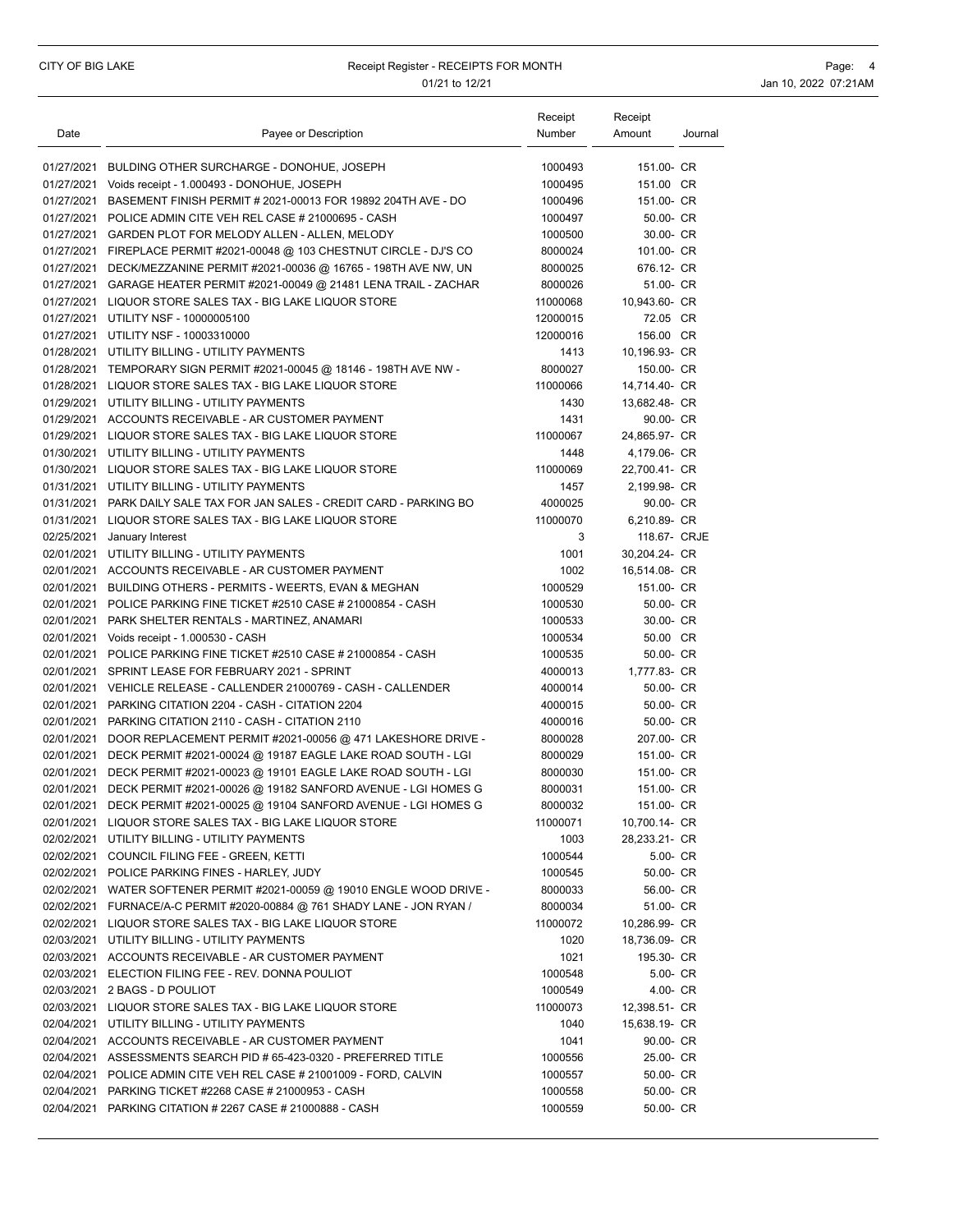| Date | Payee or Description                                                                                                                              | Receipt<br>Number  | Receipt<br>Amount        | Journal |
|------|---------------------------------------------------------------------------------------------------------------------------------------------------|--------------------|--------------------------|---------|
|      | 01/27/2021 BULDING OTHER SURCHARGE - DONOHUE, JOSEPH                                                                                              | 1000493            | 151.00- CR               |         |
|      | 01/27/2021 Voids receipt - 1.000493 - DONOHUE, JOSEPH                                                                                             | 1000495            | 151.00 CR                |         |
|      | 01/27/2021 BASEMENT FINISH PERMIT # 2021-00013 FOR 19892 204TH AVE - DO                                                                           | 1000496            | 151.00- CR               |         |
|      | 01/27/2021 POLICE ADMIN CITE VEH REL CASE # 21000695 - CASH                                                                                       | 1000497            | 50.00- CR                |         |
|      | 01/27/2021 GARDEN PLOT FOR MELODY ALLEN - ALLEN, MELODY                                                                                           | 1000500            | 30.00- CR                |         |
|      | 01/27/2021 FIREPLACE PERMIT #2021-00048 @ 103 CHESTNUT CIRCLE - DJ'S CO                                                                           | 8000024            | 101.00- CR               |         |
|      | 01/27/2021 DECK/MEZZANINE PERMIT #2021-00036 @ 16765 - 198TH AVE NW, UN                                                                           | 8000025            | 676.12- CR               |         |
|      | 01/27/2021 GARAGE HEATER PERMIT #2021-00049 @ 21481 LENA TRAIL - ZACHAR                                                                           | 8000026            | 51.00- CR                |         |
|      | 01/27/2021 LIQUOR STORE SALES TAX - BIG LAKE LIQUOR STORE                                                                                         | 11000068           | 10,943.60- CR            |         |
|      | 01/27/2021 UTILITY NSF - 10000005100                                                                                                              | 12000015           | 72.05 CR                 |         |
|      | 01/27/2021 UTILITY NSF - 10003310000                                                                                                              | 12000016           | 156.00 CR                |         |
|      | 01/28/2021 UTILITY BILLING - UTILITY PAYMENTS                                                                                                     | 1413               | 10,196.93- CR            |         |
|      | 01/28/2021 TEMPORARY SIGN PERMIT #2021-00045 @ 18146 - 198TH AVE NW -                                                                             | 8000027            | 150.00- CR               |         |
|      | 01/28/2021 LIQUOR STORE SALES TAX - BIG LAKE LIQUOR STORE                                                                                         | 11000066           | 14,714.40- CR            |         |
|      | 01/29/2021 UTILITY BILLING - UTILITY PAYMENTS                                                                                                     | 1430               | 13,682.48- CR            |         |
|      | 01/29/2021 ACCOUNTS RECEIVABLE - AR CUSTOMER PAYMENT                                                                                              | 1431               | 90.00- CR                |         |
|      | 01/29/2021 LIQUOR STORE SALES TAX - BIG LAKE LIQUOR STORE                                                                                         | 11000067           | 24,865.97- CR            |         |
|      | 01/30/2021 UTILITY BILLING - UTILITY PAYMENTS                                                                                                     | 1448               | 4,179.06- CR             |         |
|      | 01/30/2021 LIQUOR STORE SALES TAX - BIG LAKE LIQUOR STORE                                                                                         | 11000069           | 22,700.41- CR            |         |
|      | 01/31/2021 UTILITY BILLING - UTILITY PAYMENTS                                                                                                     | 1457               | 2.199.98- CR             |         |
|      | 01/31/2021 PARK DAILY SALE TAX FOR JAN SALES - CREDIT CARD - PARKING BO                                                                           | 4000025            | 90.00- CR                |         |
|      | 01/31/2021 LIQUOR STORE SALES TAX - BIG LAKE LIQUOR STORE                                                                                         | 11000070           | 6,210.89- CR             |         |
|      | 02/25/2021 January Interest                                                                                                                       | 3                  | 118.67- CRJE             |         |
|      | 02/01/2021 UTILITY BILLING - UTILITY PAYMENTS                                                                                                     | 1001               | 30,204.24- CR            |         |
|      | 02/01/2021 ACCOUNTS RECEIVABLE - AR CUSTOMER PAYMENT                                                                                              | 1002               | 16,514.08- CR            |         |
|      | 02/01/2021 BUILDING OTHERS - PERMITS - WEERTS, EVAN & MEGHAN                                                                                      | 1000529            | 151.00- CR               |         |
|      | 02/01/2021  POLICE PARKING FINE TICKET #2510 CASE # 21000854 - CASH                                                                               | 1000530            | 50.00- CR                |         |
|      | 02/01/2021 PARK SHELTER RENTALS - MARTINEZ, ANAMARI                                                                                               | 1000533            | 30.00- CR                |         |
|      | 02/01/2021 Voids receipt - 1.000530 - CASH                                                                                                        | 1000534            | 50.00 CR                 |         |
|      | 02/01/2021 POLICE PARKING FINE TICKET #2510 CASE # 21000854 - CASH                                                                                | 1000535            | 50.00- CR                |         |
|      | 02/01/2021 SPRINT LEASE FOR FEBRUARY 2021 - SPRINT                                                                                                | 4000013            | 1,777.83- CR             |         |
|      | 02/01/2021 VEHICLE RELEASE - CALLENDER 21000769 - CASH - CALLENDER                                                                                | 4000014            | 50.00- CR                |         |
|      | 02/01/2021 PARKING CITATION 2204 - CASH - CITATION 2204                                                                                           | 4000015            | 50.00- CR                |         |
|      | 02/01/2021 PARKING CITATION 2110 - CASH - CITATION 2110                                                                                           | 4000016            | 50.00- CR                |         |
|      | 02/01/2021 DOOR REPLACEMENT PERMIT #2021-00056 @ 471 LAKESHORE DRIVE -                                                                            | 8000028            | 207.00- CR               |         |
|      | 02/01/2021 DECK PERMIT #2021-00024 @ 19187 EAGLE LAKE ROAD SOUTH - LGI                                                                            | 8000029            | 151.00- CR<br>151.00- CR |         |
|      | 02/01/2021 DECK PERMIT #2021-00023 @ 19101 EAGLE LAKE ROAD SOUTH - LGI<br>02/01/2021 DECK PERMIT #2021-00026 @ 19182 SANFORD AVENUE - LGI HOMES G | 8000030<br>8000031 | 151.00- CR               |         |
|      | 02/01/2021 DECK PERMIT #2021-00025 @ 19104 SANFORD AVENUE - LGI HOMES G                                                                           | 8000032            | 151.00- CR               |         |
|      | 02/01/2021 LIQUOR STORE SALES TAX - BIG LAKE LIQUOR STORE                                                                                         | 11000071           | 10,700.14- CR            |         |
|      | 02/02/2021 UTILITY BILLING - UTILITY PAYMENTS                                                                                                     | 1003               | 28,233.21- CR            |         |
|      | 02/02/2021 COUNCIL FILING FEE - GREEN, KETTI                                                                                                      | 1000544            | 5.00- CR                 |         |
|      | 02/02/2021 POLICE PARKING FINES - HARLEY, JUDY                                                                                                    | 1000545            | 50.00- CR                |         |
|      | 02/02/2021 WATER SOFTENER PERMIT #2021-00059 @ 19010 ENGLE WOOD DRIVE -                                                                           | 8000033            | 56.00- CR                |         |
|      | 02/02/2021 FURNACE/A-C PERMIT #2020-00884 @ 761 SHADY LANE - JON RYAN /                                                                           | 8000034            | 51.00- CR                |         |
|      | 02/02/2021 LIQUOR STORE SALES TAX - BIG LAKE LIQUOR STORE                                                                                         | 11000072           | 10,286.99- CR            |         |
|      | 02/03/2021 UTILITY BILLING - UTILITY PAYMENTS                                                                                                     | 1020               | 18,736.09- CR            |         |
|      | 02/03/2021 ACCOUNTS RECEIVABLE - AR CUSTOMER PAYMENT                                                                                              | 1021               | 195.30- CR               |         |
|      | 02/03/2021 ELECTION FILING FEE - REV. DONNA POULIOT                                                                                               | 1000548            | 5.00- CR                 |         |
|      | 02/03/2021 2 BAGS - D POULIOT                                                                                                                     | 1000549            | 4.00- CR                 |         |
|      | 02/03/2021 LIQUOR STORE SALES TAX - BIG LAKE LIQUOR STORE                                                                                         | 11000073           | 12,398.51- CR            |         |
|      | 02/04/2021 UTILITY BILLING - UTILITY PAYMENTS                                                                                                     | 1040               | 15,638.19- CR            |         |
|      | 02/04/2021 ACCOUNTS RECEIVABLE - AR CUSTOMER PAYMENT                                                                                              | 1041               | 90.00- CR                |         |
|      | 02/04/2021 ASSESSMENTS SEARCH PID # 65-423-0320 - PREFERRED TITLE                                                                                 | 1000556            | 25.00- CR                |         |
|      | 02/04/2021 POLICE ADMIN CITE VEH REL CASE # 21001009 - FORD, CALVIN                                                                               | 1000557            | 50.00- CR                |         |
|      | 02/04/2021 PARKING TICKET #2268 CASE # 21000953 - CASH                                                                                            | 1000558            | 50.00- CR                |         |
|      | 02/04/2021 PARKING CITATION # 2267 CASE # 21000888 - CASH                                                                                         | 1000559            | 50.00- CR                |         |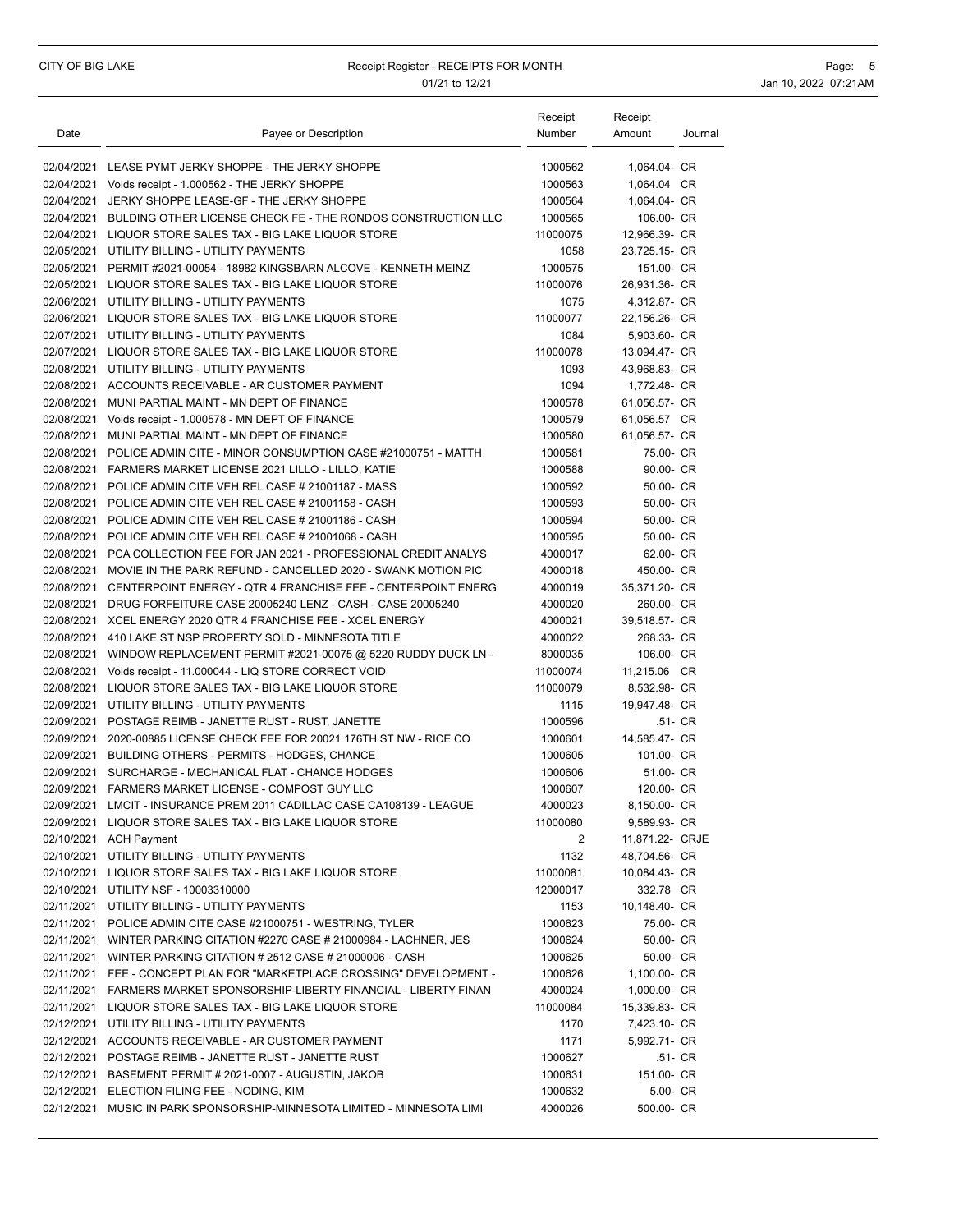# CITY OF BIG LAKE **Receipt Register - RECEIPTS FOR MONTH Receipt Register - RECEIPTS FOR MONTH**

01/21 to 12/21 **Jan 10, 2022 07:21AM** 

| Date       | Payee or Description                                                                                     | Receipt<br>Number  | Receipt<br>Amount | Journal |
|------------|----------------------------------------------------------------------------------------------------------|--------------------|-------------------|---------|
|            | 02/04/2021 LEASE PYMT JERKY SHOPPE - THE JERKY SHOPPE                                                    | 1000562            | 1,064.04- CR      |         |
|            | 02/04/2021 Voids receipt - 1.000562 - THE JERKY SHOPPE                                                   | 1000563            | 1,064.04 CR       |         |
| 02/04/2021 | JERKY SHOPPE LEASE-GF - THE JERKY SHOPPE                                                                 | 1000564            | 1,064.04- CR      |         |
| 02/04/2021 | BULDING OTHER LICENSE CHECK FE - THE RONDOS CONSTRUCTION LLC                                             | 1000565            | 106.00- CR        |         |
|            | 02/04/2021 LIQUOR STORE SALES TAX - BIG LAKE LIQUOR STORE                                                | 11000075           | 12,966.39- CR     |         |
|            | 02/05/2021 UTILITY BILLING - UTILITY PAYMENTS                                                            | 1058               | 23,725.15- CR     |         |
|            | 02/05/2021 PERMIT #2021-00054 - 18982 KINGSBARN ALCOVE - KENNETH MEINZ                                   | 1000575            | 151.00- CR        |         |
|            | 02/05/2021 LIQUOR STORE SALES TAX - BIG LAKE LIQUOR STORE                                                | 11000076           | 26,931.36- CR     |         |
|            | 02/06/2021 UTILITY BILLING - UTILITY PAYMENTS                                                            | 1075               | 4,312.87- CR      |         |
|            | 02/06/2021 LIQUOR STORE SALES TAX - BIG LAKE LIQUOR STORE                                                | 11000077           | 22,156.26- CR     |         |
|            | 02/07/2021 UTILITY BILLING - UTILITY PAYMENTS                                                            | 1084               | 5,903.60- CR      |         |
|            | 02/07/2021 LIQUOR STORE SALES TAX - BIG LAKE LIQUOR STORE                                                | 11000078           | 13,094.47- CR     |         |
|            | 02/08/2021 UTILITY BILLING - UTILITY PAYMENTS                                                            | 1093               | 43,968.83- CR     |         |
|            | 02/08/2021 ACCOUNTS RECEIVABLE - AR CUSTOMER PAYMENT                                                     | 1094               | 1,772.48- CR      |         |
|            | 02/08/2021 MUNI PARTIAL MAINT - MN DEPT OF FINANCE                                                       | 1000578            | 61,056.57- CR     |         |
|            | 02/08/2021 Voids receipt - 1.000578 - MN DEPT OF FINANCE                                                 | 1000579            | 61,056.57 CR      |         |
|            | 02/08/2021 MUNI PARTIAL MAINT - MN DEPT OF FINANCE                                                       | 1000580            | 61,056.57- CR     |         |
|            | 02/08/2021 POLICE ADMIN CITE - MINOR CONSUMPTION CASE #21000751 - MATTH                                  | 1000581            | 75.00- CR         |         |
|            | 02/08/2021 FARMERS MARKET LICENSE 2021 LILLO - LILLO, KATIE                                              | 1000588            | 90.00- CR         |         |
|            | 02/08/2021 POLICE ADMIN CITE VEH REL CASE # 21001187 - MASS                                              | 1000592            | 50.00- CR         |         |
|            | 02/08/2021 POLICE ADMIN CITE VEH REL CASE # 21001158 - CASH                                              | 1000593            | 50.00- CR         |         |
|            | 02/08/2021 POLICE ADMIN CITE VEH REL CASE # 21001186 - CASH                                              | 1000594            | 50.00- CR         |         |
|            | 02/08/2021 POLICE ADMIN CITE VEH REL CASE # 21001068 - CASH                                              | 1000595            | 50.00- CR         |         |
|            | 02/08/2021 PCA COLLECTION FEE FOR JAN 2021 - PROFESSIONAL CREDIT ANALYS                                  | 4000017            | 62.00- CR         |         |
|            | 02/08/2021 MOVIE IN THE PARK REFUND - CANCELLED 2020 - SWANK MOTION PIC                                  | 4000018            | 450.00- CR        |         |
|            | 02/08/2021 CENTERPOINT ENERGY - QTR 4 FRANCHISE FEE - CENTERPOINT ENERG                                  | 4000019            | 35,371.20- CR     |         |
|            | 02/08/2021 DRUG FORFEITURE CASE 20005240 LENZ - CASH - CASE 20005240                                     | 4000020            | 260.00- CR        |         |
|            | 02/08/2021 XCEL ENERGY 2020 QTR 4 FRANCHISE FEE - XCEL ENERGY                                            | 4000021            | 39,518.57- CR     |         |
|            | 02/08/2021 410 LAKE ST NSP PROPERTY SOLD - MINNESOTA TITLE                                               | 4000022            | 268.33- CR        |         |
|            | 02/08/2021 WINDOW REPLACEMENT PERMIT #2021-00075 @ 5220 RUDDY DUCK LN -                                  | 8000035            | 106.00- CR        |         |
|            | 02/08/2021 Voids receipt - 11.000044 - LIQ STORE CORRECT VOID                                            | 11000074           | 11,215.06 CR      |         |
|            | 02/08/2021 LIQUOR STORE SALES TAX - BIG LAKE LIQUOR STORE                                                | 11000079           | 8,532.98- CR      |         |
|            | 02/09/2021 UTILITY BILLING - UTILITY PAYMENTS<br>02/09/2021 POSTAGE REIMB - JANETTE RUST - RUST, JANETTE | 1115<br>1000596    | 19,947.48- CR     | .51- CR |
|            | 02/09/2021  2020-00885 LICENSE CHECK FEE FOR 20021 176TH ST NW - RICE CO                                 |                    | 14,585.47- CR     |         |
|            | 02/09/2021 BUILDING OTHERS - PERMITS - HODGES, CHANCE                                                    | 1000601<br>1000605 | 101.00- CR        |         |
|            | 02/09/2021 SURCHARGE - MECHANICAL FLAT - CHANCE HODGES                                                   | 1000606            | 51.00- CR         |         |
|            | 02/09/2021 FARMERS MARKET LICENSE - COMPOST GUY LLC                                                      | 1000607            | 120.00- CR        |         |
|            | 02/09/2021 LMCIT - INSURANCE PREM 2011 CADILLAC CASE CA108139 - LEAGUE                                   | 4000023            | 8,150.00- CR      |         |
|            | 02/09/2021 LIQUOR STORE SALES TAX - BIG LAKE LIQUOR STORE                                                | 11000080           | 9,589.93- CR      |         |
|            | 02/10/2021 ACH Payment                                                                                   | 2                  | 11,871.22- CRJE   |         |
|            | 02/10/2021 UTILITY BILLING - UTILITY PAYMENTS                                                            | 1132               | 48,704.56- CR     |         |
|            | 02/10/2021 LIQUOR STORE SALES TAX - BIG LAKE LIQUOR STORE                                                | 11000081           | 10,084.43- CR     |         |
|            | 02/10/2021 UTILITY NSF - 10003310000                                                                     | 12000017           | 332.78 CR         |         |
|            | 02/11/2021 UTILITY BILLING - UTILITY PAYMENTS                                                            | 1153               | 10,148.40- CR     |         |
|            | 02/11/2021 POLICE ADMIN CITE CASE #21000751 - WESTRING, TYLER                                            | 1000623            | 75.00- CR         |         |
|            | 02/11/2021 WINTER PARKING CITATION #2270 CASE # 21000984 - LACHNER, JES                                  | 1000624            | 50.00- CR         |         |
|            | 02/11/2021 WINTER PARKING CITATION # 2512 CASE # 21000006 - CASH                                         | 1000625            | 50.00- CR         |         |
|            | 02/11/2021 FEE - CONCEPT PLAN FOR "MARKETPLACE CROSSING" DEVELOPMENT -                                   | 1000626            | 1,100.00- CR      |         |
|            | 02/11/2021 FARMERS MARKET SPONSORSHIP-LIBERTY FINANCIAL - LIBERTY FINAN                                  | 4000024            | 1,000.00- CR      |         |
|            | 02/11/2021 LIQUOR STORE SALES TAX - BIG LAKE LIQUOR STORE                                                | 11000084           | 15,339.83- CR     |         |
|            | 02/12/2021 UTILITY BILLING - UTILITY PAYMENTS                                                            | 1170               | 7,423.10- CR      |         |
|            | 02/12/2021 ACCOUNTS RECEIVABLE - AR CUSTOMER PAYMENT                                                     | 1171               | 5,992.71- CR      |         |
|            | 02/12/2021 POSTAGE REIMB - JANETTE RUST - JANETTE RUST                                                   | 1000627            |                   | .51- CR |
|            | 02/12/2021 BASEMENT PERMIT # 2021-0007 - AUGUSTIN, JAKOB                                                 | 1000631            | 151.00- CR        |         |
|            | 02/12/2021 ELECTION FILING FEE - NODING, KIM                                                             | 1000632            | 5.00- CR          |         |
|            | 02/12/2021 MUSIC IN PARK SPONSORSHIP-MINNESOTA LIMITED - MINNESOTA LIMI                                  | 4000026            | 500.00- CR        |         |
|            |                                                                                                          |                    |                   |         |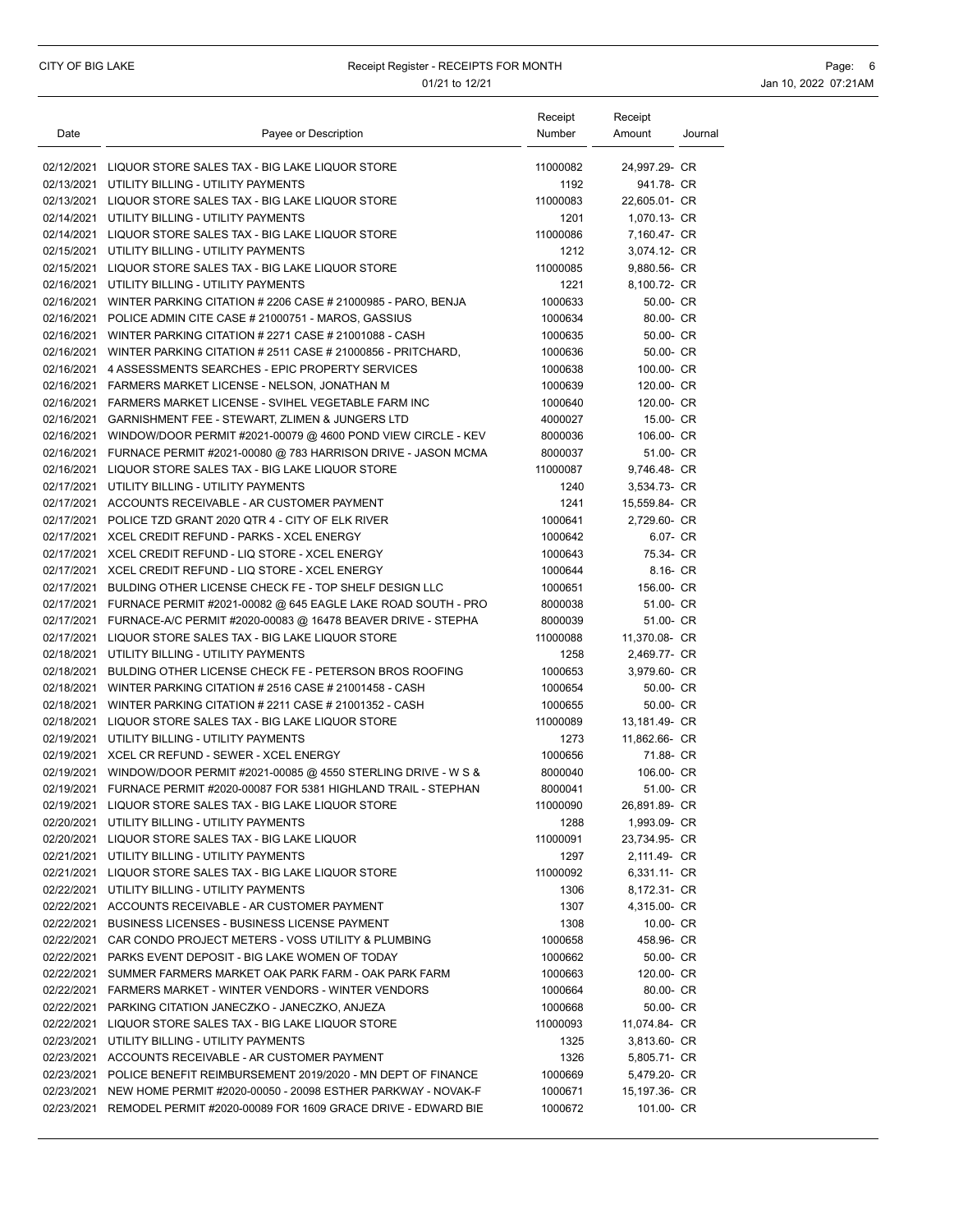| Date | Payee or Description                                                    | Receipt<br>Number | Receipt<br>Amount | Journal |
|------|-------------------------------------------------------------------------|-------------------|-------------------|---------|
|      | 02/12/2021 LIQUOR STORE SALES TAX - BIG LAKE LIQUOR STORE               | 11000082          | 24,997.29- CR     |         |
|      | 02/13/2021 UTILITY BILLING - UTILITY PAYMENTS                           | 1192              | 941.78- CR        |         |
|      | 02/13/2021 LIQUOR STORE SALES TAX - BIG LAKE LIQUOR STORE               | 11000083          | 22,605.01- CR     |         |
|      | 02/14/2021 UTILITY BILLING - UTILITY PAYMENTS                           | 1201              | 1,070.13- CR      |         |
|      | 02/14/2021 LIQUOR STORE SALES TAX - BIG LAKE LIQUOR STORE               | 11000086          | 7,160.47- CR      |         |
|      | 02/15/2021 UTILITY BILLING - UTILITY PAYMENTS                           | 1212              | 3,074.12- CR      |         |
|      | 02/15/2021 LIQUOR STORE SALES TAX - BIG LAKE LIQUOR STORE               | 11000085          | 9,880.56- CR      |         |
|      | 02/16/2021 UTILITY BILLING - UTILITY PAYMENTS                           | 1221              | 8,100.72- CR      |         |
|      | 02/16/2021 WINTER PARKING CITATION # 2206 CASE # 21000985 - PARO, BENJA | 1000633           | 50.00- CR         |         |
|      | 02/16/2021 POLICE ADMIN CITE CASE # 21000751 - MAROS, GASSIUS           | 1000634           | 80.00- CR         |         |
|      | 02/16/2021 WINTER PARKING CITATION # 2271 CASE # 21001088 - CASH        | 1000635           | 50.00- CR         |         |
|      | 02/16/2021 WINTER PARKING CITATION # 2511 CASE # 21000856 - PRITCHARD,  | 1000636           | 50.00- CR         |         |
|      | 02/16/2021 4 ASSESSMENTS SEARCHES - EPIC PROPERTY SERVICES              | 1000638           | 100.00- CR        |         |
|      | 02/16/2021 FARMERS MARKET LICENSE - NELSON, JONATHAN M                  | 1000639           | 120.00- CR        |         |
|      | 02/16/2021 FARMERS MARKET LICENSE - SVIHEL VEGETABLE FARM INC           | 1000640           | 120.00- CR        |         |
|      | 02/16/2021 GARNISHMENT FEE - STEWART, ZLIMEN & JUNGERS LTD              | 4000027           | 15.00- CR         |         |
|      | 02/16/2021 WINDOW/DOOR PERMIT #2021-00079 @ 4600 POND VIEW CIRCLE - KEV | 8000036           | 106.00- CR        |         |
|      | 02/16/2021 FURNACE PERMIT #2021-00080 @ 783 HARRISON DRIVE - JASON MCMA | 8000037           | 51.00- CR         |         |
|      | 02/16/2021 LIQUOR STORE SALES TAX - BIG LAKE LIQUOR STORE               | 11000087          | 9,746.48- CR      |         |
|      | 02/17/2021 UTILITY BILLING - UTILITY PAYMENTS                           | 1240              | 3.534.73- CR      |         |
|      | 02/17/2021 ACCOUNTS RECEIVABLE - AR CUSTOMER PAYMENT                    | 1241              | 15,559.84- CR     |         |
|      | 02/17/2021 POLICE TZD GRANT 2020 QTR 4 - CITY OF ELK RIVER              | 1000641           | 2,729.60- CR      |         |
|      | 02/17/2021 XCEL CREDIT REFUND - PARKS - XCEL ENERGY                     | 1000642           | 6.07- CR          |         |
|      | 02/17/2021 XCEL CREDIT REFUND - LIQ STORE - XCEL ENERGY                 | 1000643           | 75.34- CR         |         |
|      | 02/17/2021 XCEL CREDIT REFUND - LIQ STORE - XCEL ENERGY                 | 1000644           | 8.16- CR          |         |
|      | 02/17/2021 BULDING OTHER LICENSE CHECK FE - TOP SHELF DESIGN LLC        | 1000651           | 156.00- CR        |         |
|      | 02/17/2021 FURNACE PERMIT #2021-00082 @ 645 EAGLE LAKE ROAD SOUTH - PRO | 8000038           | 51.00- CR         |         |
|      | 02/17/2021 FURNACE-A/C PERMIT #2020-00083 @ 16478 BEAVER DRIVE - STEPHA | 8000039           | 51.00- CR         |         |
|      | 02/17/2021 LIQUOR STORE SALES TAX - BIG LAKE LIQUOR STORE               | 11000088          | 11,370.08- CR     |         |
|      | 02/18/2021 UTILITY BILLING - UTILITY PAYMENTS                           | 1258              | 2,469.77- CR      |         |
|      | 02/18/2021 BULDING OTHER LICENSE CHECK FE - PETERSON BROS ROOFING       | 1000653           | 3,979.60- CR      |         |
|      | 02/18/2021 WINTER PARKING CITATION # 2516 CASE # 21001458 - CASH        | 1000654           | 50.00- CR         |         |
|      | 02/18/2021 WINTER PARKING CITATION # 2211 CASE # 21001352 - CASH        | 1000655           | 50.00- CR         |         |
|      | 02/18/2021 LIQUOR STORE SALES TAX - BIG LAKE LIQUOR STORE               | 11000089          | 13,181.49- CR     |         |
|      | 02/19/2021 UTILITY BILLING - UTILITY PAYMENTS                           | 1273              | 11,862.66- CR     |         |
|      | 02/19/2021 XCEL CR REFUND - SEWER - XCEL ENERGY                         | 1000656           | 71.88- CR         |         |
|      | 02/19/2021 WINDOW/DOOR PERMIT #2021-00085 @ 4550 STERLING DRIVE - W S & | 8000040           | 106.00- CR        |         |
|      | 02/19/2021 FURNACE PERMIT #2020-00087 FOR 5381 HIGHLAND TRAIL - STEPHAN | 8000041           | 51.00- CR         |         |
|      | 02/19/2021 LIQUOR STORE SALES TAX - BIG LAKE LIQUOR STORE               | 11000090          | 26,891.89- CR     |         |
|      | 02/20/2021 UTILITY BILLING - UTILITY PAYMENTS                           | 1288              | 1,993.09- CR      |         |
|      | 02/20/2021 LIQUOR STORE SALES TAX - BIG LAKE LIQUOR                     | 11000091          | 23,734.95- CR     |         |
|      | 02/21/2021 UTILITY BILLING - UTILITY PAYMENTS                           | 1297              | 2,111.49- CR      |         |
|      | 02/21/2021 LIQUOR STORE SALES TAX - BIG LAKE LIQUOR STORE               | 11000092          | 6,331.11- CR      |         |
|      | 02/22/2021 UTILITY BILLING - UTILITY PAYMENTS                           | 1306              | 8,172.31- CR      |         |
|      | 02/22/2021 ACCOUNTS RECEIVABLE - AR CUSTOMER PAYMENT                    | 1307              | 4,315.00- CR      |         |
|      | 02/22/2021 BUSINESS LICENSES - BUSINESS LICENSE PAYMENT                 | 1308              | 10.00- CR         |         |
|      | 02/22/2021 CAR CONDO PROJECT METERS - VOSS UTILITY & PLUMBING           | 1000658           | 458.96- CR        |         |
|      | 02/22/2021 PARKS EVENT DEPOSIT - BIG LAKE WOMEN OF TODAY                | 1000662           | 50.00- CR         |         |
|      | 02/22/2021 SUMMER FARMERS MARKET OAK PARK FARM - OAK PARK FARM          | 1000663           | 120.00- CR        |         |
|      | 02/22/2021  FARMERS MARKET - WINTER VENDORS - WINTER VENDORS            | 1000664           | 80.00- CR         |         |
|      | 02/22/2021 PARKING CITATION JANECZKO - JANECZKO, ANJEZA                 | 1000668           | 50.00- CR         |         |
|      | 02/22/2021 LIQUOR STORE SALES TAX - BIG LAKE LIQUOR STORE               | 11000093          | 11,074.84- CR     |         |
|      | 02/23/2021 UTILITY BILLING - UTILITY PAYMENTS                           | 1325              | 3,813.60- CR      |         |
|      | 02/23/2021 ACCOUNTS RECEIVABLE - AR CUSTOMER PAYMENT                    | 1326              | 5,805.71- CR      |         |
|      | 02/23/2021 POLICE BENEFIT REIMBURSEMENT 2019/2020 - MN DEPT OF FINANCE  | 1000669           | 5,479.20- CR      |         |
|      | 02/23/2021 NEW HOME PERMIT #2020-00050 - 20098 ESTHER PARKWAY - NOVAK-F | 1000671           | 15,197.36- CR     |         |
|      | 02/23/2021 REMODEL PERMIT #2020-00089 FOR 1609 GRACE DRIVE - EDWARD BIE | 1000672           | 101.00- CR        |         |
|      |                                                                         |                   |                   |         |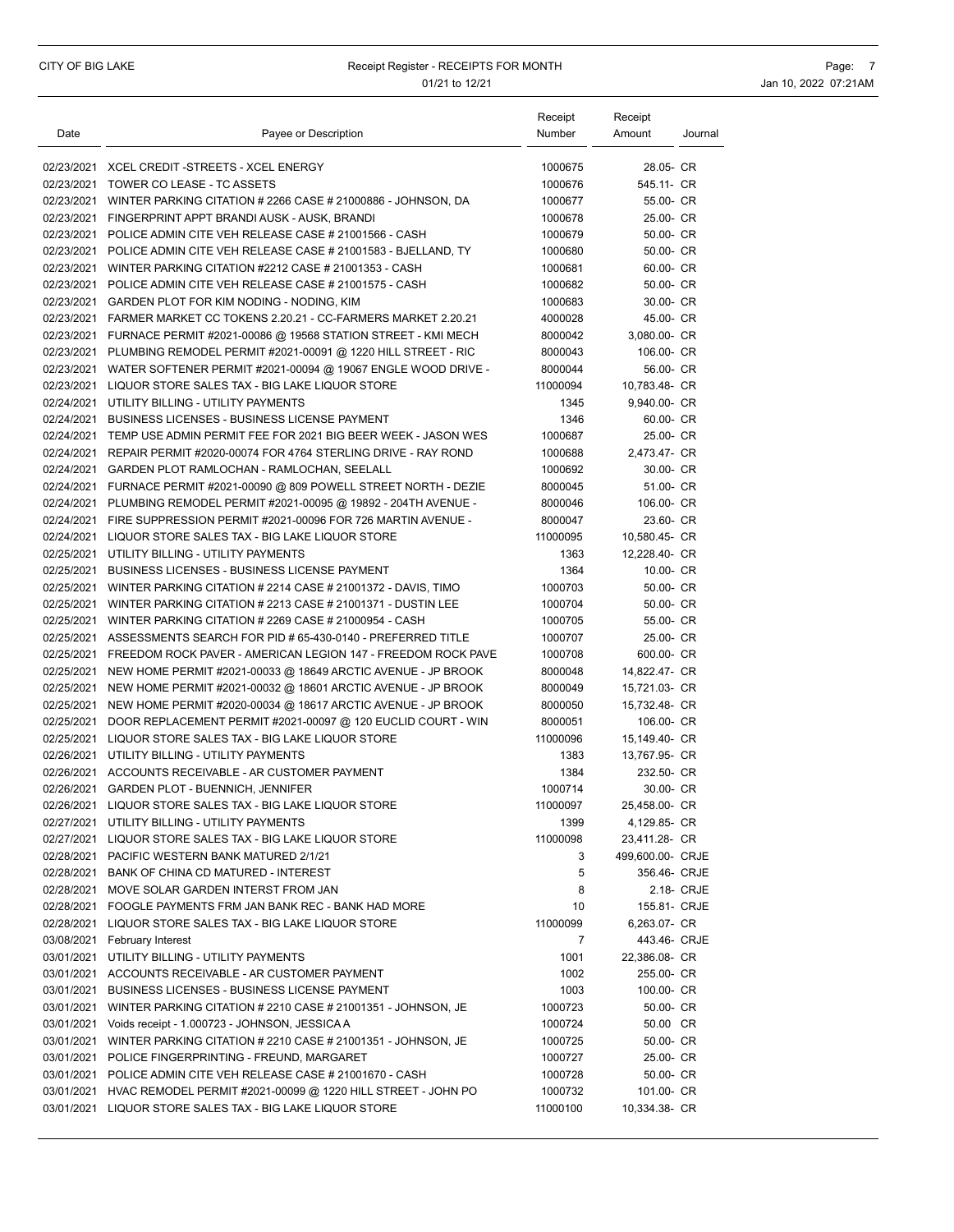|      |                                                                                                                                                    | Receipt            | Receipt                        |            |
|------|----------------------------------------------------------------------------------------------------------------------------------------------------|--------------------|--------------------------------|------------|
| Date | Payee or Description                                                                                                                               | Number             | Amount                         | Journal    |
|      | 02/23/2021 XCEL CREDIT - STREETS - XCEL ENERGY                                                                                                     | 1000675            | 28.05- CR                      |            |
|      | 02/23/2021 TOWER CO LEASE - TC ASSETS                                                                                                              | 1000676            | 545.11- CR                     |            |
|      | 02/23/2021 WINTER PARKING CITATION # 2266 CASE # 21000886 - JOHNSON, DA                                                                            | 1000677            | 55.00- CR                      |            |
|      | 02/23/2021 FINGERPRINT APPT BRANDI AUSK - AUSK. BRANDI                                                                                             | 1000678            | 25.00- CR                      |            |
|      | 02/23/2021 POLICE ADMIN CITE VEH RELEASE CASE # 21001566 - CASH                                                                                    | 1000679            | 50.00- CR                      |            |
|      | 02/23/2021 POLICE ADMIN CITE VEH RELEASE CASE # 21001583 - BJELLAND, TY                                                                            | 1000680            | 50.00- CR                      |            |
|      | 02/23/2021 WINTER PARKING CITATION #2212 CASE # 21001353 - CASH                                                                                    | 1000681            | 60.00- CR                      |            |
|      | 02/23/2021 POLICE ADMIN CITE VEH RELEASE CASE # 21001575 - CASH                                                                                    | 1000682            | 50.00- CR                      |            |
|      | 02/23/2021 GARDEN PLOT FOR KIM NODING - NODING, KIM                                                                                                | 1000683            | 30.00- CR                      |            |
|      | 02/23/2021 FARMER MARKET CC TOKENS 2.20.21 - CC-FARMERS MARKET 2.20.21                                                                             | 4000028            | 45.00- CR                      |            |
|      | 02/23/2021 FURNACE PERMIT #2021-00086 @ 19568 STATION STREET - KMI MECH                                                                            | 8000042            | 3,080.00- CR                   |            |
|      | 02/23/2021 PLUMBING REMODEL PERMIT #2021-00091 @ 1220 HILL STREET - RIC                                                                            | 8000043            | 106.00- CR                     |            |
|      | 02/23/2021 WATER SOFTENER PERMIT #2021-00094 @ 19067 ENGLE WOOD DRIVE -                                                                            | 8000044            | 56.00- CR                      |            |
|      | 02/23/2021 LIQUOR STORE SALES TAX - BIG LAKE LIQUOR STORE                                                                                          | 11000094           | 10,783.48- CR                  |            |
|      | 02/24/2021 UTILITY BILLING - UTILITY PAYMENTS                                                                                                      | 1345               | 9,940.00- CR                   |            |
|      | 02/24/2021 BUSINESS LICENSES - BUSINESS LICENSE PAYMENT                                                                                            | 1346               | 60.00- CR                      |            |
|      | 02/24/2021 TEMP USE ADMIN PERMIT FEE FOR 2021 BIG BEER WEEK - JASON WES                                                                            | 1000687            | 25.00- CR                      |            |
|      | 02/24/2021 REPAIR PERMIT #2020-00074 FOR 4764 STERLING DRIVE - RAY ROND                                                                            | 1000688            | 2,473.47- CR                   |            |
|      | 02/24/2021 GARDEN PLOT RAMLOCHAN - RAMLOCHAN, SEELALL                                                                                              | 1000692            | 30.00- CR                      |            |
|      | 02/24/2021 FURNACE PERMIT #2021-00090 @ 809 POWELL STREET NORTH - DEZIE                                                                            | 8000045            | 51.00- CR                      |            |
|      | 02/24/2021 PLUMBING REMODEL PERMIT #2021-00095 @ 19892 - 204TH AVENUE -                                                                            | 8000046            | 106.00- CR                     |            |
|      | 02/24/2021 FIRE SUPPRESSION PERMIT #2021-00096 FOR 726 MARTIN AVENUE -                                                                             | 8000047            | 23.60- CR                      |            |
|      | 02/24/2021 LIQUOR STORE SALES TAX - BIG LAKE LIQUOR STORE                                                                                          | 11000095           | 10.580.45- CR                  |            |
|      | 02/25/2021 UTILITY BILLING - UTILITY PAYMENTS                                                                                                      | 1363               | 12,228.40- CR                  |            |
|      | 02/25/2021 BUSINESS LICENSES - BUSINESS LICENSE PAYMENT                                                                                            | 1364               | 10.00- CR                      |            |
|      | 02/25/2021 WINTER PARKING CITATION # 2214 CASE # 21001372 - DAVIS, TIMO                                                                            | 1000703            | 50.00- CR                      |            |
|      | 02/25/2021 WINTER PARKING CITATION # 2213 CASE # 21001371 - DUSTIN LEE                                                                             | 1000704            | 50.00- CR                      |            |
|      | 02/25/2021 WINTER PARKING CITATION # 2269 CASE # 21000954 - CASH                                                                                   | 1000705            | 55.00- CR                      |            |
|      | 02/25/2021 ASSESSMENTS SEARCH FOR PID # 65-430-0140 - PREFERRED TITLE                                                                              | 1000707            | 25.00- CR                      |            |
|      | 02/25/2021 FREEDOM ROCK PAVER - AMERICAN LEGION 147 - FREEDOM ROCK PAVE                                                                            | 1000708            | 600.00- CR                     |            |
|      | 02/25/2021 NEW HOME PERMIT #2021-00033 @ 18649 ARCTIC AVENUE - JP BROOK<br>02/25/2021 NEW HOME PERMIT #2021-00032 @ 18601 ARCTIC AVENUE - JP BROOK | 8000048<br>8000049 | 14,822.47- CR<br>15,721.03- CR |            |
|      | 02/25/2021 NEW HOME PERMIT #2020-00034 @ 18617 ARCTIC AVENUE - JP BROOK                                                                            | 8000050            | 15,732.48- CR                  |            |
|      | 02/25/2021 DOOR REPLACEMENT PERMIT #2021-00097 @ 120 EUCLID COURT - WIN                                                                            | 8000051            | 106.00- CR                     |            |
|      | 02/25/2021 LIQUOR STORE SALES TAX - BIG LAKE LIQUOR STORE                                                                                          | 11000096           | 15,149.40- CR                  |            |
|      | 02/26/2021 UTILITY BILLING - UTILITY PAYMENTS                                                                                                      | 1383               | 13,767.95- CR                  |            |
|      | 02/26/2021 ACCOUNTS RECEIVABLE - AR CUSTOMER PAYMENT                                                                                               | 1384               | 232.50- CR                     |            |
|      | 02/26/2021 GARDEN PLOT - BUENNICH, JENNIFER                                                                                                        | 1000714            | 30.00- CR                      |            |
|      | 02/26/2021 LIQUOR STORE SALES TAX - BIG LAKE LIQUOR STORE                                                                                          | 11000097           | 25,458.00- CR                  |            |
|      | 02/27/2021 UTILITY BILLING - UTILITY PAYMENTS                                                                                                      | 1399               | 4,129.85- CR                   |            |
|      | 02/27/2021 LIQUOR STORE SALES TAX - BIG LAKE LIQUOR STORE                                                                                          | 11000098           | 23,411.28- CR                  |            |
|      | 02/28/2021 PACIFIC WESTERN BANK MATURED 2/1/21                                                                                                     | 3                  | 499,600.00- CRJE               |            |
|      | 02/28/2021 BANK OF CHINA CD MATURED - INTEREST                                                                                                     | 5                  | 356.46- CRJE                   |            |
|      | 02/28/2021 MOVE SOLAR GARDEN INTERST FROM JAN                                                                                                      | 8                  |                                | 2.18- CRJE |
|      | 02/28/2021 FOOGLE PAYMENTS FRM JAN BANK REC - BANK HAD MORE                                                                                        | 10                 | 155.81- CRJE                   |            |
|      | 02/28/2021 LIQUOR STORE SALES TAX - BIG LAKE LIQUOR STORE                                                                                          | 11000099           | 6,263.07- CR                   |            |
|      | 03/08/2021 February Interest                                                                                                                       | $\overline{7}$     | 443.46- CRJE                   |            |
|      | 03/01/2021 UTILITY BILLING - UTILITY PAYMENTS                                                                                                      | 1001               | 22,386.08- CR                  |            |
|      | 03/01/2021 ACCOUNTS RECEIVABLE - AR CUSTOMER PAYMENT                                                                                               | 1002               | 255.00- CR                     |            |
|      | 03/01/2021 BUSINESS LICENSES - BUSINESS LICENSE PAYMENT                                                                                            | 1003               | 100.00- CR                     |            |
|      | 03/01/2021 WINTER PARKING CITATION # 2210 CASE # 21001351 - JOHNSON, JE                                                                            | 1000723            | 50.00- CR                      |            |
|      | 03/01/2021 Voids receipt - 1.000723 - JOHNSON, JESSICA A                                                                                           | 1000724            | 50.00 CR                       |            |
|      | 03/01/2021 WINTER PARKING CITATION # 2210 CASE # 21001351 - JOHNSON, JE                                                                            | 1000725            | 50.00- CR                      |            |
|      | 03/01/2021 POLICE FINGERPRINTING - FREUND, MARGARET                                                                                                | 1000727            | 25.00- CR                      |            |
|      | 03/01/2021 POLICE ADMIN CITE VEH RELEASE CASE # 21001670 - CASH                                                                                    | 1000728            | 50.00- CR                      |            |
|      | 03/01/2021 HVAC REMODEL PERMIT #2021-00099 @ 1220 HILL STREET - JOHN PO                                                                            | 1000732            | 101.00- CR                     |            |
|      | 03/01/2021 LIQUOR STORE SALES TAX - BIG LAKE LIQUOR STORE                                                                                          | 11000100           | 10,334.38- CR                  |            |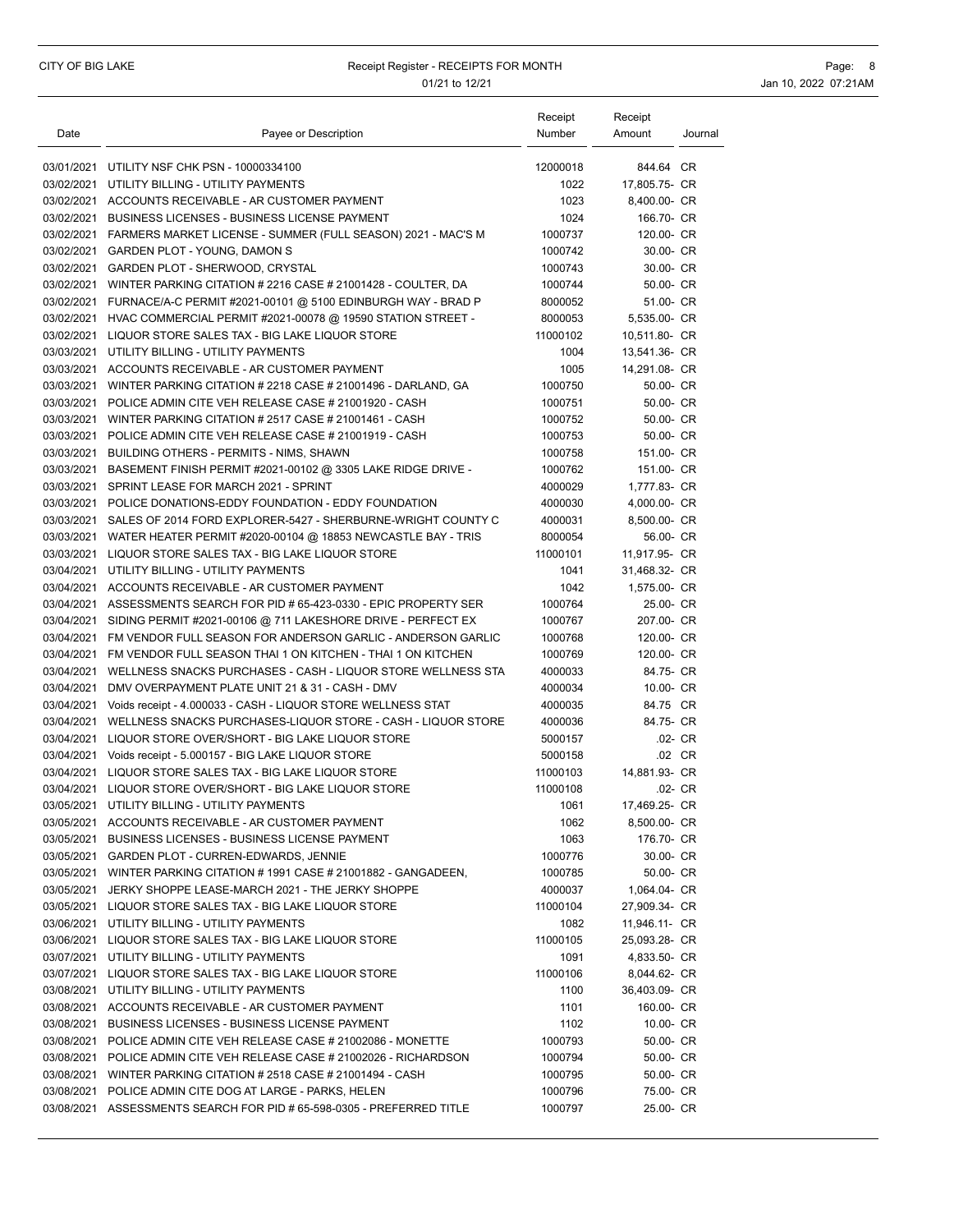|      |                                                                                               | Receipt      | Receipt                    |            |
|------|-----------------------------------------------------------------------------------------------|--------------|----------------------------|------------|
| Date | Payee or Description                                                                          | Number       | Amount                     | Journal    |
|      |                                                                                               |              |                            |            |
|      | 03/01/2021 UTILITY NSF CHK PSN - 10000334100<br>03/02/2021 UTILITY BILLING - UTILITY PAYMENTS | 12000018     | 844.64 CR                  |            |
|      | 03/02/2021 ACCOUNTS RECEIVABLE - AR CUSTOMER PAYMENT                                          | 1022<br>1023 | 17,805.75- CR              |            |
|      | 03/02/2021 BUSINESS LICENSES - BUSINESS LICENSE PAYMENT                                       | 1024         | 8,400.00- CR<br>166.70- CR |            |
|      | 03/02/2021 FARMERS MARKET LICENSE - SUMMER (FULL SEASON) 2021 - MAC'S M                       | 1000737      | 120.00- CR                 |            |
|      | 03/02/2021 GARDEN PLOT - YOUNG, DAMON S                                                       | 1000742      | 30.00- CR                  |            |
|      | 03/02/2021 GARDEN PLOT - SHERWOOD, CRYSTAL                                                    | 1000743      | 30.00- CR                  |            |
|      | 03/02/2021 WINTER PARKING CITATION # 2216 CASE # 21001428 - COULTER, DA                       | 1000744      | 50.00- CR                  |            |
|      | 03/02/2021 FURNACE/A-C PERMIT #2021-00101 @ 5100 EDINBURGH WAY - BRAD P                       | 8000052      | 51.00- CR                  |            |
|      | 03/02/2021 HVAC COMMERCIAL PERMIT #2021-00078 @ 19590 STATION STREET -                        | 8000053      | 5,535.00- CR               |            |
|      | 03/02/2021 LIQUOR STORE SALES TAX - BIG LAKE LIQUOR STORE                                     | 11000102     | 10,511.80- CR              |            |
|      | 03/03/2021 UTILITY BILLING - UTILITY PAYMENTS                                                 | 1004         | 13,541.36- CR              |            |
|      | 03/03/2021 ACCOUNTS RECEIVABLE - AR CUSTOMER PAYMENT                                          | 1005         | 14,291.08- CR              |            |
|      | 03/03/2021 WINTER PARKING CITATION # 2218 CASE # 21001496 - DARLAND, GA                       | 1000750      | 50.00- CR                  |            |
|      | 03/03/2021 POLICE ADMIN CITE VEH RELEASE CASE # 21001920 - CASH                               | 1000751      | 50.00- CR                  |            |
|      | 03/03/2021 WINTER PARKING CITATION # 2517 CASE # 21001461 - CASH                              | 1000752      | 50.00- CR                  |            |
|      | 03/03/2021 POLICE ADMIN CITE VEH RELEASE CASE # 21001919 - CASH                               | 1000753      | 50.00- CR                  |            |
|      | 03/03/2021 BUILDING OTHERS - PERMITS - NIMS, SHAWN                                            | 1000758      | 151.00- CR                 |            |
|      | 03/03/2021 BASEMENT FINISH PERMIT #2021-00102 @ 3305 LAKE RIDGE DRIVE -                       | 1000762      | 151.00- CR                 |            |
|      | 03/03/2021 SPRINT LEASE FOR MARCH 2021 - SPRINT                                               | 4000029      | 1,777.83- CR               |            |
|      | 03/03/2021 POLICE DONATIONS-EDDY FOUNDATION - EDDY FOUNDATION                                 | 4000030      | 4,000.00- CR               |            |
|      | 03/03/2021 SALES OF 2014 FORD EXPLORER-5427 - SHERBURNE-WRIGHT COUNTY C                       | 4000031      | 8,500.00- CR               |            |
|      | 03/03/2021 WATER HEATER PERMIT #2020-00104 @ 18853 NEWCASTLE BAY - TRIS                       | 8000054      | 56.00- CR                  |            |
|      | 03/03/2021 LIQUOR STORE SALES TAX - BIG LAKE LIQUOR STORE                                     | 11000101     | 11,917.95- CR              |            |
|      | 03/04/2021 UTILITY BILLING - UTILITY PAYMENTS                                                 | 1041         | 31,468.32- CR              |            |
|      | 03/04/2021 ACCOUNTS RECEIVABLE - AR CUSTOMER PAYMENT                                          | 1042         | 1,575.00- CR               |            |
|      | 03/04/2021 ASSESSMENTS SEARCH FOR PID # 65-423-0330 - EPIC PROPERTY SER                       | 1000764      | 25.00- CR                  |            |
|      | 03/04/2021 SIDING PERMIT #2021-00106 @ 711 LAKESHORE DRIVE - PERFECT EX                       | 1000767      | 207.00- CR                 |            |
|      | 03/04/2021 FM VENDOR FULL SEASON FOR ANDERSON GARLIC - ANDERSON GARLIC                        | 1000768      | 120.00- CR                 |            |
|      | 03/04/2021 FM VENDOR FULL SEASON THAI 1 ON KITCHEN - THAI 1 ON KITCHEN                        | 1000769      | 120.00- CR                 |            |
|      | 03/04/2021 WELLNESS SNACKS PURCHASES - CASH - LIQUOR STORE WELLNESS STA                       | 4000033      | 84.75- CR                  |            |
|      | 03/04/2021 DMV OVERPAYMENT PLATE UNIT 21 & 31 - CASH - DMV                                    | 4000034      | 10.00- CR                  |            |
|      | 03/04/2021 Voids receipt - 4.000033 - CASH - LIQUOR STORE WELLNESS STAT                       | 4000035      | 84.75 CR                   |            |
|      | 03/04/2021 WELLNESS SNACKS PURCHASES-LIQUOR STORE - CASH - LIQUOR STORE                       | 4000036      | 84.75- CR                  |            |
|      | 03/04/2021 LIQUOR STORE OVER/SHORT - BIG LAKE LIQUOR STORE                                    | 5000157      |                            | $.02 - CR$ |
|      | 03/04/2021 Voids receipt - 5.000157 - BIG LAKE LIQUOR STORE                                   | 5000158      |                            | .02 CR     |
|      | 03/04/2021 LIQUOR STORE SALES TAX - BIG LAKE LIQUOR STORE                                     | 11000103     | 14,881.93- CR              |            |
|      | 03/04/2021 LIQUOR STORE OVER/SHORT - BIG LAKE LIQUOR STORE                                    | 11000108     |                            | $.02 - CR$ |
|      | 03/05/2021 UTILITY BILLING - UTILITY PAYMENTS                                                 | 1061         | 17,469.25- CR              |            |
|      | 03/05/2021 ACCOUNTS RECEIVABLE - AR CUSTOMER PAYMENT                                          | 1062         | 8,500.00- CR               |            |
|      | 03/05/2021 BUSINESS LICENSES - BUSINESS LICENSE PAYMENT                                       | 1063         | 176.70- CR                 |            |
|      | 03/05/2021 GARDEN PLOT - CURREN-EDWARDS, JENNIE                                               | 1000776      | 30.00- CR                  |            |
|      | 03/05/2021 WINTER PARKING CITATION #1991 CASE #21001882 - GANGADEEN,                          | 1000785      | 50.00- CR                  |            |
|      | 03/05/2021 JERKY SHOPPE LEASE-MARCH 2021 - THE JERKY SHOPPE                                   | 4000037      | 1,064.04- CR               |            |
|      | 03/05/2021 LIQUOR STORE SALES TAX - BIG LAKE LIQUOR STORE                                     | 11000104     | 27,909.34- CR              |            |
|      | 03/06/2021 UTILITY BILLING - UTILITY PAYMENTS                                                 | 1082         | 11,946.11- CR              |            |
|      | 03/06/2021 LIQUOR STORE SALES TAX - BIG LAKE LIQUOR STORE                                     | 11000105     | 25,093.28- CR              |            |
|      | 03/07/2021 UTILITY BILLING - UTILITY PAYMENTS                                                 | 1091         | 4,833.50- CR               |            |
|      | 03/07/2021 LIQUOR STORE SALES TAX - BIG LAKE LIQUOR STORE                                     | 11000106     | 8,044.62- CR               |            |
|      | 03/08/2021 UTILITY BILLING - UTILITY PAYMENTS                                                 | 1100         | 36,403.09- CR              |            |
|      | 03/08/2021 ACCOUNTS RECEIVABLE - AR CUSTOMER PAYMENT                                          | 1101         | 160.00- CR                 |            |
|      | 03/08/2021 BUSINESS LICENSES - BUSINESS LICENSE PAYMENT                                       | 1102         | 10.00- CR                  |            |
|      | 03/08/2021 POLICE ADMIN CITE VEH RELEASE CASE # 21002086 - MONETTE                            | 1000793      | 50.00- CR                  |            |
|      | 03/08/2021 POLICE ADMIN CITE VEH RELEASE CASE # 21002026 - RICHARDSON                         | 1000794      | 50.00- CR                  |            |
|      | 03/08/2021 WINTER PARKING CITATION # 2518 CASE # 21001494 - CASH                              | 1000795      | 50.00- CR                  |            |
|      | 03/08/2021 POLICE ADMIN CITE DOG AT LARGE - PARKS, HELEN                                      | 1000796      | 75.00- CR                  |            |
|      | 03/08/2021 ASSESSMENTS SEARCH FOR PID # 65-598-0305 - PREFERRED TITLE                         | 1000797      | 25.00- CR                  |            |
|      |                                                                                               |              |                            |            |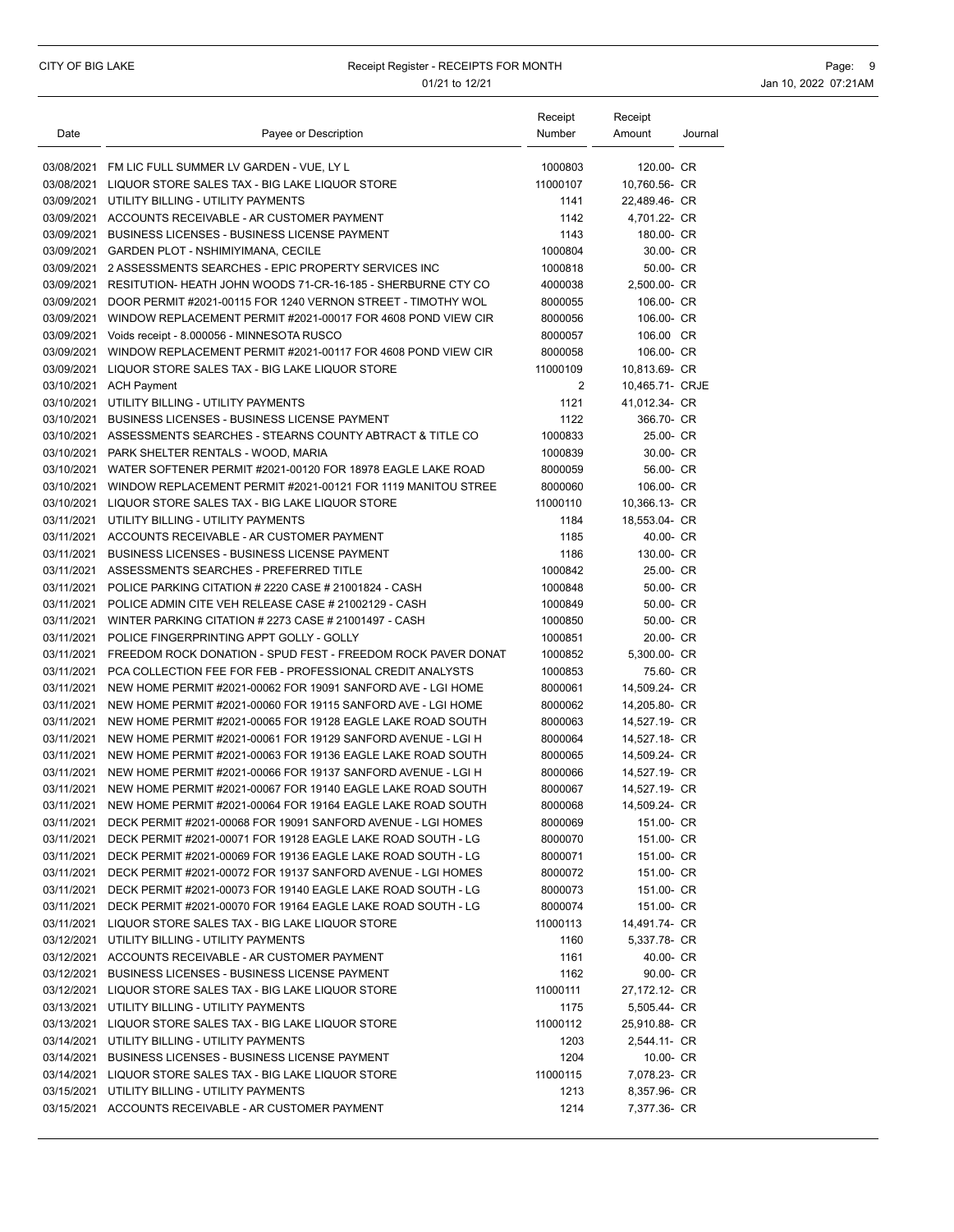| 03/08/2021 FM LIC FULL SUMMER LV GARDEN - VUE, LY L<br>1000803<br>03/08/2021<br>LIQUOR STORE SALES TAX - BIG LAKE LIQUOR STORE<br>11000107<br>UTILITY BILLING - UTILITY PAYMENTS<br>03/09/2021<br>1141<br>03/09/2021 ACCOUNTS RECEIVABLE - AR CUSTOMER PAYMENT<br>1142<br>1143<br>03/09/2021<br><b>BUSINESS LICENSES - BUSINESS LICENSE PAYMENT</b><br>1000804<br>03/09/2021 GARDEN PLOT - NSHIMIYIMANA, CECILE<br>03/09/2021<br>2 ASSESSMENTS SEARCHES - EPIC PROPERTY SERVICES INC<br>1000818<br>RESITUTION- HEATH JOHN WOODS 71-CR-16-185 - SHERBURNE CTY CO<br>03/09/2021<br>4000038 | 120.00- CR<br>10.760.56- CR<br>22.489.46- CR<br>4,701.22- CR<br>180.00- CR<br>30.00- CR<br>50.00- CR<br>2.500.00- CR<br>106.00- CR<br>106.00- CR<br>106.00 CR |  |
|------------------------------------------------------------------------------------------------------------------------------------------------------------------------------------------------------------------------------------------------------------------------------------------------------------------------------------------------------------------------------------------------------------------------------------------------------------------------------------------------------------------------------------------------------------------------------------------|---------------------------------------------------------------------------------------------------------------------------------------------------------------|--|
|                                                                                                                                                                                                                                                                                                                                                                                                                                                                                                                                                                                          |                                                                                                                                                               |  |
|                                                                                                                                                                                                                                                                                                                                                                                                                                                                                                                                                                                          |                                                                                                                                                               |  |
|                                                                                                                                                                                                                                                                                                                                                                                                                                                                                                                                                                                          |                                                                                                                                                               |  |
|                                                                                                                                                                                                                                                                                                                                                                                                                                                                                                                                                                                          |                                                                                                                                                               |  |
|                                                                                                                                                                                                                                                                                                                                                                                                                                                                                                                                                                                          |                                                                                                                                                               |  |
|                                                                                                                                                                                                                                                                                                                                                                                                                                                                                                                                                                                          |                                                                                                                                                               |  |
|                                                                                                                                                                                                                                                                                                                                                                                                                                                                                                                                                                                          |                                                                                                                                                               |  |
|                                                                                                                                                                                                                                                                                                                                                                                                                                                                                                                                                                                          |                                                                                                                                                               |  |
| 03/09/2021<br>DOOR PERMIT #2021-00115 FOR 1240 VERNON STREET - TIMOTHY WOL<br>8000055                                                                                                                                                                                                                                                                                                                                                                                                                                                                                                    |                                                                                                                                                               |  |
| 03/09/2021 WINDOW REPLACEMENT PERMIT #2021-00017 FOR 4608 POND VIEW CIR<br>8000056                                                                                                                                                                                                                                                                                                                                                                                                                                                                                                       |                                                                                                                                                               |  |
| 03/09/2021 Voids receipt - 8.000056 - MINNESOTA RUSCO<br>8000057                                                                                                                                                                                                                                                                                                                                                                                                                                                                                                                         |                                                                                                                                                               |  |
| WINDOW REPLACEMENT PERMIT #2021-00117 FOR 4608 POND VIEW CIR<br>03/09/2021<br>8000058                                                                                                                                                                                                                                                                                                                                                                                                                                                                                                    | 106.00- CR                                                                                                                                                    |  |
| 03/09/2021<br>LIQUOR STORE SALES TAX - BIG LAKE LIQUOR STORE<br>11000109                                                                                                                                                                                                                                                                                                                                                                                                                                                                                                                 | 10,813.69- CR                                                                                                                                                 |  |
| 03/10/2021 ACH Payment                                                                                                                                                                                                                                                                                                                                                                                                                                                                                                                                                                   | 2<br>10,465.71- CRJE                                                                                                                                          |  |
| 03/10/2021 UTILITY BILLING - UTILITY PAYMENTS<br>1121                                                                                                                                                                                                                                                                                                                                                                                                                                                                                                                                    | 41,012.34- CR                                                                                                                                                 |  |
| 03/10/2021 BUSINESS LICENSES - BUSINESS LICENSE PAYMENT<br>1122                                                                                                                                                                                                                                                                                                                                                                                                                                                                                                                          | 366.70- CR                                                                                                                                                    |  |
| 1000833<br>03/10/2021 ASSESSMENTS SEARCHES - STEARNS COUNTY ABTRACT & TITLE CO                                                                                                                                                                                                                                                                                                                                                                                                                                                                                                           | 25.00- CR                                                                                                                                                     |  |
| 03/10/2021<br>PARK SHELTER RENTALS - WOOD, MARIA<br>1000839                                                                                                                                                                                                                                                                                                                                                                                                                                                                                                                              | 30.00- CR                                                                                                                                                     |  |
| 03/10/2021<br>WATER SOFTENER PERMIT #2021-00120 FOR 18978 EAGLE LAKE ROAD<br>8000059                                                                                                                                                                                                                                                                                                                                                                                                                                                                                                     | 56.00- CR                                                                                                                                                     |  |
| 03/10/2021 WINDOW REPLACEMENT PERMIT #2021-00121 FOR 1119 MANITOU STREE<br>8000060                                                                                                                                                                                                                                                                                                                                                                                                                                                                                                       | 106.00- CR                                                                                                                                                    |  |
| 03/10/2021 LIQUOR STORE SALES TAX - BIG LAKE LIQUOR STORE<br>11000110                                                                                                                                                                                                                                                                                                                                                                                                                                                                                                                    | 10,366.13- CR                                                                                                                                                 |  |
| 03/11/2021<br>UTILITY BILLING - UTILITY PAYMENTS<br>1184                                                                                                                                                                                                                                                                                                                                                                                                                                                                                                                                 | 18,553.04- CR                                                                                                                                                 |  |
| 1185<br>03/11/2021<br>ACCOUNTS RECEIVABLE - AR CUSTOMER PAYMENT                                                                                                                                                                                                                                                                                                                                                                                                                                                                                                                          | 40.00- CR                                                                                                                                                     |  |
| <b>BUSINESS LICENSES - BUSINESS LICENSE PAYMENT</b><br>03/11/2021<br>1186                                                                                                                                                                                                                                                                                                                                                                                                                                                                                                                | 130.00- CR                                                                                                                                                    |  |
| 03/11/2021<br>ASSESSMENTS SEARCHES - PREFERRED TITLE<br>1000842                                                                                                                                                                                                                                                                                                                                                                                                                                                                                                                          | 25.00- CR                                                                                                                                                     |  |
| 03/11/2021<br>POLICE PARKING CITATION # 2220 CASE # 21001824 - CASH<br>1000848                                                                                                                                                                                                                                                                                                                                                                                                                                                                                                           | 50.00- CR                                                                                                                                                     |  |
| 03/11/2021<br>POLICE ADMIN CITE VEH RELEASE CASE # 21002129 - CASH<br>1000849                                                                                                                                                                                                                                                                                                                                                                                                                                                                                                            | 50.00- CR                                                                                                                                                     |  |
| 03/11/2021<br>WINTER PARKING CITATION # 2273 CASE # 21001497 - CASH<br>1000850                                                                                                                                                                                                                                                                                                                                                                                                                                                                                                           | 50.00- CR                                                                                                                                                     |  |
| POLICE FINGERPRINTING APPT GOLLY - GOLLY<br>03/11/2021<br>1000851                                                                                                                                                                                                                                                                                                                                                                                                                                                                                                                        | 20.00- CR                                                                                                                                                     |  |
| 03/11/2021<br>FREEDOM ROCK DONATION - SPUD FEST - FREEDOM ROCK PAVER DONAT<br>1000852                                                                                                                                                                                                                                                                                                                                                                                                                                                                                                    | 5,300.00- CR                                                                                                                                                  |  |
| 03/11/2021<br>PCA COLLECTION FEE FOR FEB - PROFESSIONAL CREDIT ANALYSTS<br>1000853                                                                                                                                                                                                                                                                                                                                                                                                                                                                                                       | 75.60- CR                                                                                                                                                     |  |
| 03/11/2021<br>8000061<br>NEW HOME PERMIT #2021-00062 FOR 19091 SANFORD AVE - LGI HOME                                                                                                                                                                                                                                                                                                                                                                                                                                                                                                    | 14,509.24- CR                                                                                                                                                 |  |
| 03/11/2021<br>NEW HOME PERMIT #2021-00060 FOR 19115 SANFORD AVE - LGI HOME<br>8000062                                                                                                                                                                                                                                                                                                                                                                                                                                                                                                    | 14,205.80- CR                                                                                                                                                 |  |
| 03/11/2021<br>NEW HOME PERMIT #2021-00065 FOR 19128 EAGLE LAKE ROAD SOUTH<br>8000063                                                                                                                                                                                                                                                                                                                                                                                                                                                                                                     | 14,527.19- CR                                                                                                                                                 |  |
| 03/11/2021<br>NEW HOME PERMIT #2021-00061 FOR 19129 SANFORD AVENUE - LGI H<br>8000064                                                                                                                                                                                                                                                                                                                                                                                                                                                                                                    | 14,527.18- CR                                                                                                                                                 |  |
| 03/11/2021<br>NEW HOME PERMIT #2021-00063 FOR 19136 EAGLE LAKE ROAD SOUTH<br>8000065                                                                                                                                                                                                                                                                                                                                                                                                                                                                                                     | 14,509.24- CR                                                                                                                                                 |  |
| 03/11/2021<br>NEW HOME PERMIT #2021-00066 FOR 19137 SANFORD AVENUE - LGI H<br>8000066                                                                                                                                                                                                                                                                                                                                                                                                                                                                                                    | 14.527.19- CR                                                                                                                                                 |  |
| 03/11/2021<br>NEW HOME PERMIT #2021-00067 FOR 19140 EAGLE LAKE ROAD SOUTH<br>8000067                                                                                                                                                                                                                                                                                                                                                                                                                                                                                                     | 14.527.19- CR                                                                                                                                                 |  |
| 03/11/2021 NEW HOME PERMIT #2021-00064 FOR 19164 EAGLE LAKE ROAD SOUTH<br>8000068                                                                                                                                                                                                                                                                                                                                                                                                                                                                                                        | 14,509.24- CR                                                                                                                                                 |  |
| 03/11/2021 DECK PERMIT #2021-00068 FOR 19091 SANFORD AVENUE - LGI HOMES<br>8000069                                                                                                                                                                                                                                                                                                                                                                                                                                                                                                       | 151.00- CR                                                                                                                                                    |  |
| 03/11/2021<br>DECK PERMIT #2021-00071 FOR 19128 EAGLE LAKE ROAD SOUTH - LG<br>8000070                                                                                                                                                                                                                                                                                                                                                                                                                                                                                                    | 151.00- CR                                                                                                                                                    |  |
| 03/11/2021<br>DECK PERMIT #2021-00069 FOR 19136 EAGLE LAKE ROAD SOUTH - LG<br>8000071                                                                                                                                                                                                                                                                                                                                                                                                                                                                                                    | 151.00- CR                                                                                                                                                    |  |
| 03/11/2021<br>DECK PERMIT #2021-00072 FOR 19137 SANFORD AVENUE - LGI HOMES<br>8000072                                                                                                                                                                                                                                                                                                                                                                                                                                                                                                    | 151.00- CR                                                                                                                                                    |  |
| 03/11/2021<br>DECK PERMIT #2021-00073 FOR 19140 EAGLE LAKE ROAD SOUTH - LG<br>8000073                                                                                                                                                                                                                                                                                                                                                                                                                                                                                                    | 151.00- CR                                                                                                                                                    |  |
| 03/11/2021<br>DECK PERMIT #2021-00070 FOR 19164 EAGLE LAKE ROAD SOUTH - LG<br>8000074                                                                                                                                                                                                                                                                                                                                                                                                                                                                                                    | 151.00- CR                                                                                                                                                    |  |
| 03/11/2021 LIQUOR STORE SALES TAX - BIG LAKE LIQUOR STORE<br>11000113                                                                                                                                                                                                                                                                                                                                                                                                                                                                                                                    | 14,491.74- CR                                                                                                                                                 |  |
| 03/12/2021 UTILITY BILLING - UTILITY PAYMENTS<br>1160                                                                                                                                                                                                                                                                                                                                                                                                                                                                                                                                    | 5,337.78- CR                                                                                                                                                  |  |
| 03/12/2021 ACCOUNTS RECEIVABLE - AR CUSTOMER PAYMENT<br>1161                                                                                                                                                                                                                                                                                                                                                                                                                                                                                                                             | 40.00- CR                                                                                                                                                     |  |
| 03/12/2021 BUSINESS LICENSES - BUSINESS LICENSE PAYMENT<br>1162                                                                                                                                                                                                                                                                                                                                                                                                                                                                                                                          | 90.00- CR                                                                                                                                                     |  |
| 03/12/2021 LIQUOR STORE SALES TAX - BIG LAKE LIQUOR STORE<br>11000111                                                                                                                                                                                                                                                                                                                                                                                                                                                                                                                    | 27,172.12- CR                                                                                                                                                 |  |
| 03/13/2021 UTILITY BILLING - UTILITY PAYMENTS<br>1175                                                                                                                                                                                                                                                                                                                                                                                                                                                                                                                                    | 5,505.44- CR                                                                                                                                                  |  |
| 03/13/2021 LIQUOR STORE SALES TAX - BIG LAKE LIQUOR STORE<br>11000112                                                                                                                                                                                                                                                                                                                                                                                                                                                                                                                    | 25,910.88- CR                                                                                                                                                 |  |
| 03/14/2021 UTILITY BILLING - UTILITY PAYMENTS<br>1203                                                                                                                                                                                                                                                                                                                                                                                                                                                                                                                                    | 2,544.11- CR                                                                                                                                                  |  |
| 03/14/2021 BUSINESS LICENSES - BUSINESS LICENSE PAYMENT<br>1204                                                                                                                                                                                                                                                                                                                                                                                                                                                                                                                          | 10.00- CR                                                                                                                                                     |  |
| 03/14/2021 LIQUOR STORE SALES TAX - BIG LAKE LIQUOR STORE<br>11000115                                                                                                                                                                                                                                                                                                                                                                                                                                                                                                                    | 7,078.23- CR                                                                                                                                                  |  |
| 03/15/2021 UTILITY BILLING - UTILITY PAYMENTS<br>1213                                                                                                                                                                                                                                                                                                                                                                                                                                                                                                                                    | 8,357.96- CR                                                                                                                                                  |  |
| 03/15/2021 ACCOUNTS RECEIVABLE - AR CUSTOMER PAYMENT<br>1214                                                                                                                                                                                                                                                                                                                                                                                                                                                                                                                             | 7,377.36- CR                                                                                                                                                  |  |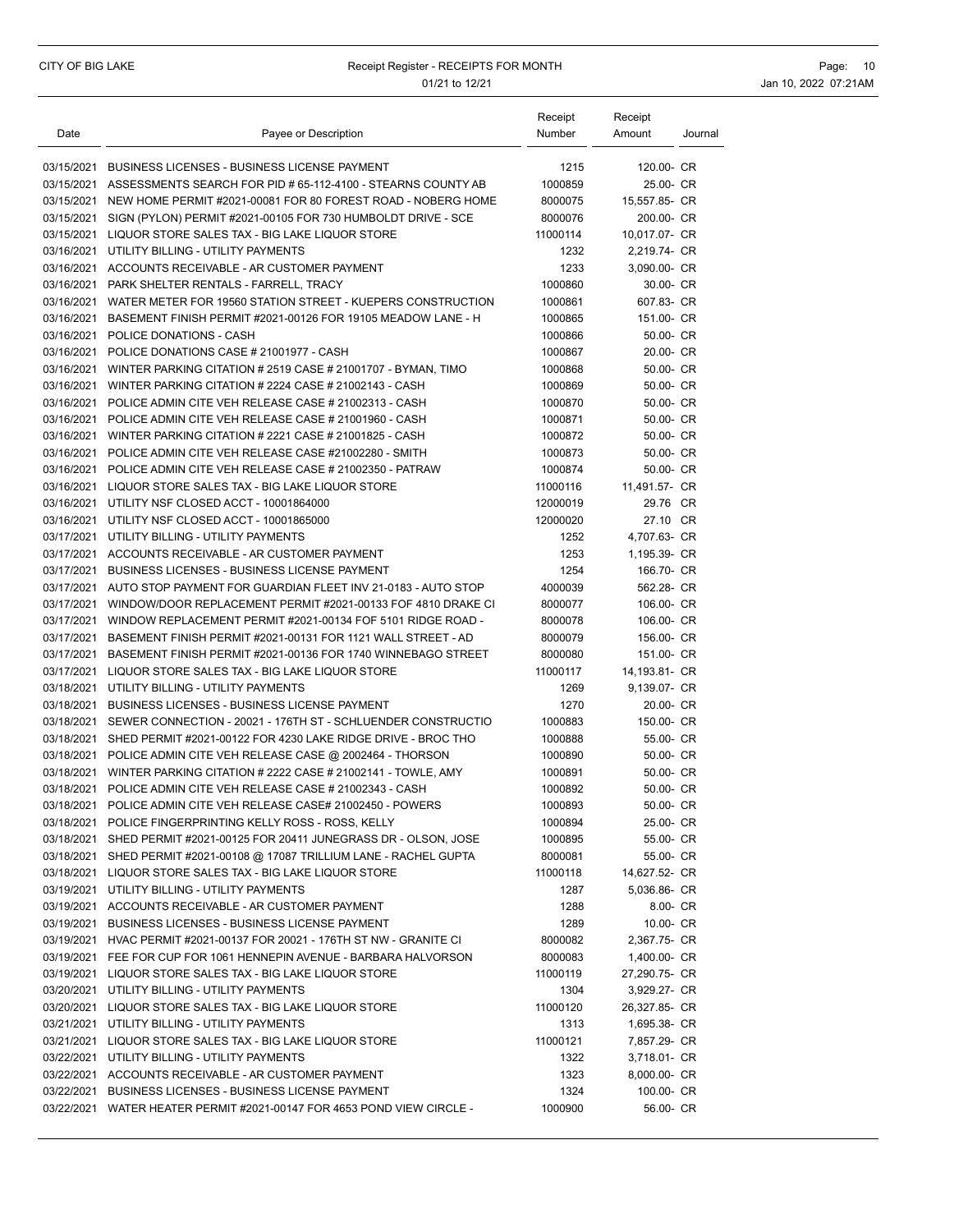| Date | Payee or Description                                                                                  | Receipt<br>Number | Receipt<br>Amount         | Journal |
|------|-------------------------------------------------------------------------------------------------------|-------------------|---------------------------|---------|
|      | 03/15/2021 BUSINESS LICENSES - BUSINESS LICENSE PAYMENT                                               | 1215              | 120.00- CR                |         |
|      | 03/15/2021 ASSESSMENTS SEARCH FOR PID # 65-112-4100 - STEARNS COUNTY AB                               | 1000859           | 25.00- CR                 |         |
|      | 03/15/2021 NEW HOME PERMIT #2021-00081 FOR 80 FOREST ROAD - NOBERG HOME                               | 8000075           | 15,557.85- CR             |         |
|      | 03/15/2021 SIGN (PYLON) PERMIT #2021-00105 FOR 730 HUMBOLDT DRIVE - SCE                               | 8000076           | 200.00- CR                |         |
|      | 03/15/2021 LIQUOR STORE SALES TAX - BIG LAKE LIQUOR STORE                                             | 11000114          | 10,017.07- CR             |         |
|      | 03/16/2021 UTILITY BILLING - UTILITY PAYMENTS                                                         | 1232              | 2,219.74- CR              |         |
|      | 03/16/2021 ACCOUNTS RECEIVABLE - AR CUSTOMER PAYMENT                                                  | 1233              | 3,090.00- CR              |         |
|      | 03/16/2021 PARK SHELTER RENTALS - FARRELL, TRACY                                                      | 1000860           | 30.00- CR                 |         |
|      | 03/16/2021 WATER METER FOR 19560 STATION STREET - KUEPERS CONSTRUCTION                                | 1000861           | 607.83- CR                |         |
|      | 03/16/2021 BASEMENT FINISH PERMIT #2021-00126 FOR 19105 MEADOW LANE - H                               | 1000865           | 151.00- CR                |         |
|      | 03/16/2021 POLICE DONATIONS - CASH                                                                    | 1000866           | 50.00- CR                 |         |
|      | 03/16/2021 POLICE DONATIONS CASE # 21001977 - CASH                                                    | 1000867           | 20.00- CR                 |         |
|      | 03/16/2021 WINTER PARKING CITATION # 2519 CASE # 21001707 - BYMAN, TIMO                               | 1000868           | 50.00- CR                 |         |
|      | 03/16/2021 WINTER PARKING CITATION # 2224 CASE # 21002143 - CASH                                      | 1000869           | 50.00- CR                 |         |
|      | 03/16/2021 POLICE ADMIN CITE VEH RELEASE CASE # 21002313 - CASH                                       | 1000870           | 50.00- CR                 |         |
|      | 03/16/2021 POLICE ADMIN CITE VEH RELEASE CASE # 21001960 - CASH                                       | 1000871           | 50.00- CR                 |         |
|      | 03/16/2021 WINTER PARKING CITATION # 2221 CASE # 21001825 - CASH                                      | 1000872           | 50.00- CR                 |         |
|      | 03/16/2021 POLICE ADMIN CITE VEH RELEASE CASE #21002280 - SMITH                                       | 1000873           | 50.00- CR                 |         |
|      | 03/16/2021 POLICE ADMIN CITE VEH RELEASE CASE # 21002350 - PATRAW                                     | 1000874           | 50.00- CR                 |         |
|      | 03/16/2021 LIQUOR STORE SALES TAX - BIG LAKE LIQUOR STORE                                             | 11000116          | 11,491.57- CR             |         |
|      | 03/16/2021 UTILITY NSF CLOSED ACCT - 10001864000                                                      | 12000019          | 29.76 CR                  |         |
|      | 03/16/2021 UTILITY NSF CLOSED ACCT - 10001865000                                                      | 12000020          | 27.10 CR                  |         |
|      | 03/17/2021 UTILITY BILLING - UTILITY PAYMENTS                                                         | 1252              | 4,707.63- CR              |         |
|      | 03/17/2021 ACCOUNTS RECEIVABLE - AR CUSTOMER PAYMENT                                                  | 1253              | 1,195.39- CR              |         |
|      | 03/17/2021 BUSINESS LICENSES - BUSINESS LICENSE PAYMENT                                               | 1254              | 166.70- CR                |         |
|      | 03/17/2021 AUTO STOP PAYMENT FOR GUARDIAN FLEET INV 21-0183 - AUTO STOP                               | 4000039           | 562.28- CR                |         |
|      | 03/17/2021 WINDOW/DOOR REPLACEMENT PERMIT #2021-00133 FOF 4810 DRAKE CI                               | 8000077           | 106.00- CR                |         |
|      | 03/17/2021 WINDOW REPLACEMENT PERMIT #2021-00134 FOF 5101 RIDGE ROAD -                                | 8000078           | 106.00- CR                |         |
|      | 03/17/2021 BASEMENT FINISH PERMIT #2021-00131 FOR 1121 WALL STREET - AD                               | 8000079           | 156.00- CR                |         |
|      | 03/17/2021 BASEMENT FINISH PERMIT #2021-00136 FOR 1740 WINNEBAGO STREET                               | 8000080           | 151.00- CR                |         |
|      | 03/17/2021 LIQUOR STORE SALES TAX - BIG LAKE LIQUOR STORE                                             | 11000117          | 14,193.81- CR             |         |
|      | 03/18/2021 UTILITY BILLING - UTILITY PAYMENTS                                                         | 1269              | 9,139.07- CR              |         |
|      | 03/18/2021 BUSINESS LICENSES - BUSINESS LICENSE PAYMENT                                               | 1270              | 20.00- CR                 |         |
|      | 03/18/2021 SEWER CONNECTION - 20021 - 176TH ST - SCHLUENDER CONSTRUCTIO                               | 1000883           | 150.00- CR                |         |
|      | 03/18/2021 SHED PERMIT #2021-00122 FOR 4230 LAKE RIDGE DRIVE - BROC THO                               | 1000888           | 55.00- CR                 |         |
|      | 03/18/2021 POLICE ADMIN CITE VEH RELEASE CASE @ 2002464 - THORSON                                     | 1000890           | 50.00- CR                 |         |
|      | 03/18/2021   WINTER PARKING CITATION # 2222 CASE # 21002141 - TOWLE, AMY                              | 1000891           | 50.00- CR                 |         |
|      | 03/18/2021 POLICE ADMIN CITE VEH RELEASE CASE # 21002343 - CASH                                       | 1000892           | 50.00- CR                 |         |
|      | 03/18/2021 POLICE ADMIN CITE VEH RELEASE CASE# 21002450 - POWERS                                      | 1000893           | 50.00- CR                 |         |
|      | 03/18/2021 POLICE FINGERPRINTING KELLY ROSS - ROSS, KELLY                                             | 1000894           | 25.00- CR                 |         |
|      | 03/18/2021 SHED PERMIT #2021-00125 FOR 20411 JUNEGRASS DR - OLSON, JOSE                               | 1000895           | 55.00- CR                 |         |
|      | 03/18/2021 SHED PERMIT #2021-00108 @ 17087 TRILLIUM LANE - RACHEL GUPTA                               | 8000081           | 55.00- CR                 |         |
|      | 03/18/2021 LIQUOR STORE SALES TAX - BIG LAKE LIQUOR STORE                                             | 11000118          | 14,627.52- CR             |         |
|      | 03/19/2021 UTILITY BILLING - UTILITY PAYMENTS<br>03/19/2021 ACCOUNTS RECEIVABLE - AR CUSTOMER PAYMENT | 1287              | 5,036.86- CR              |         |
|      | 03/19/2021 BUSINESS LICENSES - BUSINESS LICENSE PAYMENT                                               | 1288              | 8.00- CR                  |         |
|      | 03/19/2021 HVAC PERMIT #2021-00137 FOR 20021 - 176TH ST NW - GRANITE CI                               | 1289<br>8000082   | 10.00- CR<br>2,367.75- CR |         |
|      | 03/19/2021 FEE FOR CUP FOR 1061 HENNEPIN AVENUE - BARBARA HALVORSON                                   | 8000083           | 1,400.00- CR              |         |
|      | 03/19/2021 LIQUOR STORE SALES TAX - BIG LAKE LIQUOR STORE                                             | 11000119          | 27,290.75- CR             |         |
|      | 03/20/2021 UTILITY BILLING - UTILITY PAYMENTS                                                         | 1304              | 3,929.27- CR              |         |
|      | 03/20/2021 LIQUOR STORE SALES TAX - BIG LAKE LIQUOR STORE                                             | 11000120          | 26,327.85- CR             |         |
|      | 03/21/2021 UTILITY BILLING - UTILITY PAYMENTS                                                         | 1313              | 1,695.38- CR              |         |
|      | 03/21/2021 LIQUOR STORE SALES TAX - BIG LAKE LIQUOR STORE                                             | 11000121          | 7,857.29- CR              |         |
|      | 03/22/2021 UTILITY BILLING - UTILITY PAYMENTS                                                         | 1322              | 3,718.01- CR              |         |
|      | 03/22/2021 ACCOUNTS RECEIVABLE - AR CUSTOMER PAYMENT                                                  | 1323              | 8,000.00- CR              |         |
|      | 03/22/2021 BUSINESS LICENSES - BUSINESS LICENSE PAYMENT                                               | 1324              | 100.00- CR                |         |
|      | 03/22/2021 WATER HEATER PERMIT #2021-00147 FOR 4653 POND VIEW CIRCLE -                                | 1000900           | 56.00- CR                 |         |
|      |                                                                                                       |                   |                           |         |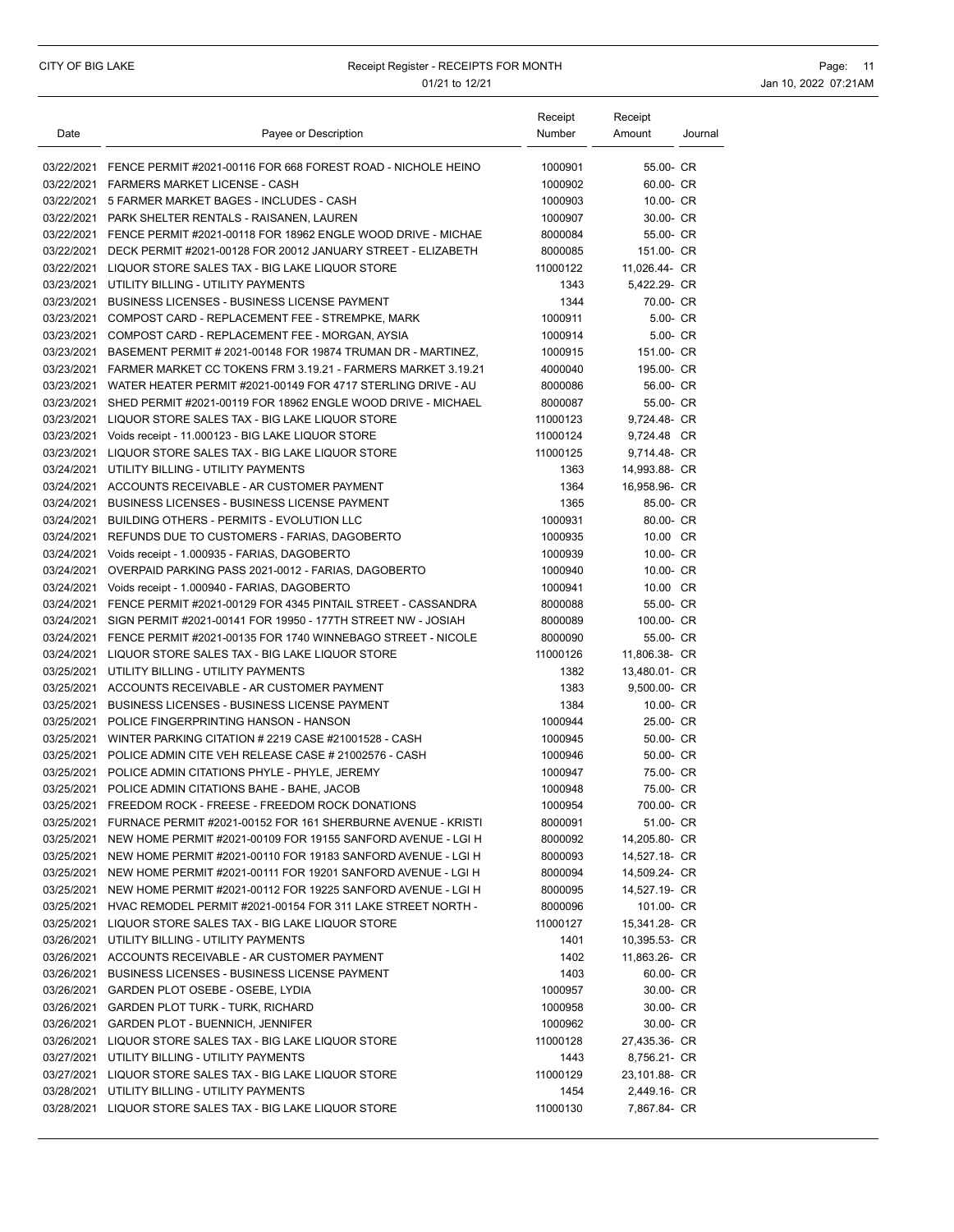### CITY OF BIG LAKE **Receipt Register - RECEIPTS FOR MONTH Page:** 11 01/21 to 12/21 **Jan 10, 2022 07:21AM**

| Date       | Payee or Description                                                    | Receipt<br>Number | Receipt<br>Amount | Journal |
|------------|-------------------------------------------------------------------------|-------------------|-------------------|---------|
|            |                                                                         |                   |                   |         |
|            | 03/22/2021 FENCE PERMIT #2021-00116 FOR 668 FOREST ROAD - NICHOLE HEINO | 1000901           | 55.00- CR         |         |
|            | 03/22/2021 FARMERS MARKET LICENSE - CASH                                | 1000902           | 60.00- CR         |         |
|            | 03/22/2021 5 FARMER MARKET BAGES - INCLUDES - CASH                      | 1000903           | 10.00- CR         |         |
|            | 03/22/2021 PARK SHELTER RENTALS - RAISANEN, LAUREN                      | 1000907           | 30.00- CR         |         |
|            | 03/22/2021 FENCE PERMIT #2021-00118 FOR 18962 ENGLE WOOD DRIVE - MICHAE | 8000084           | 55.00- CR         |         |
|            | 03/22/2021 DECK PERMIT #2021-00128 FOR 20012 JANUARY STREET - ELIZABETH | 8000085           | 151.00- CR        |         |
|            | 03/22/2021 LIQUOR STORE SALES TAX - BIG LAKE LIQUOR STORE               | 11000122          | 11,026.44- CR     |         |
|            | 03/23/2021 UTILITY BILLING - UTILITY PAYMENTS                           | 1343              | 5,422.29- CR      |         |
|            | 03/23/2021 BUSINESS LICENSES - BUSINESS LICENSE PAYMENT                 | 1344              | 70.00- CR         |         |
|            | 03/23/2021 COMPOST CARD - REPLACEMENT FEE - STREMPKE, MARK              | 1000911           | 5.00- CR          |         |
|            | 03/23/2021 COMPOST CARD - REPLACEMENT FEE - MORGAN, AYSIA               | 1000914           | 5.00- CR          |         |
|            | 03/23/2021 BASEMENT PERMIT # 2021-00148 FOR 19874 TRUMAN DR - MARTINEZ, | 1000915           | 151.00- CR        |         |
|            | 03/23/2021 FARMER MARKET CC TOKENS FRM 3.19.21 - FARMERS MARKET 3.19.21 | 4000040           | 195.00- CR        |         |
|            | 03/23/2021 WATER HEATER PERMIT #2021-00149 FOR 4717 STERLING DRIVE - AU | 8000086           | 56.00- CR         |         |
|            | 03/23/2021 SHED PERMIT #2021-00119 FOR 18962 ENGLE WOOD DRIVE - MICHAEL | 8000087           | 55.00- CR         |         |
|            | 03/23/2021 LIQUOR STORE SALES TAX - BIG LAKE LIQUOR STORE               | 11000123          | 9,724.48- CR      |         |
|            | 03/23/2021 Voids receipt - 11.000123 - BIG LAKE LIQUOR STORE            | 11000124          | 9,724.48 CR       |         |
|            | 03/23/2021 LIQUOR STORE SALES TAX - BIG LAKE LIQUOR STORE               | 11000125          | 9.714.48- CR      |         |
|            | 03/24/2021 UTILITY BILLING - UTILITY PAYMENTS                           | 1363              | 14,993.88- CR     |         |
|            | 03/24/2021 ACCOUNTS RECEIVABLE - AR CUSTOMER PAYMENT                    | 1364              | 16,958.96- CR     |         |
|            | 03/24/2021 BUSINESS LICENSES - BUSINESS LICENSE PAYMENT                 | 1365              | 85.00- CR         |         |
|            | 03/24/2021 BUILDING OTHERS - PERMITS - EVOLUTION LLC                    | 1000931           | 80.00- CR         |         |
|            | 03/24/2021 REFUNDS DUE TO CUSTOMERS - FARIAS, DAGOBERTO                 | 1000935           | 10.00 CR          |         |
|            | 03/24/2021 Voids receipt - 1.000935 - FARIAS, DAGOBERTO                 | 1000939           | 10.00- CR         |         |
| 03/24/2021 | OVERPAID PARKING PASS 2021-0012 - FARIAS, DAGOBERTO                     | 1000940           | 10.00- CR         |         |
|            | 03/24/2021 Voids receipt - 1.000940 - FARIAS, DAGOBERTO                 | 1000941           | 10.00 CR          |         |
|            | 03/24/2021 FENCE PERMIT #2021-00129 FOR 4345 PINTAIL STREET - CASSANDRA | 8000088           | 55.00- CR         |         |
|            | 03/24/2021 SIGN PERMIT #2021-00141 FOR 19950 - 177TH STREET NW - JOSIAH | 8000089           | 100.00- CR        |         |
|            | 03/24/2021 FENCE PERMIT #2021-00135 FOR 1740 WINNEBAGO STREET - NICOLE  | 8000090           | 55.00- CR         |         |
|            | 03/24/2021 LIQUOR STORE SALES TAX - BIG LAKE LIQUOR STORE               | 11000126          | 11,806.38- CR     |         |
|            | 03/25/2021 UTILITY BILLING - UTILITY PAYMENTS                           | 1382              | 13,480.01- CR     |         |
|            | 03/25/2021 ACCOUNTS RECEIVABLE - AR CUSTOMER PAYMENT                    | 1383              | 9,500.00- CR      |         |
|            | 03/25/2021 BUSINESS LICENSES - BUSINESS LICENSE PAYMENT                 | 1384              | 10.00- CR         |         |
|            | 03/25/2021 POLICE FINGERPRINTING HANSON - HANSON                        | 1000944           | 25.00- CR         |         |
|            | 03/25/2021 WINTER PARKING CITATION # 2219 CASE #21001528 - CASH         | 1000945           | 50.00- CR         |         |
|            | 03/25/2021 POLICE ADMIN CITE VEH RELEASE CASE # 21002576 - CASH         | 1000946           | 50.00- CR         |         |
|            | 03/25/2021 POLICE ADMIN CITATIONS PHYLE - PHYLE, JEREMY                 | 1000947           | 75.00- CR         |         |
|            | 03/25/2021 POLICE ADMIN CITATIONS BAHE - BAHE, JACOB                    | 1000948           | 75.00- CR         |         |
|            | 03/25/2021 FREEDOM ROCK - FREESE - FREEDOM ROCK DONATIONS               | 1000954           | 700.00- CR        |         |
|            | 03/25/2021 FURNACE PERMIT #2021-00152 FOR 161 SHERBURNE AVENUE - KRISTI | 8000091           | 51.00- CR         |         |
|            | 03/25/2021 NEW HOME PERMIT #2021-00109 FOR 19155 SANFORD AVENUE - LGI H | 8000092           | 14,205.80- CR     |         |
|            | 03/25/2021 NEW HOME PERMIT #2021-00110 FOR 19183 SANFORD AVENUE - LGI H | 8000093           | 14,527.18- CR     |         |
|            | 03/25/2021 NEW HOME PERMIT #2021-00111 FOR 19201 SANFORD AVENUE - LGI H | 8000094           | 14,509.24- CR     |         |
|            | 03/25/2021 NEW HOME PERMIT #2021-00112 FOR 19225 SANFORD AVENUE - LGI H | 8000095           | 14,527.19- CR     |         |
|            | 03/25/2021 HVAC REMODEL PERMIT #2021-00154 FOR 311 LAKE STREET NORTH -  | 8000096           | 101.00- CR        |         |
|            | 03/25/2021 LIQUOR STORE SALES TAX - BIG LAKE LIQUOR STORE               | 11000127          | 15,341.28- CR     |         |
|            | 03/26/2021 UTILITY BILLING - UTILITY PAYMENTS                           | 1401              | 10,395.53- CR     |         |
|            | 03/26/2021 ACCOUNTS RECEIVABLE - AR CUSTOMER PAYMENT                    | 1402              | 11,863.26- CR     |         |
|            | 03/26/2021 BUSINESS LICENSES - BUSINESS LICENSE PAYMENT                 | 1403              | 60.00- CR         |         |
|            | 03/26/2021 GARDEN PLOT OSEBE - OSEBE, LYDIA                             | 1000957           | 30.00- CR         |         |
|            | 03/26/2021 GARDEN PLOT TURK - TURK, RICHARD                             | 1000958           | 30.00- CR         |         |
|            | 03/26/2021 GARDEN PLOT - BUENNICH, JENNIFER                             | 1000962           | 30.00- CR         |         |
|            | 03/26/2021 LIQUOR STORE SALES TAX - BIG LAKE LIQUOR STORE               | 11000128          | 27,435.36- CR     |         |
|            | 03/27/2021 UTILITY BILLING - UTILITY PAYMENTS                           | 1443              | 8,756.21- CR      |         |
|            | 03/27/2021 LIQUOR STORE SALES TAX - BIG LAKE LIQUOR STORE               | 11000129          | 23,101.88- CR     |         |
|            | 03/28/2021 UTILITY BILLING - UTILITY PAYMENTS                           | 1454              | 2,449.16- CR      |         |
|            | 03/28/2021 LIQUOR STORE SALES TAX - BIG LAKE LIQUOR STORE               | 11000130          | 7,867.84- CR      |         |
|            |                                                                         |                   |                   |         |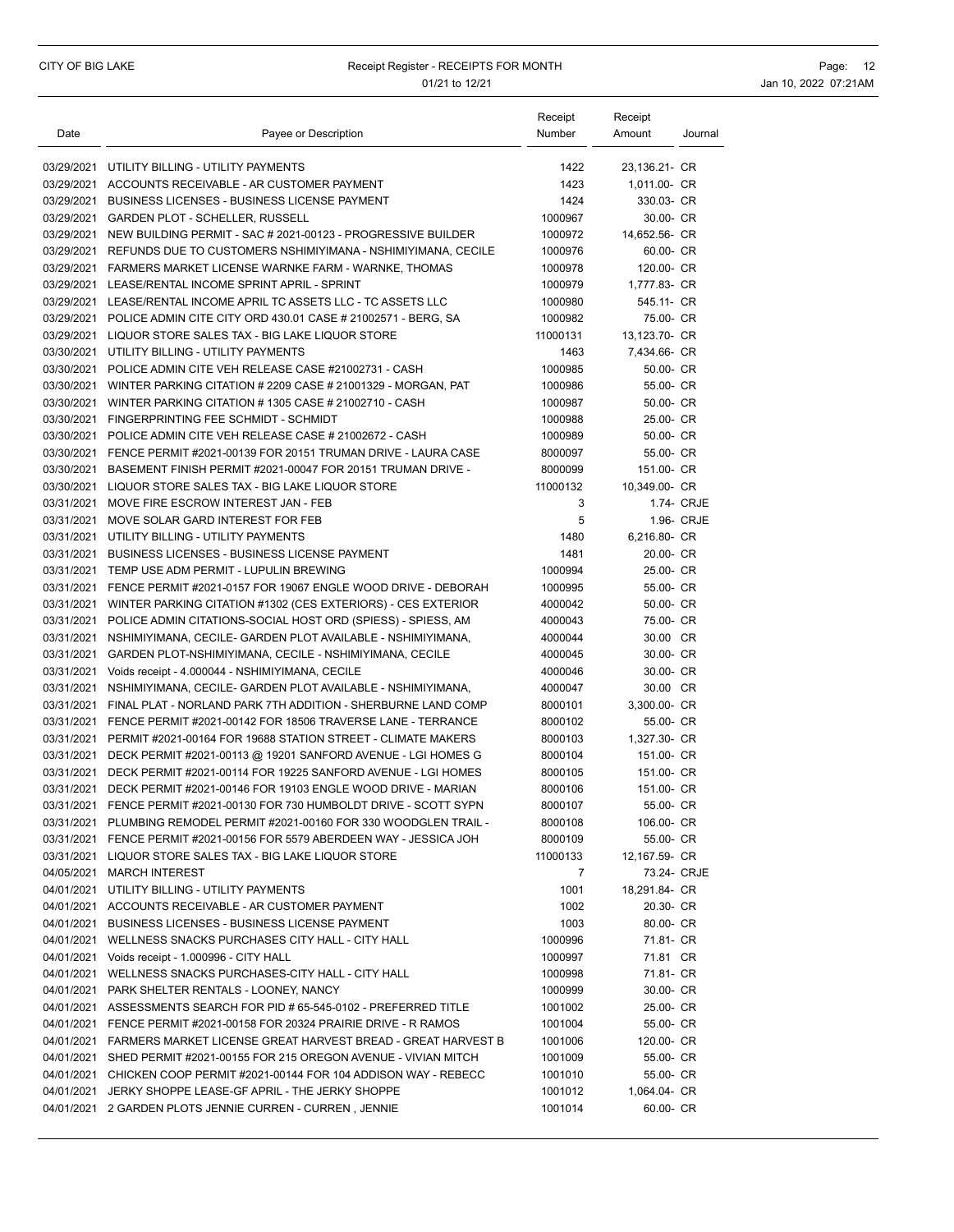### CITY OF BIG LAKE **Receipt Register - RECEIPTS FOR MONTH Page: 12** Page: 12 01/21 to 12/21 **Jan 10, 2022 07:21AM**

| Date       | Payee or Description                                                    | Receipt<br>Number | Receipt<br>Amount | Journal    |
|------------|-------------------------------------------------------------------------|-------------------|-------------------|------------|
|            | 03/29/2021 UTILITY BILLING - UTILITY PAYMENTS                           | 1422              | 23,136.21- CR     |            |
|            | 03/29/2021 ACCOUNTS RECEIVABLE - AR CUSTOMER PAYMENT                    | 1423              | 1,011.00- CR      |            |
|            | 03/29/2021 BUSINESS LICENSES - BUSINESS LICENSE PAYMENT                 | 1424              | 330.03- CR        |            |
|            | 03/29/2021 GARDEN PLOT - SCHELLER, RUSSELL                              | 1000967           | 30.00- CR         |            |
|            | 03/29/2021 NEW BUILDING PERMIT - SAC # 2021-00123 - PROGRESSIVE BUILDER | 1000972           | 14,652.56- CR     |            |
|            | 03/29/2021 REFUNDS DUE TO CUSTOMERS NSHIMIYIMANA - NSHIMIYIMANA, CECILE | 1000976           | 60.00- CR         |            |
|            | 03/29/2021  FARMERS MARKET LICENSE WARNKE FARM - WARNKE, THOMAS         | 1000978           | 120.00- CR        |            |
|            | 03/29/2021 LEASE/RENTAL INCOME SPRINT APRIL - SPRINT                    | 1000979           | 1,777.83- CR      |            |
|            | 03/29/2021 LEASE/RENTAL INCOME APRIL TC ASSETS LLC - TC ASSETS LLC      | 1000980           | 545.11- CR        |            |
|            | 03/29/2021 POLICE ADMIN CITE CITY ORD 430.01 CASE # 21002571 - BERG, SA | 1000982           | 75.00- CR         |            |
|            | 03/29/2021 LIQUOR STORE SALES TAX - BIG LAKE LIQUOR STORE               | 11000131          | 13,123.70- CR     |            |
|            | 03/30/2021 UTILITY BILLING - UTILITY PAYMENTS                           | 1463              | 7,434.66- CR      |            |
|            | 03/30/2021 POLICE ADMIN CITE VEH RELEASE CASE #21002731 - CASH          | 1000985           | 50.00- CR         |            |
|            | 03/30/2021 WINTER PARKING CITATION # 2209 CASE # 21001329 - MORGAN, PAT | 1000986           | 55.00- CR         |            |
|            | 03/30/2021 WINTER PARKING CITATION #1305 CASE #21002710 - CASH          | 1000987           | 50.00- CR         |            |
|            | 03/30/2021 FINGERPRINTING FEE SCHMIDT - SCHMIDT                         | 1000988           | 25.00- CR         |            |
|            | 03/30/2021 POLICE ADMIN CITE VEH RELEASE CASE # 21002672 - CASH         | 1000989           | 50.00- CR         |            |
|            | 03/30/2021 FENCE PERMIT #2021-00139 FOR 20151 TRUMAN DRIVE - LAURA CASE | 8000097           | 55.00- CR         |            |
|            | 03/30/2021 BASEMENT FINISH PERMIT #2021-00047 FOR 20151 TRUMAN DRIVE -  | 8000099           | 151.00- CR        |            |
|            | 03/30/2021 LIQUOR STORE SALES TAX - BIG LAKE LIQUOR STORE               | 11000132          | 10,349.00- CR     |            |
|            | 03/31/2021 MOVE FIRE ESCROW INTEREST JAN - FEB                          | 3                 |                   | 1.74- CRJE |
|            | 03/31/2021 MOVE SOLAR GARD INTEREST FOR FEB                             | 5                 |                   | 1.96- CRJE |
|            | 03/31/2021 UTILITY BILLING - UTILITY PAYMENTS                           | 1480              | 6.216.80- CR      |            |
|            | 03/31/2021 BUSINESS LICENSES - BUSINESS LICENSE PAYMENT                 | 1481              | 20.00- CR         |            |
|            | 03/31/2021 TEMP USE ADM PERMIT - LUPULIN BREWING                        | 1000994           | 25.00- CR         |            |
|            | 03/31/2021 FENCE PERMIT #2021-0157 FOR 19067 ENGLE WOOD DRIVE - DEBORAH | 1000995           | 55.00- CR         |            |
|            | 03/31/2021 WINTER PARKING CITATION #1302 (CES EXTERIORS) - CES EXTERIOR | 4000042           | 50.00- CR         |            |
| 03/31/2021 | POLICE ADMIN CITATIONS-SOCIAL HOST ORD (SPIESS) - SPIESS, AM            | 4000043           | 75.00- CR         |            |
| 03/31/2021 | NSHIMIYIMANA, CECILE- GARDEN PLOT AVAILABLE - NSHIMIYIMANA,             | 4000044           | 30.00 CR          |            |
|            | 03/31/2021 GARDEN PLOT-NSHIMIYIMANA, CECILE - NSHIMIYIMANA, CECILE      | 4000045           | 30.00- CR         |            |
|            | 03/31/2021 Voids receipt - 4.000044 - NSHIMIYIMANA, CECILE              | 4000046           | 30.00- CR         |            |
|            | 03/31/2021 NSHIMIYIMANA, CECILE- GARDEN PLOT AVAILABLE - NSHIMIYIMANA,  | 4000047           | 30.00 CR          |            |
|            | 03/31/2021 FINAL PLAT - NORLAND PARK 7TH ADDITION - SHERBURNE LAND COMP | 8000101           | 3,300.00- CR      |            |
|            | 03/31/2021 FENCE PERMIT #2021-00142 FOR 18506 TRAVERSE LANE - TERRANCE  | 8000102           | 55.00- CR         |            |
|            | 03/31/2021 PERMIT #2021-00164 FOR 19688 STATION STREET - CLIMATE MAKERS | 8000103           | 1,327.30- CR      |            |
|            | 03/31/2021 DECK PERMIT #2021-00113 @ 19201 SANFORD AVENUE - LGI HOMES G | 8000104           | 151.00- CR        |            |
|            | 03/31/2021 DECK PERMIT #2021-00114 FOR 19225 SANFORD AVENUE - LGI HOMES | 8000105           | 151.00- CR        |            |
|            | 03/31/2021 DECK PERMIT #2021-00146 FOR 19103 ENGLE WOOD DRIVE - MARIAN  | 8000106           | 151.00- CR        |            |
|            | 03/31/2021 FENCE PERMIT #2021-00130 FOR 730 HUMBOLDT DRIVE - SCOTT SYPN | 8000107           | 55.00- CR         |            |
|            | 03/31/2021 PLUMBING REMODEL PERMIT #2021-00160 FOR 330 WOODGLEN TRAIL - | 8000108           | 106.00- CR        |            |
|            | 03/31/2021 FENCE PERMIT #2021-00156 FOR 5579 ABERDEEN WAY - JESSICA JOH | 8000109           | 55.00- CR         |            |
|            | 03/31/2021 LIQUOR STORE SALES TAX - BIG LAKE LIQUOR STORE               | 11000133          | 12,167.59- CR     |            |
|            | 04/05/2021 MARCH INTEREST                                               | 7                 | 73.24- CRJE       |            |
|            | 04/01/2021 UTILITY BILLING - UTILITY PAYMENTS                           | 1001              | 18,291.84- CR     |            |
|            | 04/01/2021 ACCOUNTS RECEIVABLE - AR CUSTOMER PAYMENT                    | 1002              | 20.30- CR         |            |
|            | 04/01/2021 BUSINESS LICENSES - BUSINESS LICENSE PAYMENT                 | 1003              | 80.00- CR         |            |
|            | 04/01/2021 WELLNESS SNACKS PURCHASES CITY HALL - CITY HALL              | 1000996           | 71.81- CR         |            |
|            | 04/01/2021 Voids receipt - 1.000996 - CITY HALL                         | 1000997           | 71.81 CR          |            |
|            | 04/01/2021 WELLNESS SNACKS PURCHASES-CITY HALL - CITY HALL              | 1000998           | 71.81- CR         |            |
|            | 04/01/2021 PARK SHELTER RENTALS - LOONEY, NANCY                         | 1000999           | 30.00- CR         |            |
|            | 04/01/2021 ASSESSMENTS SEARCH FOR PID # 65-545-0102 - PREFERRED TITLE   | 1001002           | 25.00- CR         |            |
|            | 04/01/2021 FENCE PERMIT #2021-00158 FOR 20324 PRAIRIE DRIVE - R RAMOS   | 1001004           | 55.00- CR         |            |
|            | 04/01/2021 FARMERS MARKET LICENSE GREAT HARVEST BREAD - GREAT HARVEST B | 1001006           | 120.00- CR        |            |
|            | 04/01/2021 SHED PERMIT #2021-00155 FOR 215 OREGON AVENUE - VIVIAN MITCH | 1001009           | 55.00- CR         |            |
|            | 04/01/2021 CHICKEN COOP PERMIT #2021-00144 FOR 104 ADDISON WAY - REBECC | 1001010           | 55.00- CR         |            |
|            | 04/01/2021 JERKY SHOPPE LEASE-GF APRIL - THE JERKY SHOPPE               | 1001012           | 1,064.04- CR      |            |
|            | 04/01/2021 2 GARDEN PLOTS JENNIE CURREN - CURREN, JENNIE                | 1001014           | 60.00- CR         |            |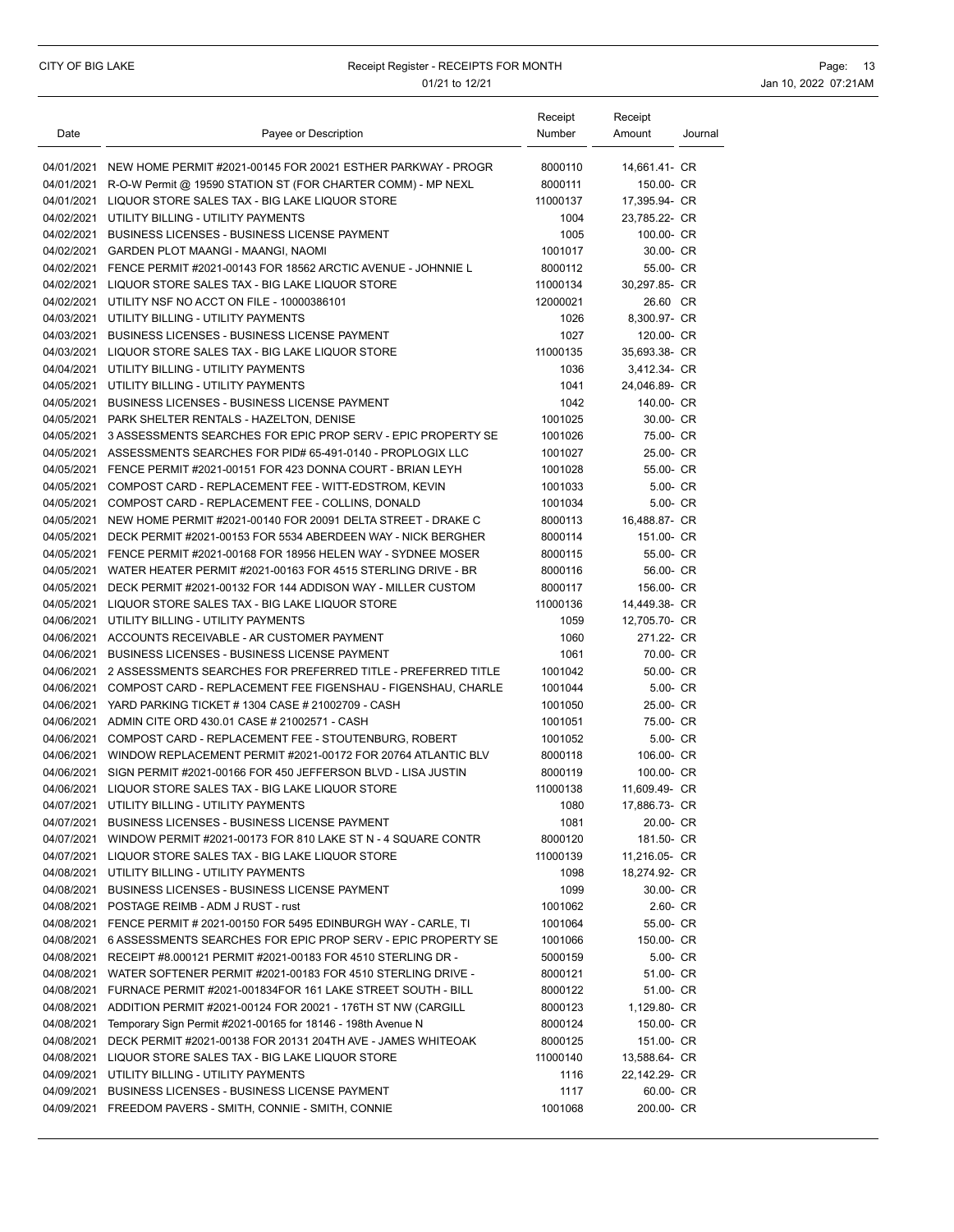| Date | Payee or Description                                                    | Receipt<br>Number | Receipt<br>Amount | Journal |
|------|-------------------------------------------------------------------------|-------------------|-------------------|---------|
|      | 04/01/2021 NEW HOME PERMIT #2021-00145 FOR 20021 ESTHER PARKWAY - PROGR | 8000110           | 14,661.41- CR     |         |
|      | 04/01/2021 R-O-W Permit @ 19590 STATION ST (FOR CHARTER COMM) - MP NEXL | 8000111           | 150.00- CR        |         |
|      | 04/01/2021 LIQUOR STORE SALES TAX - BIG LAKE LIQUOR STORE               | 11000137          | 17,395.94- CR     |         |
|      | 04/02/2021 UTILITY BILLING - UTILITY PAYMENTS                           | 1004              | 23,785.22- CR     |         |
|      | 04/02/2021 BUSINESS LICENSES - BUSINESS LICENSE PAYMENT                 | 1005              | 100.00- CR        |         |
|      | 04/02/2021 GARDEN PLOT MAANGI - MAANGI, NAOMI                           | 1001017           | 30.00- CR         |         |
|      | 04/02/2021 FENCE PERMIT #2021-00143 FOR 18562 ARCTIC AVENUE - JOHNNIE L | 8000112           | 55.00- CR         |         |
|      | 04/02/2021 LIQUOR STORE SALES TAX - BIG LAKE LIQUOR STORE               | 11000134          | 30.297.85- CR     |         |
|      | 04/02/2021 UTILITY NSF NO ACCT ON FILE - 10000386101                    | 12000021          | 26.60 CR          |         |
|      | 04/03/2021 UTILITY BILLING - UTILITY PAYMENTS                           | 1026              | 8,300.97- CR      |         |
|      | 04/03/2021 BUSINESS LICENSES - BUSINESS LICENSE PAYMENT                 | 1027              | 120.00- CR        |         |
|      | 04/03/2021 LIQUOR STORE SALES TAX - BIG LAKE LIQUOR STORE               | 11000135          | 35,693.38- CR     |         |
|      | 04/04/2021 UTILITY BILLING - UTILITY PAYMENTS                           | 1036              | 3,412.34- CR      |         |
|      | 04/05/2021 UTILITY BILLING - UTILITY PAYMENTS                           | 1041              | 24,046.89- CR     |         |
|      | 04/05/2021 BUSINESS LICENSES - BUSINESS LICENSE PAYMENT                 | 1042              | 140.00- CR        |         |
|      | 04/05/2021 PARK SHELTER RENTALS - HAZELTON, DENISE                      | 1001025           | 30.00- CR         |         |
|      | 04/05/2021 3 ASSESSMENTS SEARCHES FOR EPIC PROP SERV - EPIC PROPERTY SE | 1001026           | 75.00- CR         |         |
|      | 04/05/2021 ASSESSMENTS SEARCHES FOR PID# 65-491-0140 - PROPLOGIX LLC    | 1001027           | 25.00- CR         |         |
|      | 04/05/2021 FENCE PERMIT #2021-00151 FOR 423 DONNA COURT - BRIAN LEYH    | 1001028           | 55.00- CR         |         |
|      | 04/05/2021 COMPOST CARD - REPLACEMENT FEE - WITT-EDSTROM, KEVIN         | 1001033           | $5.00 - CR$       |         |
|      | 04/05/2021 COMPOST CARD - REPLACEMENT FEE - COLLINS, DONALD             | 1001034           | 5.00- CR          |         |
|      | 04/05/2021 NEW HOME PERMIT #2021-00140 FOR 20091 DELTA STREET - DRAKE C | 8000113           | 16,488.87- CR     |         |
|      | 04/05/2021 DECK PERMIT #2021-00153 FOR 5534 ABERDEEN WAY - NICK BERGHER | 8000114           | 151.00- CR        |         |
|      | 04/05/2021 FENCE PERMIT #2021-00168 FOR 18956 HELEN WAY - SYDNEE MOSER  | 8000115           | 55.00- CR         |         |
|      | 04/05/2021 WATER HEATER PERMIT #2021-00163 FOR 4515 STERLING DRIVE - BR | 8000116           | 56.00- CR         |         |
|      | 04/05/2021 DECK PERMIT #2021-00132 FOR 144 ADDISON WAY - MILLER CUSTOM  | 8000117           | 156.00- CR        |         |
|      | 04/05/2021 LIQUOR STORE SALES TAX - BIG LAKE LIQUOR STORE               | 11000136          | 14,449.38- CR     |         |
|      | 04/06/2021 UTILITY BILLING - UTILITY PAYMENTS                           | 1059              | 12,705.70- CR     |         |
|      | 04/06/2021 ACCOUNTS RECEIVABLE - AR CUSTOMER PAYMENT                    | 1060              | 271.22- CR        |         |
|      | 04/06/2021 BUSINESS LICENSES - BUSINESS LICENSE PAYMENT                 | 1061              | 70.00- CR         |         |
|      | 04/06/2021 2 ASSESSMENTS SEARCHES FOR PREFERRED TITLE - PREFERRED TITLE | 1001042           | 50.00- CR         |         |
|      | 04/06/2021 COMPOST CARD - REPLACEMENT FEE FIGENSHAU - FIGENSHAU, CHARLE | 1001044           | 5.00- CR          |         |
|      | 04/06/2021 YARD PARKING TICKET #1304 CASE #21002709 - CASH              | 1001050           | 25.00- CR         |         |
|      | 04/06/2021 ADMIN CITE ORD 430.01 CASE # 21002571 - CASH                 | 1001051           | 75.00- CR         |         |
|      | 04/06/2021 COMPOST CARD - REPLACEMENT FEE - STOUTENBURG, ROBERT         | 1001052           | 5.00- CR          |         |
|      | 04/06/2021 WINDOW REPLACEMENT PERMIT #2021-00172 FOR 20764 ATLANTIC BLV | 8000118           | 106.00- CR        |         |
|      | 04/06/2021 SIGN PERMIT #2021-00166 FOR 450 JEFFERSON BLVD - LISA JUSTIN | 8000119           | 100.00- CR        |         |
|      | 04/06/2021 LIQUOR STORE SALES TAX - BIG LAKE LIQUOR STORE               | 11000138          | 11,609.49- CR     |         |
|      | 04/07/2021 UTILITY BILLING - UTILITY PAYMENTS                           | 1080              | 17,886.73- CR     |         |
|      | 04/07/2021 BUSINESS LICENSES - BUSINESS LICENSE PAYMENT                 | 1081              | 20.00- CR         |         |
|      | 04/07/2021 WINDOW PERMIT #2021-00173 FOR 810 LAKE ST N - 4 SQUARE CONTR | 8000120           | 181.50- CR        |         |
|      | 04/07/2021 LIQUOR STORE SALES TAX - BIG LAKE LIQUOR STORE               | 11000139          | 11,216.05- CR     |         |
|      | 04/08/2021 UTILITY BILLING - UTILITY PAYMENTS                           | 1098              | 18,274.92- CR     |         |
|      | 04/08/2021 BUSINESS LICENSES - BUSINESS LICENSE PAYMENT                 | 1099              | 30.00- CR         |         |
|      | 04/08/2021 POSTAGE REIMB - ADM J RUST - rust                            | 1001062           | 2.60- CR          |         |
|      | 04/08/2021 FENCE PERMIT # 2021-00150 FOR 5495 EDINBURGH WAY - CARLE, TI | 1001064           | 55.00- CR         |         |
|      | 04/08/2021 6 ASSESSMENTS SEARCHES FOR EPIC PROP SERV - EPIC PROPERTY SE | 1001066           | 150.00- CR        |         |
|      | 04/08/2021 RECEIPT #8.000121 PERMIT #2021-00183 FOR 4510 STERLING DR -  | 5000159           | 5.00- CR          |         |
|      | 04/08/2021 WATER SOFTENER PERMIT #2021-00183 FOR 4510 STERLING DRIVE -  | 8000121           | 51.00- CR         |         |
|      | 04/08/2021 FURNACE PERMIT #2021-001834FOR 161 LAKE STREET SOUTH - BILL  | 8000122           | 51.00- CR         |         |
|      | 04/08/2021 ADDITION PERMIT #2021-00124 FOR 20021 - 176TH ST NW (CARGILL | 8000123           | 1,129.80- CR      |         |
|      | 04/08/2021 Temporary Sign Permit #2021-00165 for 18146 - 198th Avenue N | 8000124           | 150.00- CR        |         |
|      | 04/08/2021 DECK PERMIT #2021-00138 FOR 20131 204TH AVE - JAMES WHITEOAK | 8000125           | 151.00- CR        |         |
|      | 04/08/2021 LIQUOR STORE SALES TAX - BIG LAKE LIQUOR STORE               | 11000140          | 13,588.64- CR     |         |
|      | 04/09/2021 UTILITY BILLING - UTILITY PAYMENTS                           | 1116              | 22,142.29- CR     |         |
|      | 04/09/2021 BUSINESS LICENSES - BUSINESS LICENSE PAYMENT                 | 1117              | 60.00- CR         |         |
|      | 04/09/2021 FREEDOM PAVERS - SMITH, CONNIE - SMITH, CONNIE               | 1001068           | 200.00- CR        |         |
|      |                                                                         |                   |                   |         |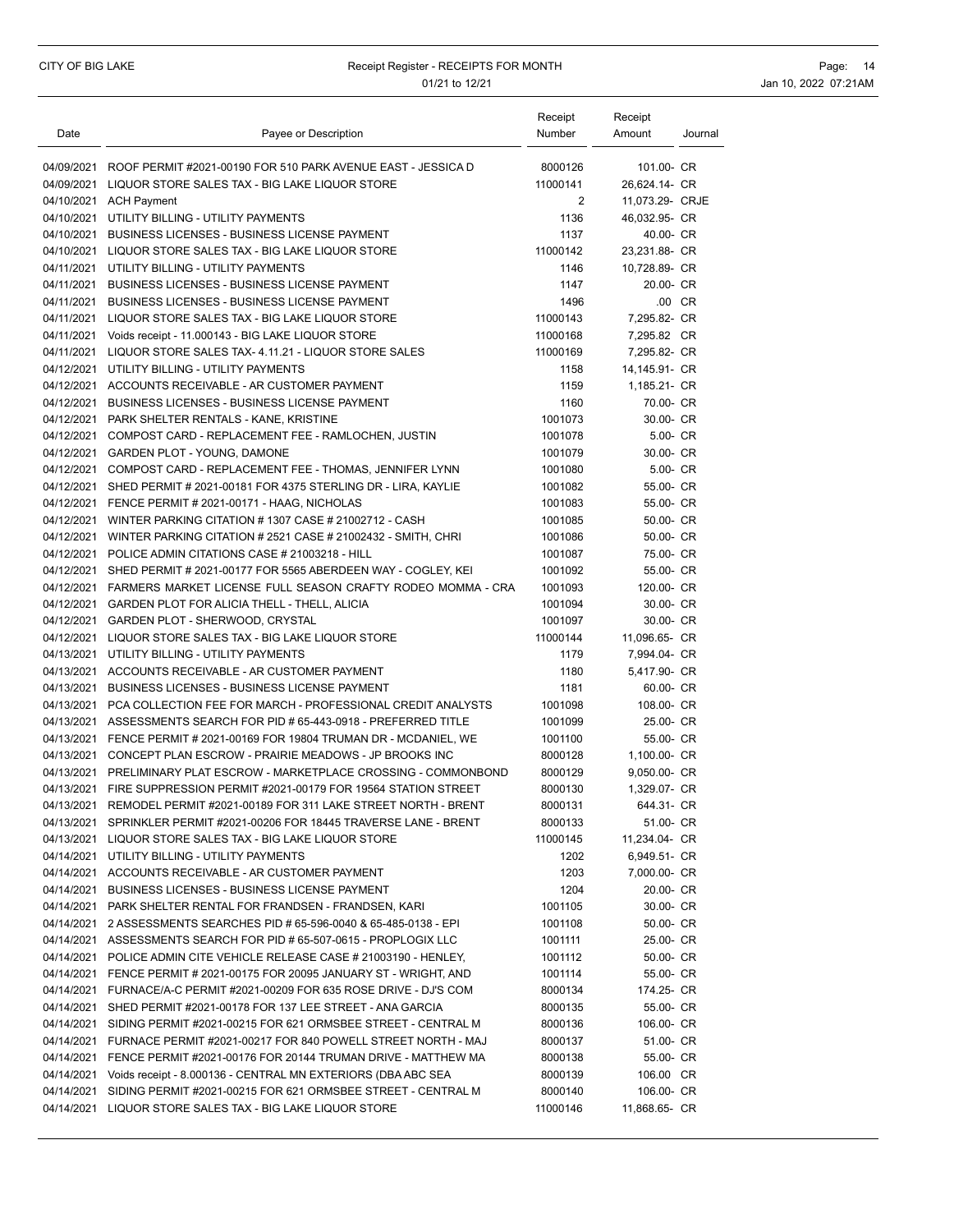# CITY OF BIG LAKE **Receipt Register - RECEIPTS FOR MONTH Page: 14** Page: 14 01/21 to 12/21 **Jan 10, 2022 07:21AM**

| Date       | Payee or Description                                                    | Receipt<br>Number | Receipt<br>Amount | Journal |
|------------|-------------------------------------------------------------------------|-------------------|-------------------|---------|
|            | 04/09/2021 ROOF PERMIT #2021-00190 FOR 510 PARK AVENUE EAST - JESSICA D | 8000126           | 101.00- CR        |         |
|            | 04/09/2021 LIQUOR STORE SALES TAX - BIG LAKE LIQUOR STORE               | 11000141          | 26,624.14- CR     |         |
|            | 04/10/2021 ACH Payment                                                  | $\overline{2}$    | 11,073.29- CRJE   |         |
|            | 04/10/2021 UTILITY BILLING - UTILITY PAYMENTS                           | 1136              | 46,032.95- CR     |         |
|            | 04/10/2021 BUSINESS LICENSES - BUSINESS LICENSE PAYMENT                 | 1137              | 40.00- CR         |         |
|            | 04/10/2021 LIQUOR STORE SALES TAX - BIG LAKE LIQUOR STORE               | 11000142          | 23,231.88- CR     |         |
|            | 04/11/2021 UTILITY BILLING - UTILITY PAYMENTS                           | 1146              | 10,728.89- CR     |         |
|            | 04/11/2021 BUSINESS LICENSES - BUSINESS LICENSE PAYMENT                 | 1147              | 20.00- CR         |         |
|            | 04/11/2021 BUSINESS LICENSES - BUSINESS LICENSE PAYMENT                 | 1496              | $.00 \quad CR$    |         |
|            | 04/11/2021 LIQUOR STORE SALES TAX - BIG LAKE LIQUOR STORE               | 11000143          | 7,295.82- CR      |         |
|            | 04/11/2021 Voids receipt - 11.000143 - BIG LAKE LIQUOR STORE            | 11000168          | 7,295.82 CR       |         |
|            | 04/11/2021 LIQUOR STORE SALES TAX- 4.11.21 - LIQUOR STORE SALES         | 11000169          | 7,295.82- CR      |         |
|            | 04/12/2021 UTILITY BILLING - UTILITY PAYMENTS                           | 1158              | 14,145.91- CR     |         |
|            | 04/12/2021 ACCOUNTS RECEIVABLE - AR CUSTOMER PAYMENT                    | 1159              | 1,185.21- CR      |         |
|            | 04/12/2021 BUSINESS LICENSES - BUSINESS LICENSE PAYMENT                 | 1160              | 70.00- CR         |         |
|            | 04/12/2021 PARK SHELTER RENTALS - KANE, KRISTINE                        | 1001073           | 30.00- CR         |         |
|            | 04/12/2021 COMPOST CARD - REPLACEMENT FEE - RAMLOCHEN, JUSTIN           | 1001078           | 5.00- CR          |         |
|            | 04/12/2021 GARDEN PLOT - YOUNG, DAMONE                                  | 1001079           | 30.00- CR         |         |
|            | 04/12/2021 COMPOST CARD - REPLACEMENT FEE - THOMAS, JENNIFER LYNN       | 1001080           | 5.00- CR          |         |
|            | 04/12/2021 SHED PERMIT # 2021-00181 FOR 4375 STERLING DR - LIRA, KAYLIE | 1001082           | 55.00- CR         |         |
|            | 04/12/2021 FENCE PERMIT # 2021-00171 - HAAG, NICHOLAS                   | 1001083           | 55.00- CR         |         |
|            | 04/12/2021 WINTER PARKING CITATION #1307 CASE #21002712 - CASH          | 1001085           | 50.00- CR         |         |
|            | 04/12/2021 WINTER PARKING CITATION # 2521 CASE # 21002432 - SMITH, CHRI | 1001086           | 50.00- CR         |         |
|            | 04/12/2021 POLICE ADMIN CITATIONS CASE # 21003218 - HILL                | 1001087           | 75.00- CR         |         |
|            | 04/12/2021 SHED PERMIT # 2021-00177 FOR 5565 ABERDEEN WAY - COGLEY, KEI | 1001092           | 55.00- CR         |         |
|            | 04/12/2021 FARMERS MARKET LICENSE FULL SEASON CRAFTY RODEO MOMMA - CRA  | 1001093           | 120.00- CR        |         |
|            | 04/12/2021 GARDEN PLOT FOR ALICIA THELL - THELL, ALICIA                 | 1001094           | 30.00- CR         |         |
|            | 04/12/2021 GARDEN PLOT - SHERWOOD, CRYSTAL                              | 1001097           | 30.00- CR         |         |
|            | 04/12/2021 LIQUOR STORE SALES TAX - BIG LAKE LIQUOR STORE               | 11000144          | 11,096.65- CR     |         |
|            | 04/13/2021 UTILITY BILLING - UTILITY PAYMENTS                           | 1179              | 7,994.04- CR      |         |
|            | 04/13/2021 ACCOUNTS RECEIVABLE - AR CUSTOMER PAYMENT                    | 1180              | 5,417.90- CR      |         |
|            | 04/13/2021 BUSINESS LICENSES - BUSINESS LICENSE PAYMENT                 | 1181              | 60.00- CR         |         |
|            | 04/13/2021 PCA COLLECTION FEE FOR MARCH - PROFESSIONAL CREDIT ANALYSTS  | 1001098           | 108.00- CR        |         |
|            | 04/13/2021 ASSESSMENTS SEARCH FOR PID # 65-443-0918 - PREFERRED TITLE   | 1001099           | 25.00- CR         |         |
|            | 04/13/2021 FENCE PERMIT # 2021-00169 FOR 19804 TRUMAN DR - MCDANIEL, WE | 1001100           | 55.00- CR         |         |
|            | 04/13/2021 CONCEPT PLAN ESCROW - PRAIRIE MEADOWS - JP BROOKS INC        | 8000128           | 1,100.00- CR      |         |
|            | 04/13/2021 PRELIMINARY PLAT ESCROW - MARKETPLACE CROSSING - COMMONBOND  | 8000129           | 9,050.00- CR      |         |
|            | 04/13/2021 FIRE SUPPRESSION PERMIT #2021-00179 FOR 19564 STATION STREET | 8000130           | 1,329.07- CR      |         |
|            | 04/13/2021 REMODEL PERMIT #2021-00189 FOR 311 LAKE STREET NORTH - BRENT | 8000131           | 644.31- CR        |         |
|            | 04/13/2021 SPRINKLER PERMIT #2021-00206 FOR 18445 TRAVERSE LANE - BRENT | 8000133           | 51.00- CR         |         |
|            | 04/13/2021 LIQUOR STORE SALES TAX - BIG LAKE LIQUOR STORE               | 11000145          | 11,234.04- CR     |         |
|            | 04/14/2021 UTILITY BILLING - UTILITY PAYMENTS                           | 1202              | 6,949.51- CR      |         |
|            | 04/14/2021 ACCOUNTS RECEIVABLE - AR CUSTOMER PAYMENT                    | 1203              | 7,000.00- CR      |         |
| 04/14/2021 | BUSINESS LICENSES - BUSINESS LICENSE PAYMENT                            | 1204              | 20.00- CR         |         |
|            | 04/14/2021 PARK SHELTER RENTAL FOR FRANDSEN - FRANDSEN, KARI            | 1001105           | 30.00- CR         |         |
|            | 04/14/2021 2 ASSESSMENTS SEARCHES PID # 65-596-0040 & 65-485-0138 - EPI | 1001108           | 50.00- CR         |         |
|            | 04/14/2021 ASSESSMENTS SEARCH FOR PID # 65-507-0615 - PROPLOGIX LLC     | 1001111           | 25.00- CR         |         |
|            | 04/14/2021 POLICE ADMIN CITE VEHICLE RELEASE CASE # 21003190 - HENLEY,  | 1001112           | 50.00- CR         |         |
|            | 04/14/2021 FENCE PERMIT # 2021-00175 FOR 20095 JANUARY ST - WRIGHT, AND | 1001114           | 55.00- CR         |         |
|            | 04/14/2021 FURNACE/A-C PERMIT #2021-00209 FOR 635 ROSE DRIVE - DJ'S COM | 8000134           | 174.25- CR        |         |
|            | 04/14/2021 SHED PERMIT #2021-00178 FOR 137 LEE STREET - ANA GARCIA      | 8000135           | 55.00- CR         |         |
|            | 04/14/2021 SIDING PERMIT #2021-00215 FOR 621 ORMSBEE STREET - CENTRAL M | 8000136           | 106.00- CR        |         |
|            | 04/14/2021 FURNACE PERMIT #2021-00217 FOR 840 POWELL STREET NORTH - MAJ | 8000137           | 51.00- CR         |         |
|            | 04/14/2021 FENCE PERMIT #2021-00176 FOR 20144 TRUMAN DRIVE - MATTHEW MA | 8000138           | 55.00- CR         |         |
|            | 04/14/2021 Voids receipt - 8.000136 - CENTRAL MN EXTERIORS (DBA ABC SEA | 8000139           | 106.00 CR         |         |
|            | 04/14/2021 SIDING PERMIT #2021-00215 FOR 621 ORMSBEE STREET - CENTRAL M | 8000140           | 106.00- CR        |         |
|            | 04/14/2021 LIQUOR STORE SALES TAX - BIG LAKE LIQUOR STORE               | 11000146          | 11,868.65- CR     |         |
|            |                                                                         |                   |                   |         |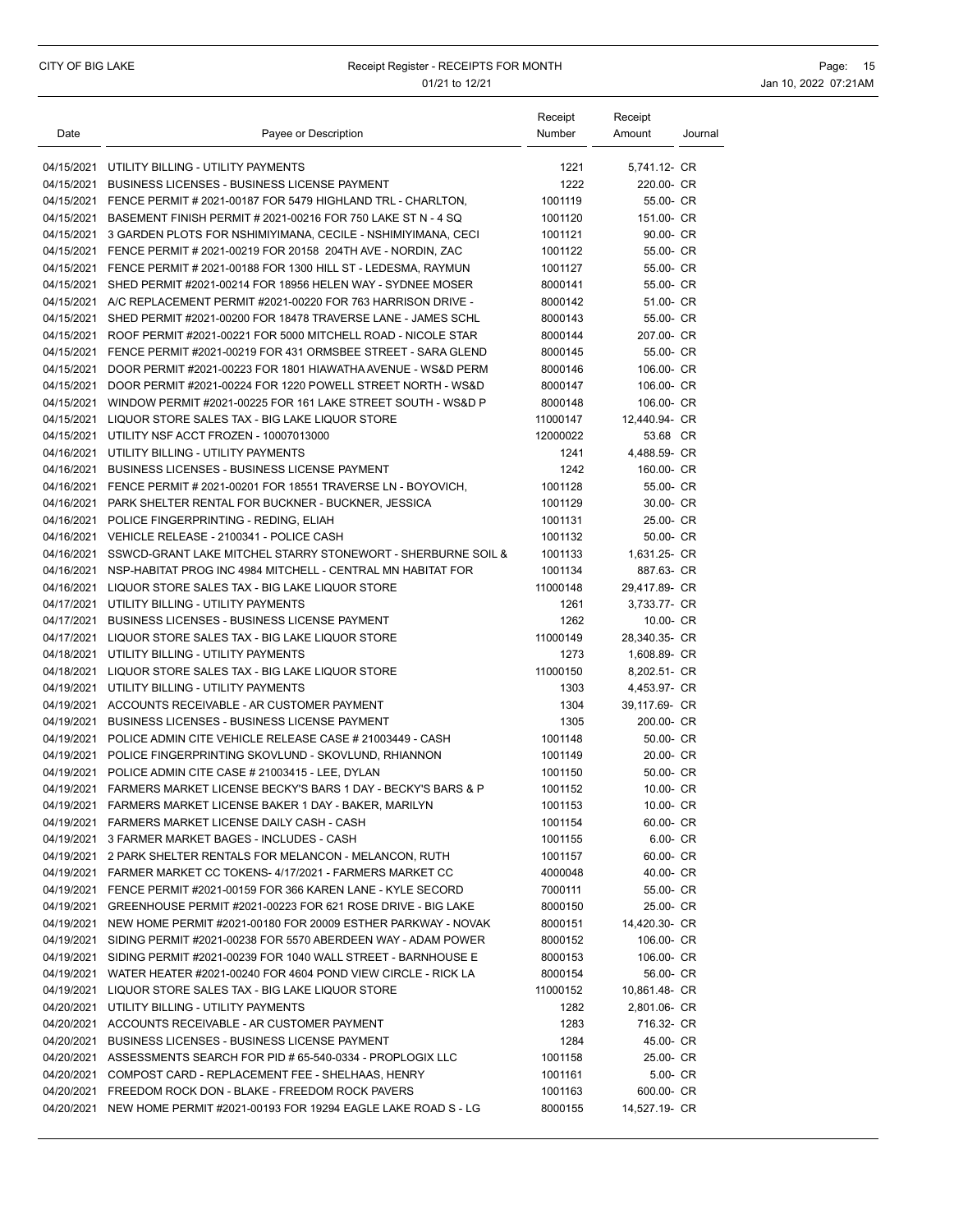### CITY OF BIG LAKE **Receipt Register - RECEIPTS FOR MONTH Page: 15** Page: 15 01/21 to 12/21 **Jan 10, 2022 07:21AM**

| Date       | Payee or Description                                                    | Receipt<br>Number | Receipt<br>Amount | Journal |
|------------|-------------------------------------------------------------------------|-------------------|-------------------|---------|
|            | 04/15/2021 UTILITY BILLING - UTILITY PAYMENTS                           | 1221              | 5,741.12- CR      |         |
| 04/15/2021 | <b>BUSINESS LICENSES - BUSINESS LICENSE PAYMENT</b>                     | 1222              | 220.00- CR        |         |
|            | 04/15/2021 FENCE PERMIT # 2021-00187 FOR 5479 HIGHLAND TRL - CHARLTON,  | 1001119           | 55.00- CR         |         |
|            | 04/15/2021 BASEMENT FINISH PERMIT # 2021-00216 FOR 750 LAKE ST N - 4 SQ | 1001120           | 151.00- CR        |         |
|            | 04/15/2021 3 GARDEN PLOTS FOR NSHIMIYIMANA, CECILE - NSHIMIYIMANA, CECI | 1001121           | 90.00- CR         |         |
|            | 04/15/2021 FENCE PERMIT # 2021-00219 FOR 20158 204TH AVE - NORDIN, ZAC  | 1001122           | 55.00- CR         |         |
|            | 04/15/2021 FENCE PERMIT # 2021-00188 FOR 1300 HILL ST - LEDESMA, RAYMUN | 1001127           | 55.00- CR         |         |
|            | 04/15/2021 SHED PERMIT #2021-00214 FOR 18956 HELEN WAY - SYDNEE MOSER   | 8000141           | 55.00- CR         |         |
|            | 04/15/2021 A/C REPLACEMENT PERMIT #2021-00220 FOR 763 HARRISON DRIVE -  | 8000142           | 51.00- CR         |         |
|            | 04/15/2021 SHED PERMIT #2021-00200 FOR 18478 TRAVERSE LANE - JAMES SCHL | 8000143           | 55.00- CR         |         |
|            | 04/15/2021 ROOF PERMIT #2021-00221 FOR 5000 MITCHELL ROAD - NICOLE STAR | 8000144           | 207.00- CR        |         |
|            | 04/15/2021 FENCE PERMIT #2021-00219 FOR 431 ORMSBEE STREET - SARA GLEND | 8000145           | 55.00- CR         |         |
|            | 04/15/2021 DOOR PERMIT #2021-00223 FOR 1801 HIAWATHA AVENUE - WS&D PERM | 8000146           | 106.00- CR        |         |
|            | 04/15/2021 DOOR PERMIT #2021-00224 FOR 1220 POWELL STREET NORTH - WS&D  | 8000147           | 106.00- CR        |         |
|            | 04/15/2021 WINDOW PERMIT #2021-00225 FOR 161 LAKE STREET SOUTH - WS&D P | 8000148           | 106.00- CR        |         |
|            | 04/15/2021 LIQUOR STORE SALES TAX - BIG LAKE LIQUOR STORE               | 11000147          | 12,440.94- CR     |         |
|            | 04/15/2021 UTILITY NSF ACCT FROZEN - 10007013000                        | 12000022          | 53.68 CR          |         |
|            | 04/16/2021 UTILITY BILLING - UTILITY PAYMENTS                           | 1241              | 4,488.59- CR      |         |
|            | 04/16/2021 BUSINESS LICENSES - BUSINESS LICENSE PAYMENT                 | 1242              | 160.00- CR        |         |
|            | 04/16/2021 FENCE PERMIT # 2021-00201 FOR 18551 TRAVERSE LN - BOYOVICH,  | 1001128           | 55.00- CR         |         |
|            | 04/16/2021 PARK SHELTER RENTAL FOR BUCKNER - BUCKNER, JESSICA           | 1001129           | 30.00- CR         |         |
|            | 04/16/2021 POLICE FINGERPRINTING - REDING, ELIAH                        | 1001131           | 25.00- CR         |         |
|            | 04/16/2021 VEHICLE RELEASE - 2100341 - POLICE CASH                      | 1001132           | 50.00- CR         |         |
|            | 04/16/2021 SSWCD-GRANT LAKE MITCHEL STARRY STONEWORT - SHERBURNE SOIL & | 1001133           | 1,631.25- CR      |         |
|            | 04/16/2021 NSP-HABITAT PROG INC 4984 MITCHELL - CENTRAL MN HABITAT FOR  | 1001134           | 887.63- CR        |         |
|            | 04/16/2021 LIQUOR STORE SALES TAX - BIG LAKE LIQUOR STORE               | 11000148          | 29,417.89- CR     |         |
|            | 04/17/2021 UTILITY BILLING - UTILITY PAYMENTS                           | 1261              | 3,733.77- CR      |         |
|            | 04/17/2021 BUSINESS LICENSES - BUSINESS LICENSE PAYMENT                 | 1262              | 10.00- CR         |         |
|            | 04/17/2021 LIQUOR STORE SALES TAX - BIG LAKE LIQUOR STORE               | 11000149          | 28,340.35- CR     |         |
|            | 04/18/2021 UTILITY BILLING - UTILITY PAYMENTS                           | 1273              | 1,608.89- CR      |         |
|            | 04/18/2021 LIQUOR STORE SALES TAX - BIG LAKE LIQUOR STORE               | 11000150          | 8,202.51- CR      |         |
|            | 04/19/2021 UTILITY BILLING - UTILITY PAYMENTS                           | 1303              | 4,453.97- CR      |         |
|            | 04/19/2021 ACCOUNTS RECEIVABLE - AR CUSTOMER PAYMENT                    | 1304              | 39.117.69- CR     |         |
|            | 04/19/2021 BUSINESS LICENSES - BUSINESS LICENSE PAYMENT                 | 1305              | 200.00- CR        |         |
|            | 04/19/2021 POLICE ADMIN CITE VEHICLE RELEASE CASE # 21003449 - CASH     | 1001148           | 50.00- CR         |         |
|            | 04/19/2021 POLICE FINGERPRINTING SKOVLUND - SKOVLUND, RHIANNON          | 1001149           | 20.00- CR         |         |
|            | 04/19/2021 POLICE ADMIN CITE CASE # 21003415 - LEE, DYLAN               | 1001150           | 50.00- CR         |         |
|            | 04/19/2021 FARMERS MARKET LICENSE BECKY'S BARS 1 DAY - BECKY'S BARS & P | 1001152           | 10.00- CR         |         |
|            | 04/19/2021    FARMERS MARKET LICENSE BAKER 1 DAY - BAKER, MARILYN       | 1001153           | 10.00- CR         |         |
|            | 04/19/2021 FARMERS MARKET LICENSE DAILY CASH - CASH                     | 1001154           | 60.00- CR         |         |
|            | 04/19/2021 3 FARMER MARKET BAGES - INCLUDES - CASH                      | 1001155           | 6.00- CR          |         |
|            | 04/19/2021 2 PARK SHELTER RENTALS FOR MELANCON - MELANCON, RUTH         | 1001157           | 60.00- CR         |         |
|            | 04/19/2021 FARMER MARKET CC TOKENS- 4/17/2021 - FARMERS MARKET CC       | 4000048           | 40.00- CR         |         |
|            | 04/19/2021 FENCE PERMIT #2021-00159 FOR 366 KAREN LANE - KYLE SECORD    | 7000111           | 55.00- CR         |         |
|            | 04/19/2021 GREENHOUSE PERMIT #2021-00223 FOR 621 ROSE DRIVE - BIG LAKE  | 8000150           | 25.00- CR         |         |
|            | 04/19/2021 NEW HOME PERMIT #2021-00180 FOR 20009 ESTHER PARKWAY - NOVAK | 8000151           | 14,420.30- CR     |         |
|            | 04/19/2021 SIDING PERMIT #2021-00238 FOR 5570 ABERDEEN WAY - ADAM POWER | 8000152           | 106.00- CR        |         |
|            | 04/19/2021 SIDING PERMIT #2021-00239 FOR 1040 WALL STREET - BARNHOUSE E | 8000153           | 106.00- CR        |         |
|            | 04/19/2021 WATER HEATER #2021-00240 FOR 4604 POND VIEW CIRCLE - RICK LA | 8000154           | 56.00- CR         |         |
|            | 04/19/2021 LIQUOR STORE SALES TAX - BIG LAKE LIQUOR STORE               | 11000152          | 10,861.48- CR     |         |
|            | 04/20/2021 UTILITY BILLING - UTILITY PAYMENTS                           | 1282              | 2,801.06- CR      |         |
|            | 04/20/2021 ACCOUNTS RECEIVABLE - AR CUSTOMER PAYMENT                    | 1283              | 716.32- CR        |         |
|            | 04/20/2021 BUSINESS LICENSES - BUSINESS LICENSE PAYMENT                 | 1284              | 45.00- CR         |         |
|            | 04/20/2021 ASSESSMENTS SEARCH FOR PID # 65-540-0334 - PROPLOGIX LLC     | 1001158           | 25.00- CR         |         |
|            | 04/20/2021 COMPOST CARD - REPLACEMENT FEE - SHELHAAS, HENRY             | 1001161           | 5.00- CR          |         |
|            | 04/20/2021 FREEDOM ROCK DON - BLAKE - FREEDOM ROCK PAVERS               | 1001163           | 600.00- CR        |         |
|            | 04/20/2021 NEW HOME PERMIT #2021-00193 FOR 19294 EAGLE LAKE ROAD S - LG | 8000155           | 14,527.19- CR     |         |
|            |                                                                         |                   |                   |         |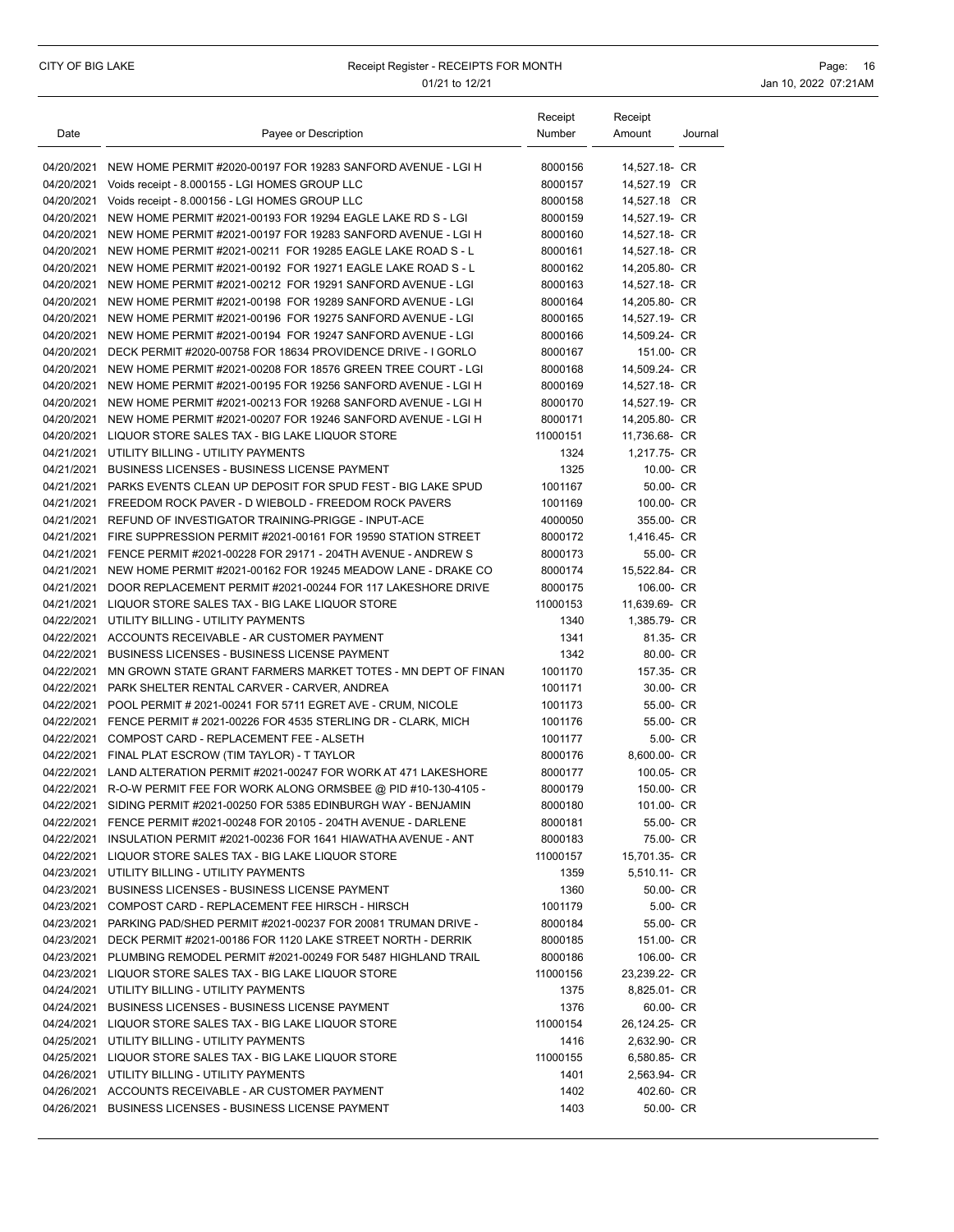### CITY OF BIG LAKE **Receipt Register - RECEIPTS FOR MONTH Page:** 16 01/21 to 12/21 **Jan 10, 2022 07:21AM**

| Date       | Payee or Description                                                                                                                 | Receipt<br>Number  | Receipt<br>Amount             | Journal |
|------------|--------------------------------------------------------------------------------------------------------------------------------------|--------------------|-------------------------------|---------|
|            |                                                                                                                                      |                    |                               |         |
|            | 04/20/2021 NEW HOME PERMIT #2020-00197 FOR 19283 SANFORD AVENUE - LGI H<br>04/20/2021 Voids receipt - 8.000155 - LGI HOMES GROUP LLC | 8000156<br>8000157 | 14,527.18- CR<br>14,527.19 CR |         |
|            | 04/20/2021 Voids receipt - 8.000156 - LGI HOMES GROUP LLC                                                                            | 8000158            | 14,527.18 CR                  |         |
| 04/20/2021 | NEW HOME PERMIT #2021-00193 FOR 19294 EAGLE LAKE RD S - LGI                                                                          | 8000159            | 14,527.19- CR                 |         |
|            | 04/20/2021 NEW HOME PERMIT #2021-00197 FOR 19283 SANFORD AVENUE - LGI H                                                              | 8000160            | 14,527.18- CR                 |         |
|            | 04/20/2021 NEW HOME PERMIT #2021-00211 FOR 19285 EAGLE LAKE ROAD S - L                                                               | 8000161            | 14,527.18- CR                 |         |
|            | 04/20/2021 NEW HOME PERMIT #2021-00192 FOR 19271 EAGLE LAKE ROAD S - L                                                               | 8000162            | 14,205.80- CR                 |         |
|            | 04/20/2021 NEW HOME PERMIT #2021-00212 FOR 19291 SANFORD AVENUE - LGI                                                                | 8000163            | 14,527.18- CR                 |         |
|            | 04/20/2021 NEW HOME PERMIT #2021-00198 FOR 19289 SANFORD AVENUE - LGI                                                                | 8000164            | 14.205.80- CR                 |         |
|            | 04/20/2021 NEW HOME PERMIT #2021-00196 FOR 19275 SANFORD AVENUE - LGI                                                                | 8000165            | 14,527.19- CR                 |         |
|            | 04/20/2021 NEW HOME PERMIT #2021-00194 FOR 19247 SANFORD AVENUE - LGI                                                                | 8000166            | 14,509.24- CR                 |         |
|            | 04/20/2021 DECK PERMIT #2020-00758 FOR 18634 PROVIDENCE DRIVE - I GORLO                                                              | 8000167            | 151.00- CR                    |         |
|            | 04/20/2021 NEW HOME PERMIT #2021-00208 FOR 18576 GREEN TREE COURT - LGI                                                              | 8000168            | 14,509.24- CR                 |         |
|            | 04/20/2021 NEW HOME PERMIT #2021-00195 FOR 19256 SANFORD AVENUE - LGI H                                                              | 8000169            | 14,527.18- CR                 |         |
|            | 04/20/2021 NEW HOME PERMIT #2021-00213 FOR 19268 SANFORD AVENUE - LGI H                                                              | 8000170            | 14.527.19- CR                 |         |
|            | 04/20/2021 NEW HOME PERMIT #2021-00207 FOR 19246 SANFORD AVENUE - LGI H                                                              | 8000171            | 14,205.80- CR                 |         |
|            | 04/20/2021 LIQUOR STORE SALES TAX - BIG LAKE LIQUOR STORE                                                                            | 11000151           | 11,736.68- CR                 |         |
|            | 04/21/2021 UTILITY BILLING - UTILITY PAYMENTS                                                                                        | 1324               | 1,217.75- CR                  |         |
|            | 04/21/2021 BUSINESS LICENSES - BUSINESS LICENSE PAYMENT                                                                              | 1325               | 10.00- CR                     |         |
|            | 04/21/2021 PARKS EVENTS CLEAN UP DEPOSIT FOR SPUD FEST - BIG LAKE SPUD                                                               | 1001167            | 50.00- CR                     |         |
|            | 04/21/2021 FREEDOM ROCK PAVER - D WIEBOLD - FREEDOM ROCK PAVERS                                                                      | 1001169            | 100.00- CR                    |         |
|            | 04/21/2021 REFUND OF INVESTIGATOR TRAINING-PRIGGE - INPUT-ACE                                                                        | 4000050            | 355.00- CR                    |         |
|            | 04/21/2021 FIRE SUPPRESSION PERMIT #2021-00161 FOR 19590 STATION STREET                                                              | 8000172            | 1,416.45- CR                  |         |
|            | 04/21/2021 FENCE PERMIT #2021-00228 FOR 29171 - 204TH AVENUE - ANDREW S                                                              | 8000173            | 55.00- CR                     |         |
|            | 04/21/2021 NEW HOME PERMIT #2021-00162 FOR 19245 MEADOW LANE - DRAKE CO                                                              | 8000174            | 15,522.84- CR                 |         |
|            | 04/21/2021 DOOR REPLACEMENT PERMIT #2021-00244 FOR 117 LAKESHORE DRIVE                                                               | 8000175            | 106.00- CR                    |         |
|            | 04/21/2021 LIQUOR STORE SALES TAX - BIG LAKE LIQUOR STORE                                                                            | 11000153           | 11,639.69- CR                 |         |
|            | 04/22/2021 UTILITY BILLING - UTILITY PAYMENTS                                                                                        | 1340               | 1,385.79- CR                  |         |
|            | 04/22/2021 ACCOUNTS RECEIVABLE - AR CUSTOMER PAYMENT                                                                                 | 1341               | 81.35- CR                     |         |
|            | 04/22/2021 BUSINESS LICENSES - BUSINESS LICENSE PAYMENT                                                                              | 1342               | 80.00- CR                     |         |
|            | 04/22/2021 MN GROWN STATE GRANT FARMERS MARKET TOTES - MN DEPT OF FINAN                                                              | 1001170            | 157.35- CR                    |         |
|            | 04/22/2021 PARK SHELTER RENTAL CARVER - CARVER, ANDREA                                                                               | 1001171            | 30.00- CR                     |         |
|            | 04/22/2021 POOL PERMIT # 2021-00241 FOR 5711 EGRET AVE - CRUM, NICOLE                                                                | 1001173            | 55.00- CR                     |         |
|            | 04/22/2021 FENCE PERMIT # 2021-00226 FOR 4535 STERLING DR - CLARK, MICH                                                              | 1001176            | 55.00- CR                     |         |
|            | 04/22/2021 COMPOST CARD - REPLACEMENT FEE - ALSETH                                                                                   | 1001177            | 5.00- CR                      |         |
|            | 04/22/2021 FINAL PLAT ESCROW (TIM TAYLOR) - T TAYLOR                                                                                 | 8000176            | 8,600.00- CR                  |         |
|            | 04/22/2021 LAND ALTERATION PERMIT #2021-00247 FOR WORK AT 471 LAKESHORE                                                              | 8000177            | 100.05- CR                    |         |
|            | 04/22/2021 R-O-W PERMIT FEE FOR WORK ALONG ORMSBEE @ PID #10-130-4105 -                                                              | 8000179            | 150.00- CR                    |         |
|            | 04/22/2021 SIDING PERMIT #2021-00250 FOR 5385 EDINBURGH WAY - BENJAMIN                                                               | 8000180            | 101.00- CR                    |         |
|            | 04/22/2021 FENCE PERMIT #2021-00248 FOR 20105 - 204TH AVENUE - DARLENE                                                               | 8000181            | 55.00- CR                     |         |
|            | 04/22/2021 INSULATION PERMIT #2021-00236 FOR 1641 HIAWATHA AVENUE - ANT                                                              | 8000183            | 75.00- CR                     |         |
|            | 04/22/2021 LIQUOR STORE SALES TAX - BIG LAKE LIQUOR STORE                                                                            | 11000157           | 15,701.35- CR                 |         |
|            | 04/23/2021 UTILITY BILLING - UTILITY PAYMENTS                                                                                        | 1359               | 5,510.11- CR                  |         |
|            | 04/23/2021 BUSINESS LICENSES - BUSINESS LICENSE PAYMENT                                                                              | 1360               | 50.00- CR                     |         |
|            | 04/23/2021 COMPOST CARD - REPLACEMENT FEE HIRSCH - HIRSCH                                                                            | 1001179            | 5.00- CR                      |         |
|            | 04/23/2021 PARKING PAD/SHED PERMIT #2021-00237 FOR 20081 TRUMAN DRIVE -                                                              | 8000184            | 55.00- CR                     |         |
|            | 04/23/2021 DECK PERMIT #2021-00186 FOR 1120 LAKE STREET NORTH - DERRIK                                                               | 8000185            | 151.00- CR                    |         |
|            | 04/23/2021 PLUMBING REMODEL PERMIT #2021-00249 FOR 5487 HIGHLAND TRAIL                                                               | 8000186            | 106.00- CR                    |         |
|            | 04/23/2021 LIQUOR STORE SALES TAX - BIG LAKE LIQUOR STORE                                                                            | 11000156           | 23,239.22- CR                 |         |
|            | 04/24/2021 UTILITY BILLING - UTILITY PAYMENTS                                                                                        | 1375               | 8,825.01- CR                  |         |
|            | 04/24/2021 BUSINESS LICENSES - BUSINESS LICENSE PAYMENT                                                                              | 1376               | 60.00- CR                     |         |
|            | 04/24/2021 LIQUOR STORE SALES TAX - BIG LAKE LIQUOR STORE                                                                            | 11000154           | 26,124.25- CR                 |         |
|            | 04/25/2021 UTILITY BILLING - UTILITY PAYMENTS                                                                                        | 1416               | 2,632.90- CR                  |         |
|            | 04/25/2021 LIQUOR STORE SALES TAX - BIG LAKE LIQUOR STORE                                                                            | 11000155           | 6,580.85- CR                  |         |
|            | 04/26/2021 UTILITY BILLING - UTILITY PAYMENTS                                                                                        | 1401               | 2,563.94- CR                  |         |
|            | 04/26/2021 ACCOUNTS RECEIVABLE - AR CUSTOMER PAYMENT                                                                                 | 1402               | 402.60- CR                    |         |
|            | 04/26/2021 BUSINESS LICENSES - BUSINESS LICENSE PAYMENT                                                                              | 1403               | 50.00- CR                     |         |
|            |                                                                                                                                      |                    |                               |         |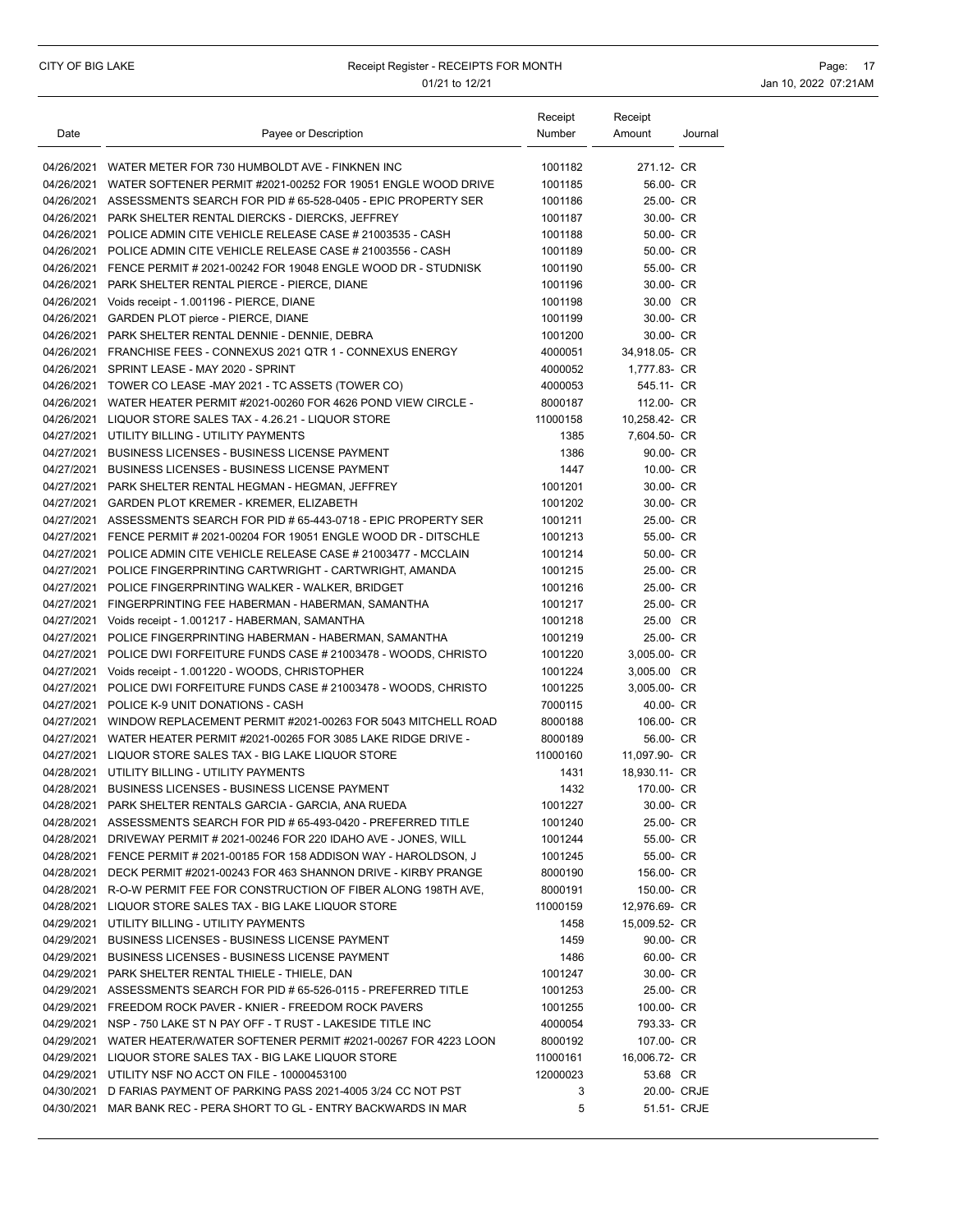### CITY OF BIG LAKE **Receipt Register - RECEIPTS FOR MONTH Page: 17** Page: 17 01/21 to 12/21 **Jan 10, 2022 07:21AM**

| Date | Payee or Description                                                    | Receipt<br>Number | Receipt<br>Amount | Journal |
|------|-------------------------------------------------------------------------|-------------------|-------------------|---------|
|      | 04/26/2021 WATER METER FOR 730 HUMBOLDT AVE - FINKNEN INC               | 1001182           | 271.12- CR        |         |
|      | 04/26/2021 WATER SOFTENER PERMIT #2021-00252 FOR 19051 ENGLE WOOD DRIVE | 1001185           | 56.00- CR         |         |
|      | 04/26/2021 ASSESSMENTS SEARCH FOR PID # 65-528-0405 - EPIC PROPERTY SER | 1001186           | 25.00- CR         |         |
|      | 04/26/2021 PARK SHELTER RENTAL DIERCKS - DIERCKS, JEFFREY               | 1001187           | 30.00- CR         |         |
|      | 04/26/2021 POLICE ADMIN CITE VEHICLE RELEASE CASE # 21003535 - CASH     | 1001188           | 50.00- CR         |         |
|      | 04/26/2021 POLICE ADMIN CITE VEHICLE RELEASE CASE # 21003556 - CASH     | 1001189           | 50.00- CR         |         |
|      | 04/26/2021 FENCE PERMIT # 2021-00242 FOR 19048 ENGLE WOOD DR - STUDNISK | 1001190           | 55.00- CR         |         |
|      | 04/26/2021 PARK SHELTER RENTAL PIERCE - PIERCE, DIANE                   | 1001196           | 30.00- CR         |         |
|      | 04/26/2021 Voids receipt - 1.001196 - PIERCE, DIANE                     | 1001198           | 30.00 CR          |         |
|      | 04/26/2021 GARDEN PLOT pierce - PIERCE, DIANE                           | 1001199           | 30.00- CR         |         |
|      | 04/26/2021 PARK SHELTER RENTAL DENNIE - DENNIE, DEBRA                   | 1001200           | 30.00- CR         |         |
|      | 04/26/2021 FRANCHISE FEES - CONNEXUS 2021 QTR 1 - CONNEXUS ENERGY       | 4000051           | 34,918.05- CR     |         |
|      | 04/26/2021 SPRINT LEASE - MAY 2020 - SPRINT                             | 4000052           | 1,777.83- CR      |         |
|      | 04/26/2021 TOWER CO LEASE -MAY 2021 - TC ASSETS (TOWER CO)              | 4000053           | 545.11- CR        |         |
|      | 04/26/2021 WATER HEATER PERMIT #2021-00260 FOR 4626 POND VIEW CIRCLE -  | 8000187           | 112.00- CR        |         |
|      | 04/26/2021 LIQUOR STORE SALES TAX - 4.26.21 - LIQUOR STORE              | 11000158          | 10,258.42- CR     |         |
|      | 04/27/2021 UTILITY BILLING - UTILITY PAYMENTS                           | 1385              | 7.604.50- CR      |         |
|      | 04/27/2021 BUSINESS LICENSES - BUSINESS LICENSE PAYMENT                 | 1386              | 90.00- CR         |         |
|      | 04/27/2021 BUSINESS LICENSES - BUSINESS LICENSE PAYMENT                 | 1447              | 10.00- CR         |         |
|      | 04/27/2021 PARK SHELTER RENTAL HEGMAN - HEGMAN, JEFFREY                 | 1001201           | 30.00- CR         |         |
|      | 04/27/2021 GARDEN PLOT KREMER - KREMER, ELIZABETH                       | 1001202           | 30.00- CR         |         |
|      | 04/27/2021 ASSESSMENTS SEARCH FOR PID # 65-443-0718 - EPIC PROPERTY SER | 1001211           | 25.00- CR         |         |
|      | 04/27/2021 FENCE PERMIT # 2021-00204 FOR 19051 ENGLE WOOD DR - DITSCHLE | 1001213           | 55.00- CR         |         |
|      | 04/27/2021 POLICE ADMIN CITE VEHICLE RELEASE CASE # 21003477 - MCCLAIN  | 1001214           | 50.00- CR         |         |
|      | 04/27/2021 POLICE FINGERPRINTING CARTWRIGHT - CARTWRIGHT, AMANDA        | 1001215           | 25.00- CR         |         |
|      | 04/27/2021 POLICE FINGERPRINTING WALKER - WALKER, BRIDGET               | 1001216           | 25.00- CR         |         |
|      | 04/27/2021 FINGERPRINTING FEE HABERMAN - HABERMAN, SAMANTHA             | 1001217           | 25.00- CR         |         |
|      | 04/27/2021 Voids receipt - 1.001217 - HABERMAN, SAMANTHA                | 1001218           | 25.00 CR          |         |
|      | 04/27/2021 POLICE FINGERPRINTING HABERMAN - HABERMAN, SAMANTHA          | 1001219           | 25.00- CR         |         |
|      | 04/27/2021 POLICE DWI FORFEITURE FUNDS CASE # 21003478 - WOODS, CHRISTO | 1001220           | 3,005.00- CR      |         |
|      | 04/27/2021 Voids receipt - 1.001220 - WOODS, CHRISTOPHER                | 1001224           | 3,005.00 CR       |         |
|      | 04/27/2021 POLICE DWI FORFEITURE FUNDS CASE # 21003478 - WOODS, CHRISTO | 1001225           | 3,005.00- CR      |         |
|      | 04/27/2021 POLICE K-9 UNIT DONATIONS - CASH                             | 7000115           | 40.00- CR         |         |
|      | 04/27/2021 WINDOW REPLACEMENT PERMIT #2021-00263 FOR 5043 MITCHELL ROAD | 8000188           | 106.00- CR        |         |
|      | 04/27/2021 WATER HEATER PERMIT #2021-00265 FOR 3085 LAKE RIDGE DRIVE -  | 8000189           | 56.00- CR         |         |
|      | 04/27/2021 LIQUOR STORE SALES TAX - BIG LAKE LIQUOR STORE               | 11000160          | 11,097.90- CR     |         |
|      | 04/28/2021 UTILITY BILLING - UTILITY PAYMENTS                           | 1431              | 18,930.11- CR     |         |
|      | 04/28/2021 BUSINESS LICENSES - BUSINESS LICENSE PAYMENT                 | 1432              | 170.00- CR        |         |
|      | 04/28/2021 PARK SHELTER RENTALS GARCIA - GARCIA, ANA RUEDA              | 1001227           | 30.00- CR         |         |
|      | 04/28/2021 ASSESSMENTS SEARCH FOR PID # 65-493-0420 - PREFERRED TITLE   | 1001240           | 25.00- CR         |         |
|      | 04/28/2021 DRIVEWAY PERMIT # 2021-00246 FOR 220 IDAHO AVE - JONES, WILL | 1001244           | 55.00- CR         |         |
|      | 04/28/2021 FENCE PERMIT # 2021-00185 FOR 158 ADDISON WAY - HAROLDSON, J | 1001245           | 55.00- CR         |         |
|      | 04/28/2021 DECK PERMIT #2021-00243 FOR 463 SHANNON DRIVE - KIRBY PRANGE | 8000190           | 156.00- CR        |         |
|      | 04/28/2021 R-O-W PERMIT FEE FOR CONSTRUCTION OF FIBER ALONG 198TH AVE.  | 8000191           | 150.00- CR        |         |
|      | 04/28/2021 LIQUOR STORE SALES TAX - BIG LAKE LIQUOR STORE               | 11000159          | 12,976.69- CR     |         |
|      | 04/29/2021 UTILITY BILLING - UTILITY PAYMENTS                           | 1458              | 15,009.52- CR     |         |
|      | 04/29/2021 BUSINESS LICENSES - BUSINESS LICENSE PAYMENT                 | 1459              | 90.00- CR         |         |
|      | 04/29/2021 BUSINESS LICENSES - BUSINESS LICENSE PAYMENT                 | 1486              | 60.00- CR         |         |
|      | 04/29/2021 PARK SHELTER RENTAL THIELE - THIELE, DAN                     | 1001247           | 30.00- CR         |         |
|      | 04/29/2021 ASSESSMENTS SEARCH FOR PID # 65-526-0115 - PREFERRED TITLE   | 1001253           | 25.00- CR         |         |
|      | 04/29/2021 FREEDOM ROCK PAVER - KNIER - FREEDOM ROCK PAVERS             | 1001255           | 100.00- CR        |         |
|      | 04/29/2021 NSP - 750 LAKE ST N PAY OFF - T RUST - LAKESIDE TITLE INC    | 4000054           | 793.33- CR        |         |
|      | 04/29/2021 WATER HEATER/WATER SOFTENER PERMIT #2021-00267 FOR 4223 LOON | 8000192           | 107.00- CR        |         |
|      | 04/29/2021 LIQUOR STORE SALES TAX - BIG LAKE LIQUOR STORE               | 11000161          | 16,006.72- CR     |         |
|      | 04/29/2021 UTILITY NSF NO ACCT ON FILE - 10000453100                    | 12000023          | 53.68 CR          |         |
|      | 04/30/2021 D FARIAS PAYMENT OF PARKING PASS 2021-4005 3/24 CC NOT PST   | 3                 | 20.00- CRJE       |         |
|      | 04/30/2021 MAR BANK REC - PERA SHORT TO GL - ENTRY BACKWARDS IN MAR     | 5                 | 51.51- CRJE       |         |
|      |                                                                         |                   |                   |         |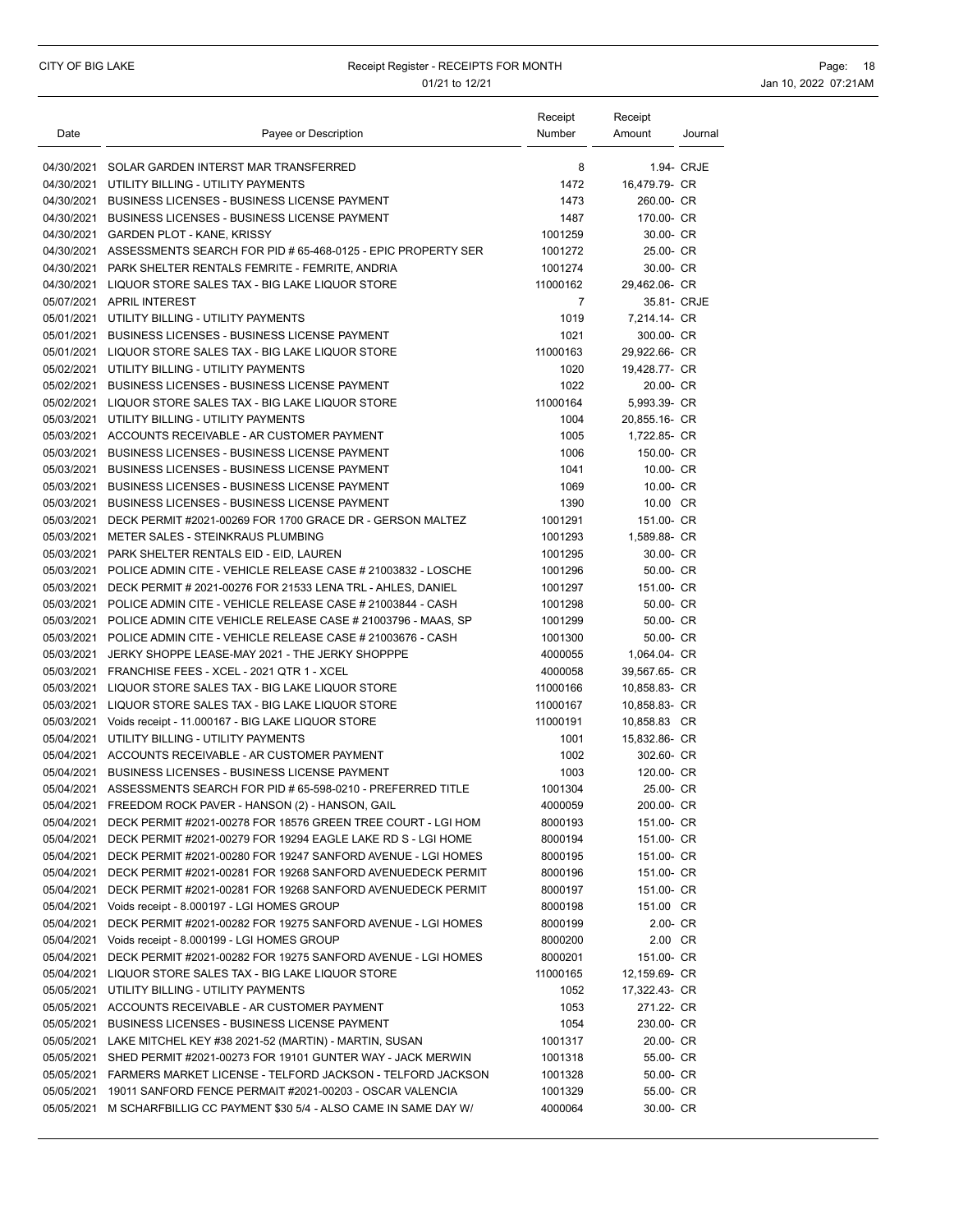### CITY OF BIG LAKE **Receipt Register - RECEIPTS FOR MONTH Page: 18** Page: 18 01/21 to 12/21 **Jan 10, 2022 07:21AM**

| Date | Payee or Description                                                                                                            | Receipt<br>Number | Receipt<br>Amount      | Journal    |
|------|---------------------------------------------------------------------------------------------------------------------------------|-------------------|------------------------|------------|
|      |                                                                                                                                 |                   |                        |            |
|      | 04/30/2021 SOLAR GARDEN INTERST MAR TRANSFERRED                                                                                 | 8                 |                        | 1.94- CRJE |
|      | 04/30/2021 UTILITY BILLING - UTILITY PAYMENTS                                                                                   | 1472              | 16,479.79- CR          |            |
|      | 04/30/2021 BUSINESS LICENSES - BUSINESS LICENSE PAYMENT                                                                         | 1473              | 260.00- CR             |            |
|      | 04/30/2021 BUSINESS LICENSES - BUSINESS LICENSE PAYMENT                                                                         | 1487              | 170.00- CR             |            |
|      | 04/30/2021 GARDEN PLOT - KANE, KRISSY                                                                                           | 1001259           | 30.00- CR              |            |
|      | 04/30/2021 ASSESSMENTS SEARCH FOR PID # 65-468-0125 - EPIC PROPERTY SER                                                         | 1001272           | 25.00- CR              |            |
|      | 04/30/2021 PARK SHELTER RENTALS FEMRITE - FEMRITE, ANDRIA                                                                       | 1001274           | 30.00- CR              |            |
|      | 04/30/2021 LIQUOR STORE SALES TAX - BIG LAKE LIQUOR STORE                                                                       | 11000162          | 29,462.06- CR          |            |
|      | 05/07/2021 APRIL INTEREST                                                                                                       | $\overline{7}$    | 35.81- CRJE            |            |
|      | 05/01/2021 UTILITY BILLING - UTILITY PAYMENTS                                                                                   | 1019              | 7,214.14- CR           |            |
|      | 05/01/2021 BUSINESS LICENSES - BUSINESS LICENSE PAYMENT                                                                         | 1021              | 300.00- CR             |            |
|      | 05/01/2021 LIQUOR STORE SALES TAX - BIG LAKE LIQUOR STORE                                                                       | 11000163          | 29,922.66- CR          |            |
|      | 05/02/2021 UTILITY BILLING - UTILITY PAYMENTS                                                                                   | 1020              | 19,428.77- CR          |            |
|      | 05/02/2021 BUSINESS LICENSES - BUSINESS LICENSE PAYMENT                                                                         | 1022              | 20.00- CR              |            |
|      | 05/02/2021 LIQUOR STORE SALES TAX - BIG LAKE LIQUOR STORE                                                                       | 11000164          | 5,993.39- CR           |            |
|      | 05/03/2021 UTILITY BILLING - UTILITY PAYMENTS                                                                                   | 1004              | 20,855.16- CR          |            |
|      | 05/03/2021 ACCOUNTS RECEIVABLE - AR CUSTOMER PAYMENT                                                                            | 1005              | 1,722.85- CR           |            |
|      | 05/03/2021 BUSINESS LICENSES - BUSINESS LICENSE PAYMENT                                                                         | 1006              | 150.00- CR             |            |
|      | 05/03/2021 BUSINESS LICENSES - BUSINESS LICENSE PAYMENT                                                                         | 1041              | 10.00- CR              |            |
|      | 05/03/2021 BUSINESS LICENSES - BUSINESS LICENSE PAYMENT                                                                         | 1069              | 10.00- CR              |            |
|      | 05/03/2021 BUSINESS LICENSES - BUSINESS LICENSE PAYMENT<br>05/03/2021 DECK PERMIT #2021-00269 FOR 1700 GRACE DR - GERSON MALTEZ | 1390<br>1001291   | 10.00 CR<br>151.00- CR |            |
|      | 05/03/2021 METER SALES - STEINKRAUS PLUMBING                                                                                    | 1001293           | 1,589.88- CR           |            |
|      | 05/03/2021 PARK SHELTER RENTALS EID - EID, LAUREN                                                                               | 1001295           | 30.00- CR              |            |
|      | 05/03/2021 POLICE ADMIN CITE - VEHICLE RELEASE CASE # 21003832 - LOSCHE                                                         | 1001296           | 50.00- CR              |            |
|      | 05/03/2021 DECK PERMIT # 2021-00276 FOR 21533 LENA TRL - AHLES, DANIEL                                                          | 1001297           | 151.00- CR             |            |
|      | 05/03/2021 POLICE ADMIN CITE - VEHICLE RELEASE CASE # 21003844 - CASH                                                           | 1001298           | 50.00- CR              |            |
|      | 05/03/2021 POLICE ADMIN CITE VEHICLE RELEASE CASE # 21003796 - MAAS, SP                                                         | 1001299           | 50.00- CR              |            |
|      | 05/03/2021 POLICE ADMIN CITE - VEHICLE RELEASE CASE # 21003676 - CASH                                                           | 1001300           | 50.00- CR              |            |
|      | 05/03/2021 JERKY SHOPPE LEASE-MAY 2021 - THE JERKY SHOPPPE                                                                      | 4000055           | 1,064.04- CR           |            |
|      | 05/03/2021 FRANCHISE FEES - XCEL - 2021 QTR 1 - XCEL                                                                            | 4000058           | 39,567.65- CR          |            |
|      | 05/03/2021 LIQUOR STORE SALES TAX - BIG LAKE LIQUOR STORE                                                                       | 11000166          | 10,858.83- CR          |            |
|      | 05/03/2021 LIQUOR STORE SALES TAX - BIG LAKE LIQUOR STORE                                                                       | 11000167          | 10,858.83- CR          |            |
|      | 05/03/2021 Voids receipt - 11.000167 - BIG LAKE LIQUOR STORE                                                                    | 11000191          | 10,858.83 CR           |            |
|      | 05/04/2021 UTILITY BILLING - UTILITY PAYMENTS                                                                                   | 1001              | 15,832.86- CR          |            |
|      | 05/04/2021 ACCOUNTS RECEIVABLE - AR CUSTOMER PAYMENT                                                                            | 1002              | 302.60- CR             |            |
|      | 05/04/2021 BUSINESS LICENSES - BUSINESS LICENSE PAYMENT                                                                         | 1003              | 120.00- CR             |            |
|      | 05/04/2021 ASSESSMENTS SEARCH FOR PID # 65-598-0210 - PREFERRED TITLE                                                           | 1001304           | 25.00- CR              |            |
|      | 05/04/2021 FREEDOM ROCK PAVER - HANSON (2) - HANSON, GAIL                                                                       | 4000059           | 200.00- CR             |            |
|      | 05/04/2021 DECK PERMIT #2021-00278 FOR 18576 GREEN TREE COURT - LGI HOM                                                         | 8000193           | 151.00- CR             |            |
|      | 05/04/2021 DECK PERMIT #2021-00279 FOR 19294 EAGLE LAKE RD S - LGI HOME                                                         | 8000194           | 151.00- CR             |            |
|      | 05/04/2021 DECK PERMIT #2021-00280 FOR 19247 SANFORD AVENUE - LGI HOMES                                                         | 8000195           | 151.00- CR             |            |
|      | 05/04/2021 DECK PERMIT #2021-00281 FOR 19268 SANFORD AVENUEDECK PERMIT                                                          | 8000196           | 151.00- CR             |            |
|      | 05/04/2021 DECK PERMIT #2021-00281 FOR 19268 SANFORD AVENUEDECK PERMIT                                                          | 8000197           | 151.00- CR             |            |
|      | 05/04/2021 Voids receipt - 8.000197 - LGI HOMES GROUP                                                                           | 8000198           | 151.00 CR              |            |
|      | 05/04/2021 DECK PERMIT #2021-00282 FOR 19275 SANFORD AVENUE - LGI HOMES                                                         | 8000199           | 2.00- CR               |            |
|      | 05/04/2021 Voids receipt - 8.000199 - LGI HOMES GROUP                                                                           | 8000200           | 2.00 CR                |            |
|      | 05/04/2021 DECK PERMIT #2021-00282 FOR 19275 SANFORD AVENUE - LGI HOMES                                                         | 8000201           | 151.00- CR             |            |
|      | 05/04/2021 LIQUOR STORE SALES TAX - BIG LAKE LIQUOR STORE                                                                       | 11000165          | 12,159.69- CR          |            |
|      | 05/05/2021 UTILITY BILLING - UTILITY PAYMENTS                                                                                   | 1052              | 17,322.43- CR          |            |
|      | 05/05/2021 ACCOUNTS RECEIVABLE - AR CUSTOMER PAYMENT                                                                            | 1053              | 271.22- CR             |            |
|      | 05/05/2021 BUSINESS LICENSES - BUSINESS LICENSE PAYMENT                                                                         | 1054              | 230.00- CR             |            |
|      | 05/05/2021 LAKE MITCHEL KEY #38 2021-52 (MARTIN) - MARTIN, SUSAN                                                                | 1001317           | 20.00- CR              |            |
|      | 05/05/2021 SHED PERMIT #2021-00273 FOR 19101 GUNTER WAY - JACK MERWIN                                                           | 1001318           | 55.00- CR              |            |
|      | 05/05/2021   FARMERS MARKET LICENSE - TELFORD JACKSON - TELFORD JACKSON                                                         | 1001328           | 50.00- CR              |            |
|      | 05/05/2021  19011 SANFORD FENCE PERMAIT #2021-00203 - OSCAR VALENCIA                                                            | 1001329           | 55.00- CR              |            |
|      | 05/05/2021 M SCHARFBILLIG CC PAYMENT \$30 5/4 - ALSO CAME IN SAME DAY W/                                                        | 4000064           | 30.00- CR              |            |
|      |                                                                                                                                 |                   |                        |            |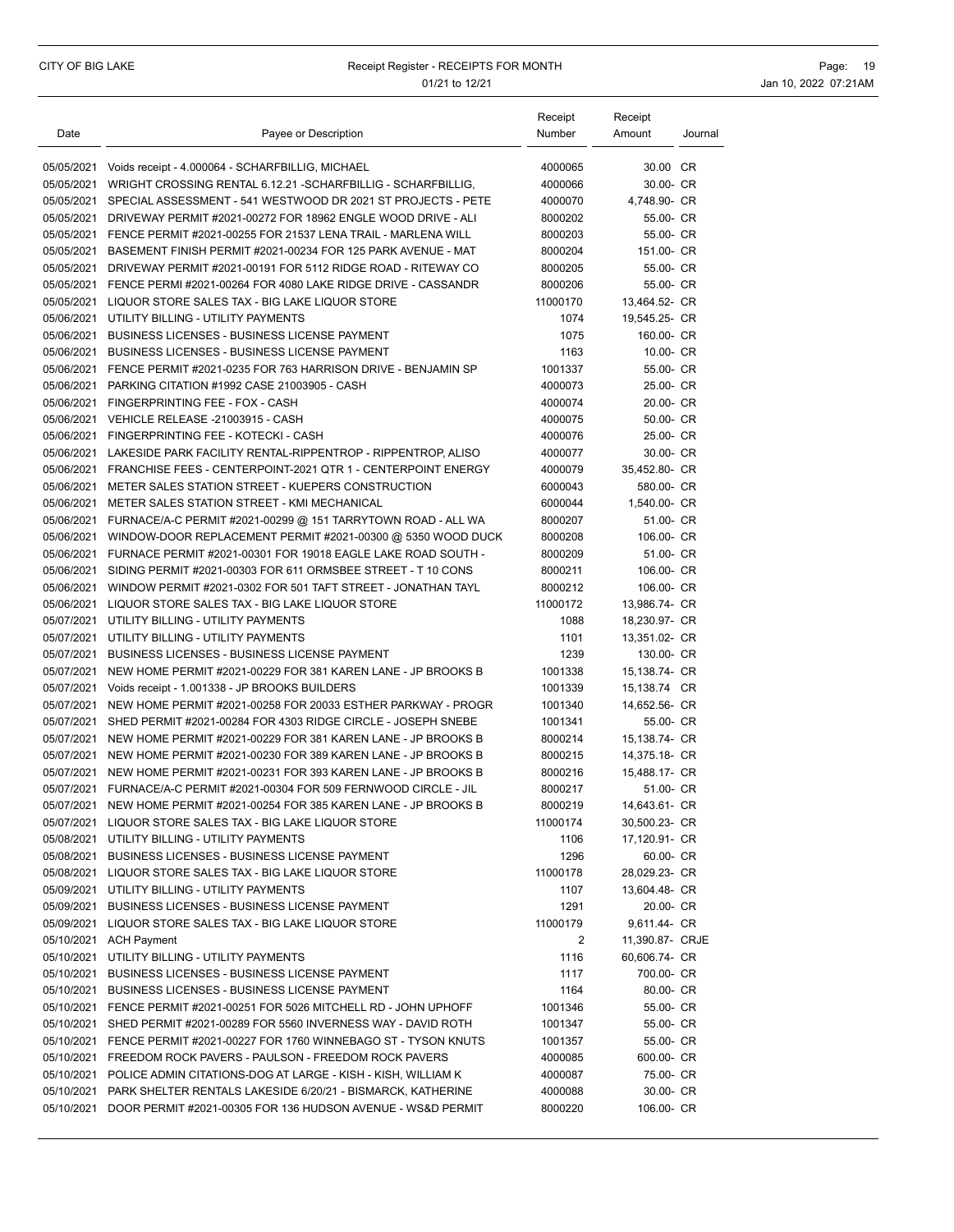### CITY OF BIG LAKE **Receipt Register - RECEIPTS FOR MONTH Page: 19** Page: 19 01/21 to 12/21 **Jan 10, 2022 07:21AM**

| Date       | Payee or Description                                                    | Receipt<br>Number | Receipt<br>Amount | Journal |
|------------|-------------------------------------------------------------------------|-------------------|-------------------|---------|
|            | 05/05/2021 Voids receipt - 4.000064 - SCHARFBILLIG, MICHAEL             | 4000065           | 30.00 CR          |         |
| 05/05/2021 | WRIGHT CROSSING RENTAL 6.12.21 - SCHARFBILLIG - SCHARFBILLIG.           | 4000066           | 30.00- CR         |         |
| 05/05/2021 | SPECIAL ASSESSMENT - 541 WESTWOOD DR 2021 ST PROJECTS - PETE            | 4000070           | 4,748.90- CR      |         |
| 05/05/2021 | DRIVEWAY PERMIT #2021-00272 FOR 18962 ENGLE WOOD DRIVE - ALI            | 8000202           | 55.00- CR         |         |
|            | 05/05/2021 FENCE PERMIT #2021-00255 FOR 21537 LENA TRAIL - MARLENA WILL | 8000203           | 55.00- CR         |         |
| 05/05/2021 | BASEMENT FINISH PERMIT #2021-00234 FOR 125 PARK AVENUE - MAT            | 8000204           | 151.00- CR        |         |
| 05/05/2021 | DRIVEWAY PERMIT #2021-00191 FOR 5112 RIDGE ROAD - RITEWAY CO            | 8000205           | 55.00- CR         |         |
|            | 05/05/2021 FENCE PERMI#2021-00264 FOR 4080 LAKE RIDGE DRIVE - CASSANDR  | 8000206           | 55.00- CR         |         |
|            | 05/05/2021 LIQUOR STORE SALES TAX - BIG LAKE LIQUOR STORE               | 11000170          | 13,464.52- CR     |         |
|            | 05/06/2021 UTILITY BILLING - UTILITY PAYMENTS                           | 1074              | 19,545.25- CR     |         |
|            | 05/06/2021 BUSINESS LICENSES - BUSINESS LICENSE PAYMENT                 | 1075              | 160.00- CR        |         |
| 05/06/2021 | <b>BUSINESS LICENSES - BUSINESS LICENSE PAYMENT</b>                     | 1163              | 10.00- CR         |         |
|            | 05/06/2021 FENCE PERMIT #2021-0235 FOR 763 HARRISON DRIVE - BENJAMIN SP | 1001337           | 55.00- CR         |         |
| 05/06/2021 | PARKING CITATION #1992 CASE 21003905 - CASH                             | 4000073           | 25.00- CR         |         |
|            | 05/06/2021 FINGERPRINTING FEE - FOX - CASH                              | 4000074           | 20.00- CR         |         |
|            | 05/06/2021 VEHICLE RELEASE -21003915 - CASH                             | 4000075           | 50.00- CR         |         |
| 05/06/2021 | FINGERPRINTING FEE - KOTECKI - CASH                                     | 4000076           | 25.00- CR         |         |
|            | 05/06/2021 LAKESIDE PARK FACILITY RENTAL-RIPPENTROP - RIPPENTROP, ALISO | 4000077           | 30.00- CR         |         |
|            | 05/06/2021 FRANCHISE FEES - CENTERPOINT-2021 QTR 1 - CENTERPOINT ENERGY | 4000079           | 35,452.80- CR     |         |
|            | 05/06/2021 METER SALES STATION STREET - KUEPERS CONSTRUCTION            | 6000043           | 580.00- CR        |         |
|            | 05/06/2021 METER SALES STATION STREET - KMI MECHANICAL                  | 6000044           | 1,540.00- CR      |         |
| 05/06/2021 | FURNACE/A-C PERMIT #2021-00299 @ 151 TARRYTOWN ROAD - ALL WA            | 8000207           | 51.00- CR         |         |
| 05/06/2021 | WINDOW-DOOR REPLACEMENT PERMIT #2021-00300 @ 5350 WOOD DUCK             | 8000208           | 106.00- CR        |         |
|            | 05/06/2021 FURNACE PERMIT #2021-00301 FOR 19018 EAGLE LAKE ROAD SOUTH - | 8000209           | 51.00- CR         |         |
|            | 05/06/2021 SIDING PERMIT #2021-00303 FOR 611 ORMSBEE STREET - T 10 CONS | 8000211           | 106.00- CR        |         |
|            | 05/06/2021 WINDOW PERMIT #2021-0302 FOR 501 TAFT STREET - JONATHAN TAYL | 8000212           | 106.00- CR        |         |
| 05/06/2021 | LIQUOR STORE SALES TAX - BIG LAKE LIQUOR STORE                          | 11000172          | 13,986.74- CR     |         |
|            | 05/07/2021 UTILITY BILLING - UTILITY PAYMENTS                           | 1088              | 18,230.97- CR     |         |
|            | 05/07/2021 UTILITY BILLING - UTILITY PAYMENTS                           | 1101              | 13,351.02- CR     |         |
|            | 05/07/2021 BUSINESS LICENSES - BUSINESS LICENSE PAYMENT                 | 1239              | 130.00- CR        |         |
|            | 05/07/2021 NEW HOME PERMIT #2021-00229 FOR 381 KAREN LANE - JP BROOKS B | 1001338           | 15,138.74- CR     |         |
| 05/07/2021 | Voids receipt - 1.001338 - JP BROOKS BUILDERS                           | 1001339           | 15,138.74 CR      |         |
| 05/07/2021 | NEW HOME PERMIT #2021-00258 FOR 20033 ESTHER PARKWAY - PROGR            | 1001340           | 14,652.56- CR     |         |
| 05/07/2021 | SHED PERMIT #2021-00284 FOR 4303 RIDGE CIRCLE - JOSEPH SNEBE            | 1001341           | 55.00- CR         |         |
|            | 05/07/2021 NEW HOME PERMIT #2021-00229 FOR 381 KAREN LANE - JP BROOKS B | 8000214           | 15.138.74- CR     |         |
|            | 05/07/2021 NEW HOME PERMIT #2021-00230 FOR 389 KAREN LANE - JP BROOKS B | 8000215           | 14,375.18- CR     |         |
| 05/07/2021 | NEW HOME PERMIT #2021-00231 FOR 393 KAREN LANE - JP BROOKS B            | 8000216           | 15.488.17- CR     |         |
|            | 05/07/2021 FURNACE/A-C PERMIT #2021-00304 FOR 509 FERNWOOD CIRCLE - JIL | 8000217           | 51.00- CR         |         |
|            | 05/07/2021 NEW HOME PERMIT #2021-00254 FOR 385 KAREN LANE - JP BROOKS B | 8000219           | 14,643.61- CR     |         |
|            | 05/07/2021 LIQUOR STORE SALES TAX - BIG LAKE LIQUOR STORE               | 11000174          | 30,500.23- CR     |         |
|            | 05/08/2021 UTILITY BILLING - UTILITY PAYMENTS                           | 1106              | 17,120.91- CR     |         |
|            | 05/08/2021 BUSINESS LICENSES - BUSINESS LICENSE PAYMENT                 | 1296              | 60.00- CR         |         |
|            | 05/08/2021 LIQUOR STORE SALES TAX - BIG LAKE LIQUOR STORE               | 11000178          | 28,029.23- CR     |         |
|            | 05/09/2021 UTILITY BILLING - UTILITY PAYMENTS                           | 1107              | 13,604.48- CR     |         |
|            | 05/09/2021 BUSINESS LICENSES - BUSINESS LICENSE PAYMENT                 | 1291              | 20.00- CR         |         |
|            | 05/09/2021 LIQUOR STORE SALES TAX - BIG LAKE LIQUOR STORE               | 11000179          | 9,611.44- CR      |         |
|            | 05/10/2021 ACH Payment                                                  | 2                 | 11,390.87- CRJE   |         |
|            | 05/10/2021 UTILITY BILLING - UTILITY PAYMENTS                           | 1116              | 60,606.74- CR     |         |
|            | 05/10/2021 BUSINESS LICENSES - BUSINESS LICENSE PAYMENT                 | 1117              | 700.00- CR        |         |
|            | 05/10/2021 BUSINESS LICENSES - BUSINESS LICENSE PAYMENT                 | 1164              | 80.00- CR         |         |
|            | 05/10/2021 FENCE PERMIT #2021-00251 FOR 5026 MITCHELL RD - JOHN UPHOFF  | 1001346           | 55.00- CR         |         |
|            | 05/10/2021 SHED PERMIT #2021-00289 FOR 5560 INVERNESS WAY - DAVID ROTH  | 1001347           | 55.00- CR         |         |
|            | 05/10/2021 FENCE PERMIT #2021-00227 FOR 1760 WINNEBAGO ST - TYSON KNUTS | 1001357           | 55.00- CR         |         |
|            | 05/10/2021 FREEDOM ROCK PAVERS - PAULSON - FREEDOM ROCK PAVERS          | 4000085           | 600.00- CR        |         |
|            | 05/10/2021 POLICE ADMIN CITATIONS-DOG AT LARGE - KISH - KISH, WILLIAM K | 4000087           | 75.00- CR         |         |
|            | 05/10/2021 PARK SHELTER RENTALS LAKESIDE 6/20/21 - BISMARCK, KATHERINE  | 4000088           | 30.00- CR         |         |
|            | 05/10/2021 DOOR PERMIT #2021-00305 FOR 136 HUDSON AVENUE - WS&D PERMIT  | 8000220           | 106.00- CR        |         |
|            |                                                                         |                   |                   |         |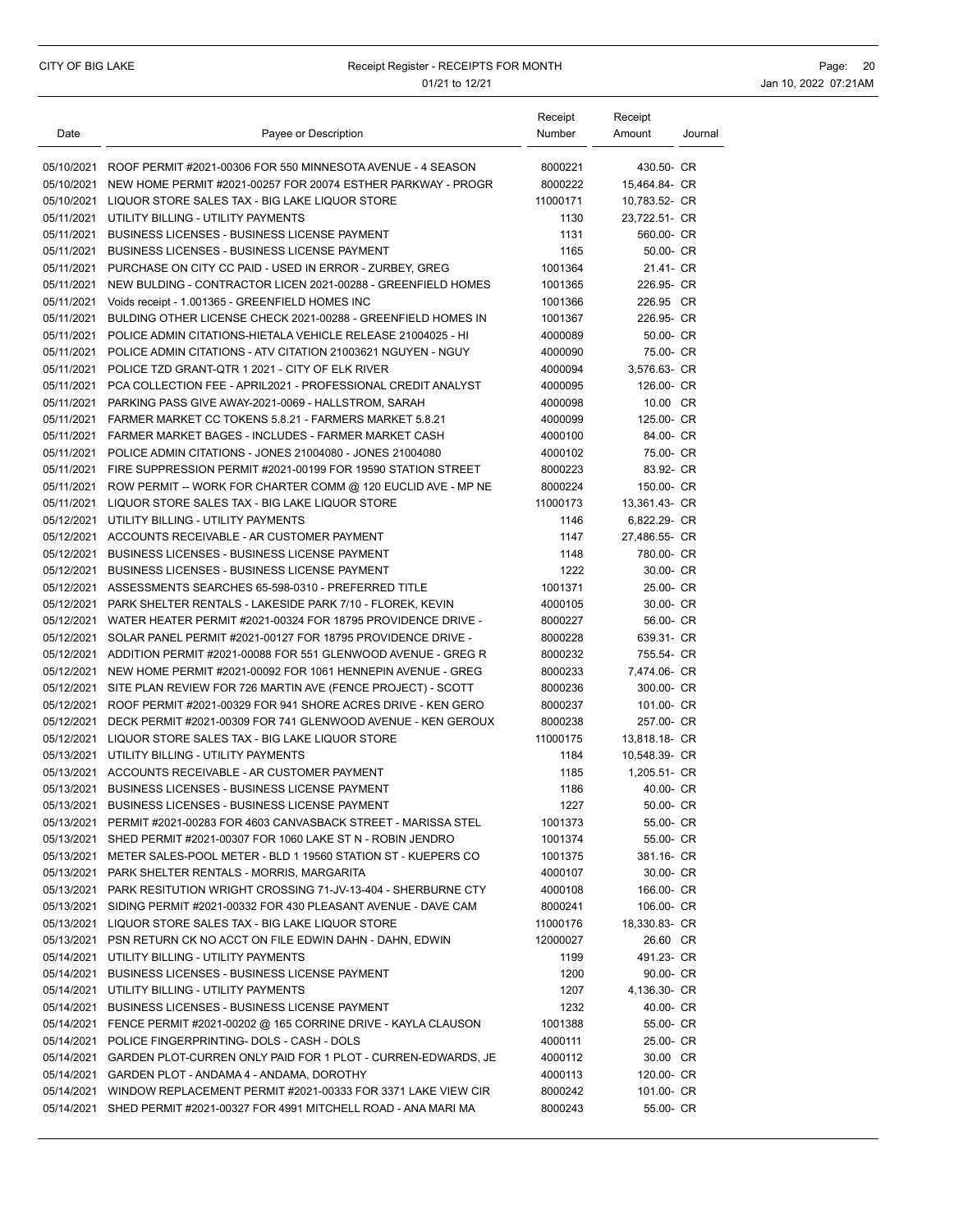## CITY OF BIG LAKE **Receipt Register - RECEIPTS FOR MONTH Page: 20** Page: 20 01/21 to 12/21 **Jan 10, 2022 07:21AM**

| Date       | Payee or Description                                                    | Receipt<br>Number | Receipt<br>Amount | Journal |
|------------|-------------------------------------------------------------------------|-------------------|-------------------|---------|
|            | 05/10/2021 ROOF PERMIT #2021-00306 FOR 550 MINNESOTA AVENUE - 4 SEASON  | 8000221           | 430.50- CR        |         |
| 05/10/2021 | NEW HOME PERMIT #2021-00257 FOR 20074 ESTHER PARKWAY - PROGR            | 8000222           | 15,464.84- CR     |         |
|            | 05/10/2021 LIQUOR STORE SALES TAX - BIG LAKE LIQUOR STORE               | 11000171          | 10,783.52- CR     |         |
|            | 05/11/2021 UTILITY BILLING - UTILITY PAYMENTS                           | 1130              | 23,722.51- CR     |         |
|            | 05/11/2021 BUSINESS LICENSES - BUSINESS LICENSE PAYMENT                 | 1131              | 560.00- CR        |         |
|            | 05/11/2021 BUSINESS LICENSES - BUSINESS LICENSE PAYMENT                 | 1165              | 50.00- CR         |         |
|            | 05/11/2021 PURCHASE ON CITY CC PAID - USED IN ERROR - ZURBEY, GREG      | 1001364           | 21.41- CR         |         |
|            | 05/11/2021 NEW BULDING - CONTRACTOR LICEN 2021-00288 - GREENFIELD HOMES | 1001365           | 226.95- CR        |         |
|            | 05/11/2021 Voids receipt - 1.001365 - GREENFIELD HOMES INC              | 1001366           | 226.95 CR         |         |
| 05/11/2021 | BULDING OTHER LICENSE CHECK 2021-00288 - GREENFIELD HOMES IN            | 1001367           | 226.95- CR        |         |
|            | 05/11/2021 POLICE ADMIN CITATIONS-HIETALA VEHICLE RELEASE 21004025 - HI | 4000089           | 50.00- CR         |         |
|            | 05/11/2021 POLICE ADMIN CITATIONS - ATV CITATION 21003621 NGUYEN - NGUY | 4000090           | 75.00- CR         |         |
|            | 05/11/2021 POLICE TZD GRANT-QTR 1 2021 - CITY OF ELK RIVER              | 4000094           | 3,576.63- CR      |         |
|            | 05/11/2021 PCA COLLECTION FEE - APRIL2021 - PROFESSIONAL CREDIT ANALYST | 4000095           | 126.00- CR        |         |
|            | 05/11/2021 PARKING PASS GIVE AWAY-2021-0069 - HALLSTROM, SARAH          | 4000098           | 10.00 CR          |         |
|            | 05/11/2021  FARMER MARKET CC TOKENS 5.8.21 - FARMERS MARKET 5.8.21      | 4000099           | 125.00- CR        |         |
|            | 05/11/2021   FARMER MARKET BAGES - INCLUDES - FARMER MARKET CASH        | 4000100           | 84.00- CR         |         |
|            | 05/11/2021 POLICE ADMIN CITATIONS - JONES 21004080 - JONES 21004080     | 4000102           | 75.00- CR         |         |
|            | 05/11/2021 FIRE SUPPRESSION PERMIT #2021-00199 FOR 19590 STATION STREET | 8000223           | 83.92- CR         |         |
|            | 05/11/2021 ROW PERMIT -- WORK FOR CHARTER COMM @ 120 EUCLID AVE - MP NE | 8000224           | 150.00- CR        |         |
|            | 05/11/2021 LIQUOR STORE SALES TAX - BIG LAKE LIQUOR STORE               | 11000173          | 13,361.43- CR     |         |
|            | 05/12/2021 UTILITY BILLING - UTILITY PAYMENTS                           | 1146              | 6,822.29- CR      |         |
|            | 05/12/2021 ACCOUNTS RECEIVABLE - AR CUSTOMER PAYMENT                    | 1147              | 27.486.55- CR     |         |
|            | 05/12/2021 BUSINESS LICENSES - BUSINESS LICENSE PAYMENT                 | 1148              | 780.00- CR        |         |
|            | 05/12/2021 BUSINESS LICENSES - BUSINESS LICENSE PAYMENT                 | 1222              | 30.00- CR         |         |
|            | 05/12/2021 ASSESSMENTS SEARCHES 65-598-0310 - PREFERRED TITLE           | 1001371           | 25.00- CR         |         |
|            | 05/12/2021 PARK SHELTER RENTALS - LAKESIDE PARK 7/10 - FLOREK, KEVIN    | 4000105           | 30.00- CR         |         |
|            | 05/12/2021 WATER HEATER PERMIT #2021-00324 FOR 18795 PROVIDENCE DRIVE - | 8000227           | 56.00- CR         |         |
|            | 05/12/2021 SOLAR PANEL PERMIT #2021-00127 FOR 18795 PROVIDENCE DRIVE -  | 8000228           | 639.31- CR        |         |
|            | 05/12/2021 ADDITION PERMIT #2021-00088 FOR 551 GLENWOOD AVENUE - GREG R | 8000232           | 755.54- CR        |         |
|            | 05/12/2021 NEW HOME PERMIT #2021-00092 FOR 1061 HENNEPIN AVENUE - GREG  | 8000233           | 7,474.06- CR      |         |
|            | 05/12/2021 SITE PLAN REVIEW FOR 726 MARTIN AVE (FENCE PROJECT) - SCOTT  | 8000236           | 300.00- CR        |         |
|            | 05/12/2021 ROOF PERMIT #2021-00329 FOR 941 SHORE ACRES DRIVE - KEN GERO | 8000237           | 101.00- CR        |         |
|            | 05/12/2021 DECK PERMIT #2021-00309 FOR 741 GLENWOOD AVENUE - KEN GEROUX | 8000238           | 257.00- CR        |         |
|            | 05/12/2021 LIQUOR STORE SALES TAX - BIG LAKE LIQUOR STORE               | 11000175          | 13,818.18- CR     |         |
|            | 05/13/2021 UTILITY BILLING - UTILITY PAYMENTS                           | 1184              | 10,548.39- CR     |         |
|            | 05/13/2021 ACCOUNTS RECEIVABLE - AR CUSTOMER PAYMENT                    | 1185              | 1.205.51- CR      |         |
|            | 05/13/2021 BUSINESS LICENSES - BUSINESS LICENSE PAYMENT                 | 1186              | 40.00- CR         |         |
|            | 05/13/2021 BUSINESS LICENSES - BUSINESS LICENSE PAYMENT                 | 1227              | 50.00- CR         |         |
|            | 05/13/2021 PERMIT #2021-00283 FOR 4603 CANVASBACK STREET - MARISSA STEL | 1001373           | 55.00- CR         |         |
|            | 05/13/2021 SHED PERMIT #2021-00307 FOR 1060 LAKE ST N - ROBIN JENDRO    | 1001374           | 55.00- CR         |         |
|            | 05/13/2021 METER SALES-POOL METER - BLD 1 19560 STATION ST - KUEPERS CO | 1001375           | 381.16- CR        |         |
|            | 05/13/2021 PARK SHELTER RENTALS - MORRIS, MARGARITA                     | 4000107           | 30.00- CR         |         |
|            | 05/13/2021 PARK RESITUTION WRIGHT CROSSING 71-JV-13-404 - SHERBURNE CTY | 4000108           | 166.00- CR        |         |
|            | 05/13/2021 SIDING PERMIT #2021-00332 FOR 430 PLEASANT AVENUE - DAVE CAM | 8000241           | 106.00- CR        |         |
|            | 05/13/2021 LIQUOR STORE SALES TAX - BIG LAKE LIQUOR STORE               | 11000176          | 18,330.83- CR     |         |
|            | 05/13/2021 PSN RETURN CK NO ACCT ON FILE EDWIN DAHN - DAHN, EDWIN       | 12000027          | 26.60 CR          |         |
|            | 05/14/2021 UTILITY BILLING - UTILITY PAYMENTS                           | 1199              | 491.23- CR        |         |
|            | 05/14/2021 BUSINESS LICENSES - BUSINESS LICENSE PAYMENT                 | 1200              | 90.00- CR         |         |
|            | 05/14/2021 UTILITY BILLING - UTILITY PAYMENTS                           | 1207              | 4,136.30- CR      |         |
|            | 05/14/2021 BUSINESS LICENSES - BUSINESS LICENSE PAYMENT                 | 1232              | 40.00- CR         |         |
|            | 05/14/2021 FENCE PERMIT #2021-00202 @ 165 CORRINE DRIVE - KAYLA CLAUSON | 1001388           | 55.00- CR         |         |
|            | 05/14/2021 POLICE FINGERPRINTING- DOLS - CASH - DOLS                    | 4000111           | 25.00- CR         |         |
|            | 05/14/2021 GARDEN PLOT-CURREN ONLY PAID FOR 1 PLOT - CURREN-EDWARDS, JE | 4000112           | 30.00 CR          |         |
|            | 05/14/2021 GARDEN PLOT - ANDAMA 4 - ANDAMA, DOROTHY                     | 4000113           | 120.00- CR        |         |
|            | 05/14/2021 WINDOW REPLACEMENT PERMIT #2021-00333 FOR 3371 LAKE VIEW CIR | 8000242           | 101.00- CR        |         |
|            | 05/14/2021 SHED PERMIT #2021-00327 FOR 4991 MITCHELL ROAD - ANA MARI MA | 8000243           | 55.00- CR         |         |
|            |                                                                         |                   |                   |         |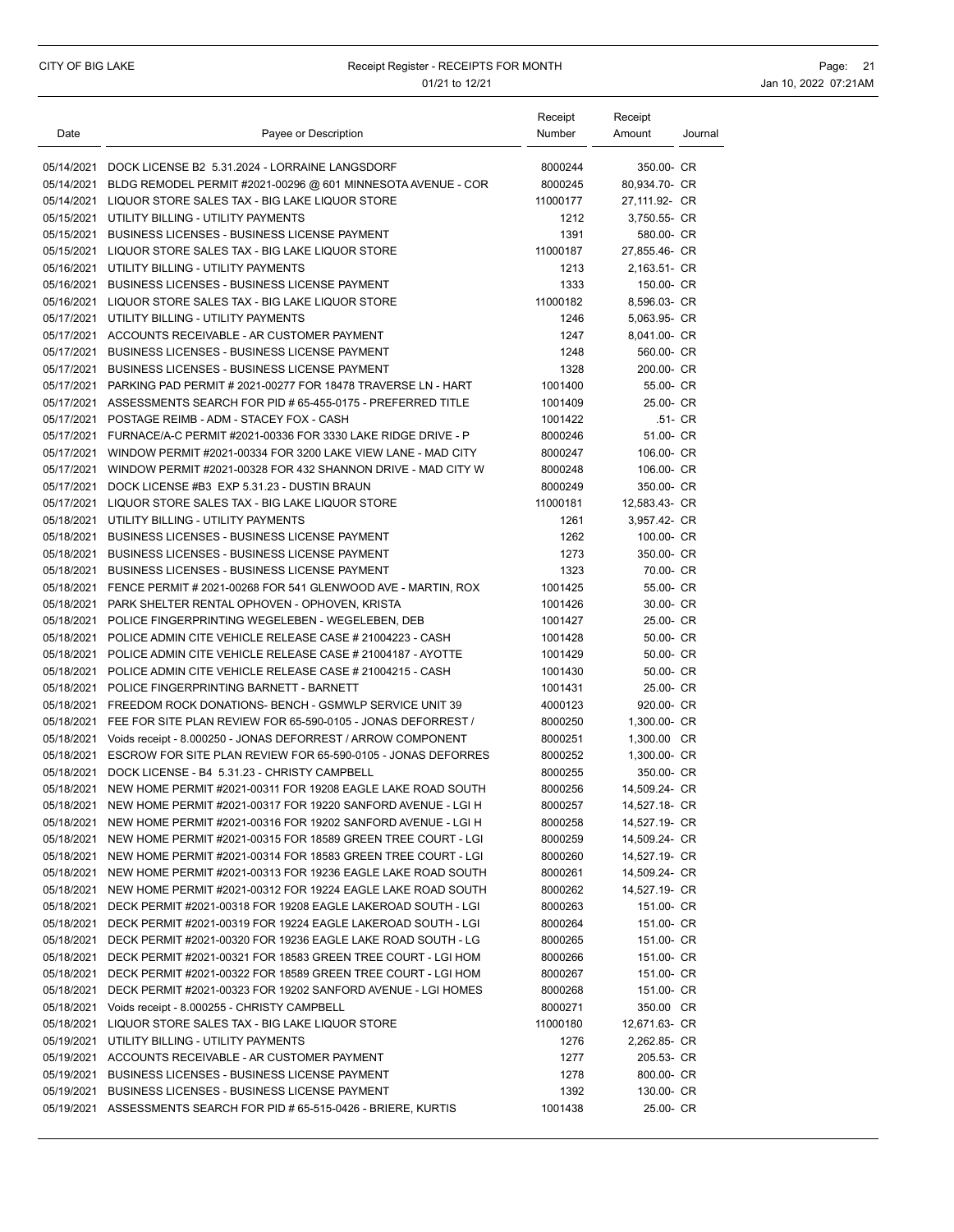### CITY OF BIG LAKE **Receipt Register - RECEIPTS FOR MONTH Page: 21** Page: 21 01/21 to 12/21 **Jan 10, 2022 07:21AM**

| Date       | Payee or Description                                                                                                                             | Receipt<br>Number  | Receipt<br>Amount          | Journal |
|------------|--------------------------------------------------------------------------------------------------------------------------------------------------|--------------------|----------------------------|---------|
|            | 05/14/2021 DOCK LICENSE B2 5.31.2024 - LORRAINE LANGSDORF                                                                                        | 8000244            | 350.00- CR                 |         |
|            | 05/14/2021 BLDG REMODEL PERMIT #2021-00296 @ 601 MINNESOTA AVENUE - COR                                                                          | 8000245            | 80,934.70- CR              |         |
|            | 05/14/2021 LIQUOR STORE SALES TAX - BIG LAKE LIQUOR STORE                                                                                        | 11000177           | 27,111.92- CR              |         |
|            | 05/15/2021 UTILITY BILLING - UTILITY PAYMENTS                                                                                                    | 1212               | 3,750.55- CR               |         |
|            | 05/15/2021 BUSINESS LICENSES - BUSINESS LICENSE PAYMENT                                                                                          | 1391               | 580.00- CR                 |         |
|            | 05/15/2021 LIQUOR STORE SALES TAX - BIG LAKE LIQUOR STORE                                                                                        | 11000187           | 27,855.46- CR              |         |
|            | 05/16/2021 UTILITY BILLING - UTILITY PAYMENTS                                                                                                    | 1213               | 2,163.51- CR               |         |
|            | 05/16/2021 BUSINESS LICENSES - BUSINESS LICENSE PAYMENT                                                                                          | 1333               | 150.00- CR                 |         |
|            | 05/16/2021 LIQUOR STORE SALES TAX - BIG LAKE LIQUOR STORE                                                                                        | 11000182           | 8,596.03- CR               |         |
|            | 05/17/2021 UTILITY BILLING - UTILITY PAYMENTS                                                                                                    | 1246               | 5,063.95- CR               |         |
|            | 05/17/2021 ACCOUNTS RECEIVABLE - AR CUSTOMER PAYMENT                                                                                             | 1247               | 8,041.00- CR               |         |
|            | 05/17/2021 BUSINESS LICENSES - BUSINESS LICENSE PAYMENT                                                                                          | 1248               | 560.00- CR                 |         |
|            | 05/17/2021 BUSINESS LICENSES - BUSINESS LICENSE PAYMENT                                                                                          | 1328               | 200.00- CR                 |         |
|            | 05/17/2021 PARKING PAD PERMIT # 2021-00277 FOR 18478 TRAVERSE LN - HART<br>05/17/2021 ASSESSMENTS SEARCH FOR PID # 65-455-0175 - PREFERRED TITLE | 1001400            | 55.00- CR                  |         |
|            | 05/17/2021 POSTAGE REIMB - ADM - STACEY FOX - CASH                                                                                               | 1001409<br>1001422 | 25.00- CR<br>.51- CR       |         |
|            | 05/17/2021 FURNACE/A-C PERMIT #2021-00336 FOR 3330 LAKE RIDGE DRIVE - P                                                                          | 8000246            | 51.00- CR                  |         |
|            | 05/17/2021 WINDOW PERMIT #2021-00334 FOR 3200 LAKE VIEW LANE - MAD CITY                                                                          | 8000247            | 106.00- CR                 |         |
|            | 05/17/2021 WINDOW PERMIT #2021-00328 FOR 432 SHANNON DRIVE - MAD CITY W                                                                          | 8000248            | 106.00- CR                 |         |
|            | 05/17/2021 DOCK LICENSE #B3 EXP 5.31.23 - DUSTIN BRAUN                                                                                           | 8000249            | 350.00- CR                 |         |
|            | 05/17/2021 LIQUOR STORE SALES TAX - BIG LAKE LIQUOR STORE                                                                                        | 11000181           | 12,583.43- CR              |         |
|            | 05/18/2021 UTILITY BILLING - UTILITY PAYMENTS                                                                                                    | 1261               | 3,957.42- CR               |         |
|            | 05/18/2021 BUSINESS LICENSES - BUSINESS LICENSE PAYMENT                                                                                          | 1262               | 100.00- CR                 |         |
|            | 05/18/2021 BUSINESS LICENSES - BUSINESS LICENSE PAYMENT                                                                                          | 1273               | 350.00- CR                 |         |
|            | 05/18/2021 BUSINESS LICENSES - BUSINESS LICENSE PAYMENT                                                                                          | 1323               | 70.00- CR                  |         |
|            | 05/18/2021 FENCE PERMIT # 2021-00268 FOR 541 GLENWOOD AVE - MARTIN, ROX                                                                          | 1001425            | 55.00- CR                  |         |
|            | 05/18/2021 PARK SHELTER RENTAL OPHOVEN - OPHOVEN, KRISTA                                                                                         | 1001426            | 30.00- CR                  |         |
|            | 05/18/2021 POLICE FINGERPRINTING WEGELEBEN - WEGELEBEN, DEB                                                                                      | 1001427            | 25.00- CR                  |         |
| 05/18/2021 | POLICE ADMIN CITE VEHICLE RELEASE CASE # 21004223 - CASH                                                                                         | 1001428            | 50.00- CR                  |         |
|            | 05/18/2021 POLICE ADMIN CITE VEHICLE RELEASE CASE # 21004187 - AYOTTE                                                                            | 1001429            | 50.00- CR                  |         |
|            | 05/18/2021 POLICE ADMIN CITE VEHICLE RELEASE CASE # 21004215 - CASH                                                                              | 1001430            | 50.00- CR                  |         |
|            | 05/18/2021 POLICE FINGERPRINTING BARNETT - BARNETT                                                                                               | 1001431            | 25.00- CR                  |         |
|            | 05/18/2021 FREEDOM ROCK DONATIONS- BENCH - GSMWLP SERVICE UNIT 39                                                                                | 4000123            | 920.00- CR                 |         |
|            | 05/18/2021 FEE FOR SITE PLAN REVIEW FOR 65-590-0105 - JONAS DEFORREST /                                                                          | 8000250            | 1,300.00- CR               |         |
|            | 05/18/2021 Voids receipt - 8.000250 - JONAS DEFORREST / ARROW COMPONENT                                                                          | 8000251            | 1,300.00 CR                |         |
| 05/18/2021 | ESCROW FOR SITE PLAN REVIEW FOR 65-590-0105 - JONAS DEFORRES<br>05/18/2021 DOCK LICENSE - B4 5.31.23 - CHRISTY CAMPBELL                          | 8000252<br>8000255 | 1,300.00- CR<br>350.00- CR |         |
|            | 05/18/2021 NEW HOME PERMIT #2021-00311 FOR 19208 EAGLE LAKE ROAD SOUTH                                                                           | 8000256            | 14,509.24- CR              |         |
|            | 05/18/2021 NEW HOME PERMIT #2021-00317 FOR 19220 SANFORD AVENUE - LGI H                                                                          | 8000257            | 14,527.18- CR              |         |
|            | 05/18/2021 NEW HOME PERMIT #2021-00316 FOR 19202 SANFORD AVENUE - LGI H                                                                          | 8000258            | 14,527.19- CR              |         |
|            | 05/18/2021 NEW HOME PERMIT #2021-00315 FOR 18589 GREEN TREE COURT - LGI                                                                          | 8000259            | 14,509.24- CR              |         |
|            | 05/18/2021 NEW HOME PERMIT #2021-00314 FOR 18583 GREEN TREE COURT - LGI                                                                          | 8000260            | 14,527.19- CR              |         |
|            | 05/18/2021 NEW HOME PERMIT #2021-00313 FOR 19236 EAGLE LAKE ROAD SOUTH                                                                           | 8000261            | 14,509.24- CR              |         |
|            | 05/18/2021 NEW HOME PERMIT #2021-00312 FOR 19224 EAGLE LAKE ROAD SOUTH                                                                           | 8000262            | 14,527.19- CR              |         |
|            | 05/18/2021 DECK PERMIT #2021-00318 FOR 19208 EAGLE LAKEROAD SOUTH - LGI                                                                          | 8000263            | 151.00- CR                 |         |
|            | 05/18/2021 DECK PERMIT #2021-00319 FOR 19224 EAGLE LAKEROAD SOUTH - LGI                                                                          | 8000264            | 151.00- CR                 |         |
|            | 05/18/2021 DECK PERMIT #2021-00320 FOR 19236 EAGLE LAKE ROAD SOUTH - LG                                                                          | 8000265            | 151.00- CR                 |         |
|            | 05/18/2021 DECK PERMIT #2021-00321 FOR 18583 GREEN TREE COURT - LGI HOM                                                                          | 8000266            | 151.00- CR                 |         |
|            | 05/18/2021 DECK PERMIT #2021-00322 FOR 18589 GREEN TREE COURT - LGI HOM                                                                          | 8000267            | 151.00- CR                 |         |
|            | 05/18/2021 DECK PERMIT #2021-00323 FOR 19202 SANFORD AVENUE - LGI HOMES                                                                          | 8000268            | 151.00- CR                 |         |
|            | 05/18/2021 Voids receipt - 8.000255 - CHRISTY CAMPBELL                                                                                           | 8000271            | 350.00 CR                  |         |
|            | 05/18/2021 LIQUOR STORE SALES TAX - BIG LAKE LIQUOR STORE                                                                                        | 11000180           | 12,671.63- CR              |         |
|            | 05/19/2021 UTILITY BILLING - UTILITY PAYMENTS                                                                                                    | 1276               | 2,262.85- CR               |         |
|            | 05/19/2021 ACCOUNTS RECEIVABLE - AR CUSTOMER PAYMENT                                                                                             | 1277               | 205.53- CR                 |         |
|            | 05/19/2021 BUSINESS LICENSES - BUSINESS LICENSE PAYMENT<br>05/19/2021 BUSINESS LICENSES - BUSINESS LICENSE PAYMENT                               | 1278<br>1392       | 800.00- CR<br>130.00- CR   |         |
|            | 05/19/2021 ASSESSMENTS SEARCH FOR PID # 65-515-0426 - BRIERE, KURTIS                                                                             | 1001438            | 25.00- CR                  |         |
|            |                                                                                                                                                  |                    |                            |         |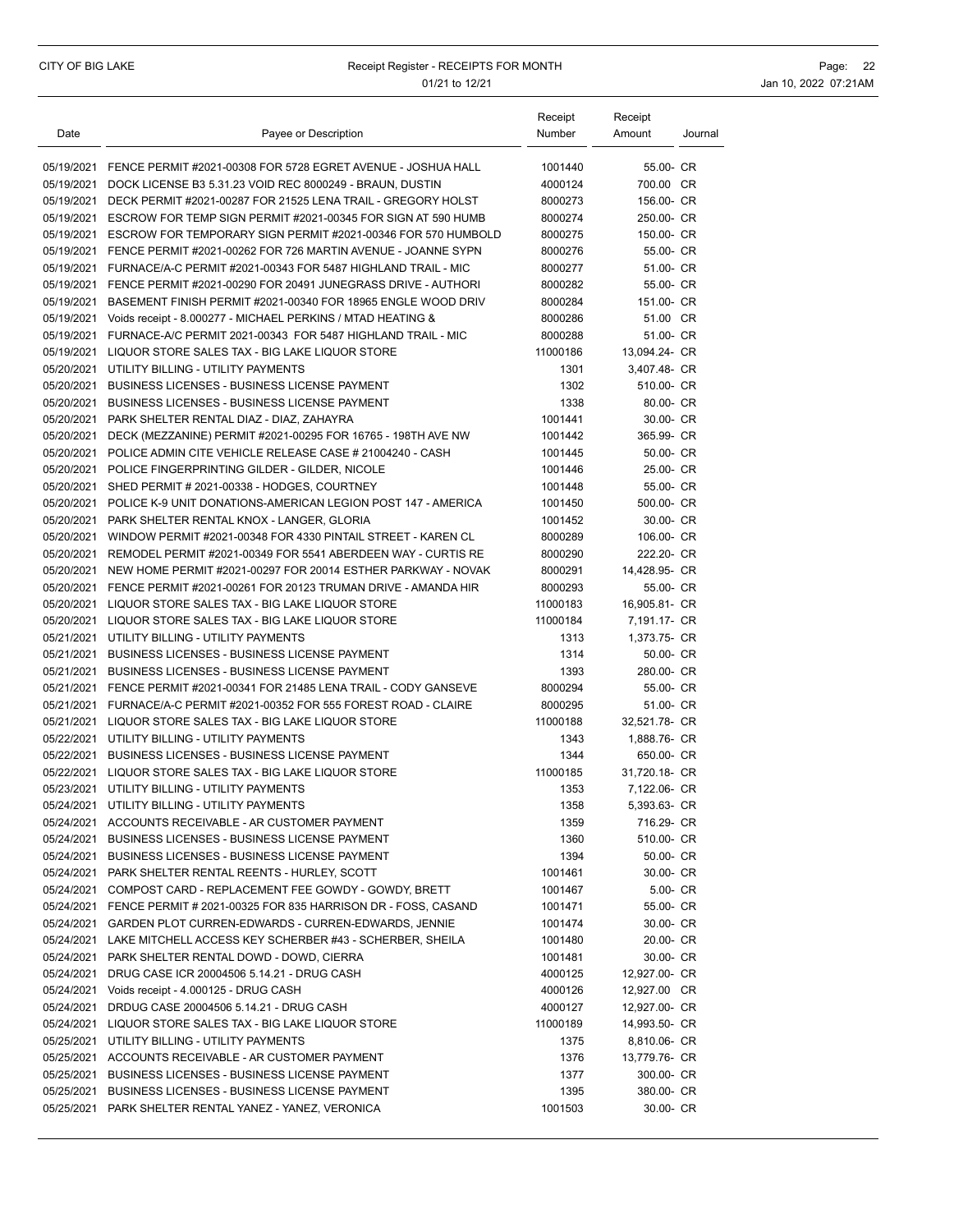### CITY OF BIG LAKE **Receipt Register - RECEIPTS FOR MONTH Page: 22** Page: 22 01/21 to 12/21 **Jan 10, 2022 07:21AM**

| Date       | Payee or Description                                                                                       | Receipt<br>Number  | Receipt<br>Amount             | Journal |
|------------|------------------------------------------------------------------------------------------------------------|--------------------|-------------------------------|---------|
|            | 05/19/2021 FENCE PERMIT #2021-00308 FOR 5728 EGRET AVENUE - JOSHUA HALL                                    | 1001440            | 55.00- CR                     |         |
|            | 05/19/2021 DOCK LICENSE B3 5.31.23 VOID REC 8000249 - BRAUN, DUSTIN                                        | 4000124            | 700.00 CR                     |         |
|            | 05/19/2021 DECK PERMIT #2021-00287 FOR 21525 LENA TRAIL - GREGORY HOLST                                    | 8000273            | 156.00- CR                    |         |
|            | 05/19/2021 ESCROW FOR TEMP SIGN PERMIT #2021-00345 FOR SIGN AT 590 HUMB                                    | 8000274            | 250.00- CR                    |         |
|            | 05/19/2021 ESCROW FOR TEMPORARY SIGN PERMIT #2021-00346 FOR 570 HUMBOLD                                    | 8000275            | 150.00- CR                    |         |
|            | 05/19/2021 FENCE PERMIT #2021-00262 FOR 726 MARTIN AVENUE - JOANNE SYPN                                    | 8000276            | 55.00- CR                     |         |
|            | 05/19/2021 FURNACE/A-C PERMIT #2021-00343 FOR 5487 HIGHLAND TRAIL - MIC                                    | 8000277            | 51.00- CR                     |         |
|            | 05/19/2021 FENCE PERMIT #2021-00290 FOR 20491 JUNEGRASS DRIVE - AUTHORI                                    | 8000282            | 55.00- CR                     |         |
| 05/19/2021 | BASEMENT FINISH PERMIT #2021-00340 FOR 18965 ENGLE WOOD DRIV                                               | 8000284            | 151.00- CR                    |         |
|            | 05/19/2021 Voids receipt - 8.000277 - MICHAEL PERKINS / MTAD HEATING &                                     | 8000286            | 51.00 CR                      |         |
|            | 05/19/2021 FURNACE-A/C PERMIT 2021-00343 FOR 5487 HIGHLAND TRAIL - MIC                                     | 8000288            | 51.00- CR                     |         |
|            | 05/19/2021 LIQUOR STORE SALES TAX - BIG LAKE LIQUOR STORE                                                  | 11000186           | 13,094.24- CR                 |         |
|            | 05/20/2021 UTILITY BILLING - UTILITY PAYMENTS                                                              | 1301               | 3,407.48- CR                  |         |
|            | 05/20/2021 BUSINESS LICENSES - BUSINESS LICENSE PAYMENT                                                    | 1302               | 510.00- CR                    |         |
|            | 05/20/2021 BUSINESS LICENSES - BUSINESS LICENSE PAYMENT                                                    | 1338               | 80.00- CR                     |         |
|            | 05/20/2021 PARK SHELTER RENTAL DIAZ - DIAZ, ZAHAYRA                                                        | 1001441            | 30.00- CR                     |         |
|            | 05/20/2021 DECK (MEZZANINE) PERMIT #2021-00295 FOR 16765 - 198TH AVE NW                                    | 1001442            | 365.99- CR                    |         |
|            | 05/20/2021 POLICE ADMIN CITE VEHICLE RELEASE CASE # 21004240 - CASH                                        | 1001445            | 50.00- CR                     |         |
|            | 05/20/2021 POLICE FINGERPRINTING GILDER - GILDER, NICOLE                                                   | 1001446            | 25.00- CR                     |         |
|            | 05/20/2021 SHED PERMIT # 2021-00338 - HODGES, COURTNEY                                                     | 1001448            | 55.00- CR                     |         |
|            | 05/20/2021 POLICE K-9 UNIT DONATIONS-AMERICAN LEGION POST 147 - AMERICA                                    | 1001450            | 500.00- CR                    |         |
|            | 05/20/2021 PARK SHELTER RENTAL KNOX - LANGER, GLORIA                                                       | 1001452            | 30.00- CR                     |         |
|            | 05/20/2021   WINDOW PERMIT #2021-00348 FOR 4330   PINTAIL STREET - KAREN CL                                | 8000289            | 106.00- CR                    |         |
|            | 05/20/2021 REMODEL PERMIT #2021-00349 FOR 5541 ABERDEEN WAY - CURTIS RE                                    | 8000290            | 222.20- CR                    |         |
|            | 05/20/2021 NEW HOME PERMIT #2021-00297 FOR 20014 ESTHER PARKWAY - NOVAK                                    | 8000291            | 14,428.95- CR                 |         |
|            | 05/20/2021 FENCE PERMIT #2021-00261 FOR 20123 TRUMAN DRIVE - AMANDA HIR                                    | 8000293            | 55.00- CR                     |         |
|            | 05/20/2021 LIQUOR STORE SALES TAX - BIG LAKE LIQUOR STORE                                                  | 11000183           | 16,905.81- CR                 |         |
|            | 05/20/2021 LIQUOR STORE SALES TAX - BIG LAKE LIQUOR STORE                                                  | 11000184           | 7,191.17- CR                  |         |
|            | 05/21/2021 UTILITY BILLING - UTILITY PAYMENTS                                                              | 1313               | 1,373.75- CR                  |         |
|            | 05/21/2021 BUSINESS LICENSES - BUSINESS LICENSE PAYMENT                                                    | 1314               | 50.00- CR                     |         |
|            | 05/21/2021 BUSINESS LICENSES - BUSINESS LICENSE PAYMENT                                                    | 1393               | 280.00- CR                    |         |
|            | 05/21/2021 FENCE PERMIT #2021-00341 FOR 21485 LENA TRAIL - CODY GANSEVE                                    | 8000294            | 55.00- CR                     |         |
|            | 05/21/2021 FURNACE/A-C PERMIT #2021-00352 FOR 555 FOREST ROAD - CLAIRE                                     | 8000295            | 51.00- CR                     |         |
|            | 05/21/2021 LIQUOR STORE SALES TAX - BIG LAKE LIQUOR STORE                                                  | 11000188           | 32,521.78- CR                 |         |
|            | 05/22/2021 UTILITY BILLING - UTILITY PAYMENTS                                                              | 1343               | 1,888.76- CR                  |         |
|            | 05/22/2021 BUSINESS LICENSES - BUSINESS LICENSE PAYMENT                                                    | 1344               | 650.00- CR                    |         |
|            | 05/22/2021 LIQUOR STORE SALES TAX - BIG LAKE LIQUOR STORE                                                  | 11000185           | 31,720.18- CR                 |         |
|            | 05/23/2021 UTILITY BILLING - UTILITY PAYMENTS                                                              | 1353               | 7.122.06- CR                  |         |
|            | 05/24/2021 UTILITY BILLING - UTILITY PAYMENTS                                                              | 1358               | 5,393.63- CR                  |         |
|            | 05/24/2021 ACCOUNTS RECEIVABLE - AR CUSTOMER PAYMENT                                                       | 1359               | 716.29- CR                    |         |
|            | 05/24/2021 BUSINESS LICENSES - BUSINESS LICENSE PAYMENT                                                    | 1360               | 510.00- CR                    |         |
|            | 05/24/2021 BUSINESS LICENSES - BUSINESS LICENSE PAYMENT                                                    | 1394               | 50.00- CR                     |         |
|            | 05/24/2021 PARK SHELTER RENTAL REENTS - HURLEY, SCOTT                                                      | 1001461            | 30.00- CR                     |         |
|            | 05/24/2021 COMPOST CARD - REPLACEMENT FEE GOWDY - GOWDY, BRETT                                             | 1001467            | 5.00- CR                      |         |
|            | 05/24/2021 FENCE PERMIT # 2021-00325 FOR 835 HARRISON DR - FOSS, CASAND                                    | 1001471            | 55.00- CR                     |         |
|            | 05/24/2021 GARDEN PLOT CURREN-EDWARDS - CURREN-EDWARDS, JENNIE                                             | 1001474            | 30.00- CR                     |         |
|            | 05/24/2021 LAKE MITCHELL ACCESS KEY SCHERBER #43 - SCHERBER, SHEILA                                        | 1001480            | 20.00- CR                     |         |
|            | 05/24/2021 PARK SHELTER RENTAL DOWD - DOWD, CIERRA                                                         | 1001481            | 30.00- CR                     |         |
|            | 05/24/2021 DRUG CASE ICR 20004506 5.14.21 - DRUG CASH                                                      | 4000125            | 12,927.00- CR                 |         |
|            | 05/24/2021 Voids receipt - 4.000125 - DRUG CASH<br>05/24/2021 DRDUG CASE 20004506 5.14.21 - DRUG CASH      | 4000126<br>4000127 | 12,927.00 CR<br>12,927.00- CR |         |
|            |                                                                                                            |                    |                               |         |
|            | 05/24/2021 LIQUOR STORE SALES TAX - BIG LAKE LIQUOR STORE<br>05/25/2021 UTILITY BILLING - UTILITY PAYMENTS | 11000189<br>1375   | 14,993.50- CR<br>8,810.06- CR |         |
|            | 05/25/2021 ACCOUNTS RECEIVABLE - AR CUSTOMER PAYMENT                                                       | 1376               | 13,779.76- CR                 |         |
|            | 05/25/2021 BUSINESS LICENSES - BUSINESS LICENSE PAYMENT                                                    | 1377               | 300.00- CR                    |         |
|            | 05/25/2021 BUSINESS LICENSES - BUSINESS LICENSE PAYMENT                                                    | 1395               | 380.00- CR                    |         |
|            | 05/25/2021 PARK SHELTER RENTAL YANEZ - YANEZ, VERONICA                                                     | 1001503            | 30.00- CR                     |         |
|            |                                                                                                            |                    |                               |         |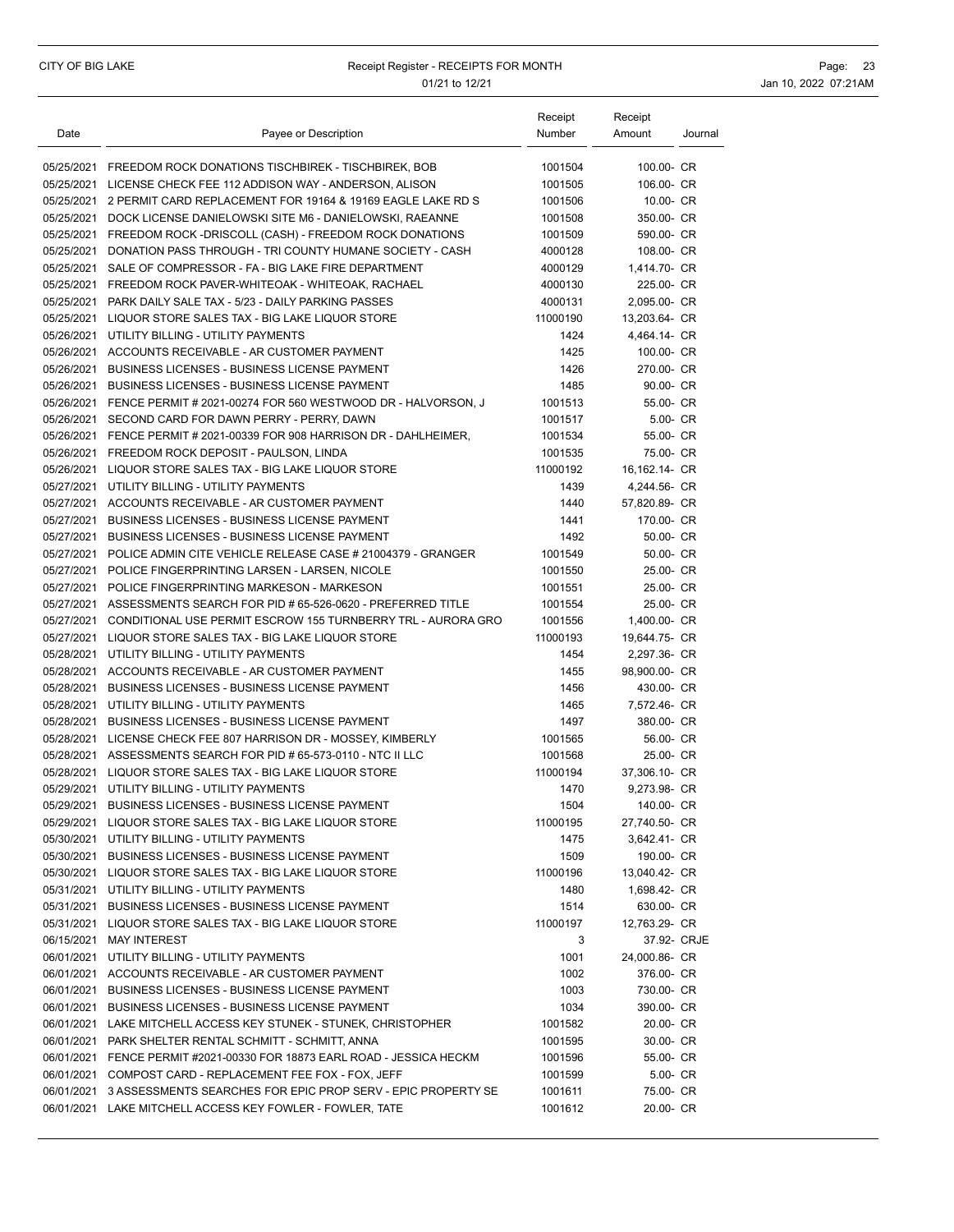### CITY OF BIG LAKE **Receipt Register - RECEIPTS FOR MONTH Page: 23** 01/21 to 12/21 **Jan 10, 2022 07:21AM**

| Date | Payee or Description                                                    | Receipt<br>Number | Receipt<br>Amount | Journal |
|------|-------------------------------------------------------------------------|-------------------|-------------------|---------|
|      | 05/25/2021 FREEDOM ROCK DONATIONS TISCHBIREK - TISCHBIREK, BOB          | 1001504           | 100.00- CR        |         |
|      | 05/25/2021 LICENSE CHECK FEE 112 ADDISON WAY - ANDERSON, ALISON         | 1001505           | 106.00- CR        |         |
|      | 05/25/2021 2 PERMIT CARD REPLACEMENT FOR 19164 & 19169 EAGLE LAKE RD S  | 1001506           | 10.00- CR         |         |
|      | 05/25/2021 DOCK LICENSE DANIELOWSKI SITE M6 - DANIELOWSKI, RAEANNE      | 1001508           | 350.00- CR        |         |
|      | 05/25/2021 FREEDOM ROCK -DRISCOLL (CASH) - FREEDOM ROCK DONATIONS       | 1001509           | 590.00- CR        |         |
|      | 05/25/2021 DONATION PASS THROUGH - TRI COUNTY HUMANE SOCIETY - CASH     | 4000128           | 108.00- CR        |         |
|      | 05/25/2021 SALE OF COMPRESSOR - FA - BIG LAKE FIRE DEPARTMENT           | 4000129           | 1,414.70- CR      |         |
|      | 05/25/2021 FREEDOM ROCK PAVER-WHITEOAK - WHITEOAK, RACHAEL              | 4000130           | 225.00- CR        |         |
|      | 05/25/2021 PARK DAILY SALE TAX - 5/23 - DAILY PARKING PASSES            | 4000131           | 2,095.00- CR      |         |
|      | 05/25/2021 LIQUOR STORE SALES TAX - BIG LAKE LIQUOR STORE               | 11000190          | 13,203.64- CR     |         |
|      | 05/26/2021 UTILITY BILLING - UTILITY PAYMENTS                           | 1424              | 4,464.14- CR      |         |
|      | 05/26/2021 ACCOUNTS RECEIVABLE - AR CUSTOMER PAYMENT                    | 1425              | 100.00- CR        |         |
|      | 05/26/2021 BUSINESS LICENSES - BUSINESS LICENSE PAYMENT                 | 1426              | 270.00- CR        |         |
|      | 05/26/2021 BUSINESS LICENSES - BUSINESS LICENSE PAYMENT                 | 1485              | 90.00- CR         |         |
|      | 05/26/2021 FENCE PERMIT # 2021-00274 FOR 560 WESTWOOD DR - HALVORSON, J | 1001513           | 55.00- CR         |         |
|      | 05/26/2021 SECOND CARD FOR DAWN PERRY - PERRY, DAWN                     | 1001517           | 5.00- CR          |         |
|      | 05/26/2021 FENCE PERMIT # 2021-00339 FOR 908 HARRISON DR - DAHLHEIMER.  | 1001534           | 55.00- CR         |         |
|      | 05/26/2021 FREEDOM ROCK DEPOSIT - PAULSON, LINDA                        | 1001535           | 75.00- CR         |         |
|      | 05/26/2021 LIQUOR STORE SALES TAX - BIG LAKE LIQUOR STORE               | 11000192          | 16,162.14- CR     |         |
|      | 05/27/2021 UTILITY BILLING - UTILITY PAYMENTS                           | 1439              | 4,244.56- CR      |         |
|      | 05/27/2021 ACCOUNTS RECEIVABLE - AR CUSTOMER PAYMENT                    | 1440              | 57,820.89- CR     |         |
|      | 05/27/2021 BUSINESS LICENSES - BUSINESS LICENSE PAYMENT                 | 1441              | 170.00- CR        |         |
|      | 05/27/2021 BUSINESS LICENSES - BUSINESS LICENSE PAYMENT                 | 1492              | 50.00- CR         |         |
|      | 05/27/2021 POLICE ADMIN CITE VEHICLE RELEASE CASE # 21004379 - GRANGER  | 1001549           | 50.00- CR         |         |
|      | 05/27/2021 POLICE FINGERPRINTING LARSEN - LARSEN, NICOLE                | 1001550           | 25.00- CR         |         |
|      | 05/27/2021 POLICE FINGERPRINTING MARKESON - MARKESON                    | 1001551           | 25.00- CR         |         |
|      | 05/27/2021 ASSESSMENTS SEARCH FOR PID # 65-526-0620 - PREFERRED TITLE   | 1001554           | 25.00- CR         |         |
|      | 05/27/2021 CONDITIONAL USE PERMIT ESCROW 155 TURNBERRY TRL - AURORA GRO | 1001556           | 1,400.00- CR      |         |
|      | 05/27/2021 LIQUOR STORE SALES TAX - BIG LAKE LIQUOR STORE               | 11000193          | 19,644.75- CR     |         |
|      | 05/28/2021 UTILITY BILLING - UTILITY PAYMENTS                           | 1454              | 2,297.36- CR      |         |
|      | 05/28/2021 ACCOUNTS RECEIVABLE - AR CUSTOMER PAYMENT                    | 1455              | 98,900.00- CR     |         |
|      | 05/28/2021 BUSINESS LICENSES - BUSINESS LICENSE PAYMENT                 | 1456              | 430.00- CR        |         |
|      | 05/28/2021 UTILITY BILLING - UTILITY PAYMENTS                           | 1465              | 7.572.46- CR      |         |
|      | 05/28/2021 BUSINESS LICENSES - BUSINESS LICENSE PAYMENT                 | 1497              | 380.00- CR        |         |
|      | 05/28/2021 LICENSE CHECK FEE 807 HARRISON DR - MOSSEY, KIMBERLY         | 1001565           | 56.00- CR         |         |
|      | 05/28/2021 ASSESSMENTS SEARCH FOR PID # 65-573-0110 - NTC II LLC        | 1001568           | 25.00- CR         |         |
|      | 05/28/2021 LIQUOR STORE SALES TAX - BIG LAKE LIQUOR STORE               | 11000194          | 37,306.10- CR     |         |
|      | 05/29/2021 UTILITY BILLING - UTILITY PAYMENTS                           | 1470              | 9,273.98- CR      |         |
|      | 05/29/2021 BUSINESS LICENSES - BUSINESS LICENSE PAYMENT                 | 1504              | 140.00- CR        |         |
|      | 05/29/2021 LIQUOR STORE SALES TAX - BIG LAKE LIQUOR STORE               | 11000195          | 27,740.50- CR     |         |
|      | 05/30/2021 UTILITY BILLING - UTILITY PAYMENTS                           | 1475              | 3,642.41- CR      |         |
|      | 05/30/2021 BUSINESS LICENSES - BUSINESS LICENSE PAYMENT                 | 1509              | 190.00- CR        |         |
|      | 05/30/2021 LIQUOR STORE SALES TAX - BIG LAKE LIQUOR STORE               | 11000196          | 13,040.42- CR     |         |
|      | 05/31/2021 UTILITY BILLING - UTILITY PAYMENTS                           | 1480              | 1,698.42- CR      |         |
|      | 05/31/2021 BUSINESS LICENSES - BUSINESS LICENSE PAYMENT                 | 1514              | 630.00- CR        |         |
|      | 05/31/2021 LIQUOR STORE SALES TAX - BIG LAKE LIQUOR STORE               | 11000197          | 12,763.29- CR     |         |
|      | 06/15/2021 MAY INTEREST                                                 | 3                 | 37.92- CRJE       |         |
|      | 06/01/2021 UTILITY BILLING - UTILITY PAYMENTS                           | 1001              | 24,000.86- CR     |         |
|      | 06/01/2021 ACCOUNTS RECEIVABLE - AR CUSTOMER PAYMENT                    | 1002              | 376.00- CR        |         |
|      | 06/01/2021 BUSINESS LICENSES - BUSINESS LICENSE PAYMENT                 | 1003              | 730.00- CR        |         |
|      | 06/01/2021 BUSINESS LICENSES - BUSINESS LICENSE PAYMENT                 | 1034              | 390.00- CR        |         |
|      | 06/01/2021 LAKE MITCHELL ACCESS KEY STUNEK - STUNEK, CHRISTOPHER        | 1001582           | 20.00- CR         |         |
|      | 06/01/2021 PARK SHELTER RENTAL SCHMITT - SCHMITT, ANNA                  | 1001595           | 30.00- CR         |         |
|      | 06/01/2021 FENCE PERMIT #2021-00330 FOR 18873 EARL ROAD - JESSICA HECKM | 1001596           | 55.00- CR         |         |
|      | 06/01/2021 COMPOST CARD - REPLACEMENT FEE FOX - FOX, JEFF               | 1001599           | 5.00- CR          |         |
|      | 06/01/2021 3 ASSESSMENTS SEARCHES FOR EPIC PROP SERV - EPIC PROPERTY SE | 1001611           | 75.00- CR         |         |
|      | 06/01/2021 LAKE MITCHELL ACCESS KEY FOWLER - FOWLER, TATE               | 1001612           | 20.00- CR         |         |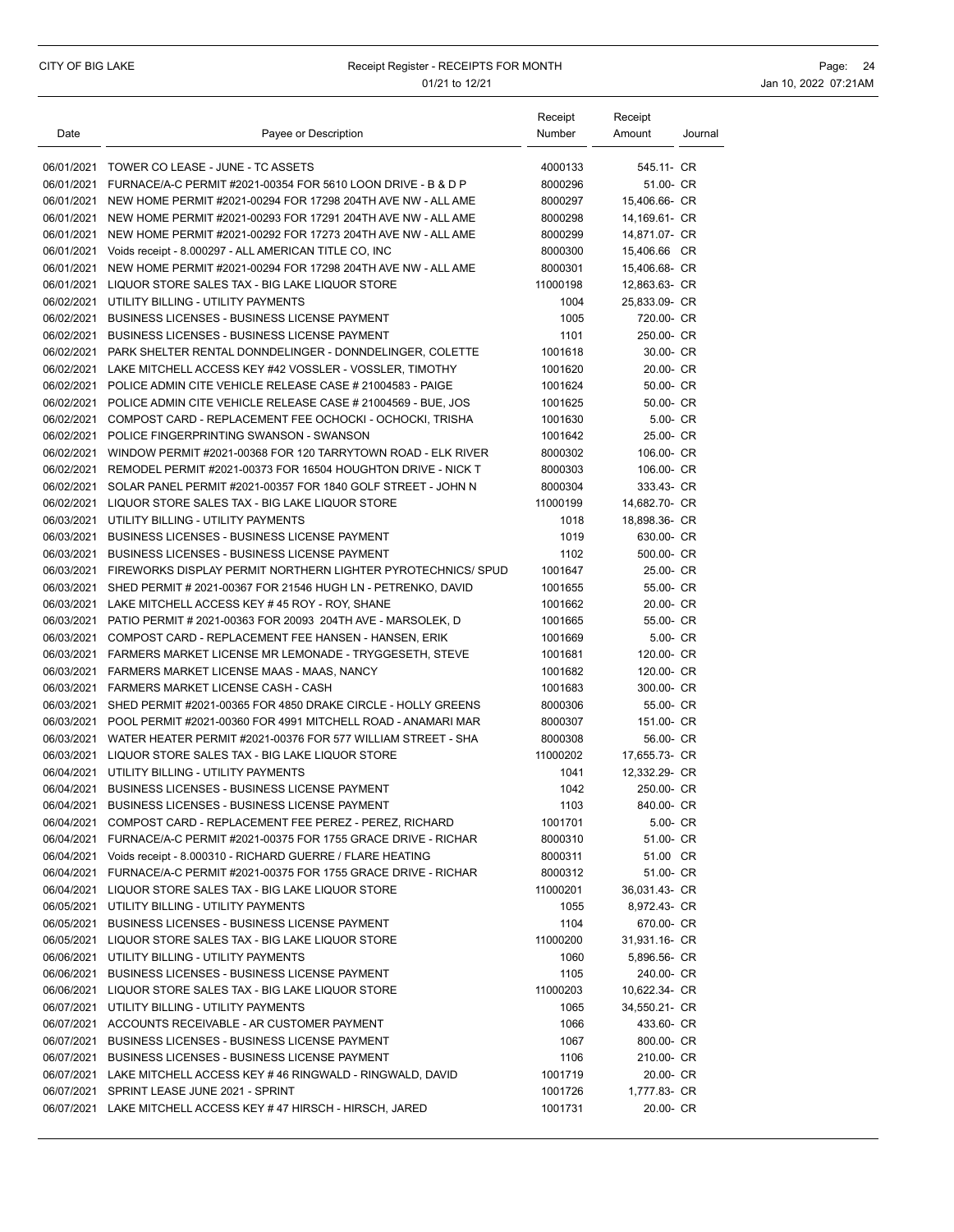### CITY OF BIG LAKE **Receipt Register - RECEIPTS FOR MONTH Page: 24** Page: 24 01/21 to 12/21 **Jan 10, 2022 07:21AM**

| Date | Payee or Description                                                                                                                               | Receipt<br>Number  | Receipt<br>Amount              | Journal |
|------|----------------------------------------------------------------------------------------------------------------------------------------------------|--------------------|--------------------------------|---------|
|      |                                                                                                                                                    |                    |                                |         |
|      | 06/01/2021 TOWER CO LEASE - JUNE - TC ASSETS                                                                                                       | 4000133            | 545.11- CR<br>51.00- CR        |         |
|      | 06/01/2021 FURNACE/A-C PERMIT #2021-00354 FOR 5610 LOON DRIVE - B & D P                                                                            | 8000296            | 15.406.66- CR                  |         |
|      | 06/01/2021 NEW HOME PERMIT #2021-00294 FOR 17298 204TH AVE NW - ALL AME                                                                            | 8000297            |                                |         |
|      | 06/01/2021 NEW HOME PERMIT #2021-00293 FOR 17291 204TH AVE NW - ALL AME<br>06/01/2021 NEW HOME PERMIT #2021-00292 FOR 17273 204TH AVE NW - ALL AME | 8000298<br>8000299 | 14,169.61- CR<br>14,871.07- CR |         |
|      |                                                                                                                                                    | 8000300            |                                |         |
|      | 06/01/2021 Voids receipt - 8.000297 - ALL AMERICAN TITLE CO, INC<br>06/01/2021 NEW HOME PERMIT #2021-00294 FOR 17298 204TH AVE NW - ALL AME        | 8000301            | 15,406.66 CR<br>15.406.68- CR  |         |
|      |                                                                                                                                                    |                    |                                |         |
|      | 06/01/2021 LIQUOR STORE SALES TAX - BIG LAKE LIQUOR STORE                                                                                          | 11000198           | 12.863.63- CR                  |         |
|      | 06/02/2021 UTILITY BILLING - UTILITY PAYMENTS                                                                                                      | 1004               | 25.833.09- CR                  |         |
|      | 06/02/2021 BUSINESS LICENSES - BUSINESS LICENSE PAYMENT                                                                                            | 1005               | 720.00- CR                     |         |
|      | 06/02/2021 BUSINESS LICENSES - BUSINESS LICENSE PAYMENT                                                                                            | 1101               | 250.00- CR                     |         |
|      | 06/02/2021 PARK SHELTER RENTAL DONNDELINGER - DONNDELINGER, COLETTE                                                                                | 1001618            | 30.00- CR                      |         |
|      | 06/02/2021 LAKE MITCHELL ACCESS KEY #42 VOSSLER - VOSSLER, TIMOTHY                                                                                 | 1001620            | 20.00- CR                      |         |
|      | 06/02/2021 POLICE ADMIN CITE VEHICLE RELEASE CASE # 21004583 - PAIGE                                                                               | 1001624            | 50.00- CR                      |         |
|      | 06/02/2021 POLICE ADMIN CITE VEHICLE RELEASE CASE # 21004569 - BUE, JOS                                                                            | 1001625            | 50.00- CR                      |         |
|      | 06/02/2021 COMPOST CARD - REPLACEMENT FEE OCHOCKI - OCHOCKI, TRISHA                                                                                | 1001630            | 5.00- CR                       |         |
|      | 06/02/2021 POLICE FINGERPRINTING SWANSON - SWANSON                                                                                                 | 1001642            | 25.00- CR                      |         |
|      | 06/02/2021   WINDOW PERMIT #2021-00368 FOR 120 TARRYTOWN ROAD - ELK RIVER                                                                          | 8000302            | 106.00- CR                     |         |
|      | 06/02/2021 REMODEL PERMIT #2021-00373 FOR 16504 HOUGHTON DRIVE - NICK T                                                                            | 8000303            | 106.00- CR                     |         |
|      | 06/02/2021 SOLAR PANEL PERMIT #2021-00357 FOR 1840 GOLF STREET - JOHN N                                                                            | 8000304            | 333.43- CR                     |         |
|      | 06/02/2021 LIQUOR STORE SALES TAX - BIG LAKE LIQUOR STORE                                                                                          | 11000199           | 14,682.70- CR                  |         |
|      | 06/03/2021 UTILITY BILLING - UTILITY PAYMENTS                                                                                                      | 1018               | 18,898.36- CR                  |         |
|      | 06/03/2021 BUSINESS LICENSES - BUSINESS LICENSE PAYMENT                                                                                            | 1019               | 630.00- CR                     |         |
|      | 06/03/2021 BUSINESS LICENSES - BUSINESS LICENSE PAYMENT                                                                                            | 1102               | 500.00- CR                     |         |
|      | 06/03/2021 FIREWORKS DISPLAY PERMIT NORTHERN LIGHTER PYROTECHNICS/ SPUD                                                                            | 1001647            | 25.00- CR                      |         |
|      | 06/03/2021 SHED PERMIT # 2021-00367 FOR 21546 HUGH LN - PETRENKO, DAVID                                                                            | 1001655            | 55.00- CR                      |         |
|      | 06/03/2021 LAKE MITCHELL ACCESS KEY #45 ROY - ROY, SHANE                                                                                           | 1001662            | 20.00- CR                      |         |
|      | 06/03/2021 PATIO PERMIT # 2021-00363 FOR 20093 204TH AVE - MARSOLEK, D                                                                             | 1001665            | 55.00- CR                      |         |
|      | 06/03/2021 COMPOST CARD - REPLACEMENT FEE HANSEN - HANSEN, ERIK                                                                                    | 1001669            | $5.00 - CR$                    |         |
|      | 06/03/2021  FARMERS MARKET LICENSE MR LEMONADE - TRYGGESETH, STEVE                                                                                 | 1001681            | 120.00- CR                     |         |
|      | 06/03/2021 FARMERS MARKET LICENSE MAAS - MAAS, NANCY                                                                                               | 1001682            | 120.00- CR                     |         |
|      | 06/03/2021 FARMERS MARKET LICENSE CASH - CASH                                                                                                      | 1001683            | 300.00- CR                     |         |
|      | 06/03/2021 SHED PERMIT #2021-00365 FOR 4850 DRAKE CIRCLE - HOLLY GREENS                                                                            | 8000306            | 55.00- CR                      |         |
|      | 06/03/2021 POOL PERMIT #2021-00360 FOR 4991 MITCHELL ROAD - ANAMARI MAR                                                                            | 8000307            | 151.00- CR                     |         |
|      | 06/03/2021 WATER HEATER PERMIT #2021-00376 FOR 577 WILLIAM STREET - SHA                                                                            | 8000308            | 56.00- CR                      |         |
|      | 06/03/2021 LIQUOR STORE SALES TAX - BIG LAKE LIQUOR STORE                                                                                          | 11000202           | 17,655.73- CR                  |         |
|      | 06/04/2021 UTILITY BILLING - UTILITY PAYMENTS                                                                                                      | 1041               | 12,332.29- CR                  |         |
|      | 06/04/2021 BUSINESS LICENSES - BUSINESS LICENSE PAYMENT                                                                                            | 1042               | 250.00- CR                     |         |
|      | 06/04/2021 BUSINESS LICENSES - BUSINESS LICENSE PAYMENT                                                                                            | 1103               | 840.00- CR                     |         |
|      | 06/04/2021 COMPOST CARD - REPLACEMENT FEE PEREZ - PEREZ, RICHARD                                                                                   | 1001701            | 5.00- CR                       |         |
|      | 06/04/2021 FURNACE/A-C PERMIT #2021-00375 FOR 1755 GRACE DRIVE - RICHAR                                                                            | 8000310            | 51.00- CR                      |         |
|      | 06/04/2021 Voids receipt - 8.000310 - RICHARD GUERRE / FLARE HEATING                                                                               | 8000311            | 51.00 CR                       |         |
|      | 06/04/2021  FURNACE/A-C PERMIT #2021-00375 FOR 1755 GRACE DRIVE - RICHAR                                                                           | 8000312            | 51.00- CR                      |         |
|      | 06/04/2021 LIQUOR STORE SALES TAX - BIG LAKE LIQUOR STORE                                                                                          | 11000201           | 36,031.43- CR                  |         |
|      | 06/05/2021 UTILITY BILLING - UTILITY PAYMENTS                                                                                                      | 1055               | 8,972.43- CR                   |         |
|      | 06/05/2021 BUSINESS LICENSES - BUSINESS LICENSE PAYMENT                                                                                            | 1104               | 670.00- CR                     |         |
|      | 06/05/2021 LIQUOR STORE SALES TAX - BIG LAKE LIQUOR STORE                                                                                          | 11000200           | 31,931.16- CR                  |         |
|      | 06/06/2021 UTILITY BILLING - UTILITY PAYMENTS                                                                                                      | 1060               | 5,896.56- CR                   |         |
|      | 06/06/2021 BUSINESS LICENSES - BUSINESS LICENSE PAYMENT                                                                                            | 1105               | 240.00- CR                     |         |
|      | 06/06/2021 LIQUOR STORE SALES TAX - BIG LAKE LIQUOR STORE                                                                                          | 11000203           | 10,622.34- CR                  |         |
|      | 06/07/2021 UTILITY BILLING - UTILITY PAYMENTS                                                                                                      | 1065               | 34,550.21- CR                  |         |
|      | 06/07/2021 ACCOUNTS RECEIVABLE - AR CUSTOMER PAYMENT                                                                                               | 1066               | 433.60- CR                     |         |
|      | 06/07/2021 BUSINESS LICENSES - BUSINESS LICENSE PAYMENT                                                                                            | 1067               | 800.00- CR                     |         |
|      | 06/07/2021 BUSINESS LICENSES - BUSINESS LICENSE PAYMENT                                                                                            | 1106               | 210.00- CR                     |         |
|      | 06/07/2021 LAKE MITCHELL ACCESS KEY #46 RINGWALD - RINGWALD, DAVID                                                                                 | 1001719            | 20.00- CR                      |         |
|      | 06/07/2021 SPRINT LEASE JUNE 2021 - SPRINT                                                                                                         | 1001726            | 1,777.83- CR                   |         |
|      | 06/07/2021 LAKE MITCHELL ACCESS KEY #47 HIRSCH - HIRSCH, JARED                                                                                     | 1001731            | 20.00- CR                      |         |
|      |                                                                                                                                                    |                    |                                |         |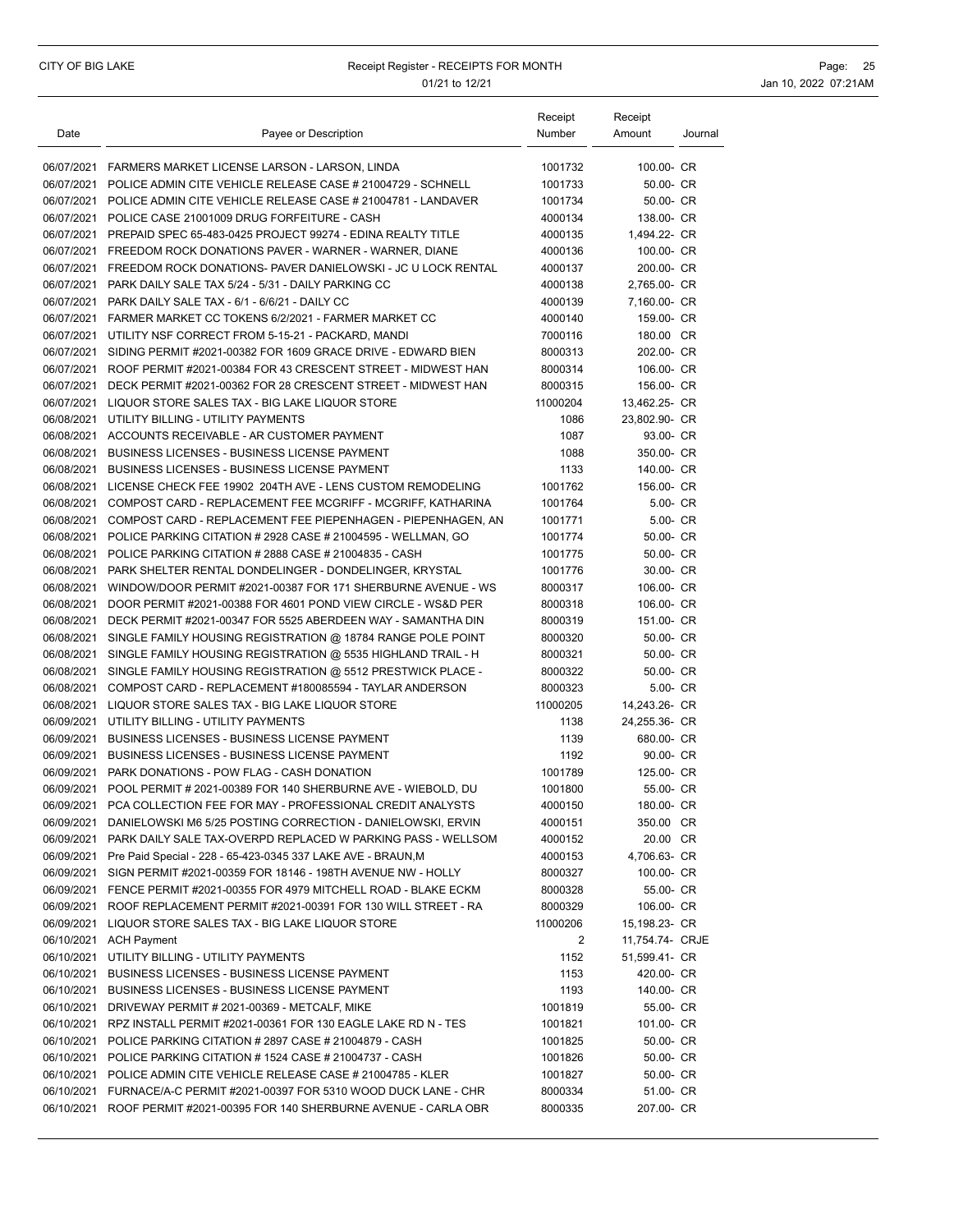## CITY OF BIG LAKE **Receipt Register - RECEIPTS FOR MONTH Page: 25** Page: 25 01/21 to 12/21 **Jan 10, 2022 07:21AM**

| Date | Payee or Description                                                                                                                               | Receipt<br>Number  | Receipt<br>Amount        | Journal |
|------|----------------------------------------------------------------------------------------------------------------------------------------------------|--------------------|--------------------------|---------|
|      | 06/07/2021 FARMERS MARKET LICENSE LARSON - LARSON, LINDA                                                                                           | 1001732            | 100.00- CR               |         |
|      | 06/07/2021 POLICE ADMIN CITE VEHICLE RELEASE CASE # 21004729 - SCHNELL                                                                             | 1001733            | 50.00- CR                |         |
|      | 06/07/2021 POLICE ADMIN CITE VEHICLE RELEASE CASE # 21004781 - LANDAVER                                                                            | 1001734            | 50.00- CR                |         |
|      | 06/07/2021 POLICE CASE 21001009 DRUG FORFEITURE - CASH                                                                                             | 4000134            | 138.00- CR               |         |
|      | 06/07/2021 PREPAID SPEC 65-483-0425 PROJECT 99274 - EDINA REALTY TITLE                                                                             | 4000135            | 1,494.22- CR             |         |
|      | 06/07/2021 FREEDOM ROCK DONATIONS PAVER - WARNER - WARNER, DIANE                                                                                   | 4000136            | 100.00- CR               |         |
|      | 06/07/2021 FREEDOM ROCK DONATIONS- PAVER DANIELOWSKI - JC U LOCK RENTAL                                                                            | 4000137            | 200.00- CR               |         |
|      | 06/07/2021 PARK DAILY SALE TAX 5/24 - 5/31 - DAILY PARKING CC                                                                                      | 4000138            | 2,765.00- CR             |         |
|      | 06/07/2021 PARK DAILY SALE TAX - 6/1 - 6/6/21 - DAILY CC                                                                                           | 4000139            | 7,160.00- CR             |         |
|      | 06/07/2021 FARMER MARKET CC TOKENS 6/2/2021 - FARMER MARKET CC                                                                                     | 4000140            | 159.00- CR               |         |
|      | 06/07/2021 UTILITY NSF CORRECT FROM 5-15-21 - PACKARD, MANDI                                                                                       | 7000116            | 180.00 CR                |         |
|      | 06/07/2021 SIDING PERMIT #2021-00382 FOR 1609 GRACE DRIVE - EDWARD BIEN                                                                            | 8000313            | 202.00- CR               |         |
|      | 06/07/2021 ROOF PERMIT #2021-00384 FOR 43 CRESCENT STREET - MIDWEST HAN<br>06/07/2021 DECK PERMIT #2021-00362 FOR 28 CRESCENT STREET - MIDWEST HAN | 8000314<br>8000315 | 106.00- CR<br>156.00- CR |         |
|      | 06/07/2021 LIQUOR STORE SALES TAX - BIG LAKE LIQUOR STORE                                                                                          | 11000204           | 13,462.25- CR            |         |
|      | 06/08/2021 UTILITY BILLING - UTILITY PAYMENTS                                                                                                      | 1086               | 23,802.90- CR            |         |
|      | 06/08/2021 ACCOUNTS RECEIVABLE - AR CUSTOMER PAYMENT                                                                                               | 1087               | 93.00- CR                |         |
|      | 06/08/2021 BUSINESS LICENSES - BUSINESS LICENSE PAYMENT                                                                                            | 1088               | 350.00- CR               |         |
|      | 06/08/2021 BUSINESS LICENSES - BUSINESS LICENSE PAYMENT                                                                                            | 1133               | 140.00- CR               |         |
|      | 06/08/2021 LICENSE CHECK FEE 19902 204TH AVE - LENS CUSTOM REMODELING                                                                              | 1001762            | 156.00- CR               |         |
|      | 06/08/2021 COMPOST CARD - REPLACEMENT FEE MCGRIFF - MCGRIFF, KATHARINA                                                                             | 1001764            | 5.00- CR                 |         |
|      | 06/08/2021 COMPOST CARD - REPLACEMENT FEE PIEPENHAGEN - PIEPENHAGEN, AN                                                                            | 1001771            | 5.00- CR                 |         |
|      | 06/08/2021 POLICE PARKING CITATION # 2928 CASE # 21004595 - WELLMAN, GO                                                                            | 1001774            | 50.00- CR                |         |
|      | 06/08/2021 POLICE PARKING CITATION # 2888 CASE # 21004835 - CASH                                                                                   | 1001775            | 50.00- CR                |         |
|      | 06/08/2021 PARK SHELTER RENTAL DONDELINGER - DONDELINGER, KRYSTAL                                                                                  | 1001776            | 30.00- CR                |         |
|      | 06/08/2021 WINDOW/DOOR PERMIT #2021-00387 FOR 171 SHERBURNE AVENUE - WS                                                                            | 8000317            | 106.00- CR               |         |
|      | 06/08/2021 DOOR PERMIT #2021-00388 FOR 4601 POND VIEW CIRCLE - WS&D PER                                                                            | 8000318            | 106.00- CR               |         |
|      | 06/08/2021 DECK PERMIT #2021-00347 FOR 5525 ABERDEEN WAY - SAMANTHA DIN                                                                            | 8000319            | 151.00- CR               |         |
|      | 06/08/2021 SINGLE FAMILY HOUSING REGISTRATION @ 18784 RANGE POLE POINT                                                                             | 8000320            | 50.00- CR                |         |
|      | 06/08/2021 SINGLE FAMILY HOUSING REGISTRATION @ 5535 HIGHLAND TRAIL - H                                                                            | 8000321            | 50.00- CR                |         |
|      | 06/08/2021 SINGLE FAMILY HOUSING REGISTRATION @ 5512 PRESTWICK PLACE -                                                                             | 8000322            | 50.00- CR                |         |
|      | 06/08/2021 COMPOST CARD - REPLACEMENT #180085594 - TAYLAR ANDERSON                                                                                 | 8000323            | $5.00 - CR$              |         |
|      | 06/08/2021 LIQUOR STORE SALES TAX - BIG LAKE LIQUOR STORE                                                                                          | 11000205           | 14,243.26- CR            |         |
|      | 06/09/2021 UTILITY BILLING - UTILITY PAYMENTS                                                                                                      | 1138               | 24,255.36- CR            |         |
|      | 06/09/2021 BUSINESS LICENSES - BUSINESS LICENSE PAYMENT                                                                                            | 1139               | 680.00- CR               |         |
|      | 06/09/2021 BUSINESS LICENSES - BUSINESS LICENSE PAYMENT                                                                                            | 1192               | 90.00- CR                |         |
|      | 06/09/2021 PARK DONATIONS - POW FLAG - CASH DONATION<br>06/09/2021 POOL PERMIT # 2021-00389 FOR 140 SHERBURNE AVE - WIEBOLD, DU                    | 1001789<br>1001800 | 125.00- CR<br>55.00- CR  |         |
|      | 06/09/2021 PCA COLLECTION FEE FOR MAY - PROFESSIONAL CREDIT ANALYSTS                                                                               | 4000150            | 180.00- CR               |         |
|      | 06/09/2021 DANIELOWSKI M6 5/25 POSTING CORRECTION - DANIELOWSKI, ERVIN                                                                             | 4000151            | 350.00 CR                |         |
|      | 06/09/2021 PARK DAILY SALE TAX-OVERPD REPLACED W PARKING PASS - WELLSOM                                                                            | 4000152            | 20.00 CR                 |         |
|      | 06/09/2021 Pre Paid Special - 228 - 65-423-0345 337 LAKE AVE - BRAUN, M                                                                            | 4000153            | 4,706.63- CR             |         |
|      | 06/09/2021 SIGN PERMIT #2021-00359 FOR 18146 - 198TH AVENUE NW - HOLLY                                                                             | 8000327            | 100.00- CR               |         |
|      | 06/09/2021 FENCE PERMIT #2021-00355 FOR 4979 MITCHELL ROAD - BLAKE ECKM                                                                            | 8000328            | 55.00- CR                |         |
|      | 06/09/2021 ROOF REPLACEMENT PERMIT #2021-00391 FOR 130 WILL STREET - RA                                                                            | 8000329            | 106.00- CR               |         |
|      | 06/09/2021 LIQUOR STORE SALES TAX - BIG LAKE LIQUOR STORE                                                                                          | 11000206           | 15,198.23- CR            |         |
|      | 06/10/2021 ACH Payment                                                                                                                             | 2                  | 11,754.74- CRJE          |         |
|      | 06/10/2021 UTILITY BILLING - UTILITY PAYMENTS                                                                                                      | 1152               | 51,599.41- CR            |         |
|      | 06/10/2021 BUSINESS LICENSES - BUSINESS LICENSE PAYMENT                                                                                            | 1153               | 420.00- CR               |         |
|      | 06/10/2021 BUSINESS LICENSES - BUSINESS LICENSE PAYMENT                                                                                            | 1193               | 140.00- CR               |         |
|      | 06/10/2021 DRIVEWAY PERMIT # 2021-00369 - METCALF, MIKE                                                                                            | 1001819            | 55.00- CR                |         |
|      | 06/10/2021 RPZ INSTALL PERMIT #2021-00361 FOR 130 EAGLE LAKE RD N - TES                                                                            | 1001821            | 101.00- CR               |         |
|      | 06/10/2021 POLICE PARKING CITATION # 2897 CASE # 21004879 - CASH                                                                                   | 1001825            | 50.00- CR                |         |
|      | 06/10/2021 POLICE PARKING CITATION # 1524 CASE # 21004737 - CASH                                                                                   | 1001826            | 50.00- CR                |         |
|      | 06/10/2021 POLICE ADMIN CITE VEHICLE RELEASE CASE # 21004785 - KLER                                                                                | 1001827            | 50.00- CR                |         |
|      | 06/10/2021 FURNACE/A-C PERMIT #2021-00397 FOR 5310 WOOD DUCK LANE - CHR                                                                            | 8000334            | 51.00- CR                |         |
|      | 06/10/2021 ROOF PERMIT #2021-00395 FOR 140 SHERBURNE AVENUE - CARLA OBR                                                                            | 8000335            | 207.00- CR               |         |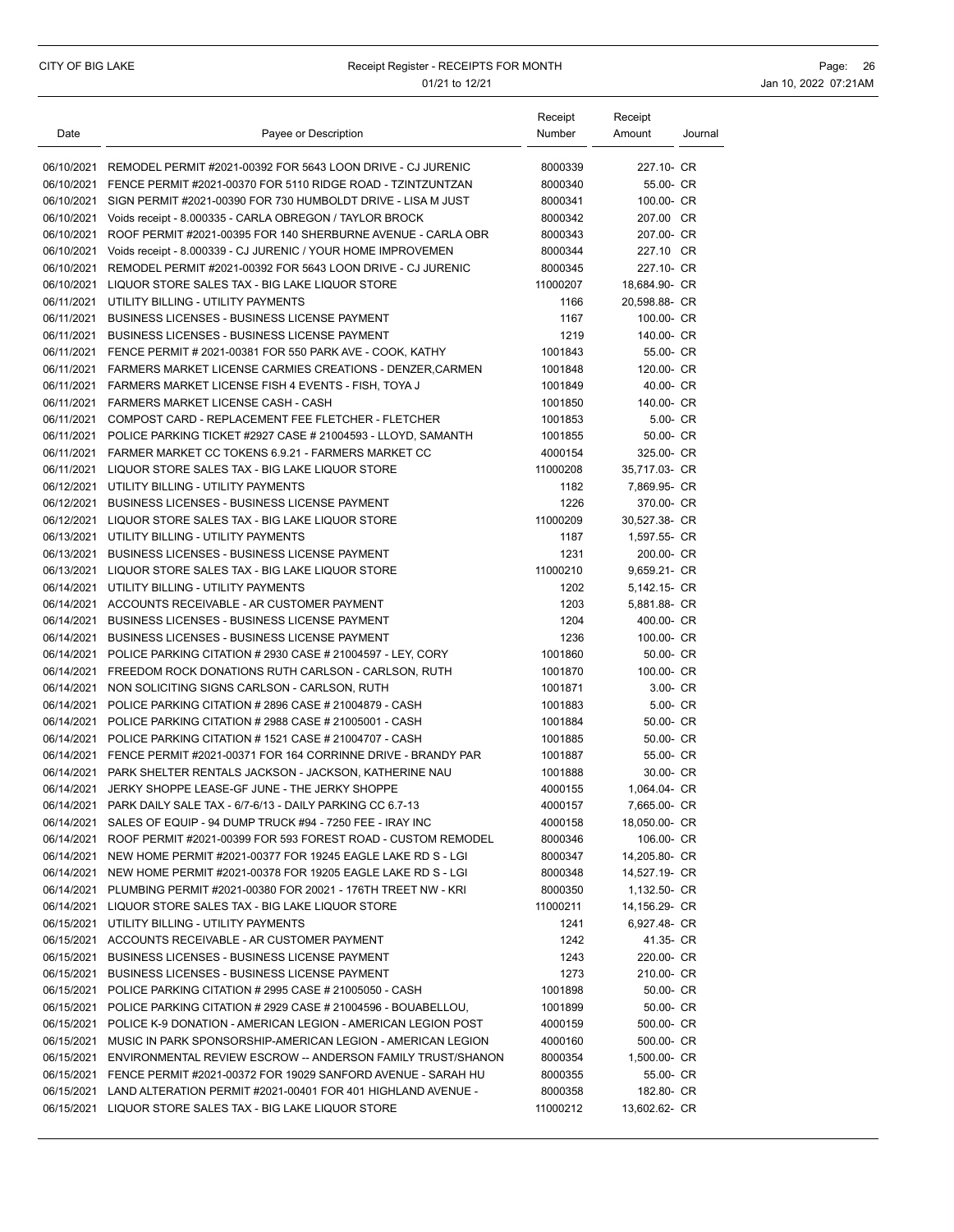| Date       | Payee or Description                                                                                                                              | Receipt<br>Number  | Receipt<br>Amount         | Journal |
|------------|---------------------------------------------------------------------------------------------------------------------------------------------------|--------------------|---------------------------|---------|
|            | 06/10/2021 REMODEL PERMIT #2021-00392 FOR 5643 LOON DRIVE - CJ JURENIC                                                                            | 8000339            | 227.10- CR                |         |
|            | 06/10/2021 FENCE PERMIT #2021-00370 FOR 5110 RIDGE ROAD - TZINTZUNTZAN                                                                            | 8000340            | 55.00- CR                 |         |
|            | 06/10/2021 SIGN PERMIT #2021-00390 FOR 730 HUMBOLDT DRIVE - LISA M JUST                                                                           | 8000341            | 100.00- CR                |         |
|            | 06/10/2021 Voids receipt - 8.000335 - CARLA OBREGON / TAYLOR BROCK                                                                                | 8000342            | 207.00 CR                 |         |
|            | 06/10/2021 ROOF PERMIT #2021-00395 FOR 140 SHERBURNE AVENUE - CARLA OBR                                                                           | 8000343            | 207.00- CR                |         |
|            | 06/10/2021 Voids receipt - 8.000339 - CJ JURENIC / YOUR HOME IMPROVEMEN                                                                           | 8000344            | 227.10 CR                 |         |
| 06/10/2021 | REMODEL PERMIT #2021-00392 FOR 5643 LOON DRIVE - CJ JURENIC                                                                                       | 8000345            | 227.10- CR                |         |
|            | 06/10/2021 LIQUOR STORE SALES TAX - BIG LAKE LIQUOR STORE                                                                                         | 11000207           | 18,684.90- CR             |         |
|            | 06/11/2021 UTILITY BILLING - UTILITY PAYMENTS                                                                                                     | 1166               | 20,598.88- CR             |         |
|            | 06/11/2021 BUSINESS LICENSES - BUSINESS LICENSE PAYMENT                                                                                           | 1167               | 100.00- CR                |         |
|            | 06/11/2021 BUSINESS LICENSES - BUSINESS LICENSE PAYMENT                                                                                           | 1219               | 140.00- CR                |         |
|            | 06/11/2021 FENCE PERMIT # 2021-00381 FOR 550 PARK AVE - COOK, KATHY                                                                               | 1001843            | 55.00- CR                 |         |
|            | 06/11/2021  FARMERS MARKET LICENSE CARMIES CREATIONS - DENZER, CARMEN                                                                             | 1001848            | 120.00- CR                |         |
|            | 06/11/2021  FARMERS MARKET LICENSE FISH 4 EVENTS - FISH, TOYA J                                                                                   | 1001849            | 40.00- CR                 |         |
|            | 06/11/2021 FARMERS MARKET LICENSE CASH - CASH                                                                                                     | 1001850            | 140.00- CR                |         |
|            | 06/11/2021 COMPOST CARD - REPLACEMENT FEE FLETCHER - FLETCHER                                                                                     | 1001853            | 5.00- CR                  |         |
|            | 06/11/2021 POLICE PARKING TICKET #2927 CASE # 21004593 - LLOYD, SAMANTH                                                                           | 1001855            | 50.00- CR                 |         |
|            | 06/11/2021  FARMER MARKET CC TOKENS 6.9.21 - FARMERS MARKET CC                                                                                    | 4000154            | 325.00- CR                |         |
|            | 06/11/2021 LIQUOR STORE SALES TAX - BIG LAKE LIQUOR STORE                                                                                         | 11000208           | 35,717.03- CR             |         |
|            | 06/12/2021 UTILITY BILLING - UTILITY PAYMENTS                                                                                                     | 1182               | 7,869.95- CR              |         |
|            | 06/12/2021 BUSINESS LICENSES - BUSINESS LICENSE PAYMENT                                                                                           | 1226               | 370.00- CR                |         |
|            | 06/12/2021 LIQUOR STORE SALES TAX - BIG LAKE LIQUOR STORE                                                                                         | 11000209           | 30,527.38- CR             |         |
|            | 06/13/2021 UTILITY BILLING - UTILITY PAYMENTS                                                                                                     | 1187               | 1,597.55- CR              |         |
|            | 06/13/2021 BUSINESS LICENSES - BUSINESS LICENSE PAYMENT                                                                                           | 1231               | 200.00- CR                |         |
|            | 06/13/2021 LIQUOR STORE SALES TAX - BIG LAKE LIQUOR STORE                                                                                         | 11000210           | 9,659.21- CR              |         |
|            | 06/14/2021 UTILITY BILLING - UTILITY PAYMENTS                                                                                                     | 1202               | 5,142.15- CR              |         |
|            | 06/14/2021 ACCOUNTS RECEIVABLE - AR CUSTOMER PAYMENT                                                                                              | 1203               | 5,881.88- CR              |         |
|            | 06/14/2021 BUSINESS LICENSES - BUSINESS LICENSE PAYMENT                                                                                           | 1204               | 400.00- CR                |         |
|            | 06/14/2021 BUSINESS LICENSES - BUSINESS LICENSE PAYMENT                                                                                           | 1236               | 100.00- CR                |         |
|            | 06/14/2021 POLICE PARKING CITATION # 2930 CASE # 21004597 - LEY, CORY                                                                             | 1001860            | 50.00- CR                 |         |
|            | 06/14/2021 FREEDOM ROCK DONATIONS RUTH CARLSON - CARLSON, RUTH                                                                                    | 1001870            | 100.00- CR                |         |
|            | 06/14/2021 NON SOLICITING SIGNS CARLSON - CARLSON, RUTH                                                                                           | 1001871            | $3.00 - CR$               |         |
|            | 06/14/2021 POLICE PARKING CITATION # 2896 CASE # 21004879 - CASH                                                                                  | 1001883            | 5.00- CR                  |         |
|            | 06/14/2021 POLICE PARKING CITATION # 2988 CASE # 21005001 - CASH                                                                                  | 1001884            | 50.00- CR                 |         |
|            | 06/14/2021 POLICE PARKING CITATION #1521 CASE #21004707 - CASH                                                                                    | 1001885            | 50.00- CR                 |         |
|            | 06/14/2021 FENCE PERMIT #2021-00371 FOR 164 CORRINNE DRIVE - BRANDY PAR                                                                           | 1001887            | 55.00- CR                 |         |
|            | 06/14/2021 PARK SHELTER RENTALS JACKSON - JACKSON, KATHERINE NAU                                                                                  | 1001888            | 30.00- CR                 |         |
|            | 06/14/2021 JERKY SHOPPE LEASE-GF JUNE - THE JERKY SHOPPE                                                                                          | 4000155            | 1,064.04- CR              |         |
|            | 06/14/2021 PARK DAILY SALE TAX - 6/7-6/13 - DAILY PARKING CC 6.7-13                                                                               | 4000157            | 7,665.00- CR              |         |
|            | 06/14/2021 SALES OF EQUIP - 94 DUMP TRUCK #94 - 7250 FEE - IRAY INC                                                                               | 4000158            | 18,050.00- CR             |         |
|            | 06/14/2021 ROOF PERMIT #2021-00399 FOR 593 FOREST ROAD - CUSTOM REMODEL                                                                           | 8000346            | 106.00- CR                |         |
|            | 06/14/2021 NEW HOME PERMIT #2021-00377 FOR 19245 EAGLE LAKE RD S - LGI                                                                            | 8000347            | 14,205.80- CR             |         |
|            | 06/14/2021 NEW HOME PERMIT #2021-00378 FOR 19205 EAGLE LAKE RD S - LGI                                                                            | 8000348            | 14,527.19- CR             |         |
|            | 06/14/2021 PLUMBING PERMIT #2021-00380 FOR 20021 - 176TH TREET NW - KRI                                                                           | 8000350            | 1,132.50- CR              |         |
|            | 06/14/2021 LIQUOR STORE SALES TAX - BIG LAKE LIQUOR STORE                                                                                         | 11000211           | 14,156.29- CR             |         |
|            | 06/15/2021 UTILITY BILLING - UTILITY PAYMENTS                                                                                                     | 1241               | 6,927.48- CR              |         |
|            | 06/15/2021 ACCOUNTS RECEIVABLE - AR CUSTOMER PAYMENT                                                                                              | 1242               | 41.35- CR                 |         |
|            | 06/15/2021 BUSINESS LICENSES - BUSINESS LICENSE PAYMENT                                                                                           | 1243               | 220.00- CR                |         |
|            | 06/15/2021 BUSINESS LICENSES - BUSINESS LICENSE PAYMENT                                                                                           | 1273               | 210.00- CR                |         |
|            | 06/15/2021 POLICE PARKING CITATION # 2995 CASE # 21005050 - CASH                                                                                  | 1001898            | 50.00- CR                 |         |
|            | 06/15/2021 POLICE PARKING CITATION # 2929 CASE # 21004596 - BOUABELLOU,                                                                           | 1001899            | 50.00- CR                 |         |
|            | 06/15/2021 POLICE K-9 DONATION - AMERICAN LEGION - AMERICAN LEGION POST                                                                           | 4000159            | 500.00- CR                |         |
|            | 06/15/2021 MUSIC IN PARK SPONSORSHIP-AMERICAN LEGION - AMERICAN LEGION                                                                            | 4000160            | 500.00- CR                |         |
|            | 06/15/2021 ENVIRONMENTAL REVIEW ESCROW -- ANDERSON FAMILY TRUST/SHANON<br>06/15/2021 FENCE PERMIT #2021-00372 FOR 19029 SANFORD AVENUE - SARAH HU | 8000354<br>8000355 | 1,500.00- CR<br>55.00- CR |         |
|            | 06/15/2021 LAND ALTERATION PERMIT #2021-00401 FOR 401 HIGHLAND AVENUE -                                                                           | 8000358            | 182.80- CR                |         |
|            | 06/15/2021 LIQUOR STORE SALES TAX - BIG LAKE LIQUOR STORE                                                                                         | 11000212           | 13,602.62- CR             |         |
|            |                                                                                                                                                   |                    |                           |         |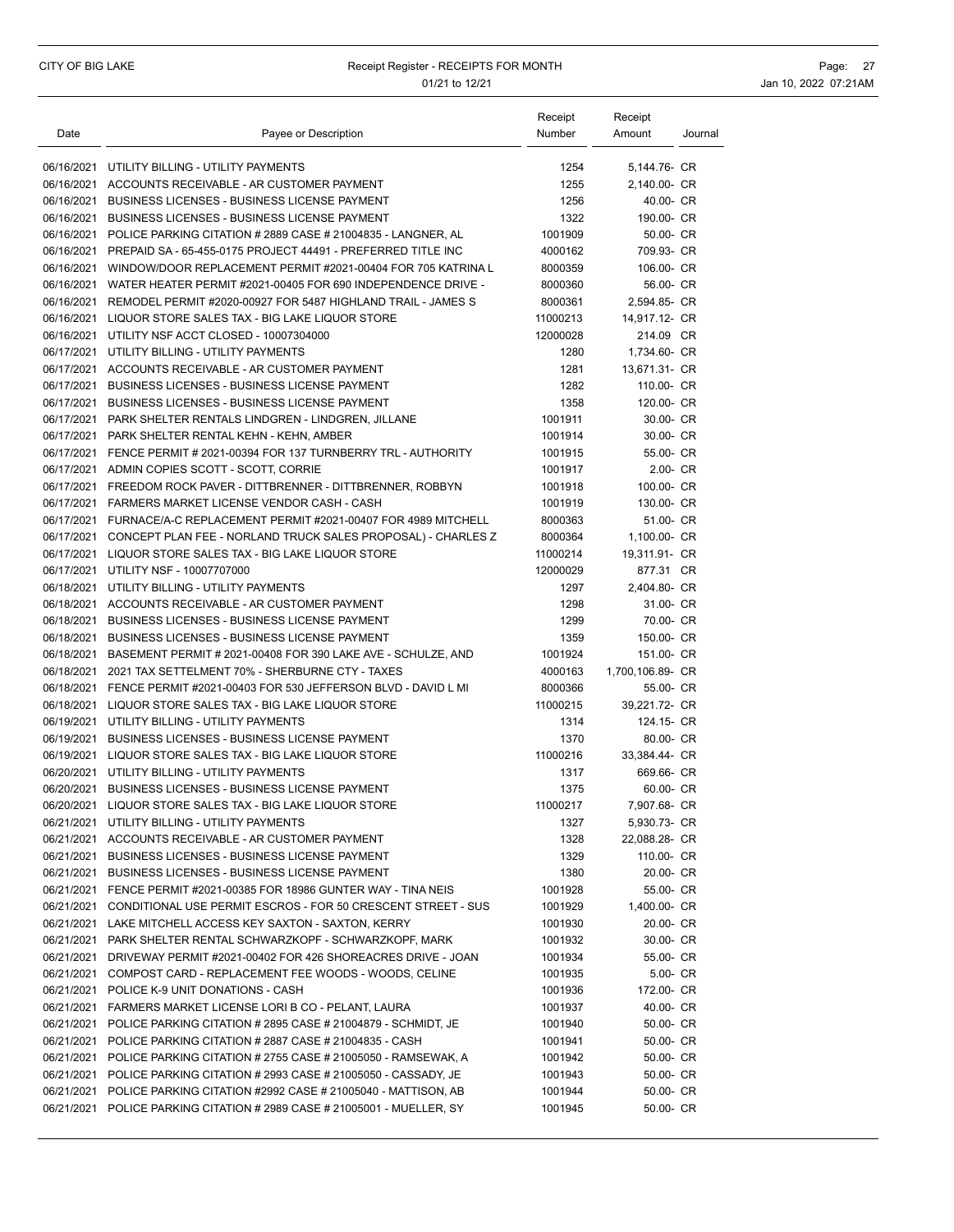### CITY OF BIG LAKE **Receipt Register - RECEIPTS FOR MONTH Page: 27** Page: 27 01/21 to 12/21 **Jan 10, 2022 07:21AM**

| Date | Payee or Description                                                    | Receipt<br>Number | Receipt<br>Amount | Journal |
|------|-------------------------------------------------------------------------|-------------------|-------------------|---------|
|      | 06/16/2021 UTILITY BILLING - UTILITY PAYMENTS                           | 1254              | 5,144.76- CR      |         |
|      | 06/16/2021 ACCOUNTS RECEIVABLE - AR CUSTOMER PAYMENT                    | 1255              | 2,140.00- CR      |         |
|      | 06/16/2021 BUSINESS LICENSES - BUSINESS LICENSE PAYMENT                 | 1256              | 40.00- CR         |         |
|      | 06/16/2021 BUSINESS LICENSES - BUSINESS LICENSE PAYMENT                 | 1322              | 190.00- CR        |         |
|      | 06/16/2021 POLICE PARKING CITATION # 2889 CASE # 21004835 - LANGNER, AL | 1001909           | 50.00- CR         |         |
|      | 06/16/2021 PREPAID SA - 65-455-0175 PROJECT 44491 - PREFERRED TITLE INC | 4000162           | 709.93- CR        |         |
|      | 06/16/2021 WINDOW/DOOR REPLACEMENT PERMIT #2021-00404 FOR 705 KATRINA L | 8000359           | 106.00- CR        |         |
|      | 06/16/2021 WATER HEATER PERMIT #2021-00405 FOR 690 INDEPENDENCE DRIVE - | 8000360           | 56.00- CR         |         |
|      | 06/16/2021 REMODEL PERMIT #2020-00927 FOR 5487 HIGHLAND TRAIL - JAMES S | 8000361           | 2,594.85- CR      |         |
|      | 06/16/2021 LIQUOR STORE SALES TAX - BIG LAKE LIQUOR STORE               | 11000213          | 14,917.12- CR     |         |
|      | 06/16/2021 UTILITY NSF ACCT CLOSED - 10007304000                        | 12000028          | 214.09 CR         |         |
|      | 06/17/2021 UTILITY BILLING - UTILITY PAYMENTS                           | 1280              | 1,734.60- CR      |         |
|      | 06/17/2021 ACCOUNTS RECEIVABLE - AR CUSTOMER PAYMENT                    | 1281              | 13,671.31- CR     |         |
|      | 06/17/2021 BUSINESS LICENSES - BUSINESS LICENSE PAYMENT                 | 1282              | 110.00- CR        |         |
|      | 06/17/2021 BUSINESS LICENSES - BUSINESS LICENSE PAYMENT                 | 1358              | 120.00- CR        |         |
|      | 06/17/2021 PARK SHELTER RENTALS LINDGREN - LINDGREN, JILLANE            | 1001911           | 30.00- CR         |         |
|      | 06/17/2021 PARK SHELTER RENTAL KEHN - KEHN, AMBER                       | 1001914           | 30.00- CR         |         |
|      | 06/17/2021 FENCE PERMIT # 2021-00394 FOR 137 TURNBERRY TRL - AUTHORITY  | 1001915           | 55.00- CR         |         |
|      | 06/17/2021 ADMIN COPIES SCOTT - SCOTT, CORRIE                           | 1001917           | 2.00- CR          |         |
|      | 06/17/2021 FREEDOM ROCK PAVER - DITTBRENNER - DITTBRENNER, ROBBYN       | 1001918           | 100.00- CR        |         |
|      | 06/17/2021 FARMERS MARKET LICENSE VENDOR CASH - CASH                    | 1001919           | 130.00- CR        |         |
|      | 06/17/2021 FURNACE/A-C REPLACEMENT PERMIT #2021-00407 FOR 4989 MITCHELL | 8000363           | 51.00- CR         |         |
|      | 06/17/2021 CONCEPT PLAN FEE - NORLAND TRUCK SALES PROPOSAL) - CHARLES Z | 8000364           | 1,100.00- CR      |         |
|      | 06/17/2021 LIQUOR STORE SALES TAX - BIG LAKE LIQUOR STORE               | 11000214          | 19,311.91- CR     |         |
|      | 06/17/2021 UTILITY NSF - 10007707000                                    | 12000029          | 877.31 CR         |         |
|      | 06/18/2021 UTILITY BILLING - UTILITY PAYMENTS                           | 1297              | 2,404.80- CR      |         |
|      | 06/18/2021 ACCOUNTS RECEIVABLE - AR CUSTOMER PAYMENT                    | 1298              | 31.00- CR         |         |
|      | 06/18/2021 BUSINESS LICENSES - BUSINESS LICENSE PAYMENT                 | 1299              | 70.00- CR         |         |
|      | 06/18/2021 BUSINESS LICENSES - BUSINESS LICENSE PAYMENT                 | 1359              | 150.00- CR        |         |
|      | 06/18/2021 BASEMENT PERMIT # 2021-00408 FOR 390 LAKE AVE - SCHULZE, AND | 1001924           | 151.00- CR        |         |
|      | 06/18/2021 2021 TAX SETTELMENT 70% - SHERBURNE CTY - TAXES              | 4000163           | 1,700,106.89- CR  |         |
|      | 06/18/2021 FENCE PERMIT #2021-00403 FOR 530 JEFFERSON BLVD - DAVID L MI | 8000366           | 55.00- CR         |         |
|      | 06/18/2021 LIQUOR STORE SALES TAX - BIG LAKE LIQUOR STORE               | 11000215          | 39,221.72- CR     |         |
|      | 06/19/2021 UTILITY BILLING - UTILITY PAYMENTS                           | 1314              | 124.15- CR        |         |
|      | 06/19/2021 BUSINESS LICENSES - BUSINESS LICENSE PAYMENT                 | 1370              | 80.00- CR         |         |
|      | 06/19/2021 LIQUOR STORE SALES TAX - BIG LAKE LIQUOR STORE               | 11000216          | 33,384.44- CR     |         |
|      | 06/20/2021 UTILITY BILLING - UTILITY PAYMENTS                           | 1317              | 669.66- CR        |         |
|      | 06/20/2021 BUSINESS LICENSES - BUSINESS LICENSE PAYMENT                 | 1375              | 60.00- CR         |         |
|      | 06/20/2021 LIQUOR STORE SALES TAX - BIG LAKE LIQUOR STORE               | 11000217          | 7,907.68- CR      |         |
|      | 06/21/2021 UTILITY BILLING - UTILITY PAYMENTS                           | 1327              | 5,930.73- CR      |         |
|      | 06/21/2021 ACCOUNTS RECEIVABLE - AR CUSTOMER PAYMENT                    | 1328              | 22,088.28- CR     |         |
|      | 06/21/2021 BUSINESS LICENSES - BUSINESS LICENSE PAYMENT                 | 1329              | 110.00- CR        |         |
|      | 06/21/2021 BUSINESS LICENSES - BUSINESS LICENSE PAYMENT                 | 1380              | 20.00- CR         |         |
|      | 06/21/2021 FENCE PERMIT #2021-00385 FOR 18986 GUNTER WAY - TINA NEIS    | 1001928           | 55.00- CR         |         |
|      | 06/21/2021 CONDITIONAL USE PERMIT ESCROS - FOR 50 CRESCENT STREET - SUS | 1001929           | 1,400.00- CR      |         |
|      | 06/21/2021 LAKE MITCHELL ACCESS KEY SAXTON - SAXTON, KERRY              | 1001930           | 20.00- CR         |         |
|      | 06/21/2021 PARK SHELTER RENTAL SCHWARZKOPF - SCHWARZKOPF, MARK          | 1001932           | 30.00- CR         |         |
|      | 06/21/2021 DRIVEWAY PERMIT #2021-00402 FOR 426 SHOREACRES DRIVE - JOAN  | 1001934           | 55.00- CR         |         |
|      | 06/21/2021 COMPOST CARD - REPLACEMENT FEE WOODS - WOODS, CELINE         | 1001935           | 5.00- CR          |         |
|      | 06/21/2021 POLICE K-9 UNIT DONATIONS - CASH                             | 1001936           | 172.00- CR        |         |
|      | 06/21/2021 FARMERS MARKET LICENSE LORI B CO - PELANT, LAURA             | 1001937           | 40.00- CR         |         |
|      | 06/21/2021 POLICE PARKING CITATION # 2895 CASE # 21004879 - SCHMIDT, JE | 1001940           | 50.00- CR         |         |
|      | 06/21/2021 POLICE PARKING CITATION # 2887 CASE # 21004835 - CASH        | 1001941           | 50.00- CR         |         |
|      | 06/21/2021 POLICE PARKING CITATION # 2755 CASE # 21005050 - RAMSEWAK, A | 1001942           | 50.00- CR         |         |
|      | 06/21/2021 POLICE PARKING CITATION # 2993 CASE # 21005050 - CASSADY, JE | 1001943           | 50.00- CR         |         |
|      | 06/21/2021 POLICE PARKING CITATION #2992 CASE # 21005040 - MATTISON, AB | 1001944           | 50.00- CR         |         |
|      | 06/21/2021 POLICE PARKING CITATION # 2989 CASE # 21005001 - MUELLER, SY | 1001945           | 50.00- CR         |         |
|      |                                                                         |                   |                   |         |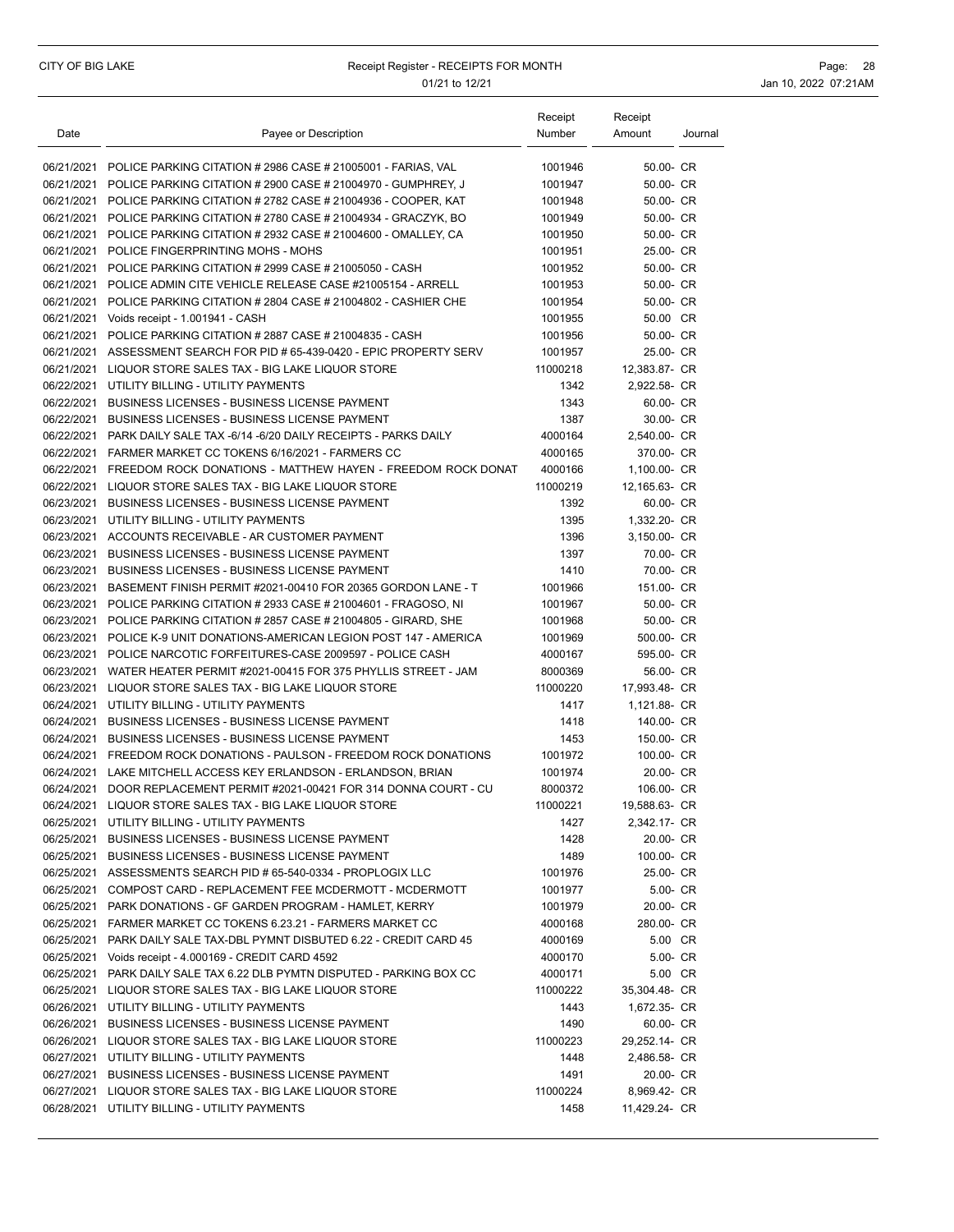### CITY OF BIG LAKE **Receipt Register - RECEIPTS FOR MONTH Page: 28** Page: 28 01/21 to 12/21 **Jan 10, 2022 07:21AM**

| Date | Payee or Description                                                    | Receipt<br>Number | Receipt<br>Amount | Journal |
|------|-------------------------------------------------------------------------|-------------------|-------------------|---------|
|      | 06/21/2021 POLICE PARKING CITATION # 2986 CASE # 21005001 - FARIAS, VAL | 1001946           | 50.00- CR         |         |
|      | 06/21/2021 POLICE PARKING CITATION # 2900 CASE # 21004970 - GUMPHREY, J | 1001947           | 50.00- CR         |         |
|      | 06/21/2021 POLICE PARKING CITATION # 2782 CASE # 21004936 - COOPER, KAT | 1001948           | 50.00- CR         |         |
|      | 06/21/2021 POLICE PARKING CITATION # 2780 CASE # 21004934 - GRACZYK, BO | 1001949           | 50.00- CR         |         |
|      | 06/21/2021 POLICE PARKING CITATION # 2932 CASE # 21004600 - OMALLEY, CA | 1001950           | 50.00- CR         |         |
|      | 06/21/2021 POLICE FINGERPRINTING MOHS - MOHS                            | 1001951           | 25.00- CR         |         |
|      | 06/21/2021 POLICE PARKING CITATION # 2999 CASE # 21005050 - CASH        | 1001952           | 50.00- CR         |         |
|      | 06/21/2021 POLICE ADMIN CITE VEHICLE RELEASE CASE #21005154 - ARRELL    | 1001953           | 50.00- CR         |         |
|      | 06/21/2021 POLICE PARKING CITATION # 2804 CASE # 21004802 - CASHIER CHE | 1001954           | 50.00- CR         |         |
|      | 06/21/2021 Voids receipt - 1.001941 - CASH                              | 1001955           | 50.00 CR          |         |
|      | 06/21/2021 POLICE PARKING CITATION # 2887 CASE # 21004835 - CASH        | 1001956           | 50.00- CR         |         |
|      | 06/21/2021 ASSESSMENT SEARCH FOR PID # 65-439-0420 - EPIC PROPERTY SERV | 1001957           | 25.00- CR         |         |
|      | 06/21/2021 LIQUOR STORE SALES TAX - BIG LAKE LIQUOR STORE               | 11000218          | 12,383.87- CR     |         |
|      | 06/22/2021 UTILITY BILLING - UTILITY PAYMENTS                           | 1342              | 2,922.58- CR      |         |
|      | 06/22/2021 BUSINESS LICENSES - BUSINESS LICENSE PAYMENT                 | 1343              | 60.00- CR         |         |
|      | 06/22/2021 BUSINESS LICENSES - BUSINESS LICENSE PAYMENT                 | 1387              | 30.00- CR         |         |
|      | 06/22/2021 PARK DAILY SALE TAX -6/14 -6/20 DAILY RECEIPTS - PARKS DAILY | 4000164           | 2,540.00- CR      |         |
|      | 06/22/2021 FARMER MARKET CC TOKENS 6/16/2021 - FARMERS CC               | 4000165           | 370.00- CR        |         |
|      | 06/22/2021 FREEDOM ROCK DONATIONS - MATTHEW HAYEN - FREEDOM ROCK DONAT  | 4000166           | 1,100.00- CR      |         |
|      | 06/22/2021 LIQUOR STORE SALES TAX - BIG LAKE LIQUOR STORE               | 11000219          | 12,165.63- CR     |         |
|      | 06/23/2021 BUSINESS LICENSES - BUSINESS LICENSE PAYMENT                 | 1392              | 60.00- CR         |         |
|      | 06/23/2021 UTILITY BILLING - UTILITY PAYMENTS                           | 1395              | 1,332.20- CR      |         |
|      | 06/23/2021 ACCOUNTS RECEIVABLE - AR CUSTOMER PAYMENT                    | 1396              | 3,150.00- CR      |         |
|      | 06/23/2021 BUSINESS LICENSES - BUSINESS LICENSE PAYMENT                 | 1397              | 70.00- CR         |         |
|      | 06/23/2021 BUSINESS LICENSES - BUSINESS LICENSE PAYMENT                 | 1410              | 70.00- CR         |         |
|      | 06/23/2021 BASEMENT FINISH PERMIT #2021-00410 FOR 20365 GORDON LANE - T | 1001966           | 151.00- CR        |         |
|      | 06/23/2021 POLICE PARKING CITATION # 2933 CASE # 21004601 - FRAGOSO, NI | 1001967           | 50.00- CR         |         |
|      | 06/23/2021 POLICE PARKING CITATION # 2857 CASE # 21004805 - GIRARD, SHE | 1001968           | 50.00- CR         |         |
|      | 06/23/2021 POLICE K-9 UNIT DONATIONS-AMERICAN LEGION POST 147 - AMERICA | 1001969           | 500.00- CR        |         |
|      | 06/23/2021 POLICE NARCOTIC FORFEITURES-CASE 2009597 - POLICE CASH       | 4000167           | 595.00- CR        |         |
|      | 06/23/2021 WATER HEATER PERMIT #2021-00415 FOR 375 PHYLLIS STREET - JAM | 8000369           | 56.00- CR         |         |
|      | 06/23/2021 LIQUOR STORE SALES TAX - BIG LAKE LIQUOR STORE               | 11000220          | 17,993.48- CR     |         |
|      | 06/24/2021 UTILITY BILLING - UTILITY PAYMENTS                           | 1417              | 1,121.88- CR      |         |
|      | 06/24/2021 BUSINESS LICENSES - BUSINESS LICENSE PAYMENT                 | 1418              | 140.00- CR        |         |
|      | 06/24/2021 BUSINESS LICENSES - BUSINESS LICENSE PAYMENT                 | 1453              | 150.00- CR        |         |
|      | 06/24/2021 FREEDOM ROCK DONATIONS - PAULSON - FREEDOM ROCK DONATIONS    | 1001972           | 100.00- CR        |         |
|      | 06/24/2021 LAKE MITCHELL ACCESS KEY ERLANDSON - ERLANDSON, BRIAN        | 1001974           | 20.00- CR         |         |
|      | 06/24/2021 DOOR REPLACEMENT PERMIT #2021-00421 FOR 314 DONNA COURT - CU | 8000372           | 106.00- CR        |         |
|      | 06/24/2021 LIQUOR STORE SALES TAX - BIG LAKE LIQUOR STORE               | 11000221          | 19,588.63- CR     |         |
|      | 06/25/2021 UTILITY BILLING - UTILITY PAYMENTS                           | 1427              | 2,342.17- CR      |         |
|      | 06/25/2021 BUSINESS LICENSES - BUSINESS LICENSE PAYMENT                 | 1428              | 20.00- CR         |         |
|      | 06/25/2021 BUSINESS LICENSES - BUSINESS LICENSE PAYMENT                 | 1489              | 100.00- CR        |         |
|      | 06/25/2021 ASSESSMENTS SEARCH PID # 65-540-0334 - PROPLOGIX LLC         | 1001976           | 25.00- CR         |         |
|      | 06/25/2021 COMPOST CARD - REPLACEMENT FEE MCDERMOTT - MCDERMOTT         | 1001977           | 5.00- CR          |         |
|      | 06/25/2021 PARK DONATIONS - GF GARDEN PROGRAM - HAMLET, KERRY           | 1001979           | 20.00- CR         |         |
|      | 06/25/2021 FARMER MARKET CC TOKENS 6.23.21 - FARMERS MARKET CC          | 4000168           | 280.00- CR        |         |
|      | 06/25/2021 PARK DAILY SALE TAX-DBL PYMNT DISBUTED 6.22 - CREDIT CARD 45 | 4000169           | 5.00 CR           |         |
|      | 06/25/2021 Voids receipt - 4.000169 - CREDIT CARD 4592                  | 4000170           | 5.00- CR          |         |
|      | 06/25/2021 PARK DAILY SALE TAX 6.22 DLB PYMTN DISPUTED - PARKING BOX CC | 4000171           | 5.00 CR           |         |
|      | 06/25/2021 LIQUOR STORE SALES TAX - BIG LAKE LIQUOR STORE               | 11000222          | 35,304.48- CR     |         |
|      | 06/26/2021 UTILITY BILLING - UTILITY PAYMENTS                           | 1443              | 1,672.35- CR      |         |
|      | 06/26/2021 BUSINESS LICENSES - BUSINESS LICENSE PAYMENT                 | 1490              | 60.00- CR         |         |
|      | 06/26/2021 LIQUOR STORE SALES TAX - BIG LAKE LIQUOR STORE               | 11000223          | 29,252.14- CR     |         |
|      | 06/27/2021 UTILITY BILLING - UTILITY PAYMENTS                           | 1448              | 2,486.58- CR      |         |
|      | 06/27/2021 BUSINESS LICENSES - BUSINESS LICENSE PAYMENT                 | 1491              | 20.00- CR         |         |
|      | 06/27/2021 LIQUOR STORE SALES TAX - BIG LAKE LIQUOR STORE               | 11000224          | 8,969.42- CR      |         |
|      | 06/28/2021 UTILITY BILLING - UTILITY PAYMENTS                           | 1458              | 11,429.24- CR     |         |
|      |                                                                         |                   |                   |         |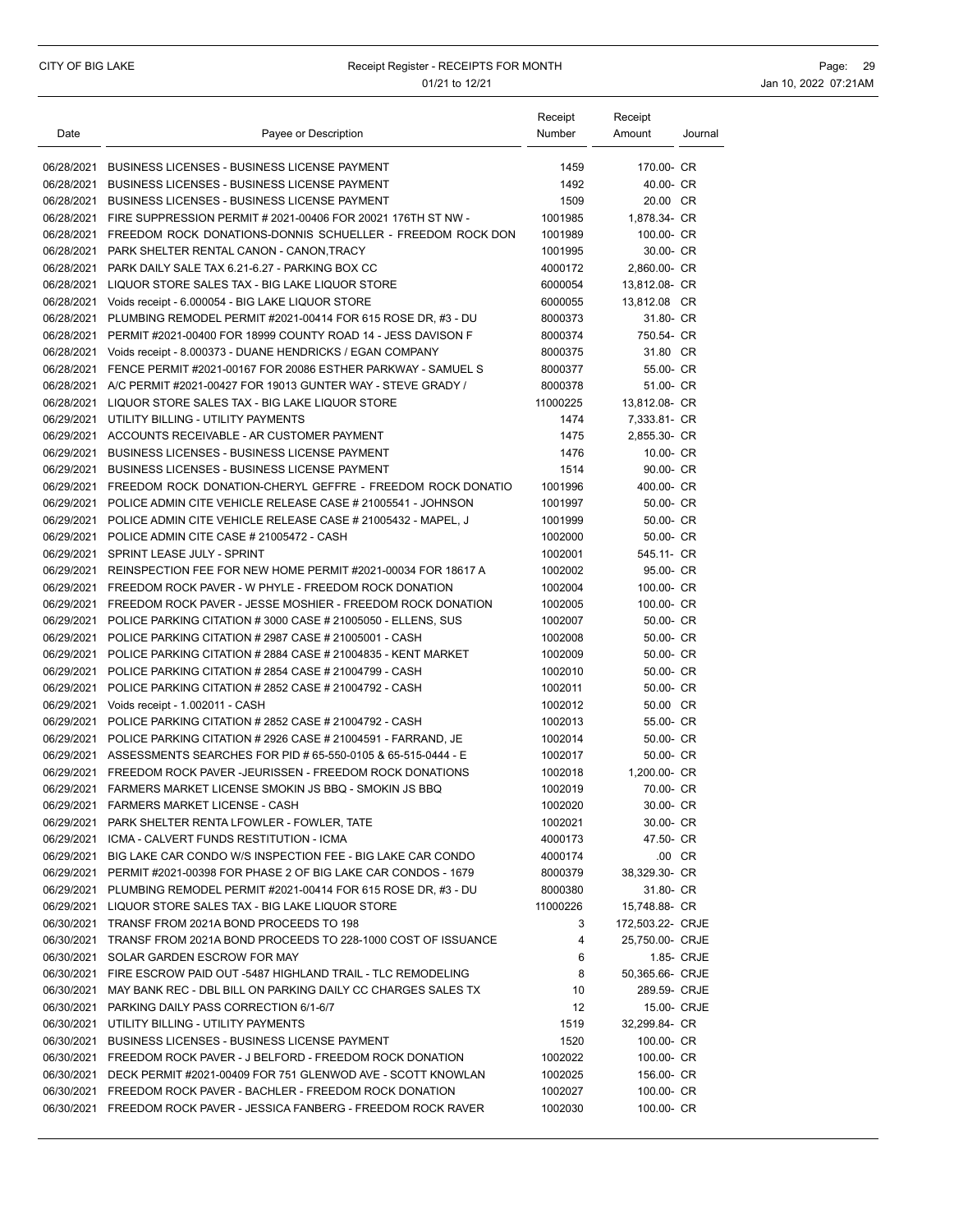### CITY OF BIG LAKE **Receipt Register - RECEIPTS FOR MONTH Page: 29** Page: 29 01/21 to 12/21 **Jan 10, 2022 07:21AM**

| Date | Payee or Description                                                                                                                    | Receipt<br>Number  | Receipt<br>Amount        | Journal     |
|------|-----------------------------------------------------------------------------------------------------------------------------------------|--------------------|--------------------------|-------------|
|      | 06/28/2021 BUSINESS LICENSES - BUSINESS LICENSE PAYMENT                                                                                 | 1459               | 170.00- CR               |             |
|      | 06/28/2021 BUSINESS LICENSES - BUSINESS LICENSE PAYMENT                                                                                 | 1492               | 40.00- CR                |             |
|      | 06/28/2021 BUSINESS LICENSES - BUSINESS LICENSE PAYMENT                                                                                 | 1509               | 20.00 CR                 |             |
|      | 06/28/2021 FIRE SUPPRESSION PERMIT # 2021-00406 FOR 20021 176TH ST NW -                                                                 | 1001985            | 1,878.34- CR             |             |
|      | 06/28/2021 FREEDOM ROCK DONATIONS-DONNIS SCHUELLER - FREEDOM ROCK DON                                                                   | 1001989            | 100.00- CR               |             |
|      | 06/28/2021 PARK SHELTER RENTAL CANON - CANON, TRACY                                                                                     | 1001995            | 30.00- CR                |             |
|      | 06/28/2021 PARK DAILY SALE TAX 6.21-6.27 - PARKING BOX CC                                                                               | 4000172            | 2,860.00- CR             |             |
|      | 06/28/2021 LIQUOR STORE SALES TAX - BIG LAKE LIQUOR STORE                                                                               | 6000054            | 13,812.08- CR            |             |
|      | 06/28/2021 Voids receipt - 6.000054 - BIG LAKE LIQUOR STORE                                                                             | 6000055            | 13,812.08 CR             |             |
|      | 06/28/2021 PLUMBING REMODEL PERMIT #2021-00414 FOR 615 ROSE DR, #3 - DU                                                                 | 8000373            | 31.80- CR                |             |
|      | 06/28/2021 PERMIT #2021-00400 FOR 18999 COUNTY ROAD 14 - JESS DAVISON F                                                                 | 8000374            | 750.54- CR               |             |
|      | 06/28/2021 Voids receipt - 8.000373 - DUANE HENDRICKS / EGAN COMPANY                                                                    | 8000375            | 31.80 CR                 |             |
|      | 06/28/2021 FENCE PERMIT #2021-00167 FOR 20086 ESTHER PARKWAY - SAMUEL S                                                                 | 8000377            | 55.00- CR                |             |
|      | 06/28/2021 A/C PERMIT #2021-00427 FOR 19013 GUNTER WAY - STEVE GRADY /                                                                  | 8000378            | 51.00- CR                |             |
|      | 06/28/2021 LIQUOR STORE SALES TAX - BIG LAKE LIQUOR STORE                                                                               | 11000225           | 13,812.08- CR            |             |
|      | 06/29/2021 UTILITY BILLING - UTILITY PAYMENTS                                                                                           | 1474               | 7,333.81- CR             |             |
|      | 06/29/2021 ACCOUNTS RECEIVABLE - AR CUSTOMER PAYMENT                                                                                    | 1475               | 2.855.30- CR             |             |
|      | 06/29/2021 BUSINESS LICENSES - BUSINESS LICENSE PAYMENT                                                                                 | 1476               | 10.00- CR                |             |
|      | 06/29/2021 BUSINESS LICENSES - BUSINESS LICENSE PAYMENT                                                                                 | 1514               | 90.00- CR                |             |
|      | 06/29/2021 FREEDOM ROCK DONATION-CHERYL GEFFRE - FREEDOM ROCK DONATIO                                                                   | 1001996            | 400.00- CR               |             |
|      | 06/29/2021 POLICE ADMIN CITE VEHICLE RELEASE CASE # 21005541 - JOHNSON                                                                  | 1001997            | 50.00- CR                |             |
|      | 06/29/2021 POLICE ADMIN CITE VEHICLE RELEASE CASE # 21005432 - MAPEL, J                                                                 | 1001999            | 50.00- CR                |             |
|      | 06/29/2021 POLICE ADMIN CITE CASE # 21005472 - CASH                                                                                     | 1002000            | 50.00- CR                |             |
|      | 06/29/2021 SPRINT LEASE JULY - SPRINT                                                                                                   | 1002001            | 545.11- CR               |             |
|      | 06/29/2021 REINSPECTION FEE FOR NEW HOME PERMIT #2021-00034 FOR 18617 A                                                                 | 1002002            | 95.00- CR                |             |
|      | 06/29/2021 FREEDOM ROCK PAVER - W PHYLE - FREEDOM ROCK DONATION                                                                         | 1002004            | 100.00- CR               |             |
|      | 06/29/2021 FREEDOM ROCK PAVER - JESSE MOSHIER - FREEDOM ROCK DONATION                                                                   | 1002005            | 100.00- CR               |             |
|      | 06/29/2021 POLICE PARKING CITATION #3000 CASE # 21005050 - ELLENS, SUS                                                                  | 1002007            | 50.00- CR                |             |
|      | 06/29/2021 POLICE PARKING CITATION # 2987 CASE # 21005001 - CASH                                                                        | 1002008            | 50.00- CR                |             |
|      | 06/29/2021 POLICE PARKING CITATION # 2884 CASE # 21004835 - KENT MARKET                                                                 | 1002009            | 50.00- CR                |             |
|      | 06/29/2021 POLICE PARKING CITATION # 2854 CASE # 21004799 - CASH                                                                        | 1002010            | 50.00- CR                |             |
|      | 06/29/2021 POLICE PARKING CITATION # 2852 CASE # 21004792 - CASH                                                                        | 1002011            | 50.00- CR                |             |
|      | 06/29/2021 Voids receipt - 1.002011 - CASH                                                                                              | 1002012            | 50.00 CR                 |             |
|      | 06/29/2021 POLICE PARKING CITATION # 2852 CASE # 21004792 - CASH                                                                        | 1002013            | 55.00- CR                |             |
|      | 06/29/2021 POLICE PARKING CITATION # 2926 CASE # 21004591 - FARRAND, JE                                                                 | 1002014            | 50.00- CR                |             |
|      | 06/29/2021 ASSESSMENTS SEARCHES FOR PID # 65-550-0105 & 65-515-0444 - E                                                                 | 1002017            | 50.00- CR                |             |
|      | 06/29/2021 FREEDOM ROCK PAVER -JEURISSEN - FREEDOM ROCK DONATIONS                                                                       | 1002018            | 1,200.00- CR             |             |
|      | 06/29/2021 FARMERS MARKET LICENSE SMOKIN JS BBQ - SMOKIN JS BBQ                                                                         | 1002019            | 70.00- CR                |             |
|      | 06/29/2021 FARMERS MARKET LICENSE - CASH                                                                                                | 1002020            | 30.00- CR                |             |
|      | 06/29/2021 PARK SHELTER RENTA LFOWLER - FOWLER, TATE                                                                                    | 1002021            | 30.00- CR                |             |
|      | 06/29/2021 ICMA - CALVERT FUNDS RESTITUTION - ICMA                                                                                      | 4000173            | 47.50- CR                |             |
|      | 06/29/2021 BIG LAKE CAR CONDO W/S INSPECTION FEE - BIG LAKE CAR CONDO                                                                   | 4000174            |                          | .00 CR      |
|      | 06/29/2021 PERMIT #2021-00398 FOR PHASE 2 OF BIG LAKE CAR CONDOS - 1679                                                                 | 8000379            | 38,329.30- CR            |             |
|      | 06/29/2021 PLUMBING REMODEL PERMIT #2021-00414 FOR 615 ROSE DR, #3 - DU                                                                 | 8000380            | 31.80- CR                |             |
|      | 06/29/2021 LIQUOR STORE SALES TAX - BIG LAKE LIQUOR STORE                                                                               | 11000226           | 15,748.88- CR            |             |
|      | 06/30/2021 TRANSF FROM 2021A BOND PROCEEDS TO 198                                                                                       | 3                  | 172,503.22- CRJE         |             |
|      | 06/30/2021 TRANSF FROM 2021A BOND PROCEEDS TO 228-1000 COST OF ISSUANCE                                                                 | 4                  | 25,750.00- CRJE          |             |
|      | 06/30/2021 SOLAR GARDEN ESCROW FOR MAY                                                                                                  | 6                  |                          | 1.85- CRJE  |
|      | 06/30/2021 FIRE ESCROW PAID OUT -5487 HIGHLAND TRAIL - TLC REMODELING                                                                   | 8                  | 50,365.66- CRJE          |             |
|      | 06/30/2021 MAY BANK REC - DBL BILL ON PARKING DAILY CC CHARGES SALES TX                                                                 | 10                 | 289.59- CRJE             |             |
|      | 06/30/2021 PARKING DAILY PASS CORRECTION 6/1-6/7                                                                                        | 12                 |                          | 15.00- CRJE |
|      | 06/30/2021 UTILITY BILLING - UTILITY PAYMENTS                                                                                           | 1519               | 32,299.84- CR            |             |
|      | 06/30/2021 BUSINESS LICENSES - BUSINESS LICENSE PAYMENT                                                                                 | 1520               | 100.00- CR               |             |
|      | 06/30/2021 FREEDOM ROCK PAVER - J BELFORD - FREEDOM ROCK DONATION                                                                       | 1002022            | 100.00- CR               |             |
|      | 06/30/2021 DECK PERMIT #2021-00409 FOR 751 GLENWOD AVE - SCOTT KNOWLAN                                                                  | 1002025            | 156.00- CR               |             |
|      | 06/30/2021 FREEDOM ROCK PAVER - BACHLER - FREEDOM ROCK DONATION<br>06/30/2021 FREEDOM ROCK PAVER - JESSICA FANBERG - FREEDOM ROCK RAVER | 1002027<br>1002030 | 100.00- CR<br>100.00- CR |             |
|      |                                                                                                                                         |                    |                          |             |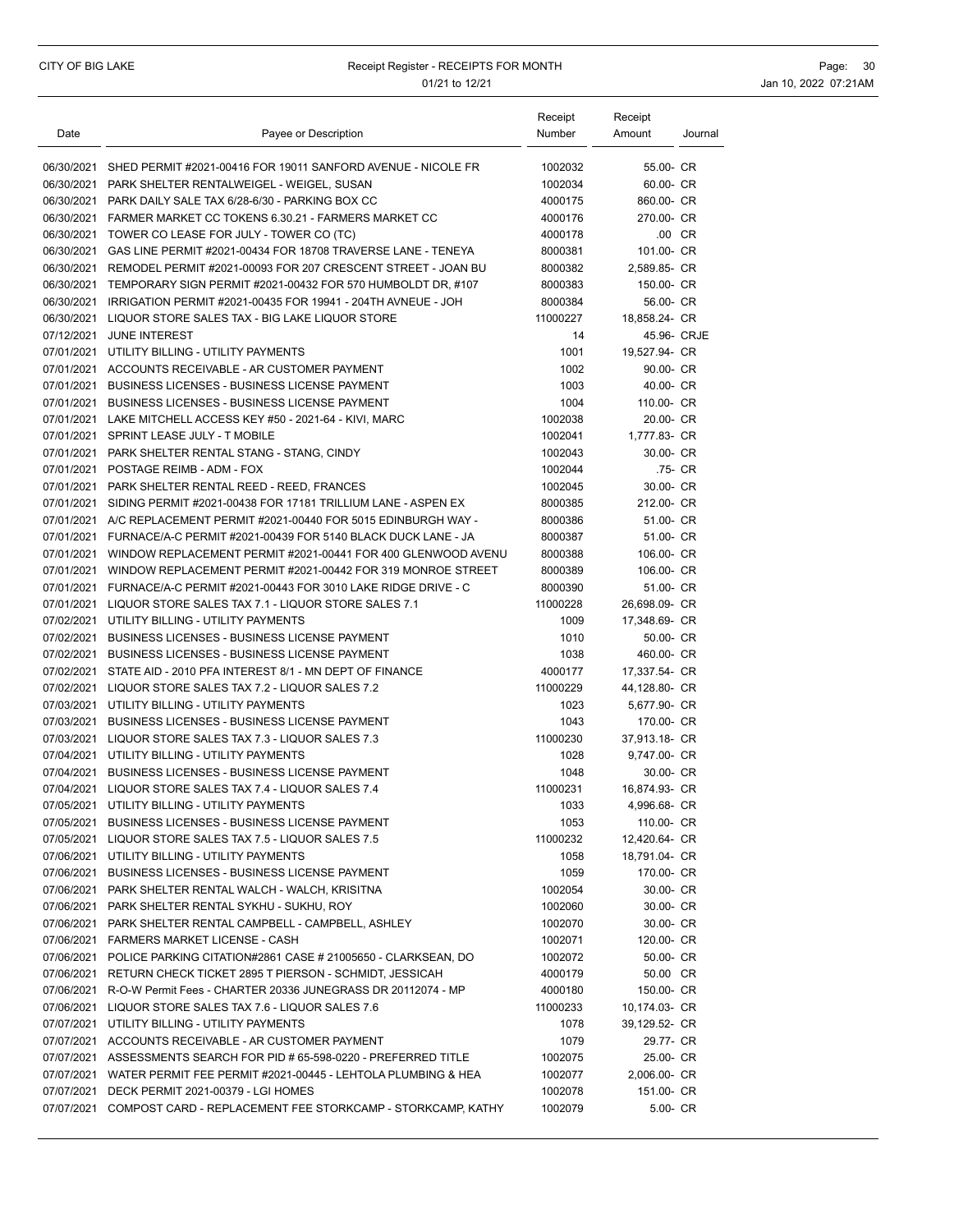| Date | Payee or Description                                                                                              | Receipt<br>Number  | Receipt<br>Amount       | Journal |
|------|-------------------------------------------------------------------------------------------------------------------|--------------------|-------------------------|---------|
|      |                                                                                                                   |                    |                         |         |
|      | 06/30/2021 SHED PERMIT #2021-00416 FOR 19011 SANFORD AVENUE - NICOLE FR                                           | 1002032<br>1002034 | 55.00- CR               |         |
|      | 06/30/2021 PARK SHELTER RENTALWEIGEL - WEIGEL, SUSAN<br>06/30/2021 PARK DAILY SALE TAX 6/28-6/30 - PARKING BOX CC | 4000175            | 60.00- CR<br>860.00- CR |         |
|      | 06/30/2021 FARMER MARKET CC TOKENS 6.30.21 - FARMERS MARKET CC                                                    | 4000176            | 270.00- CR              |         |
|      | 06/30/2021 TOWER CO LEASE FOR JULY - TOWER CO (TC)                                                                | 4000178            | .00 CR                  |         |
|      | 06/30/2021 GAS LINE PERMIT #2021-00434 FOR 18708 TRAVERSE LANE - TENEYA                                           | 8000381            | 101.00- CR              |         |
|      | 06/30/2021 REMODEL PERMIT #2021-00093 FOR 207 CRESCENT STREET - JOAN BU                                           | 8000382            | 2,589.85- CR            |         |
|      | 06/30/2021 TEMPORARY SIGN PERMIT #2021-00432 FOR 570 HUMBOLDT DR, #107                                            | 8000383            | 150.00- CR              |         |
|      | 06/30/2021 IRRIGATION PERMIT #2021-00435 FOR 19941 - 204TH AVNEUE - JOH                                           | 8000384            | 56.00- CR               |         |
|      | 06/30/2021 LIQUOR STORE SALES TAX - BIG LAKE LIQUOR STORE                                                         | 11000227           | 18,858.24- CR           |         |
|      | 07/12/2021 JUNE INTEREST                                                                                          | 14                 | 45.96- CRJE             |         |
|      | 07/01/2021 UTILITY BILLING - UTILITY PAYMENTS                                                                     | 1001               | 19,527.94- CR           |         |
|      | 07/01/2021 ACCOUNTS RECEIVABLE - AR CUSTOMER PAYMENT                                                              | 1002               | 90.00- CR               |         |
|      | 07/01/2021 BUSINESS LICENSES - BUSINESS LICENSE PAYMENT                                                           | 1003               | 40.00- CR               |         |
|      | 07/01/2021 BUSINESS LICENSES - BUSINESS LICENSE PAYMENT                                                           | 1004               | 110.00- CR              |         |
|      | 07/01/2021 LAKE MITCHELL ACCESS KEY #50 - 2021-64 - KIVI, MARC                                                    | 1002038            | 20.00- CR               |         |
|      | 07/01/2021 SPRINT LEASE JULY - T MOBILE                                                                           | 1002041            | 1,777.83- CR            |         |
|      | 07/01/2021 PARK SHELTER RENTAL STANG - STANG, CINDY                                                               | 1002043            | 30.00- CR               |         |
|      | 07/01/2021 POSTAGE REIMB - ADM - FOX                                                                              | 1002044            | .75- CR                 |         |
|      | 07/01/2021 PARK SHELTER RENTAL REED - REED, FRANCES                                                               | 1002045            | 30.00- CR               |         |
|      | 07/01/2021 SIDING PERMIT #2021-00438 FOR 17181 TRILLIUM LANE - ASPEN EX                                           | 8000385            | 212.00- CR              |         |
|      | 07/01/2021 A/C REPLACEMENT PERMIT #2021-00440 FOR 5015 EDINBURGH WAY -                                            | 8000386            | 51.00- CR               |         |
|      | 07/01/2021 FURNACE/A-C PERMIT #2021-00439 FOR 5140 BLACK DUCK LANE - JA                                           | 8000387            | 51.00- CR               |         |
|      | 07/01/2021 WINDOW REPLACEMENT PERMIT #2021-00441 FOR 400 GLENWOOD AVENU                                           | 8000388            | 106.00- CR              |         |
|      | 07/01/2021 WINDOW REPLACEMENT PERMIT #2021-00442 FOR 319 MONROE STREET                                            | 8000389            | 106.00- CR              |         |
|      | 07/01/2021 FURNACE/A-C PERMIT #2021-00443 FOR 3010 LAKE RIDGE DRIVE - C                                           | 8000390            | 51.00- CR               |         |
|      | 07/01/2021 LIQUOR STORE SALES TAX 7.1 - LIQUOR STORE SALES 7.1                                                    | 11000228           | 26,698.09- CR           |         |
|      | 07/02/2021 UTILITY BILLING - UTILITY PAYMENTS                                                                     | 1009               | 17,348.69- CR           |         |
|      | 07/02/2021 BUSINESS LICENSES - BUSINESS LICENSE PAYMENT                                                           | 1010               | 50.00- CR               |         |
|      | 07/02/2021 BUSINESS LICENSES - BUSINESS LICENSE PAYMENT                                                           | 1038               | 460.00- CR              |         |
|      | 07/02/2021 STATE AID - 2010 PFA INTEREST 8/1 - MN DEPT OF FINANCE                                                 | 4000177            | 17,337.54- CR           |         |
|      | 07/02/2021 LIQUOR STORE SALES TAX 7.2 - LIQUOR SALES 7.2                                                          | 11000229           | 44,128.80- CR           |         |
|      | 07/03/2021 UTILITY BILLING - UTILITY PAYMENTS                                                                     | 1023               | 5,677.90- CR            |         |
|      | 07/03/2021 BUSINESS LICENSES - BUSINESS LICENSE PAYMENT                                                           | 1043               | 170.00- CR              |         |
|      | 07/03/2021 LIQUOR STORE SALES TAX 7.3 - LIQUOR SALES 7.3                                                          | 11000230           | 37,913.18- CR           |         |
|      | 07/04/2021 UTILITY BILLING - UTILITY PAYMENTS                                                                     | 1028               | 9,747.00- CR            |         |
|      | 07/04/2021 BUSINESS LICENSES - BUSINESS LICENSE PAYMENT                                                           | 1048               | 30.00- CR               |         |
|      | 07/04/2021 LIQUOR STORE SALES TAX 7.4 - LIQUOR SALES 7.4                                                          | 11000231           | 16,874.93- CR           |         |
|      | 07/05/2021 UTILITY BILLING - UTILITY PAYMENTS                                                                     | 1033               | 4,996.68- CR            |         |
|      | 07/05/2021 BUSINESS LICENSES - BUSINESS LICENSE PAYMENT                                                           | 1053               | 110.00- CR              |         |
|      | 07/05/2021 LIQUOR STORE SALES TAX 7.5 - LIQUOR SALES 7.5                                                          | 11000232           | 12,420.64- CR           |         |
|      | 07/06/2021 UTILITY BILLING - UTILITY PAYMENTS                                                                     | 1058               | 18,791.04- CR           |         |
|      | 07/06/2021 BUSINESS LICENSES - BUSINESS LICENSE PAYMENT                                                           | 1059               | 170.00- CR              |         |
|      | 07/06/2021 PARK SHELTER RENTAL WALCH - WALCH, KRISITNA                                                            | 1002054            | 30.00- CR               |         |
|      | 07/06/2021 PARK SHELTER RENTAL SYKHU - SUKHU, ROY                                                                 | 1002060            | 30.00- CR               |         |
|      | 07/06/2021 PARK SHELTER RENTAL CAMPBELL - CAMPBELL, ASHLEY                                                        | 1002070            | 30.00- CR               |         |
|      | 07/06/2021 FARMERS MARKET LICENSE - CASH                                                                          | 1002071            | 120.00- CR              |         |
|      | 07/06/2021 POLICE PARKING CITATION#2861 CASE # 21005650 - CLARKSEAN, DO                                           | 1002072            | 50.00- CR               |         |
|      | 07/06/2021 RETURN CHECK TICKET 2895 T PIERSON - SCHMIDT, JESSICAH                                                 | 4000179            | 50.00 CR                |         |
|      | 07/06/2021 R-O-W Permit Fees - CHARTER 20336 JUNEGRASS DR 20112074 - MP                                           | 4000180            | 150.00- CR              |         |
|      | 07/06/2021 LIQUOR STORE SALES TAX 7.6 - LIQUOR SALES 7.6                                                          | 11000233           | 10,174.03- CR           |         |
|      | 07/07/2021 UTILITY BILLING - UTILITY PAYMENTS                                                                     | 1078               | 39,129.52- CR           |         |
|      | 07/07/2021 ACCOUNTS RECEIVABLE - AR CUSTOMER PAYMENT                                                              | 1079               | 29.77- CR               |         |
|      | 07/07/2021 ASSESSMENTS SEARCH FOR PID # 65-598-0220 - PREFERRED TITLE                                             | 1002075            | 25.00- CR               |         |
|      | 07/07/2021 WATER PERMIT FEE PERMIT #2021-00445 - LEHTOLA PLUMBING & HEA                                           | 1002077            | 2,006.00- CR            |         |
|      | 07/07/2021 DECK PERMIT 2021-00379 - LGI HOMES                                                                     | 1002078            | 151.00- CR              |         |
|      | 07/07/2021 COMPOST CARD - REPLACEMENT FEE STORKCAMP - STORKCAMP, KATHY                                            | 1002079            | 5.00- CR                |         |
|      |                                                                                                                   |                    |                         |         |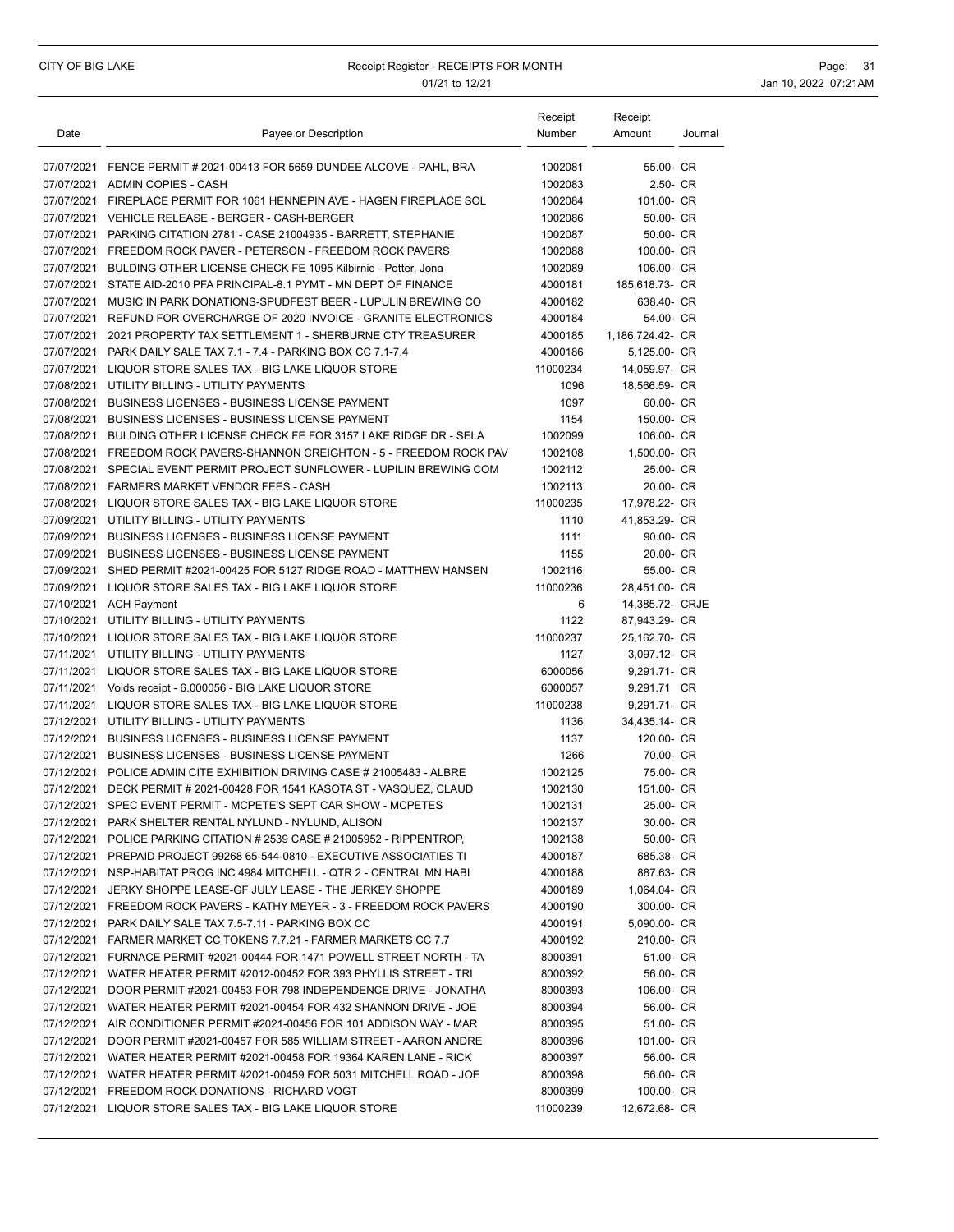### CITY OF BIG LAKE **Receipt Register - RECEIPTS FOR MONTH Page: 31** Page: 31 01/21 to 12/21 **Jan 10, 2022 07:21AM**

| Date | Payee or Description                                                                                                     | Receipt<br>Number  | Receipt<br>Amount           | Journal |
|------|--------------------------------------------------------------------------------------------------------------------------|--------------------|-----------------------------|---------|
|      | 07/07/2021 FENCE PERMIT # 2021-00413 FOR 5659 DUNDEE ALCOVE - PAHL, BRA                                                  | 1002081            | 55.00- CR                   |         |
|      | 07/07/2021 ADMIN COPIES - CASH                                                                                           | 1002083            | 2.50- CR                    |         |
|      | 07/07/2021 FIREPLACE PERMIT FOR 1061 HENNEPIN AVE - HAGEN FIREPLACE SOL                                                  | 1002084            | 101.00- CR                  |         |
|      | 07/07/2021 VEHICLE RELEASE - BERGER - CASH-BERGER                                                                        | 1002086            | 50.00- CR                   |         |
|      | 07/07/2021 PARKING CITATION 2781 - CASE 21004935 - BARRETT, STEPHANIE                                                    | 1002087            | 50.00- CR                   |         |
|      | 07/07/2021 FREEDOM ROCK PAVER - PETERSON - FREEDOM ROCK PAVERS                                                           | 1002088            | 100.00- CR                  |         |
|      | 07/07/2021 BULDING OTHER LICENSE CHECK FE 1095 Kilbirnie - Potter, Jona                                                  | 1002089            | 106.00- CR                  |         |
|      | 07/07/2021 STATE AID-2010 PFA PRINCIPAL-8.1 PYMT - MN DEPT OF FINANCE                                                    | 4000181            | 185,618.73- CR              |         |
|      | 07/07/2021 MUSIC IN PARK DONATIONS-SPUDFEST BEER - LUPULIN BREWING CO                                                    | 4000182            | 638.40- CR                  |         |
|      | 07/07/2021 REFUND FOR OVERCHARGE OF 2020 INVOICE - GRANITE ELECTRONICS                                                   | 4000184            | 54.00- CR                   |         |
|      | 07/07/2021 2021 PROPERTY TAX SETTLEMENT 1 - SHERBURNE CTY TREASURER                                                      | 4000185            | 1,186,724.42- CR            |         |
|      | 07/07/2021 PARK DAILY SALE TAX 7.1 - 7.4 - PARKING BOX CC 7.1-7.4                                                        | 4000186            | 5,125.00- CR                |         |
|      | 07/07/2021 LIQUOR STORE SALES TAX - BIG LAKE LIQUOR STORE                                                                | 11000234           | 14,059.97- CR               |         |
|      | 07/08/2021 UTILITY BILLING - UTILITY PAYMENTS                                                                            | 1096               | 18,566.59- CR               |         |
|      | 07/08/2021 BUSINESS LICENSES - BUSINESS LICENSE PAYMENT                                                                  | 1097               | 60.00- CR                   |         |
|      | 07/08/2021 BUSINESS LICENSES - BUSINESS LICENSE PAYMENT                                                                  | 1154               | 150.00- CR                  |         |
|      | 07/08/2021 BULDING OTHER LICENSE CHECK FE FOR 3157 LAKE RIDGE DR - SELA                                                  | 1002099            | 106.00- CR                  |         |
|      | 07/08/2021 FREEDOM ROCK PAVERS-SHANNON CREIGHTON - 5 - FREEDOM ROCK PAV                                                  | 1002108            | 1,500.00- CR                |         |
|      | 07/08/2021 SPECIAL EVENT PERMIT PROJECT SUNFLOWER - LUPILIN BREWING COM                                                  | 1002112            | 25.00- CR                   |         |
|      | 07/08/2021 FARMERS MARKET VENDOR FEES - CASH                                                                             | 1002113            | 20.00- CR                   |         |
|      | 07/08/2021 LIQUOR STORE SALES TAX - BIG LAKE LIQUOR STORE                                                                | 11000235           | 17,978.22- CR               |         |
|      | 07/09/2021 UTILITY BILLING - UTILITY PAYMENTS                                                                            | 1110               | 41.853.29- CR               |         |
|      | 07/09/2021 BUSINESS LICENSES - BUSINESS LICENSE PAYMENT                                                                  | 1111               | 90.00- CR                   |         |
|      | 07/09/2021 BUSINESS LICENSES - BUSINESS LICENSE PAYMENT                                                                  | 1155               | 20.00- CR                   |         |
|      | 07/09/2021 SHED PERMIT #2021-00425 FOR 5127 RIDGE ROAD - MATTHEW HANSEN                                                  | 1002116            | 55.00- CR                   |         |
|      | 07/09/2021 LIQUOR STORE SALES TAX - BIG LAKE LIQUOR STORE                                                                | 11000236           | 28,451.00- CR               |         |
|      | 07/10/2021 ACH Payment                                                                                                   | 6                  | 14,385.72- CRJE             |         |
|      | 07/10/2021 UTILITY BILLING - UTILITY PAYMENTS                                                                            | 1122               | 87,943.29- CR               |         |
|      | 07/10/2021 LIQUOR STORE SALES TAX - BIG LAKE LIQUOR STORE                                                                | 11000237           | 25,162.70- CR               |         |
|      | 07/11/2021 UTILITY BILLING - UTILITY PAYMENTS                                                                            | 1127               | 3,097.12- CR                |         |
|      | 07/11/2021 LIQUOR STORE SALES TAX - BIG LAKE LIQUOR STORE<br>07/11/2021 Voids receipt - 6.000056 - BIG LAKE LIQUOR STORE | 6000056<br>6000057 | 9,291.71- CR<br>9,291.71 CR |         |
|      | 07/11/2021 LIQUOR STORE SALES TAX - BIG LAKE LIQUOR STORE                                                                | 11000238           | 9,291.71- CR                |         |
|      | 07/12/2021 UTILITY BILLING - UTILITY PAYMENTS                                                                            | 1136               | 34,435.14- CR               |         |
|      | 07/12/2021 BUSINESS LICENSES - BUSINESS LICENSE PAYMENT                                                                  | 1137               | 120.00- CR                  |         |
|      | 07/12/2021 BUSINESS LICENSES - BUSINESS LICENSE PAYMENT                                                                  | 1266               | 70.00- CR                   |         |
|      | 07/12/2021 POLICE ADMIN CITE EXHIBITION DRIVING CASE # 21005483 - ALBRE                                                  | 1002125            | 75.00- CR                   |         |
|      | 07/12/2021 DECK PERMIT # 2021-00428 FOR 1541 KASOTA ST - VASQUEZ, CLAUD                                                  | 1002130            | 151.00- CR                  |         |
|      | 07/12/2021 SPEC EVENT PERMIT - MCPETE'S SEPT CAR SHOW - MCPETES                                                          | 1002131            | 25.00- CR                   |         |
|      | 07/12/2021 PARK SHELTER RENTAL NYLUND - NYLUND, ALISON                                                                   | 1002137            | 30.00- CR                   |         |
|      | 07/12/2021 POLICE PARKING CITATION # 2539 CASE # 21005952 - RIPPENTROP.                                                  | 1002138            | 50.00- CR                   |         |
|      | 07/12/2021 PREPAID PROJECT 99268 65-544-0810 - EXECUTIVE ASSOCIATIES TI                                                  | 4000187            | 685.38- CR                  |         |
|      | 07/12/2021 NSP-HABITAT PROG INC 4984 MITCHELL - QTR 2 - CENTRAL MN HABI                                                  | 4000188            | 887.63- CR                  |         |
|      | 07/12/2021 JERKY SHOPPE LEASE-GF JULY LEASE - THE JERKEY SHOPPE                                                          | 4000189            | 1,064.04- CR                |         |
|      | 07/12/2021 FREEDOM ROCK PAVERS - KATHY MEYER - 3 - FREEDOM ROCK PAVERS                                                   | 4000190            | 300.00- CR                  |         |
|      | 07/12/2021 PARK DAILY SALE TAX 7.5-7.11 - PARKING BOX CC                                                                 | 4000191            | 5,090.00- CR                |         |
|      | 07/12/2021 FARMER MARKET CC TOKENS 7.7.21 - FARMER MARKETS CC 7.7                                                        | 4000192            | 210.00- CR                  |         |
|      | 07/12/2021 FURNACE PERMIT #2021-00444 FOR 1471 POWELL STREET NORTH - TA                                                  | 8000391            | 51.00- CR                   |         |
|      | 07/12/2021 WATER HEATER PERMIT #2012-00452 FOR 393 PHYLLIS STREET - TRI                                                  | 8000392            | 56.00- CR                   |         |
|      | 07/12/2021 DOOR PERMIT #2021-00453 FOR 798 INDEPENDENCE DRIVE - JONATHA                                                  | 8000393            | 106.00- CR                  |         |
|      | 07/12/2021 WATER HEATER PERMIT #2021-00454 FOR 432 SHANNON DRIVE - JOE                                                   | 8000394            | 56.00- CR                   |         |
|      | 07/12/2021 AIR CONDITIONER PERMIT #2021-00456 FOR 101 ADDISON WAY - MAR                                                  | 8000395            | 51.00- CR                   |         |
|      | 07/12/2021 DOOR PERMIT #2021-00457 FOR 585 WILLIAM STREET - AARON ANDRE                                                  | 8000396            | 101.00- CR                  |         |
|      | 07/12/2021 WATER HEATER PERMIT #2021-00458 FOR 19364 KAREN LANE - RICK                                                   | 8000397            | 56.00- CR                   |         |
|      | 07/12/2021 WATER HEATER PERMIT #2021-00459 FOR 5031 MITCHELL ROAD - JOE                                                  | 8000398            | 56.00- CR                   |         |
|      | 07/12/2021 FREEDOM ROCK DONATIONS - RICHARD VOGT                                                                         | 8000399            | 100.00- CR                  |         |
|      | 07/12/2021 LIQUOR STORE SALES TAX - BIG LAKE LIQUOR STORE                                                                | 11000239           | 12,672.68- CR               |         |
|      |                                                                                                                          |                    |                             |         |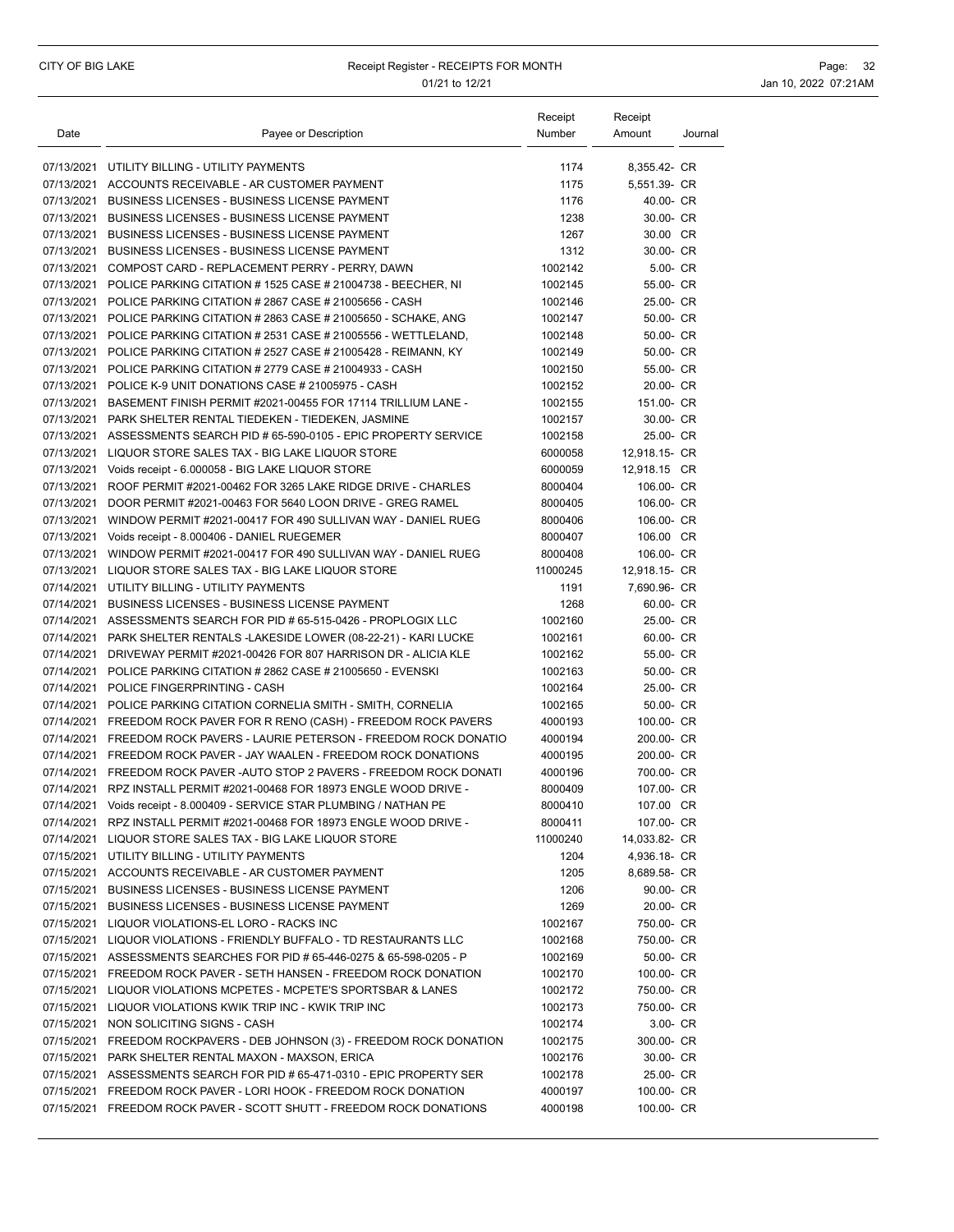### CITY OF BIG LAKE **Receipt Register - RECEIPTS FOR MONTH Page: 32** Page: 32 01/21 to 12/21 **Jan 10, 2022 07:21AM**

| Date | Payee or Description                                                                                               | Receipt<br>Number | Receipt<br>Amount     | Journal |
|------|--------------------------------------------------------------------------------------------------------------------|-------------------|-----------------------|---------|
|      |                                                                                                                    |                   |                       |         |
|      | 07/13/2021 UTILITY BILLING - UTILITY PAYMENTS                                                                      | 1174              | 8,355.42- CR          |         |
|      | 07/13/2021 ACCOUNTS RECEIVABLE - AR CUSTOMER PAYMENT                                                               | 1175              | 5.551.39- CR          |         |
|      | 07/13/2021 BUSINESS LICENSES - BUSINESS LICENSE PAYMENT                                                            | 1176              | 40.00- CR             |         |
|      | 07/13/2021 BUSINESS LICENSES - BUSINESS LICENSE PAYMENT                                                            | 1238<br>1267      | 30.00- CR<br>30.00 CR |         |
|      | 07/13/2021 BUSINESS LICENSES - BUSINESS LICENSE PAYMENT<br>07/13/2021 BUSINESS LICENSES - BUSINESS LICENSE PAYMENT | 1312              | 30.00- CR             |         |
|      | 07/13/2021 COMPOST CARD - REPLACEMENT PERRY - PERRY, DAWN                                                          | 1002142           | 5.00- CR              |         |
|      | 07/13/2021 POLICE PARKING CITATION #1525 CASE #21004738 - BEECHER, NI                                              | 1002145           | 55.00- CR             |         |
|      | 07/13/2021 POLICE PARKING CITATION # 2867 CASE # 21005656 - CASH                                                   | 1002146           | 25.00- CR             |         |
|      | 07/13/2021 POLICE PARKING CITATION # 2863 CASE # 21005650 - SCHAKE, ANG                                            | 1002147           | 50.00- CR             |         |
|      | 07/13/2021 POLICE PARKING CITATION # 2531 CASE # 21005556 - WETTLELAND,                                            | 1002148           | 50.00- CR             |         |
|      | 07/13/2021 POLICE PARKING CITATION # 2527 CASE # 21005428 - REIMANN, KY                                            | 1002149           | 50.00- CR             |         |
|      | 07/13/2021 POLICE PARKING CITATION # 2779 CASE # 21004933 - CASH                                                   | 1002150           | 55.00- CR             |         |
|      | 07/13/2021 POLICE K-9 UNIT DONATIONS CASE # 21005975 - CASH                                                        | 1002152           | 20.00- CR             |         |
|      | 07/13/2021 BASEMENT FINISH PERMIT #2021-00455 FOR 17114 TRILLIUM LANE -                                            | 1002155           | 151.00- CR            |         |
|      | 07/13/2021 PARK SHELTER RENTAL TIEDEKEN - TIEDEKEN, JASMINE                                                        | 1002157           | 30.00- CR             |         |
|      | 07/13/2021 ASSESSMENTS SEARCH PID # 65-590-0105 - EPIC PROPERTY SERVICE                                            | 1002158           | 25.00- CR             |         |
|      | 07/13/2021 LIQUOR STORE SALES TAX - BIG LAKE LIQUOR STORE                                                          | 6000058           | 12,918.15- CR         |         |
|      | 07/13/2021 Voids receipt - 6.000058 - BIG LAKE LIQUOR STORE                                                        | 6000059           | 12,918.15 CR          |         |
|      | 07/13/2021 ROOF PERMIT #2021-00462 FOR 3265 LAKE RIDGE DRIVE - CHARLES                                             | 8000404           | 106.00- CR            |         |
|      | 07/13/2021 DOOR PERMIT #2021-00463 FOR 5640 LOON DRIVE - GREG RAMEL                                                | 8000405           | 106.00- CR            |         |
|      | 07/13/2021 WINDOW PERMIT #2021-00417 FOR 490 SULLIVAN WAY - DANIEL RUEG                                            | 8000406           | 106.00- CR            |         |
|      | 07/13/2021 Voids receipt - 8.000406 - DANIEL RUEGEMER                                                              | 8000407           | 106.00 CR             |         |
|      | 07/13/2021 WINDOW PERMIT #2021-00417 FOR 490 SULLIVAN WAY - DANIEL RUEG                                            | 8000408           | 106.00- CR            |         |
|      | 07/13/2021 LIQUOR STORE SALES TAX - BIG LAKE LIQUOR STORE                                                          | 11000245          | 12,918.15- CR         |         |
|      | 07/14/2021 UTILITY BILLING - UTILITY PAYMENTS                                                                      | 1191              | 7,690.96- CR          |         |
|      | 07/14/2021 BUSINESS LICENSES - BUSINESS LICENSE PAYMENT                                                            | 1268              | 60.00- CR             |         |
|      | 07/14/2021 ASSESSMENTS SEARCH FOR PID # 65-515-0426 - PROPLOGIX LLC                                                | 1002160           | 25.00- CR             |         |
|      | 07/14/2021 PARK SHELTER RENTALS -LAKESIDE LOWER (08-22-21) - KARI LUCKE                                            | 1002161           | 60.00- CR             |         |
|      | 07/14/2021 DRIVEWAY PERMIT #2021-00426 FOR 807 HARRISON DR - ALICIA KLE                                            | 1002162           | 55.00- CR             |         |
|      | 07/14/2021 POLICE PARKING CITATION # 2862 CASE # 21005650 - EVENSKI                                                | 1002163           | 50.00- CR             |         |
|      | 07/14/2021 POLICE FINGERPRINTING - CASH                                                                            | 1002164           | 25.00- CR             |         |
|      | 07/14/2021 POLICE PARKING CITATION CORNELIA SMITH - SMITH, CORNELIA                                                | 1002165           | 50.00- CR             |         |
|      | 07/14/2021 FREEDOM ROCK PAVER FOR R RENO (CASH) - FREEDOM ROCK PAVERS                                              | 4000193           | 100.00- CR            |         |
|      | 07/14/2021 FREEDOM ROCK PAVERS - LAURIE PETERSON - FREEDOM ROCK DONATIO                                            | 4000194           | 200.00- CR            |         |
|      | 07/14/2021 FREEDOM ROCK PAVER - JAY WAALEN - FREEDOM ROCK DONATIONS                                                | 4000195           | 200.00- CR            |         |
|      | 07/14/2021 FREEDOM ROCK PAVER-AUTO STOP 2 PAVERS - FREEDOM ROCK DONATI                                             | 4000196           | 700.00- CR            |         |
|      | 07/14/2021 RPZ INSTALL PERMIT #2021-00468 FOR 18973 ENGLE WOOD DRIVE -                                             | 8000409           | 107.00- CR            |         |
|      | 07/14/2021  Voids receipt - 8.000409 - SERVICE STAR PLUMBING / NATHAN PE                                           | 8000410           | 107.00 CR             |         |
|      | 07/14/2021 RPZ INSTALL PERMIT #2021-00468 FOR 18973 ENGLE WOOD DRIVE -                                             | 8000411           | 107.00- CR            |         |
|      | 07/14/2021 LIQUOR STORE SALES TAX - BIG LAKE LIQUOR STORE                                                          | 11000240          | 14,033.82- CR         |         |
|      | 07/15/2021 UTILITY BILLING - UTILITY PAYMENTS                                                                      | 1204              | 4,936.18- CR          |         |
|      | 07/15/2021 ACCOUNTS RECEIVABLE - AR CUSTOMER PAYMENT                                                               | 1205              | 8,689.58- CR          |         |
|      | 07/15/2021 BUSINESS LICENSES - BUSINESS LICENSE PAYMENT                                                            | 1206              | 90.00- CR             |         |
|      | 07/15/2021 BUSINESS LICENSES - BUSINESS LICENSE PAYMENT                                                            | 1269              | 20.00- CR             |         |
|      | 07/15/2021 LIQUOR VIOLATIONS-EL LORO - RACKS INC                                                                   | 1002167           | 750.00- CR            |         |
|      | 07/15/2021 LIQUOR VIOLATIONS - FRIENDLY BUFFALO - TD RESTAURANTS LLC                                               | 1002168           | 750.00- CR            |         |
|      | 07/15/2021 ASSESSMENTS SEARCHES FOR PID # 65-446-0275 & 65-598-0205 - P                                            | 1002169           | 50.00- CR             |         |
|      | 07/15/2021 FREEDOM ROCK PAVER - SETH HANSEN - FREEDOM ROCK DONATION                                                | 1002170           | 100.00- CR            |         |
|      | 07/15/2021 LIQUOR VIOLATIONS MCPETES - MCPETE'S SPORTSBAR & LANES                                                  | 1002172           | 750.00- CR            |         |
|      | 07/15/2021 LIQUOR VIOLATIONS KWIK TRIP INC - KWIK TRIP INC                                                         | 1002173           | 750.00- CR            |         |
|      | 07/15/2021 NON SOLICITING SIGNS - CASH                                                                             | 1002174           | 3.00- CR              |         |
|      | 07/15/2021 FREEDOM ROCKPAVERS - DEB JOHNSON (3) - FREEDOM ROCK DONATION                                            | 1002175           | 300.00- CR            |         |
|      | 07/15/2021 PARK SHELTER RENTAL MAXON - MAXSON, ERICA                                                               | 1002176           | 30.00- CR             |         |
|      | 07/15/2021 ASSESSMENTS SEARCH FOR PID # 65-471-0310 - EPIC PROPERTY SER                                            | 1002178           | 25.00- CR             |         |
|      | 07/15/2021 FREEDOM ROCK PAVER - LORI HOOK - FREEDOM ROCK DONATION                                                  | 4000197           | 100.00- CR            |         |
|      | 07/15/2021 FREEDOM ROCK PAVER - SCOTT SHUTT - FREEDOM ROCK DONATIONS                                               | 4000198           | 100.00- CR            |         |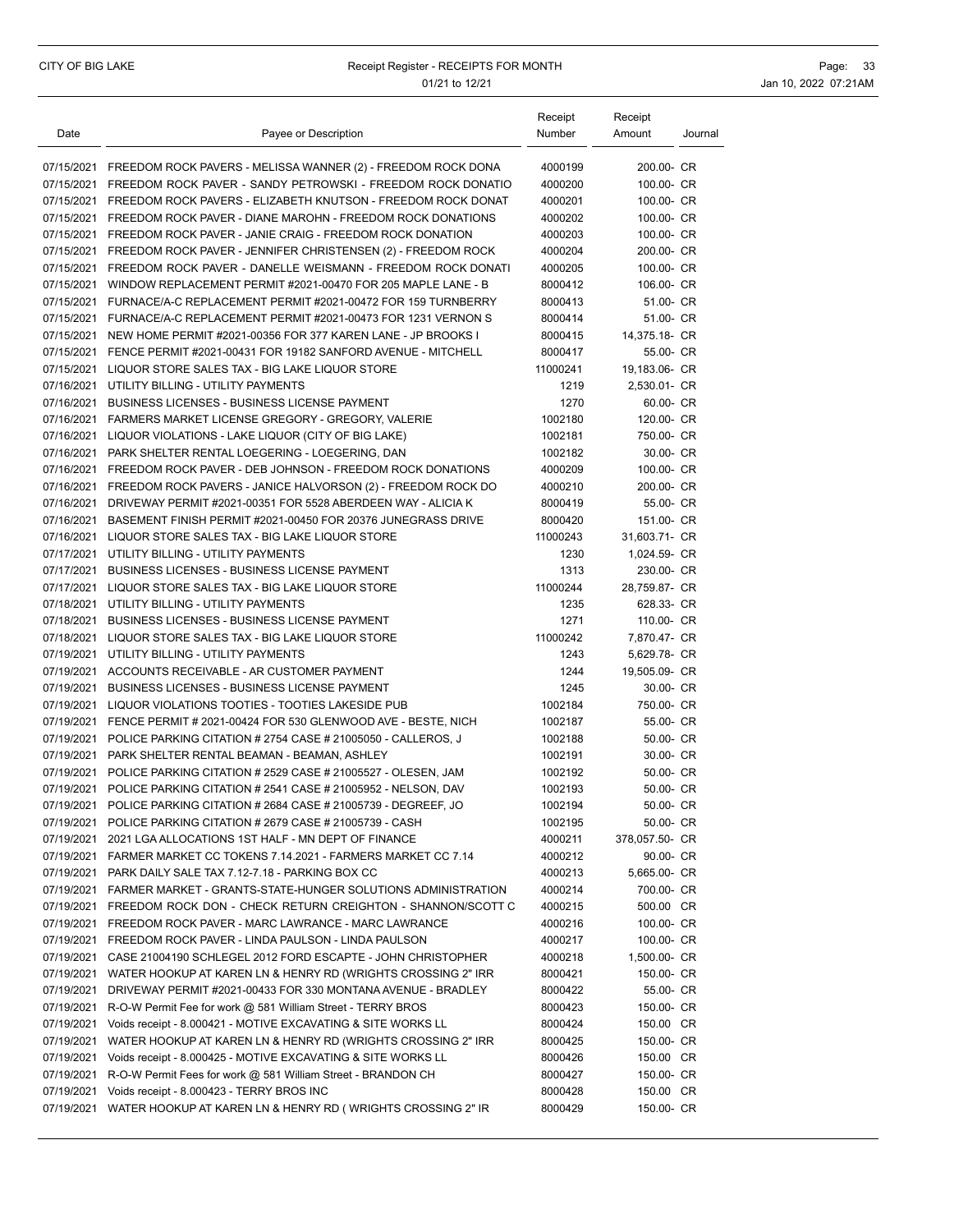| Date | Payee or Description                                                                                                                              | Receipt<br>Number  | Receipt<br>Amount        | Journal |
|------|---------------------------------------------------------------------------------------------------------------------------------------------------|--------------------|--------------------------|---------|
|      |                                                                                                                                                   |                    |                          |         |
|      | 07/15/2021 FREEDOM ROCK PAVERS - MELISSA WANNER (2) - FREEDOM ROCK DONA                                                                           | 4000199            | 200.00- CR               |         |
|      | 07/15/2021 FREEDOM ROCK PAVER - SANDY PETROWSKI - FREEDOM ROCK DONATIO                                                                            | 4000200            | 100.00- CR               |         |
|      | 07/15/2021 FREEDOM ROCK PAVERS - ELIZABETH KNUTSON - FREEDOM ROCK DONAT                                                                           | 4000201            | 100.00- CR               |         |
|      | 07/15/2021 FREEDOM ROCK PAVER - DIANE MAROHN - FREEDOM ROCK DONATIONS                                                                             | 4000202            | 100.00- CR               |         |
|      | 07/15/2021 FREEDOM ROCK PAVER - JANIE CRAIG - FREEDOM ROCK DONATION                                                                               | 4000203            | 100.00- CR               |         |
|      | 07/15/2021 FREEDOM ROCK PAVER - JENNIFER CHRISTENSEN (2) - FREEDOM ROCK<br>07/15/2021 FREEDOM ROCK PAVER - DANELLE WEISMANN - FREEDOM ROCK DONATI | 4000204<br>4000205 | 200.00- CR<br>100.00- CR |         |
|      | 07/15/2021 WINDOW REPLACEMENT PERMIT #2021-00470 FOR 205 MAPLE LANE - B                                                                           | 8000412            | 106.00- CR               |         |
|      | 07/15/2021 FURNACE/A-C REPLACEMENT PERMIT #2021-00472 FOR 159 TURNBERRY                                                                           | 8000413            | 51.00- CR                |         |
|      | 07/15/2021 FURNACE/A-C REPLACEMENT PERMIT #2021-00473 FOR 1231 VERNON S                                                                           | 8000414            | 51.00- CR                |         |
|      | 07/15/2021 NEW HOME PERMIT #2021-00356 FOR 377 KAREN LANE - JP BROOKS I                                                                           | 8000415            | 14,375.18- CR            |         |
|      | 07/15/2021 FENCE PERMIT #2021-00431 FOR 19182 SANFORD AVENUE - MITCHELL                                                                           | 8000417            | 55.00- CR                |         |
|      | 07/15/2021 LIQUOR STORE SALES TAX - BIG LAKE LIQUOR STORE                                                                                         | 11000241           | 19,183.06- CR            |         |
|      | 07/16/2021 UTILITY BILLING - UTILITY PAYMENTS                                                                                                     | 1219               | 2,530.01- CR             |         |
|      | 07/16/2021 BUSINESS LICENSES - BUSINESS LICENSE PAYMENT                                                                                           | 1270               | 60.00- CR                |         |
|      | 07/16/2021  FARMERS MARKET LICENSE GREGORY - GREGORY, VALERIE                                                                                     | 1002180            | 120.00- CR               |         |
|      | 07/16/2021 LIQUOR VIOLATIONS - LAKE LIQUOR (CITY OF BIG LAKE)                                                                                     | 1002181            | 750.00- CR               |         |
|      | 07/16/2021 PARK SHELTER RENTAL LOEGERING - LOEGERING, DAN                                                                                         | 1002182            | 30.00- CR                |         |
|      | 07/16/2021 FREEDOM ROCK PAVER - DEB JOHNSON - FREEDOM ROCK DONATIONS                                                                              | 4000209            | 100.00- CR               |         |
|      | 07/16/2021 FREEDOM ROCK PAVERS - JANICE HALVORSON (2) - FREEDOM ROCK DO                                                                           | 4000210            | 200.00- CR               |         |
|      | 07/16/2021 DRIVEWAY PERMIT #2021-00351 FOR 5528 ABERDEEN WAY - ALICIA K                                                                           | 8000419            | 55.00- CR                |         |
|      | 07/16/2021 BASEMENT FINISH PERMIT #2021-00450 FOR 20376 JUNEGRASS DRIVE                                                                           | 8000420            | 151.00- CR               |         |
|      | 07/16/2021 LIQUOR STORE SALES TAX - BIG LAKE LIQUOR STORE                                                                                         | 11000243           | 31,603.71- CR            |         |
|      | 07/17/2021 UTILITY BILLING - UTILITY PAYMENTS                                                                                                     | 1230               | 1,024.59- CR             |         |
|      | 07/17/2021 BUSINESS LICENSES - BUSINESS LICENSE PAYMENT                                                                                           | 1313               | 230.00- CR               |         |
|      | 07/17/2021 LIQUOR STORE SALES TAX - BIG LAKE LIQUOR STORE                                                                                         | 11000244           | 28,759.87- CR            |         |
|      | 07/18/2021 UTILITY BILLING - UTILITY PAYMENTS                                                                                                     | 1235               | 628.33- CR               |         |
|      | 07/18/2021 BUSINESS LICENSES - BUSINESS LICENSE PAYMENT                                                                                           | 1271               | 110.00- CR               |         |
|      | 07/18/2021 LIQUOR STORE SALES TAX - BIG LAKE LIQUOR STORE                                                                                         | 11000242           | 7,870.47- CR             |         |
|      | 07/19/2021 UTILITY BILLING - UTILITY PAYMENTS                                                                                                     | 1243               | 5,629.78- CR             |         |
|      | 07/19/2021 ACCOUNTS RECEIVABLE - AR CUSTOMER PAYMENT                                                                                              | 1244               | 19,505.09- CR            |         |
|      | 07/19/2021 BUSINESS LICENSES - BUSINESS LICENSE PAYMENT                                                                                           | 1245               | 30.00- CR                |         |
|      | 07/19/2021 LIQUOR VIOLATIONS TOOTIES - TOOTIES LAKESIDE PUB                                                                                       | 1002184            | 750.00- CR               |         |
|      | 07/19/2021 FENCE PERMIT # 2021-00424 FOR 530 GLENWOOD AVE - BESTE, NICH                                                                           | 1002187            | 55.00- CR                |         |
|      | 07/19/2021 POLICE PARKING CITATION # 2754 CASE # 21005050 - CALLEROS, J                                                                           | 1002188            | 50.00- CR                |         |
|      | 07/19/2021 PARK SHELTER RENTAL BEAMAN - BEAMAN, ASHLEY                                                                                            | 1002191            | 30.00- CR                |         |
|      | 07/19/2021 POLICE PARKING CITATION # 2529 CASE # 21005527 - OLESEN, JAM                                                                           | 1002192            | 50.00- CR                |         |
|      | 07/19/2021 POLICE PARKING CITATION # 2541 CASE # 21005952 - NELSON, DAV                                                                           | 1002193            | 50.00- CR                |         |
|      | 07/19/2021 POLICE PARKING CITATION # 2684 CASE # 21005739 - DEGREEF, JO                                                                           | 1002194            | 50.00- CR                |         |
|      | 07/19/2021 POLICE PARKING CITATION # 2679 CASE # 21005739 - CASH                                                                                  | 1002195            | 50.00- CR                |         |
|      | 07/19/2021 2021 LGA ALLOCATIONS 1ST HALF - MN DEPT OF FINANCE                                                                                     | 4000211            | 378,057.50- CR           |         |
|      | 07/19/2021  FARMER MARKET CC TOKENS 7.14.2021 - FARMERS MARKET CC 7.14                                                                            | 4000212            | 90.00- CR                |         |
|      | 07/19/2021 PARK DAILY SALE TAX 7.12-7.18 - PARKING BOX CC                                                                                         | 4000213            | 5,665.00- CR             |         |
|      | 07/19/2021 FARMER MARKET - GRANTS-STATE-HUNGER SOLUTIONS ADMINISTRATION                                                                           | 4000214            | 700.00- CR               |         |
|      | 07/19/2021 FREEDOM ROCK DON - CHECK RETURN CREIGHTON - SHANNON/SCOTT C                                                                            | 4000215            | 500.00 CR                |         |
|      | 07/19/2021 FREEDOM ROCK PAVER - MARC LAWRANCE - MARC LAWRANCE                                                                                     | 4000216            | 100.00- CR               |         |
|      | 07/19/2021 FREEDOM ROCK PAVER - LINDA PAULSON - LINDA PAULSON                                                                                     | 4000217            | 100.00- CR               |         |
|      | 07/19/2021 CASE 21004190 SCHLEGEL 2012 FORD ESCAPTE - JOHN CHRISTOPHER                                                                            | 4000218            | 1,500.00- CR             |         |
|      | 07/19/2021 WATER HOOKUP AT KAREN LN & HENRY RD (WRIGHTS CROSSING 2" IRR                                                                           | 8000421            | 150.00- CR               |         |
|      | 07/19/2021 DRIVEWAY PERMIT #2021-00433 FOR 330 MONTANA AVENUE - BRADLEY                                                                           | 8000422            | 55.00- CR                |         |
|      | 07/19/2021 R-O-W Permit Fee for work @ 581 William Street - TERRY BROS                                                                            | 8000423            | 150.00- CR               |         |
|      | 07/19/2021 Voids receipt - 8.000421 - MOTIVE EXCAVATING & SITE WORKS LL                                                                           | 8000424            | 150.00 CR                |         |
|      | 07/19/2021 WATER HOOKUP AT KAREN LN & HENRY RD (WRIGHTS CROSSING 2" IRR                                                                           | 8000425            | 150.00- CR               |         |
|      | 07/19/2021 Voids receipt - 8.000425 - MOTIVE EXCAVATING & SITE WORKS LL                                                                           | 8000426            | 150.00 CR                |         |
|      | 07/19/2021 R-O-W Permit Fees for work @ 581 William Street - BRANDON CH                                                                           | 8000427            | 150.00- CR               |         |
|      | 07/19/2021 Voids receipt - 8.000423 - TERRY BROS INC                                                                                              | 8000428            | 150.00 CR                |         |
|      | 07/19/2021 WATER HOOKUP AT KAREN LN & HENRY RD (WRIGHTS CROSSING 2" IR                                                                            | 8000429            | 150.00- CR               |         |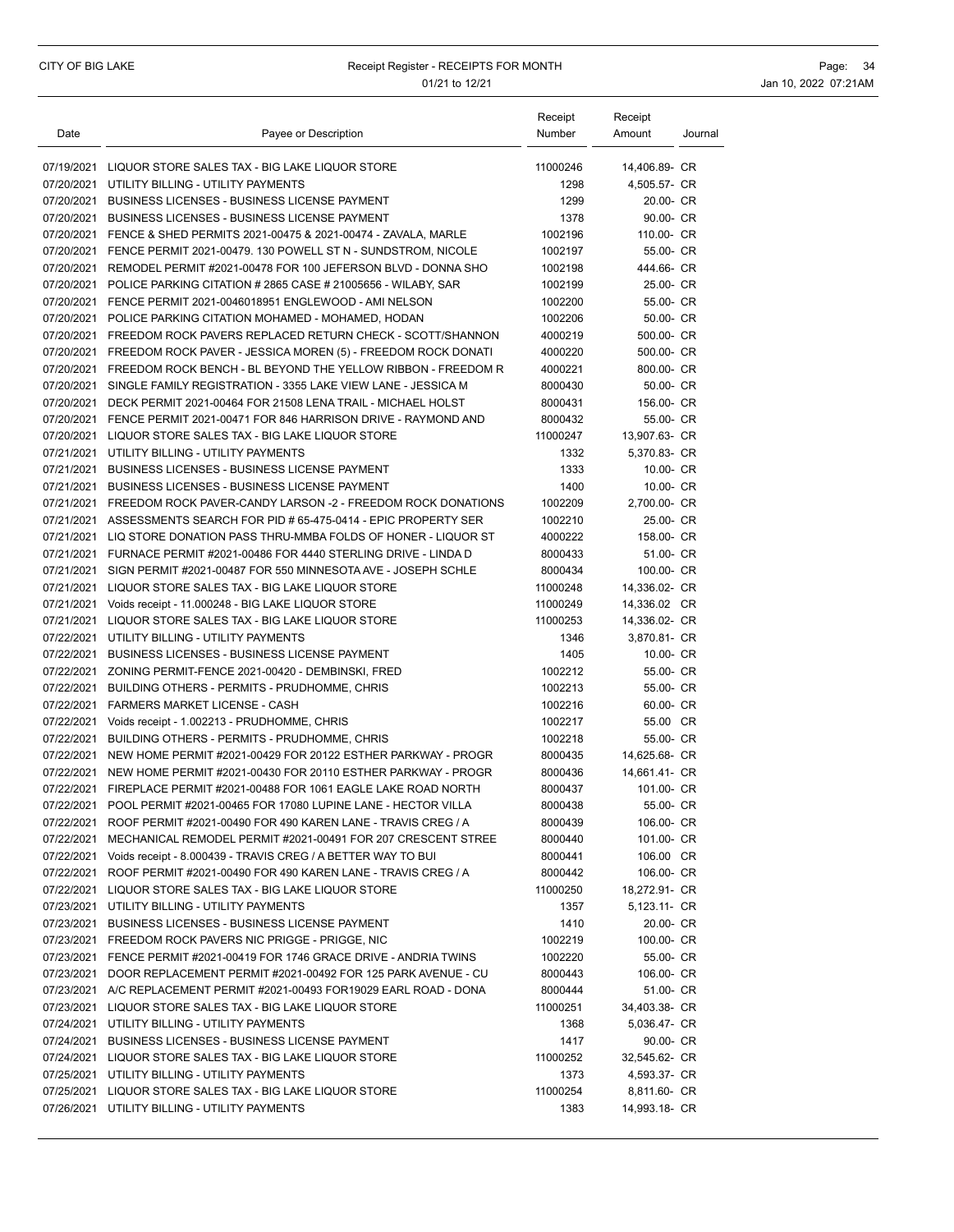### CITY OF BIG LAKE **Receipt Register - RECEIPTS FOR MONTH Page: 34** Page: 34 01/21 to 12/21 **Jan 10, 2022 07:21AM**

|      |                                                                             | Receipt  | Receipt       |         |
|------|-----------------------------------------------------------------------------|----------|---------------|---------|
| Date | Payee or Description                                                        | Number   | Amount        | Journal |
|      |                                                                             |          |               |         |
|      | 07/19/2021 LIQUOR STORE SALES TAX - BIG LAKE LIQUOR STORE                   | 11000246 | 14,406.89- CR |         |
|      | 07/20/2021 UTILITY BILLING - UTILITY PAYMENTS                               | 1298     | 4,505.57- CR  |         |
|      | 07/20/2021 BUSINESS LICENSES - BUSINESS LICENSE PAYMENT                     | 1299     | 20.00- CR     |         |
|      | 07/20/2021 BUSINESS LICENSES - BUSINESS LICENSE PAYMENT                     | 1378     | 90.00- CR     |         |
|      | 07/20/2021   FENCE & SHED PERMITS   2021-00475 & 2021-00474 - ZAVALA, MARLE | 1002196  | 110.00- CR    |         |
|      | 07/20/2021 FENCE PERMIT 2021-00479. 130 POWELL ST N - SUNDSTROM, NICOLE     | 1002197  | 55.00- CR     |         |
|      | 07/20/2021 REMODEL PERMIT #2021-00478 FOR 100 JEFERSON BLVD - DONNA SHO     | 1002198  | 444.66- CR    |         |
|      | 07/20/2021 POLICE PARKING CITATION # 2865 CASE # 21005656 - WILABY, SAR     | 1002199  | 25.00- CR     |         |
|      | 07/20/2021 FENCE PERMIT 2021-0046018951 ENGLEWOOD - AMI NELSON              | 1002200  | 55.00- CR     |         |
|      | 07/20/2021 POLICE PARKING CITATION MOHAMED - MOHAMED, HODAN                 | 1002206  | 50.00- CR     |         |
|      | 07/20/2021 FREEDOM ROCK PAVERS REPLACED RETURN CHECK - SCOTT/SHANNON        | 4000219  | 500.00- CR    |         |
|      | 07/20/2021 FREEDOM ROCK PAVER - JESSICA MOREN (5) - FREEDOM ROCK DONATI     | 4000220  | 500.00- CR    |         |
|      | 07/20/2021 FREEDOM ROCK BENCH - BL BEYOND THE YELLOW RIBBON - FREEDOM R     | 4000221  | 800.00- CR    |         |
|      | 07/20/2021 SINGLE FAMILY REGISTRATION - 3355 LAKE VIEW LANE - JESSICA M     | 8000430  | 50.00- CR     |         |
|      | 07/20/2021 DECK PERMIT 2021-00464 FOR 21508 LENA TRAIL - MICHAEL HOLST      | 8000431  | 156.00- CR    |         |
|      | 07/20/2021 FENCE PERMIT 2021-00471 FOR 846 HARRISON DRIVE - RAYMOND AND     | 8000432  | 55.00- CR     |         |
|      | 07/20/2021 LIQUOR STORE SALES TAX - BIG LAKE LIQUOR STORE                   | 11000247 | 13,907.63- CR |         |
|      | 07/21/2021 UTILITY BILLING - UTILITY PAYMENTS                               | 1332     | 5,370.83- CR  |         |
|      | 07/21/2021 BUSINESS LICENSES - BUSINESS LICENSE PAYMENT                     | 1333     | 10.00- CR     |         |
|      | 07/21/2021 BUSINESS LICENSES - BUSINESS LICENSE PAYMENT                     | 1400     | 10.00- CR     |         |
|      | 07/21/2021 FREEDOM ROCK PAVER-CANDY LARSON -2 - FREEDOM ROCK DONATIONS      | 1002209  | 2,700.00- CR  |         |
|      | 07/21/2021 ASSESSMENTS SEARCH FOR PID # 65-475-0414 - EPIC PROPERTY SER     | 1002210  | 25.00- CR     |         |
|      | 07/21/2021 LIQ STORE DONATION PASS THRU-MMBA FOLDS OF HONER - LIQUOR ST     | 4000222  | 158.00- CR    |         |
|      | 07/21/2021 FURNACE PERMIT #2021-00486 FOR 4440 STERLING DRIVE - LINDA D     | 8000433  | 51.00- CR     |         |
|      | 07/21/2021 SIGN PERMIT #2021-00487 FOR 550 MINNESOTA AVE - JOSEPH SCHLE     | 8000434  | 100.00- CR    |         |
|      | 07/21/2021 LIQUOR STORE SALES TAX - BIG LAKE LIQUOR STORE                   | 11000248 | 14,336.02- CR |         |
|      | 07/21/2021 Voids receipt - 11.000248 - BIG LAKE LIQUOR STORE                | 11000249 | 14,336.02 CR  |         |
|      | 07/21/2021 LIQUOR STORE SALES TAX - BIG LAKE LIQUOR STORE                   | 11000253 | 14,336.02- CR |         |
|      | 07/22/2021 UTILITY BILLING - UTILITY PAYMENTS                               | 1346     | 3,870.81- CR  |         |
|      | 07/22/2021 BUSINESS LICENSES - BUSINESS LICENSE PAYMENT                     | 1405     | 10.00- CR     |         |
|      | 07/22/2021 ZONING PERMIT-FENCE 2021-00420 - DEMBINSKI, FRED                 | 1002212  | 55.00- CR     |         |
|      | 07/22/2021 BUILDING OTHERS - PERMITS - PRUDHOMME, CHRIS                     | 1002213  | 55.00- CR     |         |
|      | 07/22/2021 FARMERS MARKET LICENSE - CASH                                    | 1002216  | 60.00- CR     |         |
|      | 07/22/2021 Voids receipt - 1.002213 - PRUDHOMME, CHRIS                      | 1002217  | 55.00 CR      |         |
|      | 07/22/2021 BUILDING OTHERS - PERMITS - PRUDHOMME, CHRIS                     | 1002218  | 55.00- CR     |         |
|      | 07/22/2021 NEW HOME PERMIT #2021-00429 FOR 20122 ESTHER PARKWAY - PROGR     | 8000435  | 14,625.68- CR |         |
|      | 07/22/2021 NEW HOME PERMIT #2021-00430 FOR 20110 ESTHER PARKWAY - PROGR     | 8000436  | 14,661.41- CR |         |
|      | 07/22/2021 FIREPLACE PERMIT #2021-00488 FOR 1061 EAGLE LAKE ROAD NORTH      | 8000437  | 101.00- CR    |         |
|      | 07/22/2021 POOL PERMIT #2021-00465 FOR 17080 LUPINE LANE - HECTOR VILLA     | 8000438  | 55.00- CR     |         |
|      | 07/22/2021 ROOF PERMIT #2021-00490 FOR 490 KAREN LANE - TRAVIS CREG / A     | 8000439  | 106.00- CR    |         |
|      | 07/22/2021 MECHANICAL REMODEL PERMIT #2021-00491 FOR 207 CRESCENT STREE     | 8000440  | 101.00- CR    |         |
|      | 07/22/2021 Voids receipt - 8.000439 - TRAVIS CREG / A BETTER WAY TO BUI     | 8000441  | 106.00 CR     |         |
|      | 07/22/2021 ROOF PERMIT #2021-00490 FOR 490 KAREN LANE - TRAVIS CREG / A     | 8000442  | 106.00- CR    |         |
|      | 07/22/2021 LIQUOR STORE SALES TAX - BIG LAKE LIQUOR STORE                   | 11000250 | 18,272.91- CR |         |
|      | 07/23/2021 UTILITY BILLING - UTILITY PAYMENTS                               | 1357     | 5,123.11- CR  |         |
|      | 07/23/2021 BUSINESS LICENSES - BUSINESS LICENSE PAYMENT                     | 1410     | 20.00- CR     |         |
|      | 07/23/2021 FREEDOM ROCK PAVERS NIC PRIGGE - PRIGGE, NIC                     | 1002219  | 100.00- CR    |         |
|      | 07/23/2021 FENCE PERMIT #2021-00419 FOR 1746 GRACE DRIVE - ANDRIA TWINS     | 1002220  | 55.00- CR     |         |
|      | 07/23/2021 DOOR REPLACEMENT PERMIT #2021-00492 FOR 125 PARK AVENUE - CU     | 8000443  | 106.00- CR    |         |
|      | 07/23/2021 A/C REPLACEMENT PERMIT #2021-00493 FOR19029 EARL ROAD - DONA     | 8000444  | 51.00- CR     |         |
|      | 07/23/2021 LIQUOR STORE SALES TAX - BIG LAKE LIQUOR STORE                   | 11000251 | 34,403.38- CR |         |
|      | 07/24/2021 UTILITY BILLING - UTILITY PAYMENTS                               | 1368     | 5,036.47- CR  |         |
|      | 07/24/2021 BUSINESS LICENSES - BUSINESS LICENSE PAYMENT                     | 1417     | 90.00- CR     |         |
|      | 07/24/2021 LIQUOR STORE SALES TAX - BIG LAKE LIQUOR STORE                   | 11000252 | 32,545.62- CR |         |
|      | 07/25/2021 UTILITY BILLING - UTILITY PAYMENTS                               | 1373     | 4,593.37- CR  |         |
|      | 07/25/2021 LIQUOR STORE SALES TAX - BIG LAKE LIQUOR STORE                   | 11000254 | 8,811.60- CR  |         |
|      | 07/26/2021 UTILITY BILLING - UTILITY PAYMENTS                               | 1383     | 14,993.18- CR |         |
|      |                                                                             |          |               |         |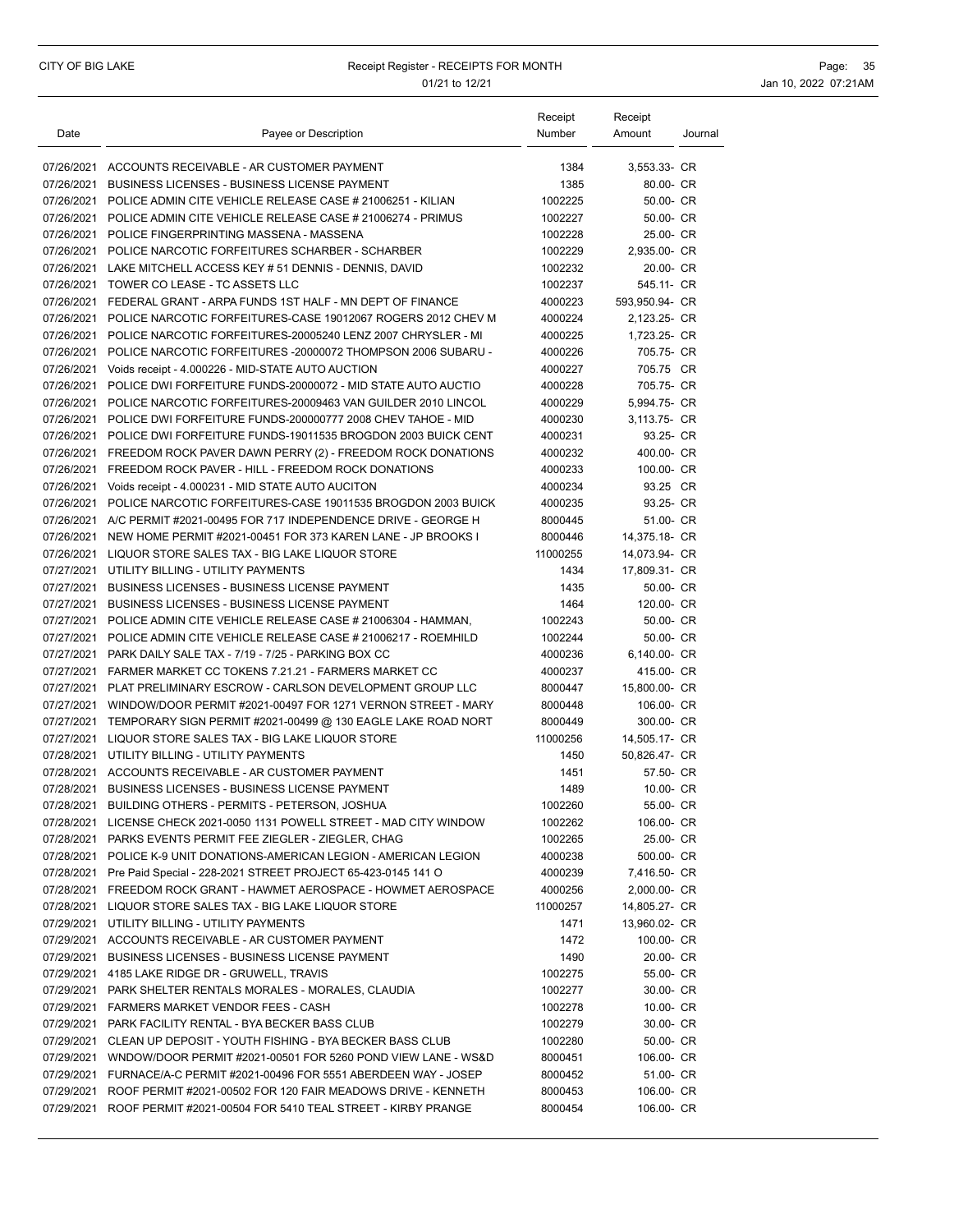| Date | Payee or Description                                                                                                             | Receipt<br>Number  | Receipt<br>Amount      | Journal |
|------|----------------------------------------------------------------------------------------------------------------------------------|--------------------|------------------------|---------|
|      |                                                                                                                                  |                    |                        |         |
|      | 07/26/2021 ACCOUNTS RECEIVABLE - AR CUSTOMER PAYMENT                                                                             | 1384               | 3,553.33- CR           |         |
|      | 07/26/2021 BUSINESS LICENSES - BUSINESS LICENSE PAYMENT<br>07/26/2021 POLICE ADMIN CITE VEHICLE RELEASE CASE # 21006251 - KILIAN | 1385               | 80.00- CR<br>50.00- CR |         |
|      |                                                                                                                                  | 1002225            | 50.00- CR              |         |
|      | 07/26/2021 POLICE ADMIN CITE VEHICLE RELEASE CASE # 21006274 - PRIMUS<br>07/26/2021 POLICE FINGERPRINTING MASSENA - MASSENA      | 1002227<br>1002228 | 25.00- CR              |         |
|      | 07/26/2021 POLICE NARCOTIC FORFEITURES SCHARBER - SCHARBER                                                                       | 1002229            | 2,935.00- CR           |         |
|      | 07/26/2021 LAKE MITCHELL ACCESS KEY # 51 DENNIS - DENNIS, DAVID                                                                  | 1002232            | 20.00- CR              |         |
|      | 07/26/2021 TOWER CO LEASE - TC ASSETS LLC                                                                                        | 1002237            | 545.11- CR             |         |
|      | 07/26/2021 FEDERAL GRANT - ARPA FUNDS 1ST HALF - MN DEPT OF FINANCE                                                              | 4000223            | 593,950.94- CR         |         |
|      | 07/26/2021 POLICE NARCOTIC FORFEITURES-CASE 19012067 ROGERS 2012 CHEV M                                                          | 4000224            | 2,123.25- CR           |         |
|      | 07/26/2021 POLICE NARCOTIC FORFEITURES-20005240 LENZ 2007 CHRYSLER - MI                                                          | 4000225            | 1,723.25- CR           |         |
|      | 07/26/2021 POLICE NARCOTIC FORFEITURES -20000072 THOMPSON 2006 SUBARU -                                                          | 4000226            | 705.75- CR             |         |
|      | 07/26/2021 Voids receipt - 4.000226 - MID-STATE AUTO AUCTION                                                                     | 4000227            | 705.75 CR              |         |
|      | 07/26/2021 POLICE DWI FORFEITURE FUNDS-20000072 - MID STATE AUTO AUCTIO                                                          | 4000228            | 705.75- CR             |         |
|      | 07/26/2021 POLICE NARCOTIC FORFEITURES-20009463 VAN GUILDER 2010 LINCOL                                                          | 4000229            | 5,994.75- CR           |         |
|      | 07/26/2021 POLICE DWI FORFEITURE FUNDS-200000777 2008 CHEV TAHOE - MID                                                           | 4000230            | 3,113.75- CR           |         |
|      | 07/26/2021 POLICE DWI FORFEITURE FUNDS-19011535 BROGDON 2003 BUICK CENT                                                          | 4000231            | 93.25- CR              |         |
|      | 07/26/2021 FREEDOM ROCK PAVER DAWN PERRY (2) - FREEDOM ROCK DONATIONS                                                            | 4000232            | 400.00- CR             |         |
|      | 07/26/2021 FREEDOM ROCK PAVER - HILL - FREEDOM ROCK DONATIONS                                                                    | 4000233            | 100.00- CR             |         |
|      | 07/26/2021 Voids receipt - 4.000231 - MID STATE AUTO AUCITON                                                                     | 4000234            | 93.25 CR               |         |
|      | 07/26/2021 POLICE NARCOTIC FORFEITURES-CASE 19011535 BROGDON 2003 BUICK                                                          | 4000235            | 93.25- CR              |         |
|      | 07/26/2021 A/C PERMIT #2021-00495 FOR 717 INDEPENDENCE DRIVE - GEORGE H                                                          | 8000445            | 51.00- CR              |         |
|      | 07/26/2021 NEW HOME PERMIT #2021-00451 FOR 373 KAREN LANE - JP BROOKS I                                                          | 8000446            | 14,375.18- CR          |         |
|      | 07/26/2021 LIQUOR STORE SALES TAX - BIG LAKE LIQUOR STORE                                                                        | 11000255           | 14,073.94- CR          |         |
|      | 07/27/2021 UTILITY BILLING - UTILITY PAYMENTS                                                                                    | 1434               | 17,809.31- CR          |         |
|      | 07/27/2021 BUSINESS LICENSES - BUSINESS LICENSE PAYMENT                                                                          | 1435               | 50.00- CR              |         |
|      | 07/27/2021 BUSINESS LICENSES - BUSINESS LICENSE PAYMENT                                                                          | 1464               | 120.00- CR             |         |
|      | 07/27/2021 POLICE ADMIN CITE VEHICLE RELEASE CASE # 21006304 - HAMMAN,                                                           | 1002243            | 50.00- CR              |         |
|      | 07/27/2021 POLICE ADMIN CITE VEHICLE RELEASE CASE # 21006217 - ROEMHILD                                                          | 1002244            | 50.00- CR              |         |
|      | 07/27/2021 PARK DAILY SALE TAX - 7/19 - 7/25 - PARKING BOX CC                                                                    | 4000236            | 6,140.00- CR           |         |
|      | 07/27/2021 FARMER MARKET CC TOKENS 7.21.21 - FARMERS MARKET CC                                                                   | 4000237            | 415.00- CR             |         |
|      | 07/27/2021 PLAT PRELIMINARY ESCROW - CARLSON DEVELOPMENT GROUP LLC                                                               | 8000447            | 15,800.00- CR          |         |
|      | 07/27/2021 WINDOW/DOOR PERMIT #2021-00497 FOR 1271 VERNON STREET - MARY                                                          | 8000448            | 106.00- CR             |         |
|      | 07/27/2021 TEMPORARY SIGN PERMIT #2021-00499 @ 130 EAGLE LAKE ROAD NORT                                                          | 8000449            | 300.00- CR             |         |
|      | 07/27/2021 LIQUOR STORE SALES TAX - BIG LAKE LIQUOR STORE                                                                        | 11000256           | 14,505.17- CR          |         |
|      | 07/28/2021 UTILITY BILLING - UTILITY PAYMENTS                                                                                    | 1450               | 50,826.47- CR          |         |
|      | 07/28/2021 ACCOUNTS RECEIVABLE - AR CUSTOMER PAYMENT                                                                             | 1451               | 57.50- CR              |         |
|      | 07/28/2021 BUSINESS LICENSES - BUSINESS LICENSE PAYMENT                                                                          | 1489               | 10.00- CR              |         |
|      | 07/28/2021 BUILDING OTHERS - PERMITS - PETERSON, JOSHUA                                                                          | 1002260            | 55.00- CR              |         |
|      | 07/28/2021 LICENSE CHECK 2021-0050 1131 POWELL STREET - MAD CITY WINDOW                                                          | 1002262            | 106.00- CR             |         |
|      | 07/28/2021 PARKS EVENTS PERMIT FEE ZIEGLER - ZIEGLER, CHAG                                                                       | 1002265            | 25.00- CR              |         |
|      | 07/28/2021 POLICE K-9 UNIT DONATIONS-AMERICAN LEGION - AMERICAN LEGION                                                           | 4000238            | 500.00- CR             |         |
|      | 07/28/2021 Pre Paid Special - 228-2021 STREET PROJECT 65-423-0145 141 O                                                          | 4000239            | 7,416.50- CR           |         |
|      | 07/28/2021 FREEDOM ROCK GRANT - HAWMET AEROSPACE - HOWMET AEROSPACE                                                              | 4000256            | 2,000.00- CR           |         |
|      | 07/28/2021 LIQUOR STORE SALES TAX - BIG LAKE LIQUOR STORE                                                                        | 11000257           | 14,805.27- CR          |         |
|      | 07/29/2021 UTILITY BILLING - UTILITY PAYMENTS                                                                                    | 1471               | 13,960.02- CR          |         |
|      | 07/29/2021 ACCOUNTS RECEIVABLE - AR CUSTOMER PAYMENT                                                                             | 1472               | 100.00- CR             |         |
|      | 07/29/2021 BUSINESS LICENSES - BUSINESS LICENSE PAYMENT                                                                          | 1490               | 20.00- CR              |         |
|      | 07/29/2021 4185 LAKE RIDGE DR - GRUWELL, TRAVIS                                                                                  | 1002275            | 55.00- CR              |         |
|      | 07/29/2021 PARK SHELTER RENTALS MORALES - MORALES, CLAUDIA                                                                       | 1002277            | 30.00- CR              |         |
|      | 07/29/2021 FARMERS MARKET VENDOR FEES - CASH                                                                                     | 1002278            | 10.00- CR              |         |
|      | 07/29/2021 PARK FACILITY RENTAL - BYA BECKER BASS CLUB                                                                           | 1002279            | 30.00- CR              |         |
|      | 07/29/2021 CLEAN UP DEPOSIT - YOUTH FISHING - BYA BECKER BASS CLUB                                                               | 1002280            | 50.00- CR              |         |
|      | 07/29/2021 WNDOW/DOOR PERMIT #2021-00501 FOR 5260 POND VIEW LANE - WS&D                                                          | 8000451            | 106.00- CR             |         |
|      | 07/29/2021 FURNACE/A-C PERMIT #2021-00496 FOR 5551 ABERDEEN WAY - JOSEP                                                          | 8000452            | 51.00- CR              |         |
|      | 07/29/2021 ROOF PERMIT #2021-00502 FOR 120 FAIR MEADOWS DRIVE - KENNETH                                                          | 8000453            | 106.00- CR             |         |
|      | 07/29/2021 ROOF PERMIT #2021-00504 FOR 5410 TEAL STREET - KIRBY PRANGE                                                           | 8000454            | 106.00- CR             |         |
|      |                                                                                                                                  |                    |                        |         |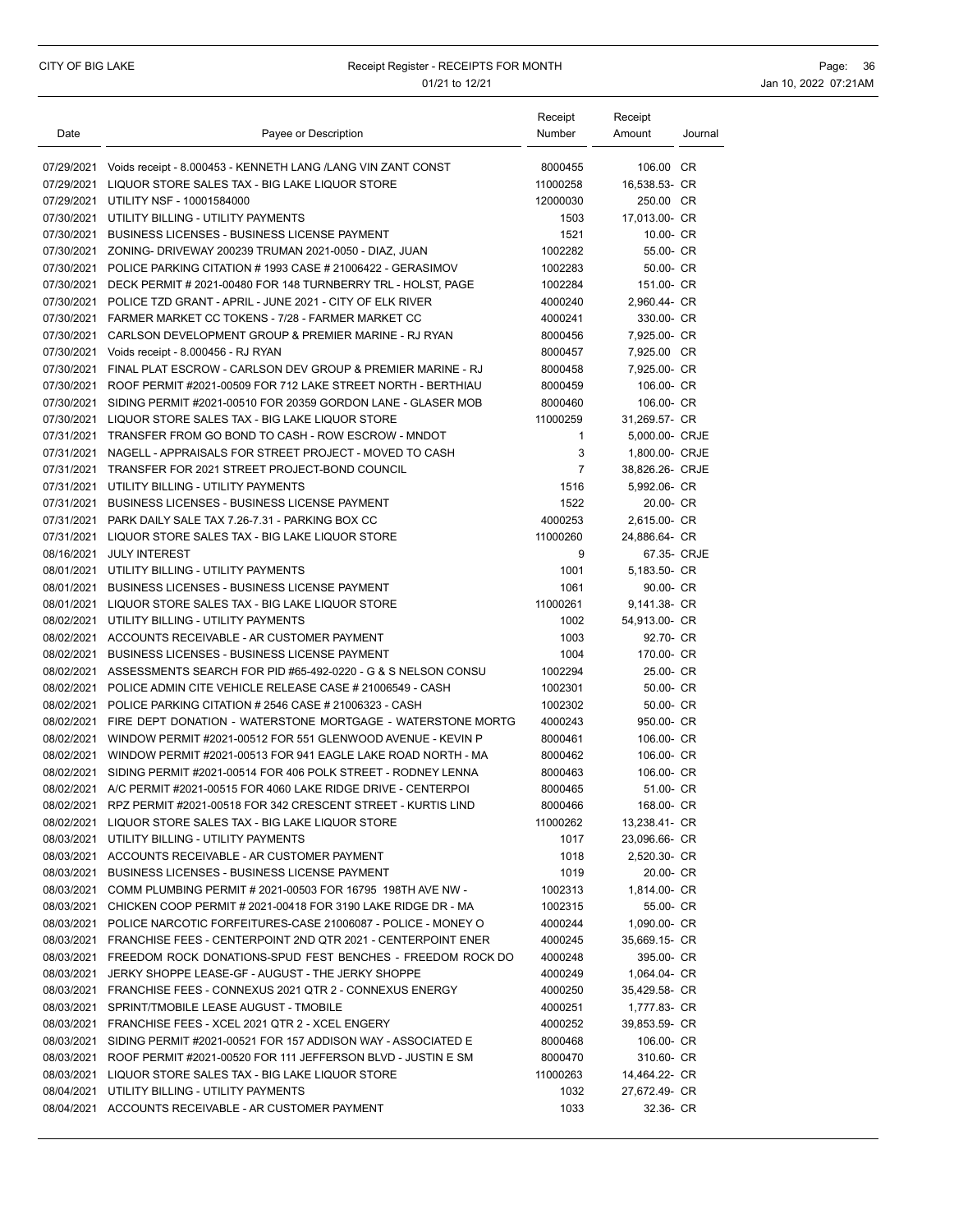| Date       | Payee or Description                                                       | Receipt<br>Number | Receipt<br>Amount | Journal     |
|------------|----------------------------------------------------------------------------|-------------------|-------------------|-------------|
|            |                                                                            |                   |                   |             |
|            | 07/29/2021 Voids receipt - 8.000453 - KENNETH LANG /LANG VIN ZANT CONST    | 8000455           | 106.00 CR         |             |
| 07/29/2021 | LIQUOR STORE SALES TAX - BIG LAKE LIQUOR STORE                             | 11000258          | 16,538.53- CR     |             |
| 07/29/2021 | UTILITY NSF - 10001584000<br>07/30/2021 UTILITY BILLING - UTILITY PAYMENTS | 12000030          | 250.00 CR         |             |
|            |                                                                            | 1503              | 17,013.00- CR     |             |
| 07/30/2021 | <b>BUSINESS LICENSES - BUSINESS LICENSE PAYMENT</b>                        | 1521              | 10.00- CR         |             |
|            | 07/30/2021 ZONING- DRIVEWAY 200239 TRUMAN 2021-0050 - DIAZ, JUAN           | 1002282           | 55.00- CR         |             |
|            | 07/30/2021 POLICE PARKING CITATION #1993 CASE #21006422 - GERASIMOV        | 1002283           | 50.00- CR         |             |
| 07/30/2021 | DECK PERMIT # 2021-00480 FOR 148 TURNBERRY TRL - HOLST, PAGE               | 1002284           | 151.00- CR        |             |
| 07/30/2021 | POLICE TZD GRANT - APRIL - JUNE 2021 - CITY OF ELK RIVER                   | 4000240           | 2.960.44- CR      |             |
|            | 07/30/2021 FARMER MARKET CC TOKENS - 7/28 - FARMER MARKET CC               | 4000241           | 330.00- CR        |             |
|            | 07/30/2021 CARLSON DEVELOPMENT GROUP & PREMIER MARINE - RJ RYAN            | 8000456           | 7,925.00- CR      |             |
|            | 07/30/2021 Voids receipt - 8.000456 - RJ RYAN                              | 8000457           | 7,925.00 CR       |             |
| 07/30/2021 | FINAL PLAT ESCROW - CARLSON DEV GROUP & PREMIER MARINE - RJ                | 8000458           | 7,925.00- CR      |             |
| 07/30/2021 | ROOF PERMIT #2021-00509 FOR 712 LAKE STREET NORTH - BERTHIAU               | 8000459           | 106.00- CR        |             |
| 07/30/2021 | SIDING PERMIT #2021-00510 FOR 20359 GORDON LANE - GLASER MOB               | 8000460           | 106.00- CR        |             |
|            | 07/30/2021 LIQUOR STORE SALES TAX - BIG LAKE LIQUOR STORE                  | 11000259          | 31,269.57- CR     |             |
| 07/31/2021 | TRANSFER FROM GO BOND TO CASH - ROW ESCROW - MNDOT                         | $\mathbf{1}$      | 5,000.00- CRJE    |             |
| 07/31/2021 | NAGELL - APPRAISALS FOR STREET PROJECT - MOVED TO CASH                     | 3                 | 1,800.00- CRJE    |             |
| 07/31/2021 | TRANSFER FOR 2021 STREET PROJECT-BOND COUNCIL                              | $\overline{7}$    | 38.826.26- CRJE   |             |
|            | 07/31/2021 UTILITY BILLING - UTILITY PAYMENTS                              | 1516              | 5,992.06- CR      |             |
|            | 07/31/2021 BUSINESS LICENSES - BUSINESS LICENSE PAYMENT                    | 1522              | 20.00- CR         |             |
|            | 07/31/2021 PARK DAILY SALE TAX 7.26-7.31 - PARKING BOX CC                  | 4000253           | 2,615.00- CR      |             |
|            | 07/31/2021 LIQUOR STORE SALES TAX - BIG LAKE LIQUOR STORE                  | 11000260          | 24,886.64- CR     |             |
| 08/16/2021 | <b>JULY INTEREST</b>                                                       | 9                 |                   | 67.35- CRJE |
|            | 08/01/2021 UTILITY BILLING - UTILITY PAYMENTS                              | 1001              | 5,183.50- CR      |             |
|            | 08/01/2021 BUSINESS LICENSES - BUSINESS LICENSE PAYMENT                    | 1061              | 90.00- CR         |             |
| 08/01/2021 | LIQUOR STORE SALES TAX - BIG LAKE LIQUOR STORE                             | 11000261          | 9,141.38- CR      |             |
| 08/02/2021 | UTILITY BILLING - UTILITY PAYMENTS                                         | 1002              | 54,913.00- CR     |             |
|            | 08/02/2021 ACCOUNTS RECEIVABLE - AR CUSTOMER PAYMENT                       | 1003              | 92.70- CR         |             |
|            | 08/02/2021 BUSINESS LICENSES - BUSINESS LICENSE PAYMENT                    | 1004              | 170.00- CR        |             |
|            | 08/02/2021 ASSESSMENTS SEARCH FOR PID #65-492-0220 - G & S NELSON CONSU    | 1002294           | 25.00- CR         |             |
| 08/02/2021 | POLICE ADMIN CITE VEHICLE RELEASE CASE # 21006549 - CASH                   | 1002301           | 50.00- CR         |             |
| 08/02/2021 | POLICE PARKING CITATION # 2546 CASE # 21006323 - CASH                      | 1002302           | 50.00- CR         |             |
| 08/02/2021 | FIRE DEPT DONATION - WATERSTONE MORTGAGE - WATERSTONE MORTG                | 4000243           | 950.00- CR        |             |
|            | 08/02/2021 WINDOW PERMIT #2021-00512 FOR 551 GLENWOOD AVENUE - KEVIN P     | 8000461           | 106.00- CR        |             |
|            | 08/02/2021 WINDOW PERMIT #2021-00513 FOR 941 EAGLE LAKE ROAD NORTH - MA    | 8000462           | 106.00- CR        |             |
| 08/02/2021 | SIDING PERMIT #2021-00514 FOR 406 POLK STREET - RODNEY LENNA               | 8000463           | 106.00- CR        |             |
|            | 08/02/2021 A/C PERMIT #2021-00515 FOR 4060 LAKE RIDGE DRIVE - CENTERPOI    | 8000465           | 51.00- CR         |             |
|            | 08/02/2021 RPZ PERMIT #2021-00518 FOR 342 CRESCENT STREET - KURTIS LIND    | 8000466           | 168.00- CR        |             |
|            | 08/02/2021 LIQUOR STORE SALES TAX - BIG LAKE LIQUOR STORE                  | 11000262          | 13,238.41- CR     |             |
|            | 08/03/2021 UTILITY BILLING - UTILITY PAYMENTS                              | 1017              | 23.096.66- CR     |             |
|            | 08/03/2021 ACCOUNTS RECEIVABLE - AR CUSTOMER PAYMENT                       | 1018              | 2,520.30- CR      |             |
|            | 08/03/2021 BUSINESS LICENSES - BUSINESS LICENSE PAYMENT                    | 1019              | 20.00- CR         |             |
|            | 08/03/2021 COMM PLUMBING PERMIT # 2021-00503 FOR 16795 198TH AVE NW -      | 1002313           | 1,814.00- CR      |             |
|            | 08/03/2021 CHICKEN COOP PERMIT # 2021-00418 FOR 3190 LAKE RIDGE DR - MA    | 1002315           | 55.00- CR         |             |
|            | 08/03/2021 POLICE NARCOTIC FORFEITURES-CASE 21006087 - POLICE - MONEY O    | 4000244           | 1,090.00- CR      |             |
|            | 08/03/2021 FRANCHISE FEES - CENTERPOINT 2ND QTR 2021 - CENTERPOINT ENER    | 4000245           | 35,669.15- CR     |             |
|            | 08/03/2021 FREEDOM ROCK DONATIONS-SPUD FEST BENCHES - FREEDOM ROCK DO      | 4000248           | 395.00- CR        |             |
|            | 08/03/2021 JERKY SHOPPE LEASE-GF - AUGUST - THE JERKY SHOPPE               | 4000249           | 1,064.04- CR      |             |
|            | 08/03/2021 FRANCHISE FEES - CONNEXUS 2021 QTR 2 - CONNEXUS ENERGY          | 4000250           | 35.429.58- CR     |             |
|            | 08/03/2021 SPRINT/TMOBILE LEASE AUGUST - TMOBILE                           | 4000251           | 1,777.83- CR      |             |
|            | 08/03/2021 FRANCHISE FEES - XCEL 2021 QTR 2 - XCEL ENGERY                  | 4000252           | 39,853.59- CR     |             |
|            | 08/03/2021 SIDING PERMIT #2021-00521 FOR 157 ADDISON WAY - ASSOCIATED E    | 8000468           | 106.00- CR        |             |
|            | 08/03/2021 ROOF PERMIT #2021-00520 FOR 111 JEFFERSON BLVD - JUSTIN E SM    | 8000470           | 310.60- CR        |             |
|            | 08/03/2021 LIQUOR STORE SALES TAX - BIG LAKE LIQUOR STORE                  | 11000263          | 14,464.22- CR     |             |
|            | 08/04/2021 UTILITY BILLING - UTILITY PAYMENTS                              | 1032              | 27,672.49- CR     |             |
|            | 08/04/2021 ACCOUNTS RECEIVABLE - AR CUSTOMER PAYMENT                       | 1033              | 32.36- CR         |             |
|            |                                                                            |                   |                   |             |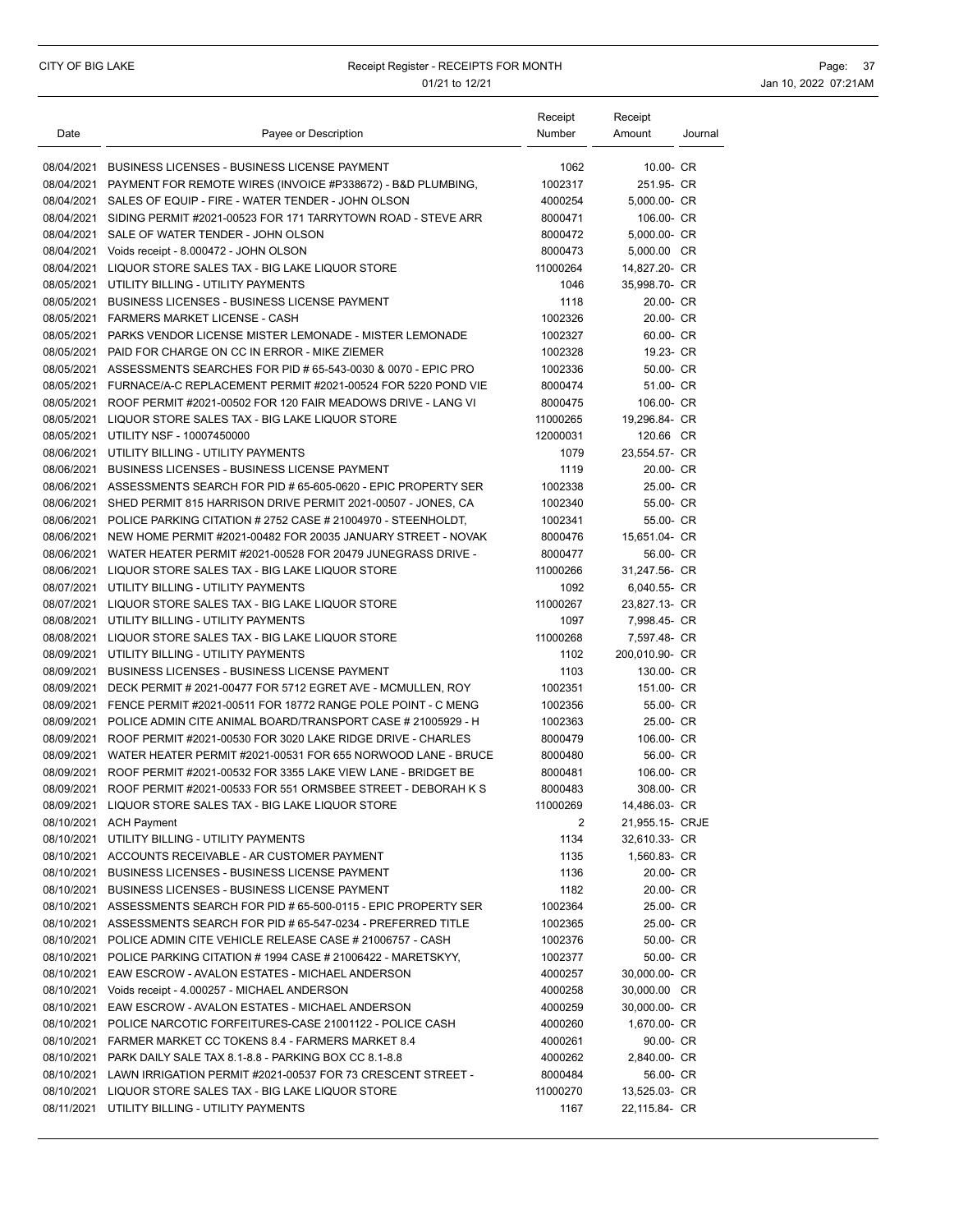### CITY OF BIG LAKE **Receipt Register - RECEIPTS FOR MONTH Page: 37** Page: 37 01/21 to 12/21 **Jan 10, 2022 07:21AM**

| Date | Payee or Description                                                                                                                    | Receipt<br>Number  | Receipt<br>Amount          | Journal |
|------|-----------------------------------------------------------------------------------------------------------------------------------------|--------------------|----------------------------|---------|
|      |                                                                                                                                         |                    |                            |         |
|      | 08/04/2021 BUSINESS LICENSES - BUSINESS LICENSE PAYMENT                                                                                 | 1062               | 10.00- CR                  |         |
|      | 08/04/2021 PAYMENT FOR REMOTE WIRES (INVOICE #P338672) - B&D PLUMBING,                                                                  | 1002317<br>4000254 | 251.95- CR<br>5.000.00- CR |         |
|      | 08/04/2021 SALES OF EQUIP - FIRE - WATER TENDER - JOHN OLSON<br>08/04/2021 SIDING PERMIT #2021-00523 FOR 171 TARRYTOWN ROAD - STEVE ARR | 8000471            | 106.00- CR                 |         |
|      | 08/04/2021 SALE OF WATER TENDER - JOHN OLSON                                                                                            | 8000472            | 5,000.00- CR               |         |
|      | 08/04/2021 Voids receipt - 8.000472 - JOHN OLSON                                                                                        | 8000473            | 5,000.00 CR                |         |
|      | 08/04/2021 LIQUOR STORE SALES TAX - BIG LAKE LIQUOR STORE                                                                               | 11000264           | 14,827.20- CR              |         |
|      | 08/05/2021 UTILITY BILLING - UTILITY PAYMENTS                                                                                           | 1046               | 35,998.70- CR              |         |
|      | 08/05/2021 BUSINESS LICENSES - BUSINESS LICENSE PAYMENT                                                                                 | 1118               | 20.00- CR                  |         |
|      | 08/05/2021 FARMERS MARKET LICENSE - CASH                                                                                                | 1002326            | 20.00- CR                  |         |
|      | 08/05/2021 PARKS VENDOR LICENSE MISTER LEMONADE - MISTER LEMONADE                                                                       | 1002327            | 60.00- CR                  |         |
|      | 08/05/2021 PAID FOR CHARGE ON CC IN ERROR - MIKE ZIEMER                                                                                 | 1002328            | 19.23- CR                  |         |
|      | 08/05/2021 ASSESSMENTS SEARCHES FOR PID # 65-543-0030 & 0070 - EPIC PRO                                                                 | 1002336            | 50.00- CR                  |         |
|      | 08/05/2021 FURNACE/A-C REPLACEMENT PERMIT #2021-00524 FOR 5220 POND VIE                                                                 | 8000474            | 51.00- CR                  |         |
|      | 08/05/2021 ROOF PERMIT #2021-00502 FOR 120 FAIR MEADOWS DRIVE - LANG VI                                                                 | 8000475            | 106.00- CR                 |         |
|      | 08/05/2021 LIQUOR STORE SALES TAX - BIG LAKE LIQUOR STORE                                                                               | 11000265           | 19,296.84- CR              |         |
|      | 08/05/2021 UTILITY NSF - 10007450000                                                                                                    | 12000031           | 120.66 CR                  |         |
|      | 08/06/2021 UTILITY BILLING - UTILITY PAYMENTS                                                                                           | 1079               | 23,554.57- CR              |         |
|      | 08/06/2021 BUSINESS LICENSES - BUSINESS LICENSE PAYMENT                                                                                 | 1119               | 20.00- CR                  |         |
|      | 08/06/2021 ASSESSMENTS SEARCH FOR PID # 65-605-0620 - EPIC PROPERTY SER                                                                 | 1002338            | 25.00- CR                  |         |
|      | 08/06/2021 SHED PERMIT 815 HARRISON DRIVE PERMIT 2021-00507 - JONES, CA                                                                 | 1002340            | 55.00- CR                  |         |
|      | 08/06/2021 POLICE PARKING CITATION # 2752 CASE # 21004970 - STEENHOLDT.                                                                 | 1002341            | 55.00- CR                  |         |
|      | 08/06/2021 NEW HOME PERMIT #2021-00482 FOR 20035 JANUARY STREET - NOVAK                                                                 | 8000476            | 15.651.04- CR              |         |
|      | 08/06/2021 WATER HEATER PERMIT #2021-00528 FOR 20479 JUNEGRASS DRIVE -                                                                  | 8000477            | 56.00- CR                  |         |
|      | 08/06/2021 LIQUOR STORE SALES TAX - BIG LAKE LIQUOR STORE                                                                               | 11000266           | 31,247.56- CR              |         |
|      | 08/07/2021 UTILITY BILLING - UTILITY PAYMENTS                                                                                           | 1092               | 6,040.55- CR               |         |
|      | 08/07/2021 LIQUOR STORE SALES TAX - BIG LAKE LIQUOR STORE                                                                               | 11000267           | 23,827.13- CR              |         |
|      | 08/08/2021 UTILITY BILLING - UTILITY PAYMENTS                                                                                           | 1097               | 7,998.45- CR               |         |
|      | 08/08/2021 LIQUOR STORE SALES TAX - BIG LAKE LIQUOR STORE                                                                               | 11000268           | 7,597.48- CR               |         |
|      | 08/09/2021 UTILITY BILLING - UTILITY PAYMENTS                                                                                           | 1102               | 200,010.90- CR             |         |
|      | 08/09/2021 BUSINESS LICENSES - BUSINESS LICENSE PAYMENT                                                                                 | 1103               | 130.00- CR                 |         |
|      | 08/09/2021 DECK PERMIT # 2021-00477 FOR 5712 EGRET AVE - MCMULLEN, ROY                                                                  | 1002351            | 151.00- CR                 |         |
|      | 08/09/2021 FENCE PERMIT #2021-00511 FOR 18772 RANGE POLE POINT - C MENG                                                                 | 1002356            | 55.00- CR                  |         |
|      | 08/09/2021 POLICE ADMIN CITE ANIMAL BOARD/TRANSPORT CASE # 21005929 - H                                                                 | 1002363            | 25.00- CR                  |         |
|      | 08/09/2021 ROOF PERMIT #2021-00530 FOR 3020 LAKE RIDGE DRIVE - CHARLES                                                                  | 8000479            | 106.00- CR                 |         |
|      | 08/09/2021 WATER HEATER PERMIT #2021-00531 FOR 655 NORWOOD LANE - BRUCE                                                                 | 8000480            | 56.00- CR                  |         |
|      | 08/09/2021 ROOF PERMIT #2021-00532 FOR 3355 LAKE VIEW LANE - BRIDGET BE                                                                 | 8000481            | 106.00- CR                 |         |
|      | 08/09/2021 ROOF PERMIT #2021-00533 FOR 551 ORMSBEE STREET - DEBORAH K S                                                                 | 8000483            | 308.00- CR                 |         |
|      | 08/09/2021 LIQUOR STORE SALES TAX - BIG LAKE LIQUOR STORE                                                                               | 11000269           | 14,486.03- CR              |         |
|      | 08/10/2021 ACH Payment                                                                                                                  | 2                  | 21,955.15- CRJE            |         |
|      | 08/10/2021 UTILITY BILLING - UTILITY PAYMENTS                                                                                           | 1134               | 32,610.33- CR              |         |
|      | 08/10/2021 ACCOUNTS RECEIVABLE - AR CUSTOMER PAYMENT                                                                                    | 1135               | 1,560.83- CR               |         |
|      | 08/10/2021 BUSINESS LICENSES - BUSINESS LICENSE PAYMENT                                                                                 | 1136               | 20.00- CR                  |         |
|      | 08/10/2021 BUSINESS LICENSES - BUSINESS LICENSE PAYMENT                                                                                 | 1182               | 20.00- CR                  |         |
|      | 08/10/2021 ASSESSMENTS SEARCH FOR PID # 65-500-0115 - EPIC PROPERTY SER                                                                 | 1002364            | 25.00- CR                  |         |
|      | 08/10/2021 ASSESSMENTS SEARCH FOR PID # 65-547-0234 - PREFERRED TITLE                                                                   | 1002365            | 25.00- CR                  |         |
|      | 08/10/2021 POLICE ADMIN CITE VEHICLE RELEASE CASE # 21006757 - CASH                                                                     | 1002376            | 50.00- CR                  |         |
|      | 08/10/2021 POLICE PARKING CITATION #1994 CASE #21006422 - MARETSKYY,                                                                    | 1002377            | 50.00- CR                  |         |
|      | 08/10/2021 EAW ESCROW - AVALON ESTATES - MICHAEL ANDERSON                                                                               | 4000257            | 30,000.00- CR              |         |
|      | 08/10/2021 Voids receipt - 4.000257 - MICHAEL ANDERSON                                                                                  | 4000258            | 30,000.00 CR               |         |
|      | 08/10/2021 EAW ESCROW - AVALON ESTATES - MICHAEL ANDERSON                                                                               | 4000259            | 30,000.00- CR              |         |
|      | 08/10/2021 POLICE NARCOTIC FORFEITURES-CASE 21001122 - POLICE CASH                                                                      | 4000260            | 1,670.00- CR               |         |
|      | 08/10/2021 FARMER MARKET CC TOKENS 8.4 - FARMERS MARKET 8.4                                                                             | 4000261            | 90.00- CR                  |         |
|      | 08/10/2021 PARK DAILY SALE TAX 8.1-8.8 - PARKING BOX CC 8.1-8.8                                                                         | 4000262            | 2,840.00- CR               |         |
|      | 08/10/2021 LAWN IRRIGATION PERMIT #2021-00537 FOR 73 CRESCENT STREET -                                                                  | 8000484            | 56.00- CR                  |         |
|      | 08/10/2021 LIQUOR STORE SALES TAX - BIG LAKE LIQUOR STORE                                                                               | 11000270           | 13,525.03- CR              |         |
|      | 08/11/2021 UTILITY BILLING - UTILITY PAYMENTS                                                                                           | 1167               | 22,115.84- CR              |         |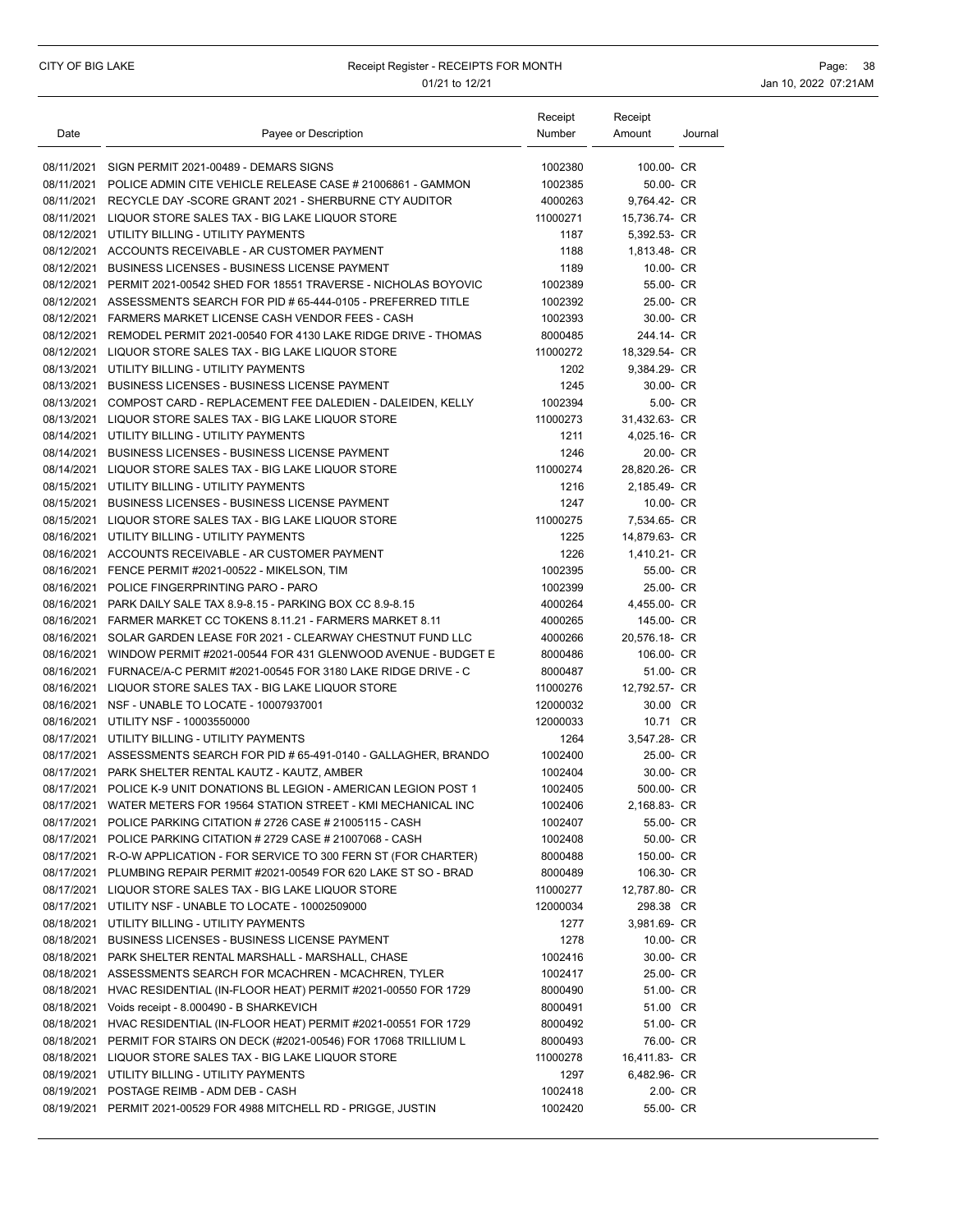| Date       | Payee or Description                                                                                                                             | Receipt<br>Number | Receipt<br>Amount      | Journal |
|------------|--------------------------------------------------------------------------------------------------------------------------------------------------|-------------------|------------------------|---------|
|            |                                                                                                                                                  |                   |                        |         |
|            | 08/11/2021 SIGN PERMIT 2021-00489 - DEMARS SIGNS                                                                                                 | 1002380           | 100.00- CR             |         |
|            | 08/11/2021 POLICE ADMIN CITE VEHICLE RELEASE CASE # 21006861 - GAMMON                                                                            | 1002385           | 50.00- CR              |         |
|            | 08/11/2021 RECYCLE DAY - SCORE GRANT 2021 - SHERBURNE CTY AUDITOR                                                                                | 4000263           | 9,764.42- CR           |         |
|            | 08/11/2021 LIQUOR STORE SALES TAX - BIG LAKE LIQUOR STORE                                                                                        | 11000271          | 15,736.74- CR          |         |
|            | 08/12/2021 UTILITY BILLING - UTILITY PAYMENTS                                                                                                    | 1187              | 5,392.53- CR           |         |
|            | 08/12/2021 ACCOUNTS RECEIVABLE - AR CUSTOMER PAYMENT                                                                                             | 1188              | 1,813.48- CR           |         |
|            | 08/12/2021 BUSINESS LICENSES - BUSINESS LICENSE PAYMENT                                                                                          | 1189<br>1002389   | 10.00- CR<br>55.00- CR |         |
|            | 08/12/2021 PERMIT 2021-00542 SHED FOR 18551 TRAVERSE - NICHOLAS BOYOVIC<br>08/12/2021 ASSESSMENTS SEARCH FOR PID # 65-444-0105 - PREFERRED TITLE | 1002392           | 25.00- CR              |         |
|            | 08/12/2021 FARMERS MARKET LICENSE CASH VENDOR FEES - CASH                                                                                        | 1002393           | 30.00- CR              |         |
|            | 08/12/2021 REMODEL PERMIT 2021-00540 FOR 4130 LAKE RIDGE DRIVE - THOMAS                                                                          | 8000485           | 244.14- CR             |         |
|            | 08/12/2021 LIQUOR STORE SALES TAX - BIG LAKE LIQUOR STORE                                                                                        | 11000272          | 18,329.54- CR          |         |
|            | 08/13/2021 UTILITY BILLING - UTILITY PAYMENTS                                                                                                    | 1202              | 9,384.29- CR           |         |
|            | 08/13/2021 BUSINESS LICENSES - BUSINESS LICENSE PAYMENT                                                                                          | 1245              | 30.00- CR              |         |
|            | 08/13/2021 COMPOST CARD - REPLACEMENT FEE DALEDIEN - DALEIDEN, KELLY                                                                             | 1002394           | 5.00- CR               |         |
|            | 08/13/2021 LIQUOR STORE SALES TAX - BIG LAKE LIQUOR STORE                                                                                        | 11000273          | 31,432.63- CR          |         |
|            | 08/14/2021 UTILITY BILLING - UTILITY PAYMENTS                                                                                                    | 1211              | 4,025.16- CR           |         |
|            | 08/14/2021 BUSINESS LICENSES - BUSINESS LICENSE PAYMENT                                                                                          | 1246              | 20.00- CR              |         |
|            | 08/14/2021 LIQUOR STORE SALES TAX - BIG LAKE LIQUOR STORE                                                                                        | 11000274          | 28.820.26- CR          |         |
|            | 08/15/2021 UTILITY BILLING - UTILITY PAYMENTS                                                                                                    | 1216              | 2,185.49- CR           |         |
|            | 08/15/2021 BUSINESS LICENSES - BUSINESS LICENSE PAYMENT                                                                                          | 1247              | 10.00- CR              |         |
|            | 08/15/2021 LIQUOR STORE SALES TAX - BIG LAKE LIQUOR STORE                                                                                        | 11000275          | 7,534.65- CR           |         |
|            | 08/16/2021 UTILITY BILLING - UTILITY PAYMENTS                                                                                                    | 1225              | 14,879.63- CR          |         |
|            | 08/16/2021 ACCOUNTS RECEIVABLE - AR CUSTOMER PAYMENT                                                                                             | 1226              | 1,410.21- CR           |         |
|            | 08/16/2021 FENCE PERMIT #2021-00522 - MIKELSON, TIM                                                                                              | 1002395           | 55.00- CR              |         |
|            | 08/16/2021 POLICE FINGERPRINTING PARO - PARO                                                                                                     | 1002399           | 25.00- CR              |         |
|            | 08/16/2021 PARK DAILY SALE TAX 8.9-8.15 - PARKING BOX CC 8.9-8.15                                                                                | 4000264           | 4,455.00- CR           |         |
|            | 08/16/2021  FARMER MARKET CC TOKENS 8.11.21 - FARMERS MARKET 8.11                                                                                | 4000265           | 145.00- CR             |         |
| 08/16/2021 | SOLAR GARDEN LEASE FOR 2021 - CLEARWAY CHESTNUT FUND LLC                                                                                         | 4000266           | 20,576.18- CR          |         |
|            | 08/16/2021 WINDOW PERMIT #2021-00544 FOR 431 GLENWOOD AVENUE - BUDGET E                                                                          | 8000486           | 106.00- CR             |         |
|            | 08/16/2021 FURNACE/A-C PERMIT #2021-00545 FOR 3180 LAKE RIDGE DRIVE - C                                                                          | 8000487           | 51.00- CR              |         |
|            | 08/16/2021 LIQUOR STORE SALES TAX - BIG LAKE LIQUOR STORE                                                                                        | 11000276          | 12,792.57- CR          |         |
|            | 08/16/2021 NSF - UNABLE TO LOCATE - 10007937001                                                                                                  | 12000032          | 30.00 CR               |         |
|            | 08/16/2021 UTILITY NSF - 10003550000                                                                                                             | 12000033          | 10.71 CR               |         |
|            | 08/17/2021 UTILITY BILLING - UTILITY PAYMENTS                                                                                                    | 1264              | 3,547.28- CR           |         |
|            | 08/17/2021 ASSESSMENTS SEARCH FOR PID # 65-491-0140 - GALLAGHER, BRANDO                                                                          | 1002400           | 25.00- CR              |         |
|            | 08/17/2021 PARK SHELTER RENTAL KAUTZ - KAUTZ, AMBER                                                                                              | 1002404           | 30.00- CR              |         |
|            | 08/17/2021 POLICE K-9 UNIT DONATIONS BL LEGION - AMERICAN LEGION POST 1                                                                          | 1002405           | 500.00- CR             |         |
|            | 08/17/2021 WATER METERS FOR 19564 STATION STREET - KMI MECHANICAL INC                                                                            | 1002406           | 2,168.83- CR           |         |
|            | 08/17/2021 POLICE PARKING CITATION # 2726 CASE # 21005115 - CASH                                                                                 | 1002407           | 55.00- CR              |         |
|            | 08/17/2021 POLICE PARKING CITATION # 2729 CASE # 21007068 - CASH                                                                                 | 1002408           | 50.00- CR              |         |
|            | 08/17/2021 R-O-W APPLICATION - FOR SERVICE TO 300 FERN ST (FOR CHARTER)                                                                          | 8000488           | 150.00- CR             |         |
|            | 08/17/2021 PLUMBING REPAIR PERMIT #2021-00549 FOR 620 LAKE ST SO - BRAD                                                                          | 8000489           | 106.30- CR             |         |
|            | 08/17/2021 LIQUOR STORE SALES TAX - BIG LAKE LIQUOR STORE                                                                                        | 11000277          | 12,787.80- CR          |         |
|            | 08/17/2021 UTILITY NSF - UNABLE TO LOCATE - 10002509000                                                                                          | 12000034          | 298.38 CR              |         |
|            | 08/18/2021 UTILITY BILLING - UTILITY PAYMENTS                                                                                                    | 1277              | 3,981.69- CR           |         |
|            | 08/18/2021 BUSINESS LICENSES - BUSINESS LICENSE PAYMENT                                                                                          | 1278              | 10.00- CR              |         |
|            | 08/18/2021 PARK SHELTER RENTAL MARSHALL - MARSHALL, CHASE                                                                                        | 1002416           | 30.00- CR              |         |
|            | 08/18/2021 ASSESSMENTS SEARCH FOR MCACHREN - MCACHREN, TYLER                                                                                     | 1002417           | 25.00- CR              |         |
|            | 08/18/2021 HVAC RESIDENTIAL (IN-FLOOR HEAT) PERMIT #2021-00550 FOR 1729                                                                          | 8000490           | 51.00- CR              |         |
|            | 08/18/2021 Voids receipt - 8.000490 - B SHARKEVICH                                                                                               | 8000491           | 51.00 CR               |         |
|            | 08/18/2021 HVAC RESIDENTIAL (IN-FLOOR HEAT) PERMIT #2021-00551 FOR 1729                                                                          | 8000492           | 51.00- CR              |         |
|            | 08/18/2021 PERMIT FOR STAIRS ON DECK (#2021-00546) FOR 17068 TRILLIUM L                                                                          | 8000493           | 76.00- CR              |         |
|            | 08/18/2021 LIQUOR STORE SALES TAX - BIG LAKE LIQUOR STORE                                                                                        | 11000278          | 16,411.83- CR          |         |
|            | 08/19/2021 UTILITY BILLING - UTILITY PAYMENTS                                                                                                    | 1297              | 6,482.96- CR           |         |
|            | 08/19/2021 POSTAGE REIMB - ADM DEB - CASH                                                                                                        | 1002418           | 2.00- CR               |         |
|            | 08/19/2021 PERMIT 2021-00529 FOR 4988 MITCHELL RD - PRIGGE, JUSTIN                                                                               | 1002420           | 55.00- CR              |         |
|            |                                                                                                                                                  |                   |                        |         |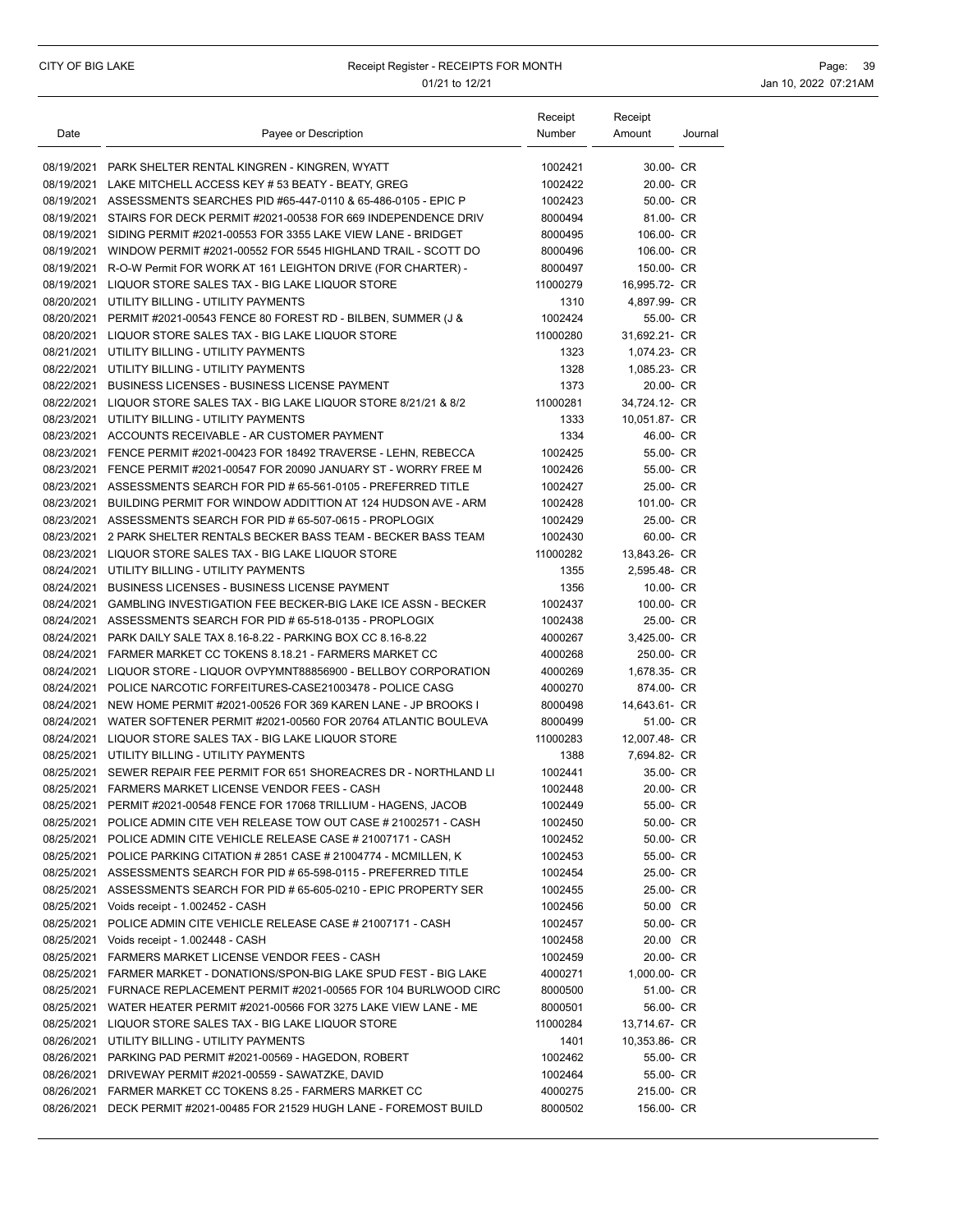|      |                                                                          | Receipt  | Receipt                    |         |
|------|--------------------------------------------------------------------------|----------|----------------------------|---------|
| Date | Payee or Description                                                     | Number   | Amount                     | Journal |
|      | 08/19/2021 PARK SHELTER RENTAL KINGREN - KINGREN, WYATT                  | 1002421  | 30.00- CR                  |         |
|      | 08/19/2021 LAKE MITCHELL ACCESS KEY # 53 BEATY - BEATY, GREG             | 1002422  | 20.00- CR                  |         |
|      | 08/19/2021 ASSESSMENTS SEARCHES PID #65-447-0110 & 65-486-0105 - EPIC P  | 1002423  | 50.00- CR                  |         |
|      | 08/19/2021 STAIRS FOR DECK PERMIT #2021-00538 FOR 669 INDEPENDENCE DRIV  | 8000494  | 81.00- CR                  |         |
|      | 08/19/2021 SIDING PERMIT #2021-00553 FOR 3355 LAKE VIEW LANE - BRIDGET   | 8000495  | 106.00- CR                 |         |
|      | 08/19/2021 WINDOW PERMIT #2021-00552 FOR 5545 HIGHLAND TRAIL - SCOTT DO  | 8000496  | 106.00- CR                 |         |
|      | 08/19/2021 R-O-W Permit FOR WORK AT 161 LEIGHTON DRIVE (FOR CHARTER) -   | 8000497  | 150.00- CR                 |         |
|      | 08/19/2021 LIQUOR STORE SALES TAX - BIG LAKE LIQUOR STORE                | 11000279 | 16,995.72- CR              |         |
|      | 08/20/2021 UTILITY BILLING - UTILITY PAYMENTS                            | 1310     | 4,897.99- CR               |         |
|      | 08/20/2021 PERMIT #2021-00543 FENCE 80 FOREST RD - BILBEN, SUMMER (J &   | 1002424  | 55.00- CR                  |         |
|      | 08/20/2021 LIQUOR STORE SALES TAX - BIG LAKE LIQUOR STORE                | 11000280 | 31,692.21- CR              |         |
|      | 08/21/2021 UTILITY BILLING - UTILITY PAYMENTS                            | 1323     | 1,074.23- CR               |         |
|      | 08/22/2021 UTILITY BILLING - UTILITY PAYMENTS                            | 1328     | 1,085.23- CR               |         |
|      | 08/22/2021 BUSINESS LICENSES - BUSINESS LICENSE PAYMENT                  | 1373     | 20.00- CR                  |         |
|      | 08/22/2021 LIQUOR STORE SALES TAX - BIG LAKE LIQUOR STORE 8/21/21 & 8/2  | 11000281 | 34,724.12- CR              |         |
|      | 08/23/2021 UTILITY BILLING - UTILITY PAYMENTS                            | 1333     | 10,051.87- CR              |         |
|      | 08/23/2021 ACCOUNTS RECEIVABLE - AR CUSTOMER PAYMENT                     | 1334     | 46.00- CR                  |         |
|      | 08/23/2021 FENCE PERMIT #2021-00423 FOR 18492 TRAVERSE - LEHN. REBECCA   | 1002425  | 55.00- CR                  |         |
|      | 08/23/2021 FENCE PERMIT #2021-00547 FOR 20090 JANUARY ST - WORRY FREE M  | 1002426  | 55.00- CR                  |         |
|      | 08/23/2021 ASSESSMENTS SEARCH FOR PID # 65-561-0105 - PREFERRED TITLE    | 1002427  | 25.00- CR                  |         |
|      | 08/23/2021 BUILDING PERMIT FOR WINDOW ADDITTION AT 124 HUDSON AVE - ARM  | 1002428  | 101.00- CR                 |         |
|      | 08/23/2021 ASSESSMENTS SEARCH FOR PID # 65-507-0615 - PROPLOGIX          | 1002429  | 25.00- CR                  |         |
|      | 08/23/2021 2 PARK SHELTER RENTALS BECKER BASS TEAM - BECKER BASS TEAM    | 1002430  | 60.00- CR                  |         |
|      | 08/23/2021 LIQUOR STORE SALES TAX - BIG LAKE LIQUOR STORE                | 11000282 | 13,843.26- CR              |         |
|      | 08/24/2021 UTILITY BILLING - UTILITY PAYMENTS                            | 1355     | 2,595.48- CR               |         |
|      | 08/24/2021 BUSINESS LICENSES - BUSINESS LICENSE PAYMENT                  | 1356     | 10.00- CR                  |         |
|      | 08/24/2021 GAMBLING INVESTIGATION FEE BECKER-BIG LAKE ICE ASSN - BECKER  | 1002437  | 100.00- CR                 |         |
|      |                                                                          |          |                            |         |
|      | 08/24/2021 ASSESSMENTS SEARCH FOR PID # 65-518-0135 - PROPLOGIX          | 1002438  | 25.00- CR                  |         |
|      | 08/24/2021 PARK DAILY SALE TAX 8.16-8.22 - PARKING BOX CC 8.16-8.22      | 4000267  | 3,425.00- CR<br>250.00- CR |         |
|      | 08/24/2021 FARMER MARKET CC TOKENS 8.18.21 - FARMERS MARKET CC           | 4000268  |                            |         |
|      | 08/24/2021 LIQUOR STORE - LIQUOR OVPYMNT88856900 - BELLBOY CORPORATION   | 4000269  | 1,678.35- CR               |         |
|      | 08/24/2021 POLICE NARCOTIC FORFEITURES-CASE21003478 - POLICE CASG        | 4000270  | 874.00- CR                 |         |
|      | 08/24/2021 NEW HOME PERMIT #2021-00526 FOR 369 KAREN LANE - JP BROOKS I  | 8000498  | 14,643.61- CR              |         |
|      | 08/24/2021 WATER SOFTENER PERMIT #2021-00560 FOR 20764 ATLANTIC BOULEVA  | 8000499  | 51.00- CR                  |         |
|      | 08/24/2021 LIQUOR STORE SALES TAX - BIG LAKE LIQUOR STORE                | 11000283 | 12,007.48- CR              |         |
|      | 08/25/2021 UTILITY BILLING - UTILITY PAYMENTS                            | 1388     | 7,694.82- CR               |         |
|      | 08/25/2021 SEWER REPAIR FEE PERMIT FOR 651 SHOREACRES DR - NORTHLAND LI  | 1002441  | 35.00- CR                  |         |
|      | 08/25/2021 FARMERS MARKET LICENSE VENDOR FEES - CASH                     | 1002448  | 20.00- CR                  |         |
|      | 08/25/2021 PERMIT #2021-00548 FENCE FOR 17068 TRILLIUM - HAGENS, JACOB   | 1002449  | 55.00- CR                  |         |
|      | 08/25/2021 POLICE ADMIN CITE VEH RELEASE TOW OUT CASE # 21002571 - CASH  | 1002450  | 50.00- CR                  |         |
|      | 08/25/2021 POLICE ADMIN CITE VEHICLE RELEASE CASE # 21007171 - CASH      | 1002452  | 50.00- CR                  |         |
|      | 08/25/2021 POLICE PARKING CITATION # 2851 CASE # 21004774 - MCMILLEN, K  | 1002453  | 55.00- CR                  |         |
|      | 08/25/2021 ASSESSMENTS SEARCH FOR PID # 65-598-0115 - PREFERRED TITLE    | 1002454  | 25.00- CR                  |         |
|      | 08/25/2021 ASSESSMENTS SEARCH FOR PID # 65-605-0210 - EPIC PROPERTY SER  | 1002455  | 25.00- CR                  |         |
|      | 08/25/2021 Voids receipt - 1.002452 - CASH                               | 1002456  | 50.00 CR                   |         |
|      | 08/25/2021 POLICE ADMIN CITE VEHICLE RELEASE CASE # 21007171 - CASH      | 1002457  | 50.00- CR                  |         |
|      | 08/25/2021 Voids receipt - 1.002448 - CASH                               | 1002458  | 20.00 CR                   |         |
|      | 08/25/2021 FARMERS MARKET LICENSE VENDOR FEES - CASH                     | 1002459  | 20.00- CR                  |         |
|      | 08/25/2021  FARMER MARKET - DONATIONS/SPON-BIG LAKE SPUD FEST - BIG LAKE | 4000271  | 1,000.00- CR               |         |
|      | 08/25/2021 FURNACE REPLACEMENT PERMIT #2021-00565 FOR 104 BURLWOOD CIRC  | 8000500  | 51.00- CR                  |         |
|      | 08/25/2021 WATER HEATER PERMIT #2021-00566 FOR 3275 LAKE VIEW LANE - ME  | 8000501  | 56.00- CR                  |         |
|      | 08/25/2021 LIQUOR STORE SALES TAX - BIG LAKE LIQUOR STORE                | 11000284 | 13,714.67- CR              |         |
|      | 08/26/2021 UTILITY BILLING - UTILITY PAYMENTS                            | 1401     | 10,353.86- CR              |         |
|      | 08/26/2021 PARKING PAD PERMIT #2021-00569 - HAGEDON, ROBERT              | 1002462  | 55.00- CR                  |         |
|      | 08/26/2021 DRIVEWAY PERMIT #2021-00559 - SAWATZKE, DAVID                 | 1002464  | 55.00- CR                  |         |
|      | 08/26/2021 FARMER MARKET CC TOKENS 8.25 - FARMERS MARKET CC              | 4000275  | 215.00- CR                 |         |
|      | 08/26/2021 DECK PERMIT #2021-00485 FOR 21529 HUGH LANE - FOREMOST BUILD  | 8000502  | 156.00- CR                 |         |
|      |                                                                          |          |                            |         |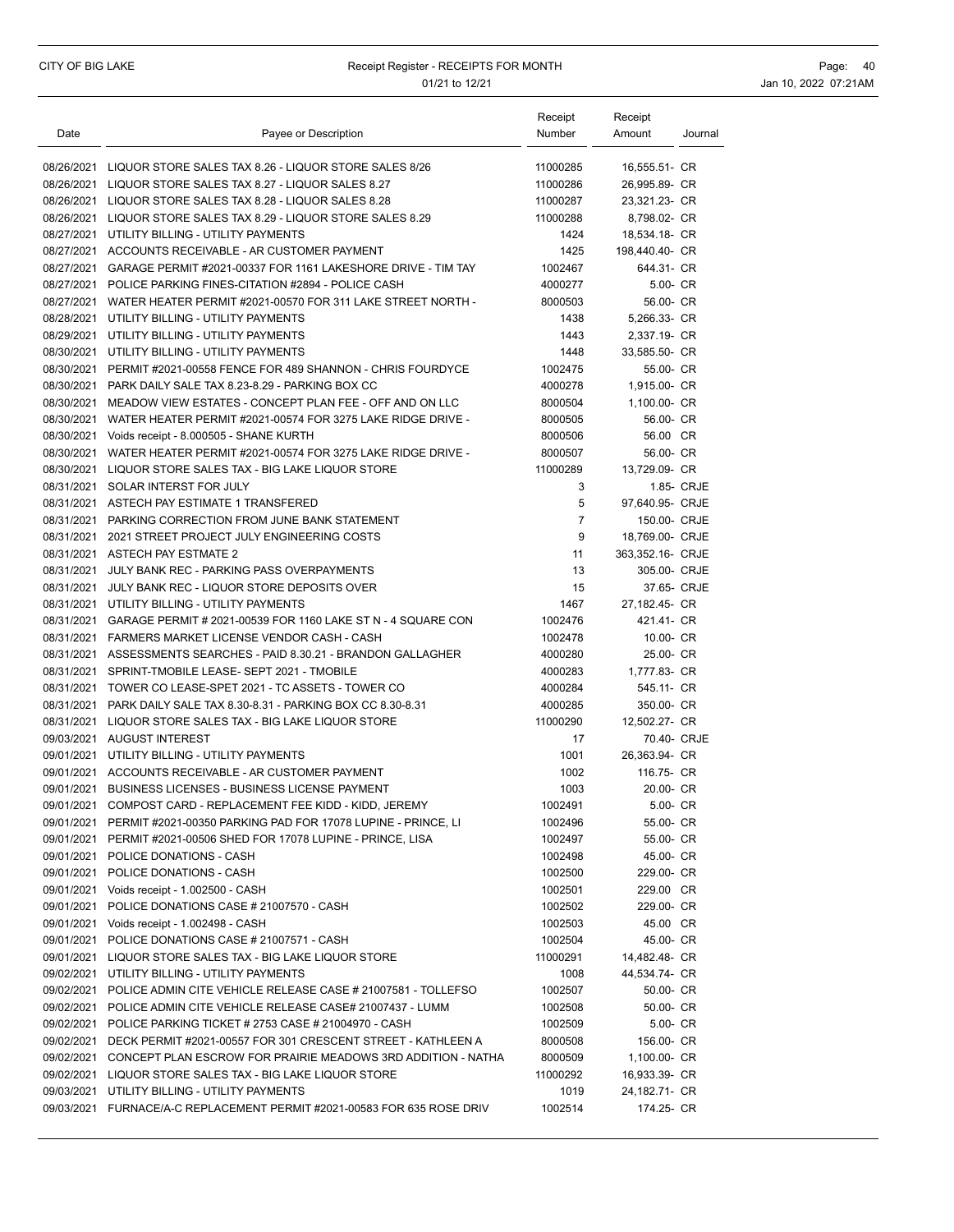| Date       | Payee or Description                                                    | Receipt<br>Number | Receipt<br>Amount | Journal     |
|------------|-------------------------------------------------------------------------|-------------------|-------------------|-------------|
|            | 08/26/2021 LIQUOR STORE SALES TAX 8.26 - LIQUOR STORE SALES 8/26        | 11000285          | 16,555.51- CR     |             |
| 08/26/2021 | LIQUOR STORE SALES TAX 8.27 - LIQUOR SALES 8.27                         | 11000286          | 26,995.89- CR     |             |
| 08/26/2021 | LIQUOR STORE SALES TAX 8.28 - LIQUOR SALES 8.28                         | 11000287          | 23,321.23- CR     |             |
| 08/26/2021 | LIQUOR STORE SALES TAX 8.29 - LIQUOR STORE SALES 8.29                   | 11000288          | 8,798.02- CR      |             |
|            | 08/27/2021 UTILITY BILLING - UTILITY PAYMENTS                           | 1424              | 18,534.18- CR     |             |
|            | 08/27/2021 ACCOUNTS RECEIVABLE - AR CUSTOMER PAYMENT                    | 1425              | 198,440.40- CR    |             |
|            | 08/27/2021 GARAGE PERMIT #2021-00337 FOR 1161 LAKESHORE DRIVE - TIM TAY | 1002467           | 644.31- CR        |             |
|            | 08/27/2021 POLICE PARKING FINES-CITATION #2894 - POLICE CASH            | 4000277           | 5.00- CR          |             |
|            | 08/27/2021 WATER HEATER PERMIT #2021-00570 FOR 311 LAKE STREET NORTH -  | 8000503           | 56.00- CR         |             |
|            | 08/28/2021 UTILITY BILLING - UTILITY PAYMENTS                           | 1438              | 5,266.33- CR      |             |
|            | 08/29/2021 UTILITY BILLING - UTILITY PAYMENTS                           | 1443              | 2,337.19- CR      |             |
|            | 08/30/2021 UTILITY BILLING - UTILITY PAYMENTS                           | 1448              | 33,585.50- CR     |             |
|            | 08/30/2021 PERMIT #2021-00558 FENCE FOR 489 SHANNON - CHRIS FOURDYCE    | 1002475           | 55.00- CR         |             |
|            | 08/30/2021 PARK DAILY SALE TAX 8.23-8.29 - PARKING BOX CC               | 4000278           | 1,915.00- CR      |             |
|            | 08/30/2021 MEADOW VIEW ESTATES - CONCEPT PLAN FEE - OFF AND ON LLC      | 8000504           | 1,100.00- CR      |             |
|            | 08/30/2021 WATER HEATER PERMIT #2021-00574 FOR 3275 LAKE RIDGE DRIVE -  | 8000505           | 56.00- CR         |             |
|            | 08/30/2021 Voids receipt - 8.000505 - SHANE KURTH                       | 8000506           | 56.00 CR          |             |
|            | 08/30/2021 WATER HEATER PERMIT #2021-00574 FOR 3275 LAKE RIDGE DRIVE -  | 8000507           | 56.00- CR         |             |
|            | 08/30/2021 LIQUOR STORE SALES TAX - BIG LAKE LIQUOR STORE               | 11000289          | 13.729.09- CR     |             |
|            | 08/31/2021 SOLAR INTERST FOR JULY                                       | 3                 |                   | 1.85- CRJE  |
|            | 08/31/2021 ASTECH PAY ESTIMATE 1 TRANSFERED                             | 5                 | 97.640.95- CRJE   |             |
|            | 08/31/2021 PARKING CORRECTION FROM JUNE BANK STATEMENT                  | $\overline{7}$    | 150.00- CRJE      |             |
|            | 08/31/2021 2021 STREET PROJECT JULY ENGINEERING COSTS                   | 9                 | 18,769.00- CRJE   |             |
|            | 08/31/2021 ASTECH PAY ESTMATE 2                                         | 11                | 363.352.16- CRJE  |             |
|            | 08/31/2021 JULY BANK REC - PARKING PASS OVERPAYMENTS                    | 13                | 305.00- CRJE      |             |
|            | 08/31/2021 JULY BANK REC - LIQUOR STORE DEPOSITS OVER                   | 15                |                   | 37.65- CRJE |
|            | 08/31/2021 UTILITY BILLING - UTILITY PAYMENTS                           | 1467              | 27,182.45- CR     |             |
|            | 08/31/2021 GARAGE PERMIT # 2021-00539 FOR 1160 LAKE ST N - 4 SQUARE CON | 1002476           | 421.41- CR        |             |
|            | 08/31/2021 FARMERS MARKET LICENSE VENDOR CASH - CASH                    | 1002478           | 10.00- CR         |             |
|            | 08/31/2021 ASSESSMENTS SEARCHES - PAID 8.30.21 - BRANDON GALLAGHER      | 4000280           | 25.00- CR         |             |
|            | 08/31/2021 SPRINT-TMOBILE LEASE- SEPT 2021 - TMOBILE                    | 4000283           | 1,777.83- CR      |             |
|            | 08/31/2021 TOWER CO LEASE-SPET 2021 - TC ASSETS - TOWER CO              | 4000284           | 545.11- CR        |             |
|            | 08/31/2021 PARK DAILY SALE TAX 8.30-8.31 - PARKING BOX CC 8.30-8.31     | 4000285           | 350.00- CR        |             |
|            | 08/31/2021 LIQUOR STORE SALES TAX - BIG LAKE LIQUOR STORE               | 11000290          | 12,502.27- CR     |             |
|            | 09/03/2021 AUGUST INTEREST                                              | 17                |                   | 70.40- CRJE |
|            | 09/01/2021 UTILITY BILLING - UTILITY PAYMENTS                           | 1001              | 26,363.94- CR     |             |
|            | 09/01/2021 ACCOUNTS RECEIVABLE - AR CUSTOMER PAYMENT                    | 1002              | 116.75- CR        |             |
|            | 09/01/2021 BUSINESS LICENSES - BUSINESS LICENSE PAYMENT                 | 1003              | 20.00- CR         |             |
|            | 09/01/2021 COMPOST CARD - REPLACEMENT FEE KIDD - KIDD, JEREMY           | 1002491           | 5.00- CR          |             |
|            | 09/01/2021 PERMIT #2021-00350 PARKING PAD FOR 17078 LUPINE - PRINCE, LI | 1002496           | 55.00- CR         |             |
|            | 09/01/2021 PERMIT #2021-00506 SHED FOR 17078 LUPINE - PRINCE, LISA      | 1002497           | 55.00- CR         |             |
|            | 09/01/2021 POLICE DONATIONS - CASH                                      | 1002498           | 45.00- CR         |             |
|            | 09/01/2021 POLICE DONATIONS - CASH                                      | 1002500           | 229.00- CR        |             |
|            | 09/01/2021 Voids receipt - 1.002500 - CASH                              | 1002501           | 229.00 CR         |             |
|            | 09/01/2021 POLICE DONATIONS CASE # 21007570 - CASH                      | 1002502           | 229.00- CR        |             |
|            | 09/01/2021 Voids receipt - 1.002498 - CASH                              | 1002503           | 45.00 CR          |             |
|            | 09/01/2021 POLICE DONATIONS CASE # 21007571 - CASH                      | 1002504           | 45.00- CR         |             |
|            | 09/01/2021 LIQUOR STORE SALES TAX - BIG LAKE LIQUOR STORE               | 11000291          | 14,482.48- CR     |             |
|            | 09/02/2021 UTILITY BILLING - UTILITY PAYMENTS                           | 1008              | 44,534.74- CR     |             |
|            | 09/02/2021 POLICE ADMIN CITE VEHICLE RELEASE CASE # 21007581 - TOLLEFSO | 1002507           | 50.00- CR         |             |
|            | 09/02/2021 POLICE ADMIN CITE VEHICLE RELEASE CASE# 21007437 - LUMM      | 1002508           | 50.00- CR         |             |
|            | 09/02/2021 POLICE PARKING TICKET # 2753 CASE # 21004970 - CASH          | 1002509           | 5.00- CR          |             |
|            | 09/02/2021 DECK PERMIT #2021-00557 FOR 301 CRESCENT STREET - KATHLEEN A | 8000508           | 156.00- CR        |             |
|            | 09/02/2021 CONCEPT PLAN ESCROW FOR PRAIRIE MEADOWS 3RD ADDITION - NATHA | 8000509           | 1,100.00- CR      |             |
|            | 09/02/2021 LIQUOR STORE SALES TAX - BIG LAKE LIQUOR STORE               | 11000292          | 16,933.39- CR     |             |
|            | 09/03/2021 UTILITY BILLING - UTILITY PAYMENTS                           | 1019              | 24,182.71- CR     |             |
|            | 09/03/2021 FURNACE/A-C REPLACEMENT PERMIT #2021-00583 FOR 635 ROSE DRIV | 1002514           | 174.25- CR        |             |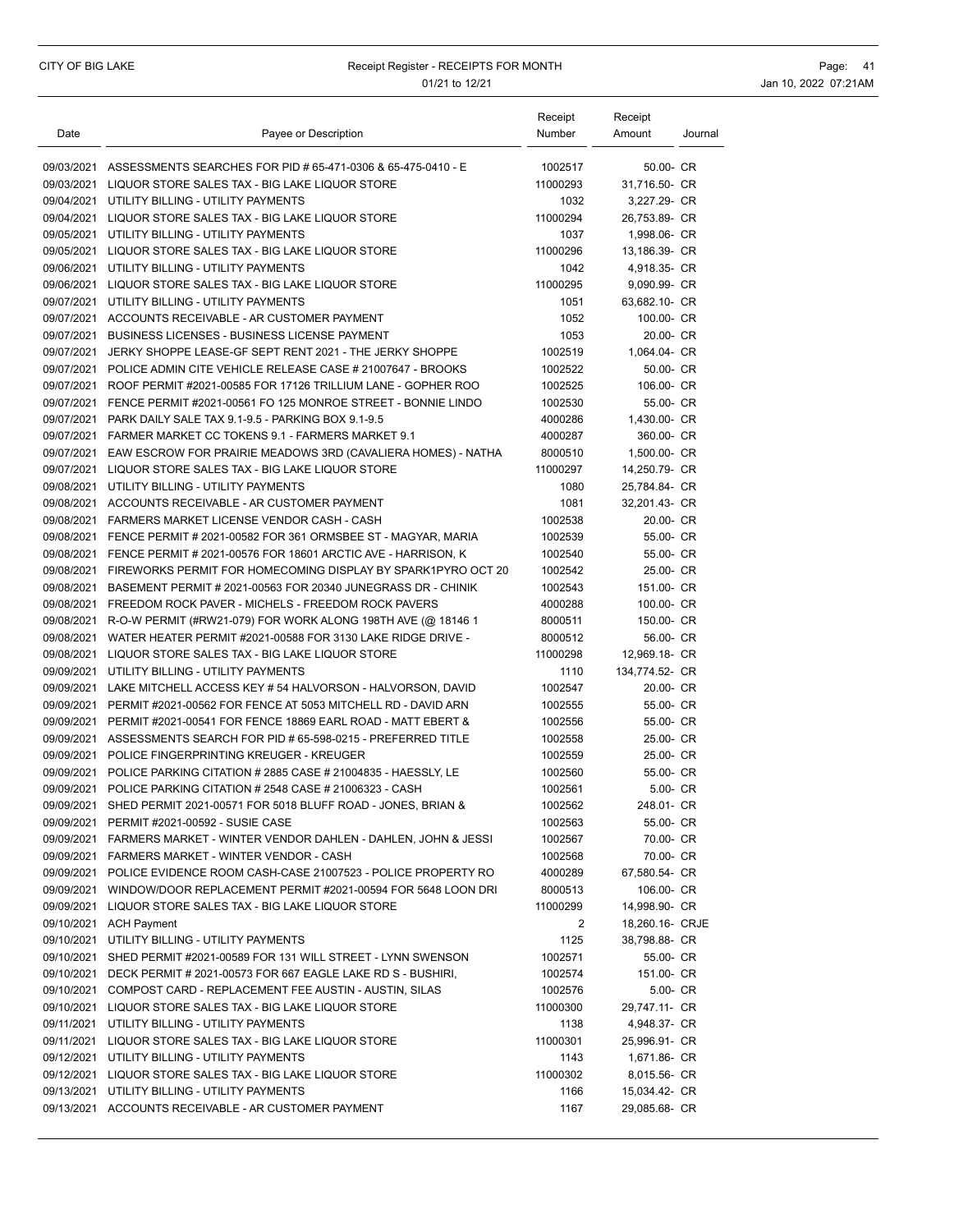### CITY OF BIG LAKE **Receipt Register - RECEIPTS FOR MONTH Page: 41** Page: 41 01/21 to 12/21 **Jan 10, 2022 07:21AM**

| Date | Payee or Description                                                    | Receipt<br>Number | Receipt<br>Amount | Journal |
|------|-------------------------------------------------------------------------|-------------------|-------------------|---------|
|      | 09/03/2021 ASSESSMENTS SEARCHES FOR PID # 65-471-0306 & 65-475-0410 - E | 1002517           | 50.00- CR         |         |
|      | 09/03/2021 LIQUOR STORE SALES TAX - BIG LAKE LIQUOR STORE               | 11000293          | 31,716.50- CR     |         |
|      | 09/04/2021 UTILITY BILLING - UTILITY PAYMENTS                           | 1032              | 3,227.29- CR      |         |
|      | 09/04/2021 LIQUOR STORE SALES TAX - BIG LAKE LIQUOR STORE               | 11000294          | 26,753.89- CR     |         |
|      | 09/05/2021 UTILITY BILLING - UTILITY PAYMENTS                           | 1037              | 1,998.06- CR      |         |
|      | 09/05/2021 LIQUOR STORE SALES TAX - BIG LAKE LIQUOR STORE               | 11000296          | 13,186.39- CR     |         |
|      | 09/06/2021 UTILITY BILLING - UTILITY PAYMENTS                           | 1042              | 4,918.35- CR      |         |
|      | 09/06/2021 LIQUOR STORE SALES TAX - BIG LAKE LIQUOR STORE               | 11000295          | 9,090.99- CR      |         |
|      | 09/07/2021 UTILITY BILLING - UTILITY PAYMENTS                           | 1051              | 63,682.10- CR     |         |
|      | 09/07/2021 ACCOUNTS RECEIVABLE - AR CUSTOMER PAYMENT                    | 1052              | 100.00- CR        |         |
|      | 09/07/2021 BUSINESS LICENSES - BUSINESS LICENSE PAYMENT                 | 1053              | 20.00- CR         |         |
|      | 09/07/2021 JERKY SHOPPE LEASE-GF SEPT RENT 2021 - THE JERKY SHOPPE      | 1002519           | 1,064.04- CR      |         |
|      | 09/07/2021 POLICE ADMIN CITE VEHICLE RELEASE CASE # 21007647 - BROOKS   | 1002522           | 50.00- CR         |         |
|      | 09/07/2021 ROOF PERMIT #2021-00585 FOR 17126 TRILLIUM LANE - GOPHER ROO | 1002525           | 106.00- CR        |         |
|      | 09/07/2021 FENCE PERMIT #2021-00561 FO 125 MONROE STREET - BONNIE LINDO | 1002530           | 55.00- CR         |         |
|      | 09/07/2021 PARK DAILY SALE TAX 9.1-9.5 - PARKING BOX 9.1-9.5            | 4000286           | 1.430.00- CR      |         |
|      | 09/07/2021 FARMER MARKET CC TOKENS 9.1 - FARMERS MARKET 9.1             | 4000287           | 360.00- CR        |         |
|      | 09/07/2021 EAW ESCROW FOR PRAIRIE MEADOWS 3RD (CAVALIERA HOMES) - NATHA | 8000510           | 1,500.00- CR      |         |
|      | 09/07/2021 LIQUOR STORE SALES TAX - BIG LAKE LIQUOR STORE               | 11000297          | 14,250.79- CR     |         |
|      | 09/08/2021 UTILITY BILLING - UTILITY PAYMENTS                           | 1080              | 25,784.84- CR     |         |
|      | 09/08/2021 ACCOUNTS RECEIVABLE - AR CUSTOMER PAYMENT                    | 1081              | 32,201.43- CR     |         |
|      | 09/08/2021 FARMERS MARKET LICENSE VENDOR CASH - CASH                    | 1002538           | 20.00- CR         |         |
|      | 09/08/2021 FENCE PERMIT # 2021-00582 FOR 361 ORMSBEE ST - MAGYAR, MARIA | 1002539           | 55.00- CR         |         |
|      | 09/08/2021 FENCE PERMIT # 2021-00576 FOR 18601 ARCTIC AVE - HARRISON, K | 1002540           | 55.00- CR         |         |
|      | 09/08/2021 FIREWORKS PERMIT FOR HOMECOMING DISPLAY BY SPARK1PYRO OCT 20 | 1002542           | 25.00- CR         |         |
|      | 09/08/2021 BASEMENT PERMIT # 2021-00563 FOR 20340 JUNEGRASS DR - CHINIK | 1002543           | 151.00- CR        |         |
|      | 09/08/2021 FREEDOM ROCK PAVER - MICHELS - FREEDOM ROCK PAVERS           | 4000288           | 100.00- CR        |         |
|      | 09/08/2021 R-O-W PERMIT (#RW21-079) FOR WORK ALONG 198TH AVE (@ 18146 1 | 8000511           | 150.00- CR        |         |
|      | 09/08/2021 WATER HEATER PERMIT #2021-00588 FOR 3130 LAKE RIDGE DRIVE -  | 8000512           | 56.00- CR         |         |
|      | 09/08/2021 LIQUOR STORE SALES TAX - BIG LAKE LIQUOR STORE               | 11000298          | 12,969.18- CR     |         |
|      | 09/09/2021 UTILITY BILLING - UTILITY PAYMENTS                           | 1110              | 134,774.52- CR    |         |
|      | 09/09/2021 LAKE MITCHELL ACCESS KEY # 54 HALVORSON - HALVORSON, DAVID   | 1002547           | 20.00- CR         |         |
|      | 09/09/2021 PERMIT #2021-00562 FOR FENCE AT 5053 MITCHELL RD - DAVID ARN | 1002555           | 55.00- CR         |         |
|      | 09/09/2021 PERMIT #2021-00541 FOR FENCE 18869 EARL ROAD - MATT EBERT &  | 1002556           | 55.00- CR         |         |
|      | 09/09/2021 ASSESSMENTS SEARCH FOR PID # 65-598-0215 - PREFERRED TITLE   | 1002558           | 25.00- CR         |         |
|      | 09/09/2021 POLICE FINGERPRINTING KREUGER - KREUGER                      | 1002559           | 25.00- CR         |         |
|      | 09/09/2021 POLICE PARKING CITATION # 2885 CASE # 21004835 - HAESSLY, LE | 1002560           | 55.00- CR         |         |
|      | 09/09/2021 POLICE PARKING CITATION # 2548 CASE # 21006323 - CASH        | 1002561           | 5.00- CR          |         |
|      | 09/09/2021 SHED PERMIT 2021-00571 FOR 5018 BLUFF ROAD - JONES, BRIAN &  | 1002562           | 248.01- CR        |         |
|      | 09/09/2021 PERMIT #2021-00592 - SUSIE CASE                              | 1002563           | 55.00- CR         |         |
|      | 09/09/2021 FARMERS MARKET - WINTER VENDOR DAHLEN - DAHLEN, JOHN & JESSI | 1002567           | 70.00- CR         |         |
|      | 09/09/2021 FARMERS MARKET - WINTER VENDOR - CASH                        | 1002568           | 70.00- CR         |         |
|      | 09/09/2021 POLICE EVIDENCE ROOM CASH-CASE 21007523 - POLICE PROPERTY RO | 4000289           | 67,580.54- CR     |         |
|      | 09/09/2021 WINDOW/DOOR REPLACEMENT PERMIT #2021-00594 FOR 5648 LOON DRI | 8000513           | 106.00- CR        |         |
|      | 09/09/2021 LIQUOR STORE SALES TAX - BIG LAKE LIQUOR STORE               | 11000299          | 14,998.90- CR     |         |
|      | 09/10/2021 ACH Payment                                                  | 2                 | 18,260.16- CRJE   |         |
|      | 09/10/2021 UTILITY BILLING - UTILITY PAYMENTS                           | 1125              | 38,798.88- CR     |         |
|      | 09/10/2021 SHED PERMIT #2021-00589 FOR 131 WILL STREET - LYNN SWENSON   | 1002571           | 55.00- CR         |         |
|      | 09/10/2021 DECK PERMIT # 2021-00573 FOR 667 EAGLE LAKE RD S - BUSHIRI,  | 1002574           | 151.00- CR        |         |
|      | 09/10/2021 COMPOST CARD - REPLACEMENT FEE AUSTIN - AUSTIN, SILAS        | 1002576           | 5.00- CR          |         |
|      | 09/10/2021 LIQUOR STORE SALES TAX - BIG LAKE LIQUOR STORE               | 11000300          | 29,747.11- CR     |         |
|      | 09/11/2021 UTILITY BILLING - UTILITY PAYMENTS                           | 1138              | 4,948.37- CR      |         |
|      | 09/11/2021 LIQUOR STORE SALES TAX - BIG LAKE LIQUOR STORE               | 11000301          | 25,996.91- CR     |         |
|      | 09/12/2021 UTILITY BILLING - UTILITY PAYMENTS                           | 1143              | 1,671.86- CR      |         |
|      | 09/12/2021 LIQUOR STORE SALES TAX - BIG LAKE LIQUOR STORE               | 11000302          | 8,015.56- CR      |         |
|      | 09/13/2021 UTILITY BILLING - UTILITY PAYMENTS                           | 1166              | 15,034.42- CR     |         |
|      | 09/13/2021 ACCOUNTS RECEIVABLE - AR CUSTOMER PAYMENT                    | 1167              | 29,085.68- CR     |         |
|      |                                                                         |                   |                   |         |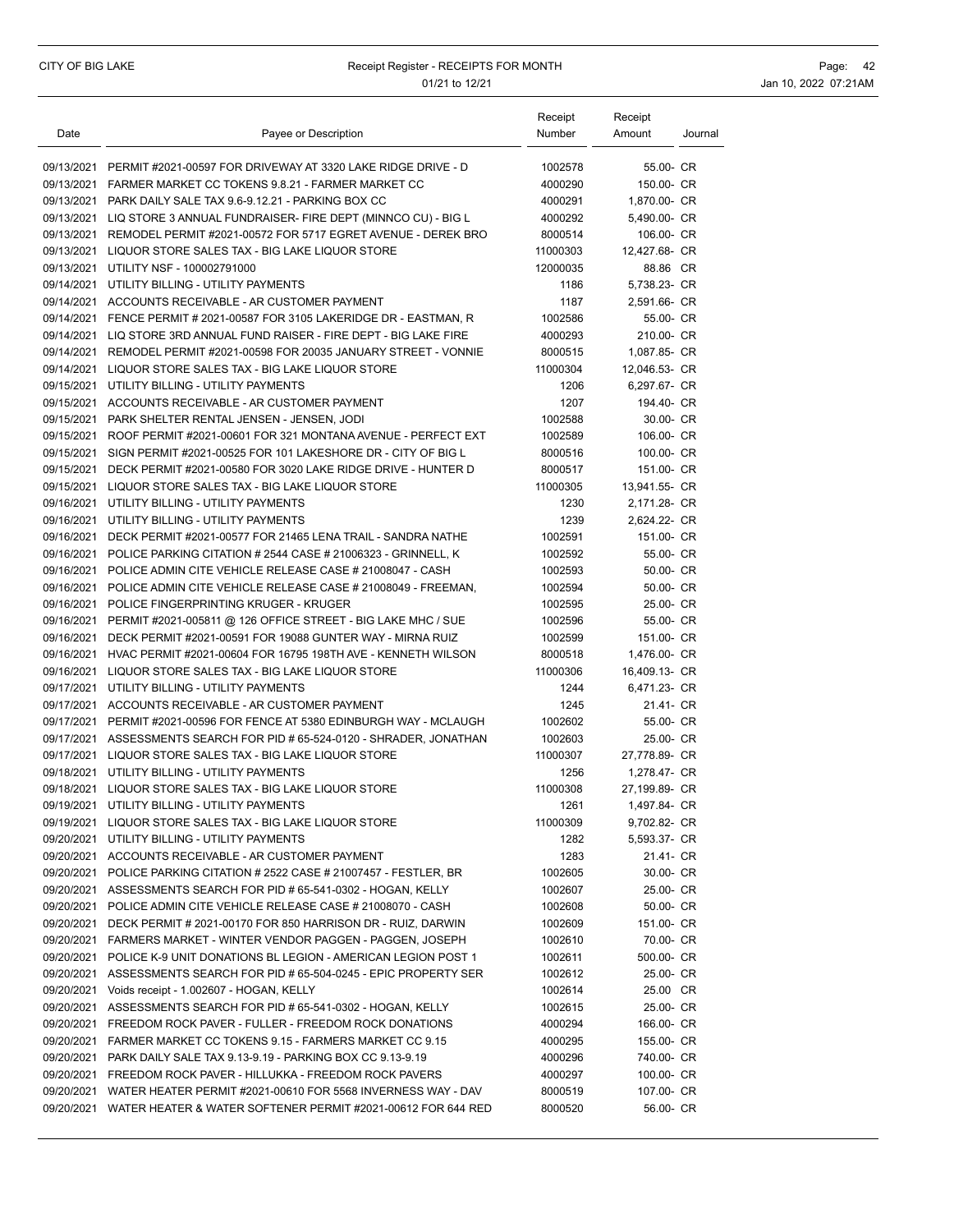### CITY OF BIG LAKE **Receipt Register - RECEIPTS FOR MONTH Page: 42** Page: 42 01/21 to 12/21 **Jan 10, 2022 07:21AM**

| Date | Payee or Description                                                                                                                 | Receipt<br>Number   | Receipt<br>Amount          | Journal |
|------|--------------------------------------------------------------------------------------------------------------------------------------|---------------------|----------------------------|---------|
|      | 09/13/2021 PERMIT #2021-00597 FOR DRIVEWAY AT 3320 LAKE RIDGE DRIVE - D                                                              | 1002578             | 55.00- CR                  |         |
|      | 09/13/2021 FARMER MARKET CC TOKENS 9.8.21 - FARMER MARKET CC                                                                         | 4000290             | 150.00- CR                 |         |
|      | 09/13/2021 PARK DAILY SALE TAX 9.6-9.12.21 - PARKING BOX CC                                                                          | 4000291             | 1,870.00- CR               |         |
|      | 09/13/2021 LIQ STORE 3 ANNUAL FUNDRAISER- FIRE DEPT (MINNCO CU) - BIG L                                                              | 4000292             | 5,490.00- CR               |         |
|      | 09/13/2021 REMODEL PERMIT #2021-00572 FOR 5717 EGRET AVENUE - DEREK BRO                                                              | 8000514             | 106.00- CR                 |         |
|      | 09/13/2021 LIQUOR STORE SALES TAX - BIG LAKE LIQUOR STORE                                                                            | 11000303            | 12,427.68- CR              |         |
|      | 09/13/2021 UTILITY NSF - 100002791000                                                                                                | 12000035            | 88.86 CR                   |         |
|      | 09/14/2021 UTILITY BILLING - UTILITY PAYMENTS                                                                                        | 1186                | 5,738.23- CR               |         |
|      | 09/14/2021 ACCOUNTS RECEIVABLE - AR CUSTOMER PAYMENT                                                                                 | 1187                | 2,591.66- CR               |         |
|      | 09/14/2021 FENCE PERMIT # 2021-00587 FOR 3105 LAKERIDGE DR - EASTMAN, R                                                              | 1002586             | 55.00- CR                  |         |
|      | 09/14/2021 LIQ STORE 3RD ANNUAL FUND RAISER - FIRE DEPT - BIG LAKE FIRE                                                              | 4000293             | 210.00- CR                 |         |
|      | 09/14/2021 REMODEL PERMIT #2021-00598 FOR 20035 JANUARY STREET - VONNIE                                                              | 8000515             | 1,087.85- CR               |         |
|      | 09/14/2021 LIQUOR STORE SALES TAX - BIG LAKE LIQUOR STORE                                                                            | 11000304            | 12,046.53- CR              |         |
|      | 09/15/2021 UTILITY BILLING - UTILITY PAYMENTS                                                                                        | 1206                | 6,297.67- CR               |         |
|      | 09/15/2021 ACCOUNTS RECEIVABLE - AR CUSTOMER PAYMENT                                                                                 | 1207                | 194.40- CR                 |         |
|      | 09/15/2021 PARK SHELTER RENTAL JENSEN - JENSEN, JODI                                                                                 | 1002588             | 30.00- CR                  |         |
|      | 09/15/2021 ROOF PERMIT #2021-00601 FOR 321 MONTANA AVENUE - PERFECT EXT                                                              | 1002589             | 106.00- CR                 |         |
|      | 09/15/2021 SIGN PERMIT #2021-00525 FOR 101 LAKESHORE DR - CITY OF BIG L                                                              | 8000516             | 100.00- CR                 |         |
|      | 09/15/2021 DECK PERMIT #2021-00580 FOR 3020 LAKE RIDGE DRIVE - HUNTER D                                                              | 8000517             | 151.00- CR                 |         |
|      | 09/15/2021 LIQUOR STORE SALES TAX - BIG LAKE LIQUOR STORE                                                                            | 11000305            | 13,941.55- CR              |         |
|      | 09/16/2021 UTILITY BILLING - UTILITY PAYMENTS                                                                                        | 1230                | 2,171.28- CR               |         |
|      | 09/16/2021 UTILITY BILLING - UTILITY PAYMENTS                                                                                        | 1239                | 2,624.22- CR               |         |
|      | 09/16/2021 DECK PERMIT #2021-00577 FOR 21465 LENA TRAIL - SANDRA NATHE                                                               | 1002591             | 151.00- CR                 |         |
|      | 09/16/2021 POLICE PARKING CITATION # 2544 CASE # 21006323 - GRINNELL, K                                                              | 1002592             | 55.00- CR                  |         |
|      | 09/16/2021 POLICE ADMIN CITE VEHICLE RELEASE CASE # 21008047 - CASH                                                                  | 1002593             | 50.00- CR                  |         |
|      | 09/16/2021 POLICE ADMIN CITE VEHICLE RELEASE CASE # 21008049 - FREEMAN,                                                              | 1002594             | 50.00- CR                  |         |
|      | 09/16/2021 POLICE FINGERPRINTING KRUGER - KRUGER                                                                                     | 1002595             | 25.00- CR                  |         |
|      | 09/16/2021 PERMIT #2021-005811 @ 126 OFFICE STREET - BIG LAKE MHC / SUE                                                              | 1002596             | 55.00- CR                  |         |
|      | 09/16/2021 DECK PERMIT #2021-00591 FOR 19088 GUNTER WAY - MIRNA RUIZ                                                                 | 1002599             | 151.00- CR                 |         |
|      | 09/16/2021 HVAC PERMIT #2021-00604 FOR 16795 198TH AVE - KENNETH WILSON                                                              | 8000518             | 1,476.00- CR               |         |
|      | 09/16/2021 LIQUOR STORE SALES TAX - BIG LAKE LIQUOR STORE                                                                            | 11000306            | 16,409.13- CR              |         |
|      | 09/17/2021 UTILITY BILLING - UTILITY PAYMENTS                                                                                        | 1244                | 6,471.23- CR               |         |
|      | 09/17/2021 ACCOUNTS RECEIVABLE - AR CUSTOMER PAYMENT                                                                                 | 1245                | 21.41- CR                  |         |
|      | 09/17/2021 PERMIT #2021-00596 FOR FENCE AT 5380 EDINBURGH WAY - MCLAUGH                                                              | 1002602             | 55.00- CR                  |         |
|      | 09/17/2021 ASSESSMENTS SEARCH FOR PID # 65-524-0120 - SHRADER, JONATHAN<br>09/17/2021 LIQUOR STORE SALES TAX - BIG LAKE LIQUOR STORE | 1002603<br>11000307 | 25.00- CR<br>27,778.89- CR |         |
|      | 09/18/2021 UTILITY BILLING - UTILITY PAYMENTS                                                                                        | 1256                | 1,278.47- CR               |         |
|      | 09/18/2021 LIQUOR STORE SALES TAX - BIG LAKE LIQUOR STORE                                                                            | 11000308            | 27,199.89- CR              |         |
|      | 09/19/2021 UTILITY BILLING - UTILITY PAYMENTS                                                                                        | 1261                | 1,497.84- CR               |         |
|      | 09/19/2021 LIQUOR STORE SALES TAX - BIG LAKE LIQUOR STORE                                                                            | 11000309            | 9,702.82- CR               |         |
|      | 09/20/2021 UTILITY BILLING - UTILITY PAYMENTS                                                                                        | 1282                | 5,593.37- CR               |         |
|      | 09/20/2021 ACCOUNTS RECEIVABLE - AR CUSTOMER PAYMENT                                                                                 | 1283                | 21.41- CR                  |         |
|      | 09/20/2021 POLICE PARKING CITATION # 2522 CASE # 21007457 - FESTLER, BR                                                              | 1002605             | 30.00- CR                  |         |
|      | 09/20/2021 ASSESSMENTS SEARCH FOR PID # 65-541-0302 - HOGAN, KELLY                                                                   | 1002607             | 25.00- CR                  |         |
|      | 09/20/2021 POLICE ADMIN CITE VEHICLE RELEASE CASE # 21008070 - CASH                                                                  | 1002608             | 50.00- CR                  |         |
|      | 09/20/2021 DECK PERMIT # 2021-00170 FOR 850 HARRISON DR - RUIZ, DARWIN                                                               | 1002609             | 151.00- CR                 |         |
|      | 09/20/2021    FARMERS MARKET - WINTER VENDOR PAGGEN - PAGGEN, JOSEPH                                                                 | 1002610             | 70.00- CR                  |         |
|      | 09/20/2021 POLICE K-9 UNIT DONATIONS BL LEGION - AMERICAN LEGION POST 1                                                              | 1002611             | 500.00- CR                 |         |
|      | 09/20/2021 ASSESSMENTS SEARCH FOR PID # 65-504-0245 - EPIC PROPERTY SER                                                              | 1002612             | 25.00- CR                  |         |
|      | 09/20/2021 Voids receipt - 1.002607 - HOGAN, KELLY                                                                                   | 1002614             | 25.00 CR                   |         |
|      | 09/20/2021 ASSESSMENTS SEARCH FOR PID # 65-541-0302 - HOGAN, KELLY                                                                   | 1002615             | 25.00- CR                  |         |
|      | 09/20/2021 FREEDOM ROCK PAVER - FULLER - FREEDOM ROCK DONATIONS                                                                      | 4000294             | 166.00- CR                 |         |
|      | 09/20/2021  FARMER MARKET CC TOKENS  9.15 - FARMERS MARKET CC  9.15                                                                  | 4000295             | 155.00- CR                 |         |
|      | 09/20/2021 PARK DAILY SALE TAX 9.13-9.19 - PARKING BOX CC 9.13-9.19                                                                  | 4000296             | 740.00- CR                 |         |
|      | 09/20/2021 FREEDOM ROCK PAVER - HILLUKKA - FREEDOM ROCK PAVERS                                                                       | 4000297             | 100.00- CR                 |         |
|      | 09/20/2021 WATER HEATER PERMIT #2021-00610 FOR 5568 INVERNESS WAY - DAV                                                              | 8000519             | 107.00- CR                 |         |
|      | 09/20/2021 WATER HEATER & WATER SOFTENER PERMIT #2021-00612 FOR 644 RED                                                              | 8000520             | 56.00- CR                  |         |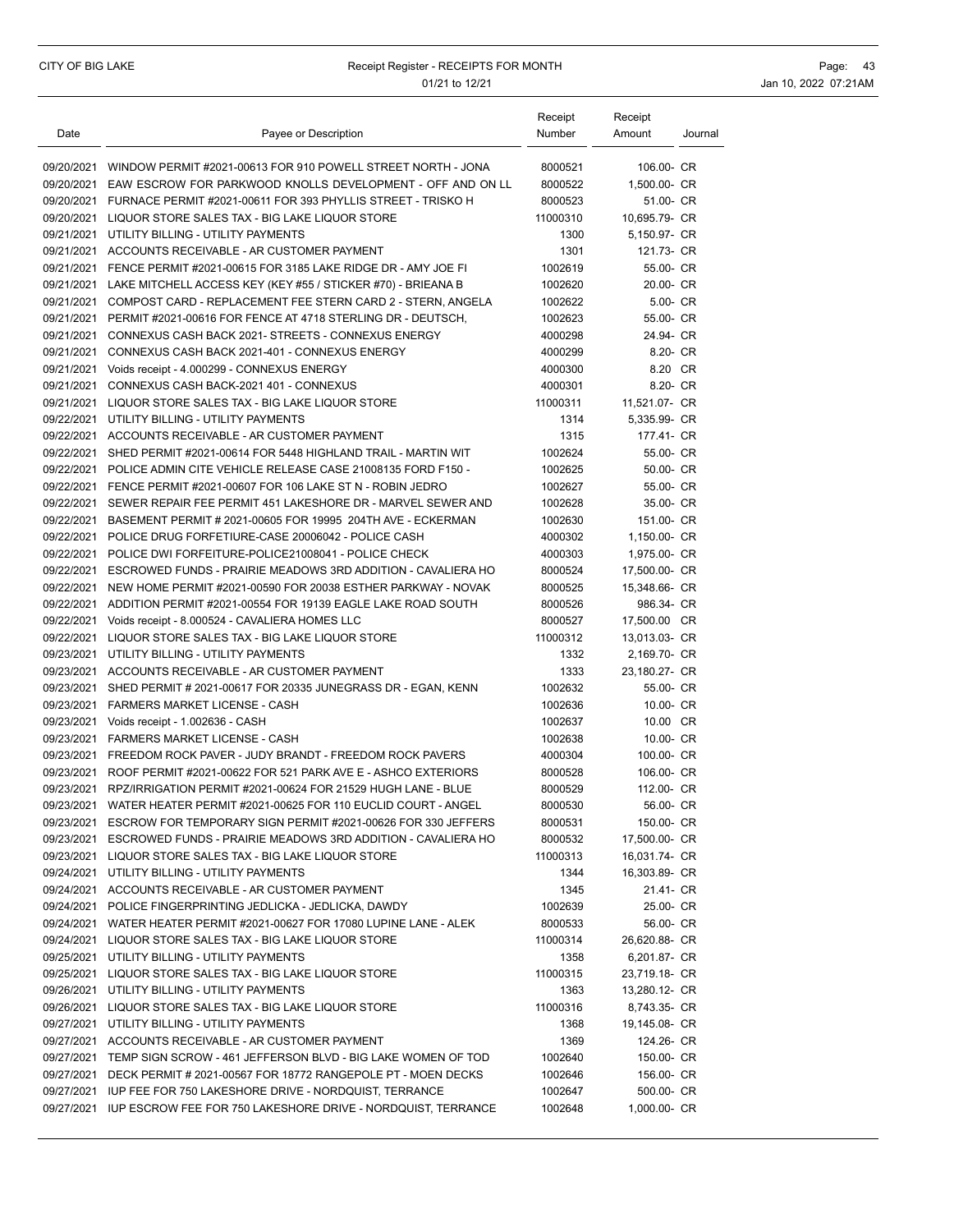### CITY OF BIG LAKE **Receipt Register - RECEIPTS FOR MONTH Page: 43** Page: 43 01/21 to 12/21 **Jan 10, 2022 07:21AM**

| Date       | Payee or Description                                                    | Receipt<br>Number | Receipt<br>Amount | Journal |
|------------|-------------------------------------------------------------------------|-------------------|-------------------|---------|
|            | 09/20/2021 WINDOW PERMIT #2021-00613 FOR 910 POWELL STREET NORTH - JONA | 8000521           | 106.00- CR        |         |
|            | 09/20/2021 EAW ESCROW FOR PARKWOOD KNOLLS DEVELOPMENT - OFF AND ON LL   | 8000522           | 1,500.00- CR      |         |
|            | 09/20/2021 FURNACE PERMIT #2021-00611 FOR 393 PHYLLIS STREET - TRISKO H | 8000523           | 51.00- CR         |         |
|            | 09/20/2021 LIQUOR STORE SALES TAX - BIG LAKE LIQUOR STORE               | 11000310          | 10,695.79- CR     |         |
|            | 09/21/2021 UTILITY BILLING - UTILITY PAYMENTS                           | 1300              | 5,150.97- CR      |         |
|            | 09/21/2021 ACCOUNTS RECEIVABLE - AR CUSTOMER PAYMENT                    | 1301              | 121.73- CR        |         |
|            | 09/21/2021 FENCE PERMIT #2021-00615 FOR 3185 LAKE RIDGE DR - AMY JOE FI | 1002619           | 55.00- CR         |         |
|            | 09/21/2021 LAKE MITCHELL ACCESS KEY (KEY #55 / STICKER #70) - BRIEANA B | 1002620           | 20.00- CR         |         |
| 09/21/2021 | COMPOST CARD - REPLACEMENT FEE STERN CARD 2 - STERN, ANGELA             | 1002622           | $5.00 - CR$       |         |
|            | 09/21/2021 PERMIT#2021-00616 FOR FENCE AT 4718 STERLING DR - DEUTSCH.   | 1002623           | 55.00- CR         |         |
|            | 09/21/2021 CONNEXUS CASH BACK 2021- STREETS - CONNEXUS ENERGY           | 4000298           | 24.94- CR         |         |
|            | 09/21/2021 CONNEXUS CASH BACK 2021-401 - CONNEXUS ENERGY                | 4000299           | 8.20- CR          |         |
|            | 09/21/2021 Voids receipt - 4.000299 - CONNEXUS ENERGY                   | 4000300           | 8.20 CR           |         |
| 09/21/2021 | CONNEXUS CASH BACK-2021 401 - CONNEXUS                                  | 4000301           | 8.20- CR          |         |
|            | 09/21/2021 LIQUOR STORE SALES TAX - BIG LAKE LIQUOR STORE               | 11000311          | 11,521.07- CR     |         |
|            | 09/22/2021 UTILITY BILLING - UTILITY PAYMENTS                           | 1314              | 5,335.99- CR      |         |
|            | 09/22/2021 ACCOUNTS RECEIVABLE - AR CUSTOMER PAYMENT                    | 1315              | 177.41- CR        |         |
|            | 09/22/2021 SHED PERMIT #2021-00614 FOR 5448 HIGHLAND TRAIL - MARTIN WIT | 1002624           | 55.00- CR         |         |
| 09/22/2021 | POLICE ADMIN CITE VEHICLE RELEASE CASE 21008135 FORD F150 -             | 1002625           | 50.00- CR         |         |
|            | 09/22/2021 FENCE PERMIT #2021-00607 FOR 106 LAKE ST N - ROBIN JEDRO     | 1002627           | 55.00- CR         |         |
|            | 09/22/2021 SEWER REPAIR FEE PERMIT 451 LAKESHORE DR - MARVEL SEWER AND  | 1002628           | 35.00- CR         |         |
|            | 09/22/2021 BASEMENT PERMIT # 2021-00605 FOR 19995 204TH AVE - ECKERMAN  | 1002630           | 151.00- CR        |         |
|            | 09/22/2021 POLICE DRUG FORFETIURE-CASE 20006042 - POLICE CASH           | 4000302           | 1.150.00- CR      |         |
|            | 09/22/2021 POLICE DWI FORFEITURE-POLICE21008041 - POLICE CHECK          | 4000303           | 1,975.00- CR      |         |
|            | 09/22/2021 ESCROWED FUNDS - PRAIRIE MEADOWS 3RD ADDITION - CAVALIERA HO | 8000524           | 17,500.00- CR     |         |
|            | 09/22/2021 NEW HOME PERMIT #2021-00590 FOR 20038 ESTHER PARKWAY - NOVAK | 8000525           | 15,348.66- CR     |         |
|            | 09/22/2021 ADDITION PERMIT #2021-00554 FOR 19139 EAGLE LAKE ROAD SOUTH  | 8000526           | 986.34- CR        |         |
|            | 09/22/2021 Voids receipt - 8.000524 - CAVALIERA HOMES LLC               | 8000527           | 17,500.00 CR      |         |
| 09/22/2021 | LIQUOR STORE SALES TAX - BIG LAKE LIQUOR STORE                          | 11000312          | 13,013.03- CR     |         |
|            | 09/23/2021 UTILITY BILLING - UTILITY PAYMENTS                           | 1332              | 2,169.70- CR      |         |
|            | 09/23/2021 ACCOUNTS RECEIVABLE - AR CUSTOMER PAYMENT                    | 1333              | 23,180.27- CR     |         |
|            | 09/23/2021 SHED PERMIT # 2021-00617 FOR 20335 JUNEGRASS DR - EGAN, KENN | 1002632           | 55.00- CR         |         |
|            | 09/23/2021 FARMERS MARKET LICENSE - CASH                                | 1002636           | 10.00- CR         |         |
|            | 09/23/2021 Voids receipt - 1.002636 - CASH                              | 1002637           | 10.00 CR          |         |
|            | 09/23/2021 FARMERS MARKET LICENSE - CASH                                | 1002638           | 10.00- CR         |         |
|            | 09/23/2021 FREEDOM ROCK PAVER - JUDY BRANDT - FREEDOM ROCK PAVERS       | 4000304           | 100.00- CR        |         |
|            | 09/23/2021 ROOF PERMIT #2021-00622 FOR 521 PARK AVE E - ASHCO EXTERIORS | 8000528           | 106.00- CR        |         |
|            | 09/23/2021 RPZ/IRRIGATION PERMIT #2021-00624 FOR 21529 HUGH LANE - BLUE | 8000529           | 112.00- CR        |         |
|            | 09/23/2021 WATER HEATER PERMIT #2021-00625 FOR 110 EUCLID COURT - ANGEL | 8000530           | 56.00- CR         |         |
|            | 09/23/2021 ESCROW FOR TEMPORARY SIGN PERMIT #2021-00626 FOR 330 JEFFERS | 8000531           | 150.00- CR        |         |
|            | 09/23/2021 ESCROWED FUNDS - PRAIRIE MEADOWS 3RD ADDITION - CAVALIERA HO | 8000532           | 17,500.00- CR     |         |
|            | 09/23/2021 LIQUOR STORE SALES TAX - BIG LAKE LIQUOR STORE               | 11000313          | 16,031.74- CR     |         |
|            | 09/24/2021 UTILITY BILLING - UTILITY PAYMENTS                           | 1344              | 16,303.89- CR     |         |
|            | 09/24/2021 ACCOUNTS RECEIVABLE - AR CUSTOMER PAYMENT                    | 1345              | 21.41- CR         |         |
|            | 09/24/2021 POLICE FINGERPRINTING JEDLICKA - JEDLICKA, DAWDY             | 1002639           | 25.00- CR         |         |
|            | 09/24/2021 WATER HEATER PERMIT #2021-00627 FOR 17080 LUPINE LANE - ALEK | 8000533           | 56.00- CR         |         |
|            | 09/24/2021 LIQUOR STORE SALES TAX - BIG LAKE LIQUOR STORE               | 11000314          | 26,620.88- CR     |         |
|            | 09/25/2021 UTILITY BILLING - UTILITY PAYMENTS                           | 1358              | 6,201.87- CR      |         |
|            | 09/25/2021 LIQUOR STORE SALES TAX - BIG LAKE LIQUOR STORE               | 11000315          | 23,719.18- CR     |         |
|            | 09/26/2021 UTILITY BILLING - UTILITY PAYMENTS                           | 1363              | 13,280.12- CR     |         |
|            | 09/26/2021 LIQUOR STORE SALES TAX - BIG LAKE LIQUOR STORE               | 11000316          | 8,743.35- CR      |         |
|            | 09/27/2021 UTILITY BILLING - UTILITY PAYMENTS                           | 1368              | 19,145.08- CR     |         |
|            | 09/27/2021 ACCOUNTS RECEIVABLE - AR CUSTOMER PAYMENT                    | 1369              | 124.26- CR        |         |
|            | 09/27/2021 TEMP SIGN SCROW - 461 JEFFERSON BLVD - BIG LAKE WOMEN OF TOD | 1002640           | 150.00- CR        |         |
|            | 09/27/2021 DECK PERMIT # 2021-00567 FOR 18772 RANGEPOLE PT - MOEN DECKS | 1002646           | 156.00- CR        |         |
|            | 09/27/2021 IUP FEE FOR 750 LAKESHORE DRIVE - NORDQUIST, TERRANCE        | 1002647           | 500.00- CR        |         |
|            | 09/27/2021 IUP ESCROW FEE FOR 750 LAKESHORE DRIVE - NORDQUIST, TERRANCE | 1002648           | 1,000.00- CR      |         |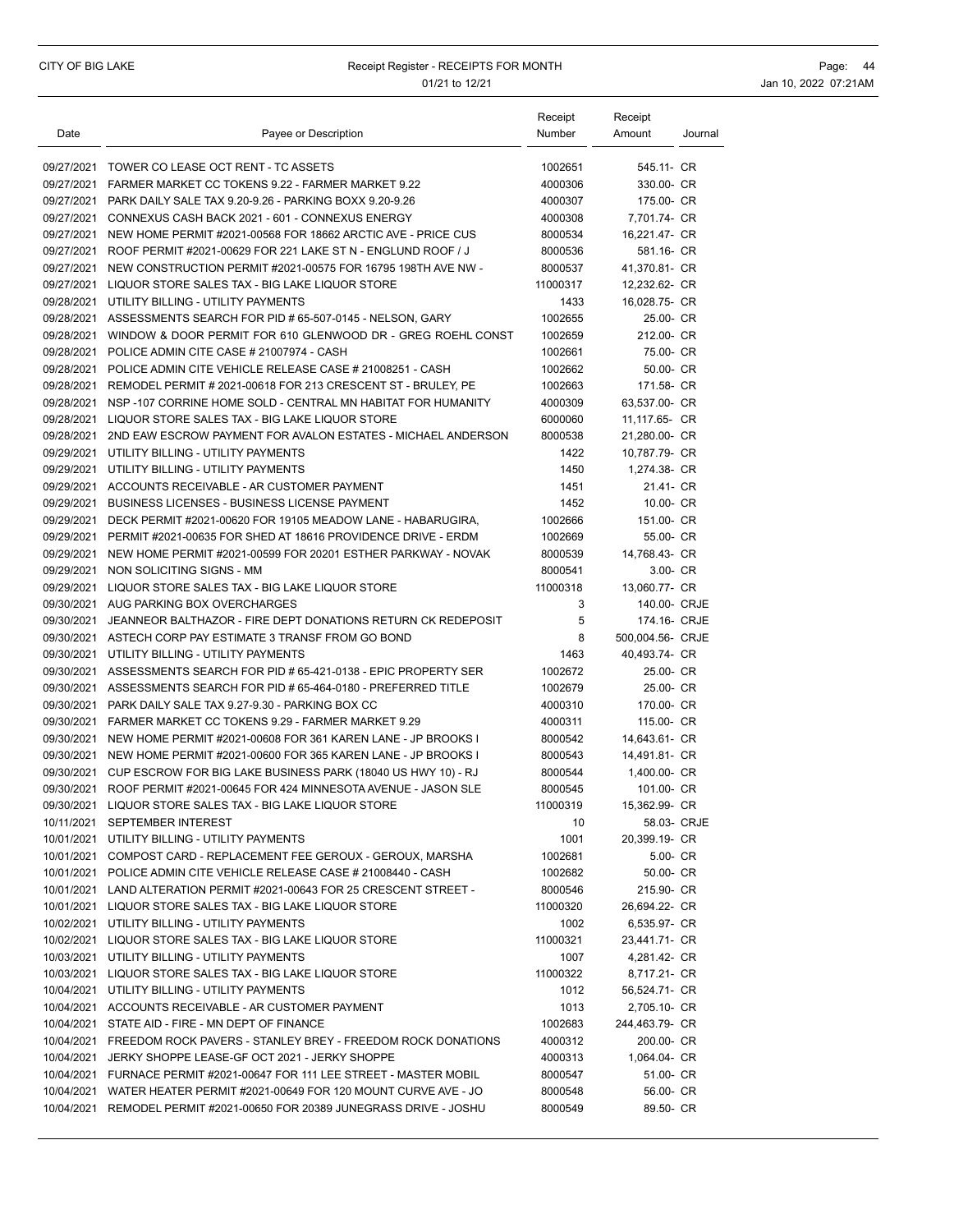### CITY OF BIG LAKE **Receipt Register - RECEIPTS FOR MONTH Page: 44** Page: 44 01/21 to 12/21 **Jan 10, 2022 07:21AM**

| 545.11- CR<br>09/27/2021 TOWER CO LEASE OCT RENT - TC ASSETS<br>1002651<br>09/27/2021 FARMER MARKET CC TOKENS 9.22 - FARMER MARKET 9.22<br>4000306<br>330.00- CR<br>09/27/2021 PARK DAILY SALE TAX 9.20-9.26 - PARKING BOXX 9.20-9.26<br>4000307<br>175.00- CR<br>09/27/2021 CONNEXUS CASH BACK 2021 - 601 - CONNEXUS ENERGY<br>7,701.74- CR<br>4000308<br>09/27/2021 NEW HOME PERMIT #2021-00568 FOR 18662 ARCTIC AVE - PRICE CUS<br>8000534<br>16,221.47- CR<br>09/27/2021 ROOF PERMIT #2021-00629 FOR 221 LAKE ST N - ENGLUND ROOF / J<br>8000536<br>581.16- CR<br>09/27/2021 NEW CONSTRUCTION PERMIT #2021-00575 FOR 16795 198TH AVE NW -<br>41,370.81- CR<br>8000537<br>09/27/2021 LIQUOR STORE SALES TAX - BIG LAKE LIQUOR STORE<br>11000317<br>12,232.62- CR<br>09/28/2021 UTILITY BILLING - UTILITY PAYMENTS<br>1433<br>16,028.75- CR<br>09/28/2021 ASSESSMENTS SEARCH FOR PID # 65-507-0145 - NELSON, GARY<br>1002655<br>25.00- CR<br>09/28/2021 WINDOW & DOOR PERMIT FOR 610 GLENWOOD DR - GREG ROEHL CONST<br>1002659<br>212.00- CR<br>09/28/2021 POLICE ADMIN CITE CASE # 21007974 - CASH<br>1002661<br>75.00- CR<br>09/28/2021 POLICE ADMIN CITE VEHICLE RELEASE CASE # 21008251 - CASH<br>1002662<br>50.00- CR<br>09/28/2021<br>REMODEL PERMIT # 2021-00618 FOR 213 CRESCENT ST - BRULEY, PE<br>1002663<br>171.58- CR<br>09/28/2021<br>63,537.00- CR<br>NSP-107 CORRINE HOME SOLD - CENTRAL MN HABITAT FOR HUMANITY<br>4000309<br>09/28/2021 LIQUOR STORE SALES TAX - BIG LAKE LIQUOR STORE<br>11,117.65- CR<br>6000060<br>09/28/2021 2ND EAW ESCROW PAYMENT FOR AVALON ESTATES - MICHAEL ANDERSON<br>8000538<br>21.280.00- CR<br>09/29/2021 UTILITY BILLING - UTILITY PAYMENTS<br>1422<br>10.787.79- CR<br>09/29/2021 UTILITY BILLING - UTILITY PAYMENTS<br>1450<br>1,274.38- CR<br>09/29/2021 ACCOUNTS RECEIVABLE - AR CUSTOMER PAYMENT<br>1451<br>21.41- CR<br>09/29/2021 BUSINESS LICENSES - BUSINESS LICENSE PAYMENT<br>1452<br>10.00- CR<br>09/29/2021 DECK PERMIT #2021-00620 FOR 19105 MEADOW LANE - HABARUGIRA,<br>1002666<br>151.00- CR<br>09/29/2021 PERMIT #2021-00635 FOR SHED AT 18616 PROVIDENCE DRIVE - ERDM<br>1002669<br>55.00- CR<br>14,768.43- CR<br>09/29/2021 NEW HOME PERMIT #2021-00599 FOR 20201 ESTHER PARKWAY - NOVAK<br>8000539<br>09/29/2021<br>3.00- CR<br>NON SOLICITING SIGNS - MM<br>8000541<br>09/29/2021 LIQUOR STORE SALES TAX - BIG LAKE LIQUOR STORE<br>11000318<br>13,060.77- CR<br>3<br>140.00- CRJE<br>09/30/2021 AUG PARKING BOX OVERCHARGES<br>5<br>09/30/2021 JEANNEOR BALTHAZOR - FIRE DEPT DONATIONS RETURN CK REDEPOSIT<br>174.16- CRJE<br>09/30/2021 ASTECH CORP PAY ESTIMATE 3 TRANSF FROM GO BOND<br>8<br>500,004.56- CRJE<br>09/30/2021 UTILITY BILLING - UTILITY PAYMENTS<br>1463<br>40,493.74- CR<br>1002672<br>09/30/2021 ASSESSMENTS SEARCH FOR PID # 65-421-0138 - EPIC PROPERTY SER<br>25.00- CR<br>09/30/2021 ASSESSMENTS SEARCH FOR PID # 65-464-0180 - PREFERRED TITLE<br>1002679<br>25.00- CR<br>09/30/2021 PARK DAILY SALE TAX 9.27-9.30 - PARKING BOX CC<br>4000310<br>170.00- CR<br>09/30/2021 FARMER MARKET CC TOKENS 9.29 - FARMER MARKET 9.29<br>4000311<br>115.00- CR<br>09/30/2021<br>NEW HOME PERMIT #2021-00608 FOR 361 KAREN LANE - JP BROOKS I<br>8000542<br>14,643.61- CR<br>09/30/2021 NEW HOME PERMIT #2021-00600 FOR 365 KAREN LANE - JP BROOKS I<br>8000543<br>14,491.81- CR<br>09/30/2021 CUP ESCROW FOR BIG LAKE BUSINESS PARK (18040 US HWY 10) - RJ<br>8000544<br>1,400.00- CR<br>09/30/2021 ROOF PERMIT #2021-00645 FOR 424 MINNESOTA AVENUE - JASON SLE<br>8000545<br>101.00- CR<br>09/30/2021 LIQUOR STORE SALES TAX - BIG LAKE LIQUOR STORE<br>11000319<br>15,362.99- CR<br>10/11/2021 SEPTEMBER INTEREST<br>10<br>58.03- CRJE<br>1001<br>10/01/2021 UTILITY BILLING - UTILITY PAYMENTS<br>20,399.19- CR<br>10/01/2021 COMPOST CARD - REPLACEMENT FEE GEROUX - GEROUX, MARSHA<br>1002681<br>5.00- CR<br>10/01/2021 POLICE ADMIN CITE VEHICLE RELEASE CASE # 21008440 - CASH<br>1002682<br>50.00- CR<br>10/01/2021 LAND ALTERATION PERMIT #2021-00643 FOR 25 CRESCENT STREET -<br>8000546<br>215.90- CR<br>10/01/2021 LIQUOR STORE SALES TAX - BIG LAKE LIQUOR STORE<br>11000320<br>26,694.22- CR<br>10/02/2021 UTILITY BILLING - UTILITY PAYMENTS<br>1002<br>6,535.97- CR<br>10/02/2021 LIQUOR STORE SALES TAX - BIG LAKE LIQUOR STORE<br>11000321<br>23,441.71- CR<br>10/03/2021 UTILITY BILLING - UTILITY PAYMENTS<br>1007<br>4,281.42- CR<br>10/03/2021 LIQUOR STORE SALES TAX - BIG LAKE LIQUOR STORE<br>11000322<br>8,717.21- CR<br>10/04/2021 UTILITY BILLING - UTILITY PAYMENTS<br>56,524.71- CR<br>1012<br>10/04/2021 ACCOUNTS RECEIVABLE - AR CUSTOMER PAYMENT<br>1013<br>2,705.10- CR<br>10/04/2021 STATE AID - FIRE - MN DEPT OF FINANCE<br>1002683<br>244,463.79- CR<br>10/04/2021 FREEDOM ROCK PAVERS - STANLEY BREY - FREEDOM ROCK DONATIONS<br>4000312<br>200.00- CR<br>10/04/2021 JERKY SHOPPE LEASE-GF OCT 2021 - JERKY SHOPPE<br>4000313<br>1,064.04- CR<br>10/04/2021 FURNACE PERMIT #2021-00647 FOR 111 LEE STREET - MASTER MOBIL<br>8000547<br>51.00- CR<br>10/04/2021 WATER HEATER PERMIT #2021-00649 FOR 120 MOUNT CURVE AVE - JO<br>56.00- CR<br>8000548<br>10/04/2021 REMODEL PERMIT #2021-00650 FOR 20389 JUNEGRASS DRIVE - JOSHU<br>89.50- CR<br>8000549 | Date | Payee or Description | Receipt<br>Number | Receipt<br>Amount | Journal |
|-----------------------------------------------------------------------------------------------------------------------------------------------------------------------------------------------------------------------------------------------------------------------------------------------------------------------------------------------------------------------------------------------------------------------------------------------------------------------------------------------------------------------------------------------------------------------------------------------------------------------------------------------------------------------------------------------------------------------------------------------------------------------------------------------------------------------------------------------------------------------------------------------------------------------------------------------------------------------------------------------------------------------------------------------------------------------------------------------------------------------------------------------------------------------------------------------------------------------------------------------------------------------------------------------------------------------------------------------------------------------------------------------------------------------------------------------------------------------------------------------------------------------------------------------------------------------------------------------------------------------------------------------------------------------------------------------------------------------------------------------------------------------------------------------------------------------------------------------------------------------------------------------------------------------------------------------------------------------------------------------------------------------------------------------------------------------------------------------------------------------------------------------------------------------------------------------------------------------------------------------------------------------------------------------------------------------------------------------------------------------------------------------------------------------------------------------------------------------------------------------------------------------------------------------------------------------------------------------------------------------------------------------------------------------------------------------------------------------------------------------------------------------------------------------------------------------------------------------------------------------------------------------------------------------------------------------------------------------------------------------------------------------------------------------------------------------------------------------------------------------------------------------------------------------------------------------------------------------------------------------------------------------------------------------------------------------------------------------------------------------------------------------------------------------------------------------------------------------------------------------------------------------------------------------------------------------------------------------------------------------------------------------------------------------------------------------------------------------------------------------------------------------------------------------------------------------------------------------------------------------------------------------------------------------------------------------------------------------------------------------------------------------------------------------------------------------------------------------------------------------------------------------------------------------------------------------------------------------------------------------------------------------------------------------------------------------------------------------------------------------------------------------------------------------------------------------------------------------------------------------------------------------------------------------------------------------------------------------------------------------------------------------------------------------------------------------------------------------------------------------------------------------------------------------------------------------------------------------------------------------------------------------------------------------------------------------------------------------------------------------------------------------------------------------------------------------------------------------------------------------------------------------------------------------------------------------------------------------------------------------------------------------------------------|------|----------------------|-------------------|-------------------|---------|
|                                                                                                                                                                                                                                                                                                                                                                                                                                                                                                                                                                                                                                                                                                                                                                                                                                                                                                                                                                                                                                                                                                                                                                                                                                                                                                                                                                                                                                                                                                                                                                                                                                                                                                                                                                                                                                                                                                                                                                                                                                                                                                                                                                                                                                                                                                                                                                                                                                                                                                                                                                                                                                                                                                                                                                                                                                                                                                                                                                                                                                                                                                                                                                                                                                                                                                                                                                                                                                                                                                                                                                                                                                                                                                                                                                                                                                                                                                                                                                                                                                                                                                                                                                                                                                                                                                                                                                                                                                                                                                                                                                                                                                                                                                                                                                                                                                                                                                                                                                                                                                                                                                                                                                                                                                                                                         |      |                      |                   |                   |         |
|                                                                                                                                                                                                                                                                                                                                                                                                                                                                                                                                                                                                                                                                                                                                                                                                                                                                                                                                                                                                                                                                                                                                                                                                                                                                                                                                                                                                                                                                                                                                                                                                                                                                                                                                                                                                                                                                                                                                                                                                                                                                                                                                                                                                                                                                                                                                                                                                                                                                                                                                                                                                                                                                                                                                                                                                                                                                                                                                                                                                                                                                                                                                                                                                                                                                                                                                                                                                                                                                                                                                                                                                                                                                                                                                                                                                                                                                                                                                                                                                                                                                                                                                                                                                                                                                                                                                                                                                                                                                                                                                                                                                                                                                                                                                                                                                                                                                                                                                                                                                                                                                                                                                                                                                                                                                                         |      |                      |                   |                   |         |
|                                                                                                                                                                                                                                                                                                                                                                                                                                                                                                                                                                                                                                                                                                                                                                                                                                                                                                                                                                                                                                                                                                                                                                                                                                                                                                                                                                                                                                                                                                                                                                                                                                                                                                                                                                                                                                                                                                                                                                                                                                                                                                                                                                                                                                                                                                                                                                                                                                                                                                                                                                                                                                                                                                                                                                                                                                                                                                                                                                                                                                                                                                                                                                                                                                                                                                                                                                                                                                                                                                                                                                                                                                                                                                                                                                                                                                                                                                                                                                                                                                                                                                                                                                                                                                                                                                                                                                                                                                                                                                                                                                                                                                                                                                                                                                                                                                                                                                                                                                                                                                                                                                                                                                                                                                                                                         |      |                      |                   |                   |         |
|                                                                                                                                                                                                                                                                                                                                                                                                                                                                                                                                                                                                                                                                                                                                                                                                                                                                                                                                                                                                                                                                                                                                                                                                                                                                                                                                                                                                                                                                                                                                                                                                                                                                                                                                                                                                                                                                                                                                                                                                                                                                                                                                                                                                                                                                                                                                                                                                                                                                                                                                                                                                                                                                                                                                                                                                                                                                                                                                                                                                                                                                                                                                                                                                                                                                                                                                                                                                                                                                                                                                                                                                                                                                                                                                                                                                                                                                                                                                                                                                                                                                                                                                                                                                                                                                                                                                                                                                                                                                                                                                                                                                                                                                                                                                                                                                                                                                                                                                                                                                                                                                                                                                                                                                                                                                                         |      |                      |                   |                   |         |
|                                                                                                                                                                                                                                                                                                                                                                                                                                                                                                                                                                                                                                                                                                                                                                                                                                                                                                                                                                                                                                                                                                                                                                                                                                                                                                                                                                                                                                                                                                                                                                                                                                                                                                                                                                                                                                                                                                                                                                                                                                                                                                                                                                                                                                                                                                                                                                                                                                                                                                                                                                                                                                                                                                                                                                                                                                                                                                                                                                                                                                                                                                                                                                                                                                                                                                                                                                                                                                                                                                                                                                                                                                                                                                                                                                                                                                                                                                                                                                                                                                                                                                                                                                                                                                                                                                                                                                                                                                                                                                                                                                                                                                                                                                                                                                                                                                                                                                                                                                                                                                                                                                                                                                                                                                                                                         |      |                      |                   |                   |         |
|                                                                                                                                                                                                                                                                                                                                                                                                                                                                                                                                                                                                                                                                                                                                                                                                                                                                                                                                                                                                                                                                                                                                                                                                                                                                                                                                                                                                                                                                                                                                                                                                                                                                                                                                                                                                                                                                                                                                                                                                                                                                                                                                                                                                                                                                                                                                                                                                                                                                                                                                                                                                                                                                                                                                                                                                                                                                                                                                                                                                                                                                                                                                                                                                                                                                                                                                                                                                                                                                                                                                                                                                                                                                                                                                                                                                                                                                                                                                                                                                                                                                                                                                                                                                                                                                                                                                                                                                                                                                                                                                                                                                                                                                                                                                                                                                                                                                                                                                                                                                                                                                                                                                                                                                                                                                                         |      |                      |                   |                   |         |
|                                                                                                                                                                                                                                                                                                                                                                                                                                                                                                                                                                                                                                                                                                                                                                                                                                                                                                                                                                                                                                                                                                                                                                                                                                                                                                                                                                                                                                                                                                                                                                                                                                                                                                                                                                                                                                                                                                                                                                                                                                                                                                                                                                                                                                                                                                                                                                                                                                                                                                                                                                                                                                                                                                                                                                                                                                                                                                                                                                                                                                                                                                                                                                                                                                                                                                                                                                                                                                                                                                                                                                                                                                                                                                                                                                                                                                                                                                                                                                                                                                                                                                                                                                                                                                                                                                                                                                                                                                                                                                                                                                                                                                                                                                                                                                                                                                                                                                                                                                                                                                                                                                                                                                                                                                                                                         |      |                      |                   |                   |         |
|                                                                                                                                                                                                                                                                                                                                                                                                                                                                                                                                                                                                                                                                                                                                                                                                                                                                                                                                                                                                                                                                                                                                                                                                                                                                                                                                                                                                                                                                                                                                                                                                                                                                                                                                                                                                                                                                                                                                                                                                                                                                                                                                                                                                                                                                                                                                                                                                                                                                                                                                                                                                                                                                                                                                                                                                                                                                                                                                                                                                                                                                                                                                                                                                                                                                                                                                                                                                                                                                                                                                                                                                                                                                                                                                                                                                                                                                                                                                                                                                                                                                                                                                                                                                                                                                                                                                                                                                                                                                                                                                                                                                                                                                                                                                                                                                                                                                                                                                                                                                                                                                                                                                                                                                                                                                                         |      |                      |                   |                   |         |
|                                                                                                                                                                                                                                                                                                                                                                                                                                                                                                                                                                                                                                                                                                                                                                                                                                                                                                                                                                                                                                                                                                                                                                                                                                                                                                                                                                                                                                                                                                                                                                                                                                                                                                                                                                                                                                                                                                                                                                                                                                                                                                                                                                                                                                                                                                                                                                                                                                                                                                                                                                                                                                                                                                                                                                                                                                                                                                                                                                                                                                                                                                                                                                                                                                                                                                                                                                                                                                                                                                                                                                                                                                                                                                                                                                                                                                                                                                                                                                                                                                                                                                                                                                                                                                                                                                                                                                                                                                                                                                                                                                                                                                                                                                                                                                                                                                                                                                                                                                                                                                                                                                                                                                                                                                                                                         |      |                      |                   |                   |         |
|                                                                                                                                                                                                                                                                                                                                                                                                                                                                                                                                                                                                                                                                                                                                                                                                                                                                                                                                                                                                                                                                                                                                                                                                                                                                                                                                                                                                                                                                                                                                                                                                                                                                                                                                                                                                                                                                                                                                                                                                                                                                                                                                                                                                                                                                                                                                                                                                                                                                                                                                                                                                                                                                                                                                                                                                                                                                                                                                                                                                                                                                                                                                                                                                                                                                                                                                                                                                                                                                                                                                                                                                                                                                                                                                                                                                                                                                                                                                                                                                                                                                                                                                                                                                                                                                                                                                                                                                                                                                                                                                                                                                                                                                                                                                                                                                                                                                                                                                                                                                                                                                                                                                                                                                                                                                                         |      |                      |                   |                   |         |
|                                                                                                                                                                                                                                                                                                                                                                                                                                                                                                                                                                                                                                                                                                                                                                                                                                                                                                                                                                                                                                                                                                                                                                                                                                                                                                                                                                                                                                                                                                                                                                                                                                                                                                                                                                                                                                                                                                                                                                                                                                                                                                                                                                                                                                                                                                                                                                                                                                                                                                                                                                                                                                                                                                                                                                                                                                                                                                                                                                                                                                                                                                                                                                                                                                                                                                                                                                                                                                                                                                                                                                                                                                                                                                                                                                                                                                                                                                                                                                                                                                                                                                                                                                                                                                                                                                                                                                                                                                                                                                                                                                                                                                                                                                                                                                                                                                                                                                                                                                                                                                                                                                                                                                                                                                                                                         |      |                      |                   |                   |         |
|                                                                                                                                                                                                                                                                                                                                                                                                                                                                                                                                                                                                                                                                                                                                                                                                                                                                                                                                                                                                                                                                                                                                                                                                                                                                                                                                                                                                                                                                                                                                                                                                                                                                                                                                                                                                                                                                                                                                                                                                                                                                                                                                                                                                                                                                                                                                                                                                                                                                                                                                                                                                                                                                                                                                                                                                                                                                                                                                                                                                                                                                                                                                                                                                                                                                                                                                                                                                                                                                                                                                                                                                                                                                                                                                                                                                                                                                                                                                                                                                                                                                                                                                                                                                                                                                                                                                                                                                                                                                                                                                                                                                                                                                                                                                                                                                                                                                                                                                                                                                                                                                                                                                                                                                                                                                                         |      |                      |                   |                   |         |
|                                                                                                                                                                                                                                                                                                                                                                                                                                                                                                                                                                                                                                                                                                                                                                                                                                                                                                                                                                                                                                                                                                                                                                                                                                                                                                                                                                                                                                                                                                                                                                                                                                                                                                                                                                                                                                                                                                                                                                                                                                                                                                                                                                                                                                                                                                                                                                                                                                                                                                                                                                                                                                                                                                                                                                                                                                                                                                                                                                                                                                                                                                                                                                                                                                                                                                                                                                                                                                                                                                                                                                                                                                                                                                                                                                                                                                                                                                                                                                                                                                                                                                                                                                                                                                                                                                                                                                                                                                                                                                                                                                                                                                                                                                                                                                                                                                                                                                                                                                                                                                                                                                                                                                                                                                                                                         |      |                      |                   |                   |         |
|                                                                                                                                                                                                                                                                                                                                                                                                                                                                                                                                                                                                                                                                                                                                                                                                                                                                                                                                                                                                                                                                                                                                                                                                                                                                                                                                                                                                                                                                                                                                                                                                                                                                                                                                                                                                                                                                                                                                                                                                                                                                                                                                                                                                                                                                                                                                                                                                                                                                                                                                                                                                                                                                                                                                                                                                                                                                                                                                                                                                                                                                                                                                                                                                                                                                                                                                                                                                                                                                                                                                                                                                                                                                                                                                                                                                                                                                                                                                                                                                                                                                                                                                                                                                                                                                                                                                                                                                                                                                                                                                                                                                                                                                                                                                                                                                                                                                                                                                                                                                                                                                                                                                                                                                                                                                                         |      |                      |                   |                   |         |
|                                                                                                                                                                                                                                                                                                                                                                                                                                                                                                                                                                                                                                                                                                                                                                                                                                                                                                                                                                                                                                                                                                                                                                                                                                                                                                                                                                                                                                                                                                                                                                                                                                                                                                                                                                                                                                                                                                                                                                                                                                                                                                                                                                                                                                                                                                                                                                                                                                                                                                                                                                                                                                                                                                                                                                                                                                                                                                                                                                                                                                                                                                                                                                                                                                                                                                                                                                                                                                                                                                                                                                                                                                                                                                                                                                                                                                                                                                                                                                                                                                                                                                                                                                                                                                                                                                                                                                                                                                                                                                                                                                                                                                                                                                                                                                                                                                                                                                                                                                                                                                                                                                                                                                                                                                                                                         |      |                      |                   |                   |         |
|                                                                                                                                                                                                                                                                                                                                                                                                                                                                                                                                                                                                                                                                                                                                                                                                                                                                                                                                                                                                                                                                                                                                                                                                                                                                                                                                                                                                                                                                                                                                                                                                                                                                                                                                                                                                                                                                                                                                                                                                                                                                                                                                                                                                                                                                                                                                                                                                                                                                                                                                                                                                                                                                                                                                                                                                                                                                                                                                                                                                                                                                                                                                                                                                                                                                                                                                                                                                                                                                                                                                                                                                                                                                                                                                                                                                                                                                                                                                                                                                                                                                                                                                                                                                                                                                                                                                                                                                                                                                                                                                                                                                                                                                                                                                                                                                                                                                                                                                                                                                                                                                                                                                                                                                                                                                                         |      |                      |                   |                   |         |
|                                                                                                                                                                                                                                                                                                                                                                                                                                                                                                                                                                                                                                                                                                                                                                                                                                                                                                                                                                                                                                                                                                                                                                                                                                                                                                                                                                                                                                                                                                                                                                                                                                                                                                                                                                                                                                                                                                                                                                                                                                                                                                                                                                                                                                                                                                                                                                                                                                                                                                                                                                                                                                                                                                                                                                                                                                                                                                                                                                                                                                                                                                                                                                                                                                                                                                                                                                                                                                                                                                                                                                                                                                                                                                                                                                                                                                                                                                                                                                                                                                                                                                                                                                                                                                                                                                                                                                                                                                                                                                                                                                                                                                                                                                                                                                                                                                                                                                                                                                                                                                                                                                                                                                                                                                                                                         |      |                      |                   |                   |         |
|                                                                                                                                                                                                                                                                                                                                                                                                                                                                                                                                                                                                                                                                                                                                                                                                                                                                                                                                                                                                                                                                                                                                                                                                                                                                                                                                                                                                                                                                                                                                                                                                                                                                                                                                                                                                                                                                                                                                                                                                                                                                                                                                                                                                                                                                                                                                                                                                                                                                                                                                                                                                                                                                                                                                                                                                                                                                                                                                                                                                                                                                                                                                                                                                                                                                                                                                                                                                                                                                                                                                                                                                                                                                                                                                                                                                                                                                                                                                                                                                                                                                                                                                                                                                                                                                                                                                                                                                                                                                                                                                                                                                                                                                                                                                                                                                                                                                                                                                                                                                                                                                                                                                                                                                                                                                                         |      |                      |                   |                   |         |
|                                                                                                                                                                                                                                                                                                                                                                                                                                                                                                                                                                                                                                                                                                                                                                                                                                                                                                                                                                                                                                                                                                                                                                                                                                                                                                                                                                                                                                                                                                                                                                                                                                                                                                                                                                                                                                                                                                                                                                                                                                                                                                                                                                                                                                                                                                                                                                                                                                                                                                                                                                                                                                                                                                                                                                                                                                                                                                                                                                                                                                                                                                                                                                                                                                                                                                                                                                                                                                                                                                                                                                                                                                                                                                                                                                                                                                                                                                                                                                                                                                                                                                                                                                                                                                                                                                                                                                                                                                                                                                                                                                                                                                                                                                                                                                                                                                                                                                                                                                                                                                                                                                                                                                                                                                                                                         |      |                      |                   |                   |         |
|                                                                                                                                                                                                                                                                                                                                                                                                                                                                                                                                                                                                                                                                                                                                                                                                                                                                                                                                                                                                                                                                                                                                                                                                                                                                                                                                                                                                                                                                                                                                                                                                                                                                                                                                                                                                                                                                                                                                                                                                                                                                                                                                                                                                                                                                                                                                                                                                                                                                                                                                                                                                                                                                                                                                                                                                                                                                                                                                                                                                                                                                                                                                                                                                                                                                                                                                                                                                                                                                                                                                                                                                                                                                                                                                                                                                                                                                                                                                                                                                                                                                                                                                                                                                                                                                                                                                                                                                                                                                                                                                                                                                                                                                                                                                                                                                                                                                                                                                                                                                                                                                                                                                                                                                                                                                                         |      |                      |                   |                   |         |
|                                                                                                                                                                                                                                                                                                                                                                                                                                                                                                                                                                                                                                                                                                                                                                                                                                                                                                                                                                                                                                                                                                                                                                                                                                                                                                                                                                                                                                                                                                                                                                                                                                                                                                                                                                                                                                                                                                                                                                                                                                                                                                                                                                                                                                                                                                                                                                                                                                                                                                                                                                                                                                                                                                                                                                                                                                                                                                                                                                                                                                                                                                                                                                                                                                                                                                                                                                                                                                                                                                                                                                                                                                                                                                                                                                                                                                                                                                                                                                                                                                                                                                                                                                                                                                                                                                                                                                                                                                                                                                                                                                                                                                                                                                                                                                                                                                                                                                                                                                                                                                                                                                                                                                                                                                                                                         |      |                      |                   |                   |         |
|                                                                                                                                                                                                                                                                                                                                                                                                                                                                                                                                                                                                                                                                                                                                                                                                                                                                                                                                                                                                                                                                                                                                                                                                                                                                                                                                                                                                                                                                                                                                                                                                                                                                                                                                                                                                                                                                                                                                                                                                                                                                                                                                                                                                                                                                                                                                                                                                                                                                                                                                                                                                                                                                                                                                                                                                                                                                                                                                                                                                                                                                                                                                                                                                                                                                                                                                                                                                                                                                                                                                                                                                                                                                                                                                                                                                                                                                                                                                                                                                                                                                                                                                                                                                                                                                                                                                                                                                                                                                                                                                                                                                                                                                                                                                                                                                                                                                                                                                                                                                                                                                                                                                                                                                                                                                                         |      |                      |                   |                   |         |
|                                                                                                                                                                                                                                                                                                                                                                                                                                                                                                                                                                                                                                                                                                                                                                                                                                                                                                                                                                                                                                                                                                                                                                                                                                                                                                                                                                                                                                                                                                                                                                                                                                                                                                                                                                                                                                                                                                                                                                                                                                                                                                                                                                                                                                                                                                                                                                                                                                                                                                                                                                                                                                                                                                                                                                                                                                                                                                                                                                                                                                                                                                                                                                                                                                                                                                                                                                                                                                                                                                                                                                                                                                                                                                                                                                                                                                                                                                                                                                                                                                                                                                                                                                                                                                                                                                                                                                                                                                                                                                                                                                                                                                                                                                                                                                                                                                                                                                                                                                                                                                                                                                                                                                                                                                                                                         |      |                      |                   |                   |         |
|                                                                                                                                                                                                                                                                                                                                                                                                                                                                                                                                                                                                                                                                                                                                                                                                                                                                                                                                                                                                                                                                                                                                                                                                                                                                                                                                                                                                                                                                                                                                                                                                                                                                                                                                                                                                                                                                                                                                                                                                                                                                                                                                                                                                                                                                                                                                                                                                                                                                                                                                                                                                                                                                                                                                                                                                                                                                                                                                                                                                                                                                                                                                                                                                                                                                                                                                                                                                                                                                                                                                                                                                                                                                                                                                                                                                                                                                                                                                                                                                                                                                                                                                                                                                                                                                                                                                                                                                                                                                                                                                                                                                                                                                                                                                                                                                                                                                                                                                                                                                                                                                                                                                                                                                                                                                                         |      |                      |                   |                   |         |
|                                                                                                                                                                                                                                                                                                                                                                                                                                                                                                                                                                                                                                                                                                                                                                                                                                                                                                                                                                                                                                                                                                                                                                                                                                                                                                                                                                                                                                                                                                                                                                                                                                                                                                                                                                                                                                                                                                                                                                                                                                                                                                                                                                                                                                                                                                                                                                                                                                                                                                                                                                                                                                                                                                                                                                                                                                                                                                                                                                                                                                                                                                                                                                                                                                                                                                                                                                                                                                                                                                                                                                                                                                                                                                                                                                                                                                                                                                                                                                                                                                                                                                                                                                                                                                                                                                                                                                                                                                                                                                                                                                                                                                                                                                                                                                                                                                                                                                                                                                                                                                                                                                                                                                                                                                                                                         |      |                      |                   |                   |         |
|                                                                                                                                                                                                                                                                                                                                                                                                                                                                                                                                                                                                                                                                                                                                                                                                                                                                                                                                                                                                                                                                                                                                                                                                                                                                                                                                                                                                                                                                                                                                                                                                                                                                                                                                                                                                                                                                                                                                                                                                                                                                                                                                                                                                                                                                                                                                                                                                                                                                                                                                                                                                                                                                                                                                                                                                                                                                                                                                                                                                                                                                                                                                                                                                                                                                                                                                                                                                                                                                                                                                                                                                                                                                                                                                                                                                                                                                                                                                                                                                                                                                                                                                                                                                                                                                                                                                                                                                                                                                                                                                                                                                                                                                                                                                                                                                                                                                                                                                                                                                                                                                                                                                                                                                                                                                                         |      |                      |                   |                   |         |
|                                                                                                                                                                                                                                                                                                                                                                                                                                                                                                                                                                                                                                                                                                                                                                                                                                                                                                                                                                                                                                                                                                                                                                                                                                                                                                                                                                                                                                                                                                                                                                                                                                                                                                                                                                                                                                                                                                                                                                                                                                                                                                                                                                                                                                                                                                                                                                                                                                                                                                                                                                                                                                                                                                                                                                                                                                                                                                                                                                                                                                                                                                                                                                                                                                                                                                                                                                                                                                                                                                                                                                                                                                                                                                                                                                                                                                                                                                                                                                                                                                                                                                                                                                                                                                                                                                                                                                                                                                                                                                                                                                                                                                                                                                                                                                                                                                                                                                                                                                                                                                                                                                                                                                                                                                                                                         |      |                      |                   |                   |         |
|                                                                                                                                                                                                                                                                                                                                                                                                                                                                                                                                                                                                                                                                                                                                                                                                                                                                                                                                                                                                                                                                                                                                                                                                                                                                                                                                                                                                                                                                                                                                                                                                                                                                                                                                                                                                                                                                                                                                                                                                                                                                                                                                                                                                                                                                                                                                                                                                                                                                                                                                                                                                                                                                                                                                                                                                                                                                                                                                                                                                                                                                                                                                                                                                                                                                                                                                                                                                                                                                                                                                                                                                                                                                                                                                                                                                                                                                                                                                                                                                                                                                                                                                                                                                                                                                                                                                                                                                                                                                                                                                                                                                                                                                                                                                                                                                                                                                                                                                                                                                                                                                                                                                                                                                                                                                                         |      |                      |                   |                   |         |
|                                                                                                                                                                                                                                                                                                                                                                                                                                                                                                                                                                                                                                                                                                                                                                                                                                                                                                                                                                                                                                                                                                                                                                                                                                                                                                                                                                                                                                                                                                                                                                                                                                                                                                                                                                                                                                                                                                                                                                                                                                                                                                                                                                                                                                                                                                                                                                                                                                                                                                                                                                                                                                                                                                                                                                                                                                                                                                                                                                                                                                                                                                                                                                                                                                                                                                                                                                                                                                                                                                                                                                                                                                                                                                                                                                                                                                                                                                                                                                                                                                                                                                                                                                                                                                                                                                                                                                                                                                                                                                                                                                                                                                                                                                                                                                                                                                                                                                                                                                                                                                                                                                                                                                                                                                                                                         |      |                      |                   |                   |         |
|                                                                                                                                                                                                                                                                                                                                                                                                                                                                                                                                                                                                                                                                                                                                                                                                                                                                                                                                                                                                                                                                                                                                                                                                                                                                                                                                                                                                                                                                                                                                                                                                                                                                                                                                                                                                                                                                                                                                                                                                                                                                                                                                                                                                                                                                                                                                                                                                                                                                                                                                                                                                                                                                                                                                                                                                                                                                                                                                                                                                                                                                                                                                                                                                                                                                                                                                                                                                                                                                                                                                                                                                                                                                                                                                                                                                                                                                                                                                                                                                                                                                                                                                                                                                                                                                                                                                                                                                                                                                                                                                                                                                                                                                                                                                                                                                                                                                                                                                                                                                                                                                                                                                                                                                                                                                                         |      |                      |                   |                   |         |
|                                                                                                                                                                                                                                                                                                                                                                                                                                                                                                                                                                                                                                                                                                                                                                                                                                                                                                                                                                                                                                                                                                                                                                                                                                                                                                                                                                                                                                                                                                                                                                                                                                                                                                                                                                                                                                                                                                                                                                                                                                                                                                                                                                                                                                                                                                                                                                                                                                                                                                                                                                                                                                                                                                                                                                                                                                                                                                                                                                                                                                                                                                                                                                                                                                                                                                                                                                                                                                                                                                                                                                                                                                                                                                                                                                                                                                                                                                                                                                                                                                                                                                                                                                                                                                                                                                                                                                                                                                                                                                                                                                                                                                                                                                                                                                                                                                                                                                                                                                                                                                                                                                                                                                                                                                                                                         |      |                      |                   |                   |         |
|                                                                                                                                                                                                                                                                                                                                                                                                                                                                                                                                                                                                                                                                                                                                                                                                                                                                                                                                                                                                                                                                                                                                                                                                                                                                                                                                                                                                                                                                                                                                                                                                                                                                                                                                                                                                                                                                                                                                                                                                                                                                                                                                                                                                                                                                                                                                                                                                                                                                                                                                                                                                                                                                                                                                                                                                                                                                                                                                                                                                                                                                                                                                                                                                                                                                                                                                                                                                                                                                                                                                                                                                                                                                                                                                                                                                                                                                                                                                                                                                                                                                                                                                                                                                                                                                                                                                                                                                                                                                                                                                                                                                                                                                                                                                                                                                                                                                                                                                                                                                                                                                                                                                                                                                                                                                                         |      |                      |                   |                   |         |
|                                                                                                                                                                                                                                                                                                                                                                                                                                                                                                                                                                                                                                                                                                                                                                                                                                                                                                                                                                                                                                                                                                                                                                                                                                                                                                                                                                                                                                                                                                                                                                                                                                                                                                                                                                                                                                                                                                                                                                                                                                                                                                                                                                                                                                                                                                                                                                                                                                                                                                                                                                                                                                                                                                                                                                                                                                                                                                                                                                                                                                                                                                                                                                                                                                                                                                                                                                                                                                                                                                                                                                                                                                                                                                                                                                                                                                                                                                                                                                                                                                                                                                                                                                                                                                                                                                                                                                                                                                                                                                                                                                                                                                                                                                                                                                                                                                                                                                                                                                                                                                                                                                                                                                                                                                                                                         |      |                      |                   |                   |         |
|                                                                                                                                                                                                                                                                                                                                                                                                                                                                                                                                                                                                                                                                                                                                                                                                                                                                                                                                                                                                                                                                                                                                                                                                                                                                                                                                                                                                                                                                                                                                                                                                                                                                                                                                                                                                                                                                                                                                                                                                                                                                                                                                                                                                                                                                                                                                                                                                                                                                                                                                                                                                                                                                                                                                                                                                                                                                                                                                                                                                                                                                                                                                                                                                                                                                                                                                                                                                                                                                                                                                                                                                                                                                                                                                                                                                                                                                                                                                                                                                                                                                                                                                                                                                                                                                                                                                                                                                                                                                                                                                                                                                                                                                                                                                                                                                                                                                                                                                                                                                                                                                                                                                                                                                                                                                                         |      |                      |                   |                   |         |
|                                                                                                                                                                                                                                                                                                                                                                                                                                                                                                                                                                                                                                                                                                                                                                                                                                                                                                                                                                                                                                                                                                                                                                                                                                                                                                                                                                                                                                                                                                                                                                                                                                                                                                                                                                                                                                                                                                                                                                                                                                                                                                                                                                                                                                                                                                                                                                                                                                                                                                                                                                                                                                                                                                                                                                                                                                                                                                                                                                                                                                                                                                                                                                                                                                                                                                                                                                                                                                                                                                                                                                                                                                                                                                                                                                                                                                                                                                                                                                                                                                                                                                                                                                                                                                                                                                                                                                                                                                                                                                                                                                                                                                                                                                                                                                                                                                                                                                                                                                                                                                                                                                                                                                                                                                                                                         |      |                      |                   |                   |         |
|                                                                                                                                                                                                                                                                                                                                                                                                                                                                                                                                                                                                                                                                                                                                                                                                                                                                                                                                                                                                                                                                                                                                                                                                                                                                                                                                                                                                                                                                                                                                                                                                                                                                                                                                                                                                                                                                                                                                                                                                                                                                                                                                                                                                                                                                                                                                                                                                                                                                                                                                                                                                                                                                                                                                                                                                                                                                                                                                                                                                                                                                                                                                                                                                                                                                                                                                                                                                                                                                                                                                                                                                                                                                                                                                                                                                                                                                                                                                                                                                                                                                                                                                                                                                                                                                                                                                                                                                                                                                                                                                                                                                                                                                                                                                                                                                                                                                                                                                                                                                                                                                                                                                                                                                                                                                                         |      |                      |                   |                   |         |
|                                                                                                                                                                                                                                                                                                                                                                                                                                                                                                                                                                                                                                                                                                                                                                                                                                                                                                                                                                                                                                                                                                                                                                                                                                                                                                                                                                                                                                                                                                                                                                                                                                                                                                                                                                                                                                                                                                                                                                                                                                                                                                                                                                                                                                                                                                                                                                                                                                                                                                                                                                                                                                                                                                                                                                                                                                                                                                                                                                                                                                                                                                                                                                                                                                                                                                                                                                                                                                                                                                                                                                                                                                                                                                                                                                                                                                                                                                                                                                                                                                                                                                                                                                                                                                                                                                                                                                                                                                                                                                                                                                                                                                                                                                                                                                                                                                                                                                                                                                                                                                                                                                                                                                                                                                                                                         |      |                      |                   |                   |         |
|                                                                                                                                                                                                                                                                                                                                                                                                                                                                                                                                                                                                                                                                                                                                                                                                                                                                                                                                                                                                                                                                                                                                                                                                                                                                                                                                                                                                                                                                                                                                                                                                                                                                                                                                                                                                                                                                                                                                                                                                                                                                                                                                                                                                                                                                                                                                                                                                                                                                                                                                                                                                                                                                                                                                                                                                                                                                                                                                                                                                                                                                                                                                                                                                                                                                                                                                                                                                                                                                                                                                                                                                                                                                                                                                                                                                                                                                                                                                                                                                                                                                                                                                                                                                                                                                                                                                                                                                                                                                                                                                                                                                                                                                                                                                                                                                                                                                                                                                                                                                                                                                                                                                                                                                                                                                                         |      |                      |                   |                   |         |
|                                                                                                                                                                                                                                                                                                                                                                                                                                                                                                                                                                                                                                                                                                                                                                                                                                                                                                                                                                                                                                                                                                                                                                                                                                                                                                                                                                                                                                                                                                                                                                                                                                                                                                                                                                                                                                                                                                                                                                                                                                                                                                                                                                                                                                                                                                                                                                                                                                                                                                                                                                                                                                                                                                                                                                                                                                                                                                                                                                                                                                                                                                                                                                                                                                                                                                                                                                                                                                                                                                                                                                                                                                                                                                                                                                                                                                                                                                                                                                                                                                                                                                                                                                                                                                                                                                                                                                                                                                                                                                                                                                                                                                                                                                                                                                                                                                                                                                                                                                                                                                                                                                                                                                                                                                                                                         |      |                      |                   |                   |         |
|                                                                                                                                                                                                                                                                                                                                                                                                                                                                                                                                                                                                                                                                                                                                                                                                                                                                                                                                                                                                                                                                                                                                                                                                                                                                                                                                                                                                                                                                                                                                                                                                                                                                                                                                                                                                                                                                                                                                                                                                                                                                                                                                                                                                                                                                                                                                                                                                                                                                                                                                                                                                                                                                                                                                                                                                                                                                                                                                                                                                                                                                                                                                                                                                                                                                                                                                                                                                                                                                                                                                                                                                                                                                                                                                                                                                                                                                                                                                                                                                                                                                                                                                                                                                                                                                                                                                                                                                                                                                                                                                                                                                                                                                                                                                                                                                                                                                                                                                                                                                                                                                                                                                                                                                                                                                                         |      |                      |                   |                   |         |
|                                                                                                                                                                                                                                                                                                                                                                                                                                                                                                                                                                                                                                                                                                                                                                                                                                                                                                                                                                                                                                                                                                                                                                                                                                                                                                                                                                                                                                                                                                                                                                                                                                                                                                                                                                                                                                                                                                                                                                                                                                                                                                                                                                                                                                                                                                                                                                                                                                                                                                                                                                                                                                                                                                                                                                                                                                                                                                                                                                                                                                                                                                                                                                                                                                                                                                                                                                                                                                                                                                                                                                                                                                                                                                                                                                                                                                                                                                                                                                                                                                                                                                                                                                                                                                                                                                                                                                                                                                                                                                                                                                                                                                                                                                                                                                                                                                                                                                                                                                                                                                                                                                                                                                                                                                                                                         |      |                      |                   |                   |         |
|                                                                                                                                                                                                                                                                                                                                                                                                                                                                                                                                                                                                                                                                                                                                                                                                                                                                                                                                                                                                                                                                                                                                                                                                                                                                                                                                                                                                                                                                                                                                                                                                                                                                                                                                                                                                                                                                                                                                                                                                                                                                                                                                                                                                                                                                                                                                                                                                                                                                                                                                                                                                                                                                                                                                                                                                                                                                                                                                                                                                                                                                                                                                                                                                                                                                                                                                                                                                                                                                                                                                                                                                                                                                                                                                                                                                                                                                                                                                                                                                                                                                                                                                                                                                                                                                                                                                                                                                                                                                                                                                                                                                                                                                                                                                                                                                                                                                                                                                                                                                                                                                                                                                                                                                                                                                                         |      |                      |                   |                   |         |
|                                                                                                                                                                                                                                                                                                                                                                                                                                                                                                                                                                                                                                                                                                                                                                                                                                                                                                                                                                                                                                                                                                                                                                                                                                                                                                                                                                                                                                                                                                                                                                                                                                                                                                                                                                                                                                                                                                                                                                                                                                                                                                                                                                                                                                                                                                                                                                                                                                                                                                                                                                                                                                                                                                                                                                                                                                                                                                                                                                                                                                                                                                                                                                                                                                                                                                                                                                                                                                                                                                                                                                                                                                                                                                                                                                                                                                                                                                                                                                                                                                                                                                                                                                                                                                                                                                                                                                                                                                                                                                                                                                                                                                                                                                                                                                                                                                                                                                                                                                                                                                                                                                                                                                                                                                                                                         |      |                      |                   |                   |         |
|                                                                                                                                                                                                                                                                                                                                                                                                                                                                                                                                                                                                                                                                                                                                                                                                                                                                                                                                                                                                                                                                                                                                                                                                                                                                                                                                                                                                                                                                                                                                                                                                                                                                                                                                                                                                                                                                                                                                                                                                                                                                                                                                                                                                                                                                                                                                                                                                                                                                                                                                                                                                                                                                                                                                                                                                                                                                                                                                                                                                                                                                                                                                                                                                                                                                                                                                                                                                                                                                                                                                                                                                                                                                                                                                                                                                                                                                                                                                                                                                                                                                                                                                                                                                                                                                                                                                                                                                                                                                                                                                                                                                                                                                                                                                                                                                                                                                                                                                                                                                                                                                                                                                                                                                                                                                                         |      |                      |                   |                   |         |
|                                                                                                                                                                                                                                                                                                                                                                                                                                                                                                                                                                                                                                                                                                                                                                                                                                                                                                                                                                                                                                                                                                                                                                                                                                                                                                                                                                                                                                                                                                                                                                                                                                                                                                                                                                                                                                                                                                                                                                                                                                                                                                                                                                                                                                                                                                                                                                                                                                                                                                                                                                                                                                                                                                                                                                                                                                                                                                                                                                                                                                                                                                                                                                                                                                                                                                                                                                                                                                                                                                                                                                                                                                                                                                                                                                                                                                                                                                                                                                                                                                                                                                                                                                                                                                                                                                                                                                                                                                                                                                                                                                                                                                                                                                                                                                                                                                                                                                                                                                                                                                                                                                                                                                                                                                                                                         |      |                      |                   |                   |         |
|                                                                                                                                                                                                                                                                                                                                                                                                                                                                                                                                                                                                                                                                                                                                                                                                                                                                                                                                                                                                                                                                                                                                                                                                                                                                                                                                                                                                                                                                                                                                                                                                                                                                                                                                                                                                                                                                                                                                                                                                                                                                                                                                                                                                                                                                                                                                                                                                                                                                                                                                                                                                                                                                                                                                                                                                                                                                                                                                                                                                                                                                                                                                                                                                                                                                                                                                                                                                                                                                                                                                                                                                                                                                                                                                                                                                                                                                                                                                                                                                                                                                                                                                                                                                                                                                                                                                                                                                                                                                                                                                                                                                                                                                                                                                                                                                                                                                                                                                                                                                                                                                                                                                                                                                                                                                                         |      |                      |                   |                   |         |
|                                                                                                                                                                                                                                                                                                                                                                                                                                                                                                                                                                                                                                                                                                                                                                                                                                                                                                                                                                                                                                                                                                                                                                                                                                                                                                                                                                                                                                                                                                                                                                                                                                                                                                                                                                                                                                                                                                                                                                                                                                                                                                                                                                                                                                                                                                                                                                                                                                                                                                                                                                                                                                                                                                                                                                                                                                                                                                                                                                                                                                                                                                                                                                                                                                                                                                                                                                                                                                                                                                                                                                                                                                                                                                                                                                                                                                                                                                                                                                                                                                                                                                                                                                                                                                                                                                                                                                                                                                                                                                                                                                                                                                                                                                                                                                                                                                                                                                                                                                                                                                                                                                                                                                                                                                                                                         |      |                      |                   |                   |         |
|                                                                                                                                                                                                                                                                                                                                                                                                                                                                                                                                                                                                                                                                                                                                                                                                                                                                                                                                                                                                                                                                                                                                                                                                                                                                                                                                                                                                                                                                                                                                                                                                                                                                                                                                                                                                                                                                                                                                                                                                                                                                                                                                                                                                                                                                                                                                                                                                                                                                                                                                                                                                                                                                                                                                                                                                                                                                                                                                                                                                                                                                                                                                                                                                                                                                                                                                                                                                                                                                                                                                                                                                                                                                                                                                                                                                                                                                                                                                                                                                                                                                                                                                                                                                                                                                                                                                                                                                                                                                                                                                                                                                                                                                                                                                                                                                                                                                                                                                                                                                                                                                                                                                                                                                                                                                                         |      |                      |                   |                   |         |
|                                                                                                                                                                                                                                                                                                                                                                                                                                                                                                                                                                                                                                                                                                                                                                                                                                                                                                                                                                                                                                                                                                                                                                                                                                                                                                                                                                                                                                                                                                                                                                                                                                                                                                                                                                                                                                                                                                                                                                                                                                                                                                                                                                                                                                                                                                                                                                                                                                                                                                                                                                                                                                                                                                                                                                                                                                                                                                                                                                                                                                                                                                                                                                                                                                                                                                                                                                                                                                                                                                                                                                                                                                                                                                                                                                                                                                                                                                                                                                                                                                                                                                                                                                                                                                                                                                                                                                                                                                                                                                                                                                                                                                                                                                                                                                                                                                                                                                                                                                                                                                                                                                                                                                                                                                                                                         |      |                      |                   |                   |         |
|                                                                                                                                                                                                                                                                                                                                                                                                                                                                                                                                                                                                                                                                                                                                                                                                                                                                                                                                                                                                                                                                                                                                                                                                                                                                                                                                                                                                                                                                                                                                                                                                                                                                                                                                                                                                                                                                                                                                                                                                                                                                                                                                                                                                                                                                                                                                                                                                                                                                                                                                                                                                                                                                                                                                                                                                                                                                                                                                                                                                                                                                                                                                                                                                                                                                                                                                                                                                                                                                                                                                                                                                                                                                                                                                                                                                                                                                                                                                                                                                                                                                                                                                                                                                                                                                                                                                                                                                                                                                                                                                                                                                                                                                                                                                                                                                                                                                                                                                                                                                                                                                                                                                                                                                                                                                                         |      |                      |                   |                   |         |
|                                                                                                                                                                                                                                                                                                                                                                                                                                                                                                                                                                                                                                                                                                                                                                                                                                                                                                                                                                                                                                                                                                                                                                                                                                                                                                                                                                                                                                                                                                                                                                                                                                                                                                                                                                                                                                                                                                                                                                                                                                                                                                                                                                                                                                                                                                                                                                                                                                                                                                                                                                                                                                                                                                                                                                                                                                                                                                                                                                                                                                                                                                                                                                                                                                                                                                                                                                                                                                                                                                                                                                                                                                                                                                                                                                                                                                                                                                                                                                                                                                                                                                                                                                                                                                                                                                                                                                                                                                                                                                                                                                                                                                                                                                                                                                                                                                                                                                                                                                                                                                                                                                                                                                                                                                                                                         |      |                      |                   |                   |         |
|                                                                                                                                                                                                                                                                                                                                                                                                                                                                                                                                                                                                                                                                                                                                                                                                                                                                                                                                                                                                                                                                                                                                                                                                                                                                                                                                                                                                                                                                                                                                                                                                                                                                                                                                                                                                                                                                                                                                                                                                                                                                                                                                                                                                                                                                                                                                                                                                                                                                                                                                                                                                                                                                                                                                                                                                                                                                                                                                                                                                                                                                                                                                                                                                                                                                                                                                                                                                                                                                                                                                                                                                                                                                                                                                                                                                                                                                                                                                                                                                                                                                                                                                                                                                                                                                                                                                                                                                                                                                                                                                                                                                                                                                                                                                                                                                                                                                                                                                                                                                                                                                                                                                                                                                                                                                                         |      |                      |                   |                   |         |
|                                                                                                                                                                                                                                                                                                                                                                                                                                                                                                                                                                                                                                                                                                                                                                                                                                                                                                                                                                                                                                                                                                                                                                                                                                                                                                                                                                                                                                                                                                                                                                                                                                                                                                                                                                                                                                                                                                                                                                                                                                                                                                                                                                                                                                                                                                                                                                                                                                                                                                                                                                                                                                                                                                                                                                                                                                                                                                                                                                                                                                                                                                                                                                                                                                                                                                                                                                                                                                                                                                                                                                                                                                                                                                                                                                                                                                                                                                                                                                                                                                                                                                                                                                                                                                                                                                                                                                                                                                                                                                                                                                                                                                                                                                                                                                                                                                                                                                                                                                                                                                                                                                                                                                                                                                                                                         |      |                      |                   |                   |         |
|                                                                                                                                                                                                                                                                                                                                                                                                                                                                                                                                                                                                                                                                                                                                                                                                                                                                                                                                                                                                                                                                                                                                                                                                                                                                                                                                                                                                                                                                                                                                                                                                                                                                                                                                                                                                                                                                                                                                                                                                                                                                                                                                                                                                                                                                                                                                                                                                                                                                                                                                                                                                                                                                                                                                                                                                                                                                                                                                                                                                                                                                                                                                                                                                                                                                                                                                                                                                                                                                                                                                                                                                                                                                                                                                                                                                                                                                                                                                                                                                                                                                                                                                                                                                                                                                                                                                                                                                                                                                                                                                                                                                                                                                                                                                                                                                                                                                                                                                                                                                                                                                                                                                                                                                                                                                                         |      |                      |                   |                   |         |
|                                                                                                                                                                                                                                                                                                                                                                                                                                                                                                                                                                                                                                                                                                                                                                                                                                                                                                                                                                                                                                                                                                                                                                                                                                                                                                                                                                                                                                                                                                                                                                                                                                                                                                                                                                                                                                                                                                                                                                                                                                                                                                                                                                                                                                                                                                                                                                                                                                                                                                                                                                                                                                                                                                                                                                                                                                                                                                                                                                                                                                                                                                                                                                                                                                                                                                                                                                                                                                                                                                                                                                                                                                                                                                                                                                                                                                                                                                                                                                                                                                                                                                                                                                                                                                                                                                                                                                                                                                                                                                                                                                                                                                                                                                                                                                                                                                                                                                                                                                                                                                                                                                                                                                                                                                                                                         |      |                      |                   |                   |         |
|                                                                                                                                                                                                                                                                                                                                                                                                                                                                                                                                                                                                                                                                                                                                                                                                                                                                                                                                                                                                                                                                                                                                                                                                                                                                                                                                                                                                                                                                                                                                                                                                                                                                                                                                                                                                                                                                                                                                                                                                                                                                                                                                                                                                                                                                                                                                                                                                                                                                                                                                                                                                                                                                                                                                                                                                                                                                                                                                                                                                                                                                                                                                                                                                                                                                                                                                                                                                                                                                                                                                                                                                                                                                                                                                                                                                                                                                                                                                                                                                                                                                                                                                                                                                                                                                                                                                                                                                                                                                                                                                                                                                                                                                                                                                                                                                                                                                                                                                                                                                                                                                                                                                                                                                                                                                                         |      |                      |                   |                   |         |
|                                                                                                                                                                                                                                                                                                                                                                                                                                                                                                                                                                                                                                                                                                                                                                                                                                                                                                                                                                                                                                                                                                                                                                                                                                                                                                                                                                                                                                                                                                                                                                                                                                                                                                                                                                                                                                                                                                                                                                                                                                                                                                                                                                                                                                                                                                                                                                                                                                                                                                                                                                                                                                                                                                                                                                                                                                                                                                                                                                                                                                                                                                                                                                                                                                                                                                                                                                                                                                                                                                                                                                                                                                                                                                                                                                                                                                                                                                                                                                                                                                                                                                                                                                                                                                                                                                                                                                                                                                                                                                                                                                                                                                                                                                                                                                                                                                                                                                                                                                                                                                                                                                                                                                                                                                                                                         |      |                      |                   |                   |         |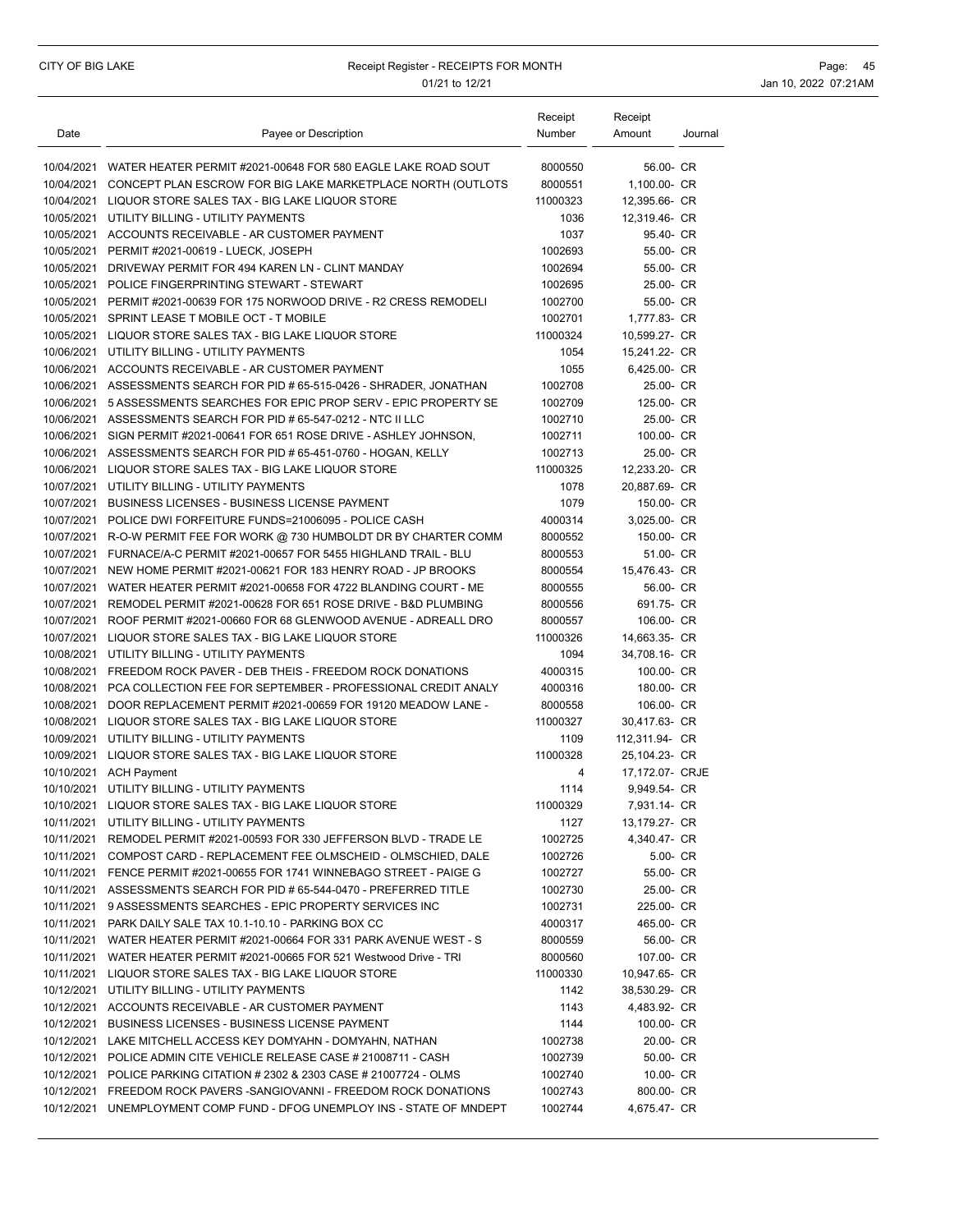### CITY OF BIG LAKE **Receipt Register - RECEIPTS FOR MONTH Page: 45** Page: 45 01/21 to 12/21 **Jan 10, 2022 07:21AM**

| Date       | Payee or Description                                                                                                                             | Receipt<br>Number  | Receipt<br>Amount              | Journal |
|------------|--------------------------------------------------------------------------------------------------------------------------------------------------|--------------------|--------------------------------|---------|
|            | 10/04/2021 WATER HEATER PERMIT #2021-00648 FOR 580 EAGLE LAKE ROAD SOUT                                                                          | 8000550            | 56.00- CR                      |         |
|            | 10/04/2021 CONCEPT PLAN ESCROW FOR BIG LAKE MARKETPLACE NORTH (OUTLOTS                                                                           | 8000551            | 1.100.00- CR                   |         |
|            | 10/04/2021 LIQUOR STORE SALES TAX - BIG LAKE LIQUOR STORE                                                                                        | 11000323           | 12,395.66- CR                  |         |
|            | 10/05/2021 UTILITY BILLING - UTILITY PAYMENTS                                                                                                    | 1036               | 12,319.46- CR                  |         |
|            | 10/05/2021 ACCOUNTS RECEIVABLE - AR CUSTOMER PAYMENT                                                                                             | 1037               | 95.40- CR                      |         |
|            | 10/05/2021 PERMIT #2021-00619 - LUECK, JOSEPH                                                                                                    | 1002693            | 55.00- CR                      |         |
|            | 10/05/2021 DRIVEWAY PERMIT FOR 494 KAREN LN - CLINT MANDAY                                                                                       | 1002694            | 55.00- CR                      |         |
|            | 10/05/2021 POLICE FINGERPRINTING STEWART - STEWART                                                                                               | 1002695            | 25.00- CR                      |         |
|            | 10/05/2021 PERMIT #2021-00639 FOR 175 NORWOOD DRIVE - R2 CRESS REMODELI                                                                          | 1002700            | 55.00- CR                      |         |
|            | 10/05/2021 SPRINT LEASE T MOBILE OCT - T MOBILE                                                                                                  | 1002701            | 1,777.83- CR                   |         |
|            | 10/05/2021 LIQUOR STORE SALES TAX - BIG LAKE LIQUOR STORE                                                                                        | 11000324           | 10,599.27- CR                  |         |
|            | 10/06/2021 UTILITY BILLING - UTILITY PAYMENTS                                                                                                    | 1054               | 15,241.22- CR                  |         |
|            | 10/06/2021 ACCOUNTS RECEIVABLE - AR CUSTOMER PAYMENT                                                                                             | 1055               | 6,425.00- CR                   |         |
|            | 10/06/2021 ASSESSMENTS SEARCH FOR PID # 65-515-0426 - SHRADER, JONATHAN                                                                          | 1002708            | 25.00- CR                      |         |
|            | 10/06/2021 5 ASSESSMENTS SEARCHES FOR EPIC PROP SERV - EPIC PROPERTY SE                                                                          | 1002709            | 125.00- CR                     |         |
|            | 10/06/2021 ASSESSMENTS SEARCH FOR PID # 65-547-0212 - NTC II LLC                                                                                 | 1002710            | 25.00- CR                      |         |
|            | 10/06/2021 SIGN PERMIT #2021-00641 FOR 651 ROSE DRIVE - ASHLEY JOHNSON,                                                                          | 1002711            | 100.00- CR                     |         |
|            | 10/06/2021 ASSESSMENTS SEARCH FOR PID # 65-451-0760 - HOGAN, KELLY                                                                               | 1002713            | 25.00- CR                      |         |
|            | 10/06/2021 LIQUOR STORE SALES TAX - BIG LAKE LIQUOR STORE                                                                                        | 11000325           | 12,233.20- CR                  |         |
|            | 10/07/2021 UTILITY BILLING - UTILITY PAYMENTS                                                                                                    | 1078               | 20.887.69- CR                  |         |
|            | 10/07/2021 BUSINESS LICENSES - BUSINESS LICENSE PAYMENT                                                                                          | 1079               | 150.00- CR                     |         |
|            | 10/07/2021 POLICE DWI FORFEITURE FUNDS=21006095 - POLICE CASH                                                                                    | 4000314            | 3,025.00- CR                   |         |
|            | 10/07/2021 R-O-W PERMIT FEE FOR WORK @ 730 HUMBOLDT DR BY CHARTER COMM                                                                           | 8000552            | 150.00- CR                     |         |
|            | 10/07/2021 FURNACE/A-C PERMIT #2021-00657 FOR 5455 HIGHLAND TRAIL - BLU                                                                          | 8000553            | 51.00- CR                      |         |
|            |                                                                                                                                                  |                    |                                |         |
|            | 10/07/2021 NEW HOME PERMIT #2021-00621 FOR 183 HENRY ROAD - JP BROOKS<br>10/07/2021 WATER HEATER PERMIT #2021-00658 FOR 4722 BLANDING COURT - ME | 8000554<br>8000555 | 15,476.43- CR<br>56.00- CR     |         |
|            | 10/07/2021 REMODEL PERMIT #2021-00628 FOR 651 ROSE DRIVE - B&D PLUMBING                                                                          | 8000556            | 691.75- CR                     |         |
|            | 10/07/2021 ROOF PERMIT #2021-00660 FOR 68 GLENWOOD AVENUE - ADREALL DRO                                                                          | 8000557            | 106.00- CR                     |         |
|            |                                                                                                                                                  | 11000326           |                                |         |
|            | 10/07/2021 LIQUOR STORE SALES TAX - BIG LAKE LIQUOR STORE<br>10/08/2021 UTILITY BILLING - UTILITY PAYMENTS                                       | 1094               | 14,663.35- CR<br>34,708.16- CR |         |
|            | 10/08/2021 FREEDOM ROCK PAVER - DEB THEIS - FREEDOM ROCK DONATIONS                                                                               | 4000315            | 100.00- CR                     |         |
|            | 10/08/2021 PCA COLLECTION FEE FOR SEPTEMBER - PROFESSIONAL CREDIT ANALY                                                                          | 4000316            | 180.00- CR                     |         |
|            | 10/08/2021 DOOR REPLACEMENT PERMIT #2021-00659 FOR 19120 MEADOW LANE -                                                                           | 8000558            | 106.00- CR                     |         |
|            | 10/08/2021 LIQUOR STORE SALES TAX - BIG LAKE LIQUOR STORE                                                                                        | 11000327           | 30,417.63- CR                  |         |
|            | 10/09/2021 UTILITY BILLING - UTILITY PAYMENTS                                                                                                    | 1109               | 112,311.94- CR                 |         |
|            | 10/09/2021 LIQUOR STORE SALES TAX - BIG LAKE LIQUOR STORE                                                                                        | 11000328           | 25,104.23- CR                  |         |
|            | 10/10/2021 ACH Payment                                                                                                                           | 4                  | 17,172.07- CRJE                |         |
|            | 10/10/2021 UTILITY BILLING - UTILITY PAYMENTS                                                                                                    | 1114               | 9,949.54- CR                   |         |
|            | 10/10/2021 LIQUOR STORE SALES TAX - BIG LAKE LIQUOR STORE                                                                                        | 11000329           |                                |         |
|            | 10/11/2021 UTILITY BILLING - UTILITY PAYMENTS                                                                                                    | 1127               | 7,931.14- CR<br>13,179.27- CR  |         |
|            | 10/11/2021 REMODEL PERMIT #2021-00593 FOR 330 JEFFERSON BLVD - TRADE LE                                                                          | 1002725            | 4,340.47- CR                   |         |
|            | 10/11/2021 COMPOST CARD - REPLACEMENT FEE OLMSCHEID - OLMSCHIED, DALE                                                                            | 1002726            | 5.00- CR                       |         |
|            | 10/11/2021 FENCE PERMIT #2021-00655 FOR 1741 WINNEBAGO STREET - PAIGE G                                                                          | 1002727            | 55.00- CR                      |         |
|            | 10/11/2021 ASSESSMENTS SEARCH FOR PID # 65-544-0470 - PREFERRED TITLE                                                                            | 1002730            | 25.00- CR                      |         |
|            | 10/11/2021 9 ASSESSMENTS SEARCHES - EPIC PROPERTY SERVICES INC                                                                                   | 1002731            | 225.00- CR                     |         |
|            | 10/11/2021 PARK DAILY SALE TAX 10.1-10.10 - PARKING BOX CC                                                                                       | 4000317            | 465.00- CR                     |         |
|            | 10/11/2021 WATER HEATER PERMIT #2021-00664 FOR 331 PARK AVENUE WEST - S                                                                          | 8000559            | 56.00- CR                      |         |
|            | 10/11/2021 WATER HEATER PERMIT #2021-00665 FOR 521 Westwood Drive - TRI                                                                          | 8000560            | 107.00- CR                     |         |
| 10/11/2021 | LIQUOR STORE SALES TAX - BIG LAKE LIQUOR STORE                                                                                                   | 11000330           | 10,947.65- CR                  |         |
|            | 10/12/2021 UTILITY BILLING - UTILITY PAYMENTS                                                                                                    | 1142               | 38,530.29- CR                  |         |
|            | 10/12/2021 ACCOUNTS RECEIVABLE - AR CUSTOMER PAYMENT                                                                                             | 1143               | 4,483.92- CR                   |         |
|            | 10/12/2021 BUSINESS LICENSES - BUSINESS LICENSE PAYMENT                                                                                          | 1144               | 100.00- CR                     |         |
|            | 10/12/2021 LAKE MITCHELL ACCESS KEY DOMYAHN - DOMYAHN, NATHAN                                                                                    | 1002738            | 20.00- CR                      |         |
|            | 10/12/2021 POLICE ADMIN CITE VEHICLE RELEASE CASE # 21008711 - CASH                                                                              | 1002739            | 50.00- CR                      |         |
|            | 10/12/2021 POLICE PARKING CITATION # 2302 & 2303 CASE # 21007724 - OLMS                                                                          | 1002740            | 10.00- CR                      |         |
|            | 10/12/2021 FREEDOM ROCK PAVERS - SANGIOVANNI - FREEDOM ROCK DONATIONS                                                                            | 1002743            | 800.00- CR                     |         |
|            | 10/12/2021 UNEMPLOYMENT COMP FUND - DFOG UNEMPLOY INS - STATE OF MNDEPT                                                                          | 1002744            | 4,675.47- CR                   |         |
|            |                                                                                                                                                  |                    |                                |         |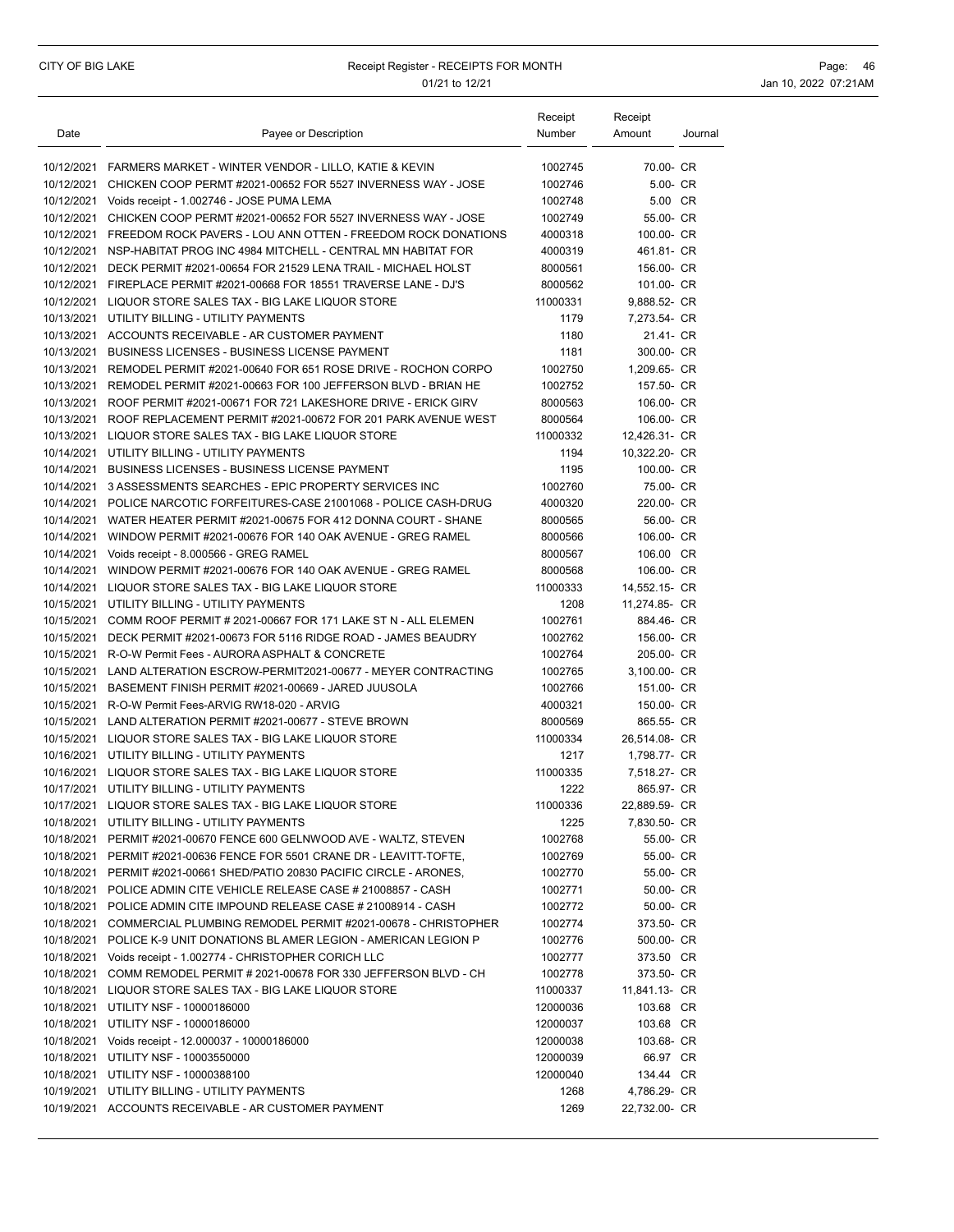### CITY OF BIG LAKE **Receipt Register - RECEIPTS FOR MONTH Page: 46** Page: 46 01/21 to 12/21 **Jan 10, 2022 07:21AM**

| Date | Payee or Description                                                    | Receipt<br>Number | Receipt<br>Amount | Journal |
|------|-------------------------------------------------------------------------|-------------------|-------------------|---------|
|      | 10/12/2021 FARMERS MARKET - WINTER VENDOR - LILLO, KATIE & KEVIN        | 1002745           | 70.00- CR         |         |
|      | 10/12/2021 CHICKEN COOP PERMT #2021-00652 FOR 5527 INVERNESS WAY - JOSE | 1002746           | 5.00- CR          |         |
|      | 10/12/2021 Voids receipt - 1.002746 - JOSE PUMA LEMA                    | 1002748           | 5.00 CR           |         |
|      | 10/12/2021 CHICKEN COOP PERMT #2021-00652 FOR 5527 INVERNESS WAY - JOSE | 1002749           | 55.00- CR         |         |
|      | 10/12/2021 FREEDOM ROCK PAVERS - LOU ANN OTTEN - FREEDOM ROCK DONATIONS | 4000318           | 100.00- CR        |         |
|      | 10/12/2021 NSP-HABITAT PROG INC 4984 MITCHELL - CENTRAL MN HABITAT FOR  | 4000319           | 461.81- CR        |         |
|      | 10/12/2021 DECK PERMIT #2021-00654 FOR 21529 LENA TRAIL - MICHAEL HOLST | 8000561           | 156.00- CR        |         |
|      | 10/12/2021 FIREPLACE PERMIT #2021-00668 FOR 18551 TRAVERSE LANE - DJ'S  | 8000562           | 101.00- CR        |         |
|      | 10/12/2021 LIQUOR STORE SALES TAX - BIG LAKE LIQUOR STORE               | 11000331          | 9,888.52- CR      |         |
|      | 10/13/2021 UTILITY BILLING - UTILITY PAYMENTS                           | 1179              | 7,273.54- CR      |         |
|      | 10/13/2021 ACCOUNTS RECEIVABLE - AR CUSTOMER PAYMENT                    | 1180              | 21.41- CR         |         |
|      | 10/13/2021 BUSINESS LICENSES - BUSINESS LICENSE PAYMENT                 | 1181              | 300.00- CR        |         |
|      | 10/13/2021 REMODEL PERMIT #2021-00640 FOR 651 ROSE DRIVE - ROCHON CORPO | 1002750           | 1,209.65- CR      |         |
|      | 10/13/2021 REMODEL PERMIT #2021-00663 FOR 100 JEFFERSON BLVD - BRIAN HE | 1002752           | 157.50- CR        |         |
|      | 10/13/2021 ROOF PERMIT #2021-00671 FOR 721 LAKESHORE DRIVE - ERICK GIRV | 8000563           | 106.00- CR        |         |
|      | 10/13/2021 ROOF REPLACEMENT PERMIT #2021-00672 FOR 201 PARK AVENUE WEST | 8000564           | 106.00- CR        |         |
|      | 10/13/2021 LIQUOR STORE SALES TAX - BIG LAKE LIQUOR STORE               | 11000332          | 12,426.31- CR     |         |
|      | 10/14/2021 UTILITY BILLING - UTILITY PAYMENTS                           | 1194              | 10,322.20- CR     |         |
|      | 10/14/2021 BUSINESS LICENSES - BUSINESS LICENSE PAYMENT                 | 1195              | 100.00- CR        |         |
|      | 10/14/2021 3 ASSESSMENTS SEARCHES - EPIC PROPERTY SERVICES INC          | 1002760           | 75.00- CR         |         |
|      | 10/14/2021 POLICE NARCOTIC FORFEITURES-CASE 21001068 - POLICE CASH-DRUG | 4000320           | 220.00- CR        |         |
|      | 10/14/2021 WATER HEATER PERMIT #2021-00675 FOR 412 DONNA COURT - SHANE  | 8000565           | 56.00- CR         |         |
|      | 10/14/2021   WINDOW PERMIT #2021-00676 FOR 140 OAK AVENUE - GREG RAMEL  | 8000566           | 106.00- CR        |         |
|      | 10/14/2021 Voids receipt - 8.000566 - GREG RAMEL                        | 8000567           | 106.00 CR         |         |
|      |                                                                         | 8000568           | 106.00- CR        |         |
|      | 10/14/2021 LIQUOR STORE SALES TAX - BIG LAKE LIQUOR STORE               | 11000333          | 14,552.15- CR     |         |
|      | 10/15/2021 UTILITY BILLING - UTILITY PAYMENTS                           | 1208              | 11,274.85- CR     |         |
|      | 10/15/2021 COMM ROOF PERMIT # 2021-00667 FOR 171 LAKE ST N - ALL ELEMEN | 1002761           | 884.46- CR        |         |
|      | 10/15/2021 DECK PERMIT #2021-00673 FOR 5116 RIDGE ROAD - JAMES BEAUDRY  | 1002762           | 156.00- CR        |         |
|      | 10/15/2021 R-O-W Permit Fees - AURORA ASPHALT & CONCRETE                | 1002764           | 205.00- CR        |         |
|      | 10/15/2021 LAND ALTERATION ESCROW-PERMIT2021-00677 - MEYER CONTRACTING  | 1002765           | 3,100.00- CR      |         |
|      | 10/15/2021 BASEMENT FINISH PERMIT #2021-00669 - JARED JUUSOLA           | 1002766           | 151.00- CR        |         |
|      | 10/15/2021 R-O-W Permit Fees-ARVIG RW18-020 - ARVIG                     | 4000321           | 150.00- CR        |         |
|      | 10/15/2021 LAND ALTERATION PERMIT #2021-00677 - STEVE BROWN             | 8000569           | 865.55- CR        |         |
|      | 10/15/2021 LIQUOR STORE SALES TAX - BIG LAKE LIQUOR STORE               | 11000334          | 26,514.08- CR     |         |
|      | 10/16/2021 UTILITY BILLING - UTILITY PAYMENTS                           | 1217              | 1,798.77- CR      |         |
|      | 10/16/2021 LIQUOR STORE SALES TAX - BIG LAKE LIQUOR STORE               | 11000335          | 7,518.27- CR      |         |
|      | 10/17/2021 UTILITY BILLING - UTILITY PAYMENTS                           | 1222              | 865.97- CR        |         |
|      | 10/17/2021 LIQUOR STORE SALES TAX - BIG LAKE LIQUOR STORE               | 11000336          | 22,889.59- CR     |         |
|      | 10/18/2021 UTILITY BILLING - UTILITY PAYMENTS                           | 1225              | 7,830.50- CR      |         |
|      | 10/18/2021 PERMIT #2021-00670 FENCE 600 GELNWOOD AVE - WALTZ, STEVEN    | 1002768           | 55.00- CR         |         |
|      | 10/18/2021 PERMIT #2021-00636 FENCE FOR 5501 CRANE DR - LEAVITT-TOFTE,  | 1002769           | 55.00- CR         |         |
|      | 10/18/2021 PERMIT #2021-00661 SHED/PATIO 20830 PACIFIC CIRCLE - ARONES, | 1002770           | 55.00- CR         |         |
|      | 10/18/2021 POLICE ADMIN CITE VEHICLE RELEASE CASE # 21008857 - CASH     | 1002771           | 50.00- CR         |         |
|      | 10/18/2021 POLICE ADMIN CITE IMPOUND RELEASE CASE # 21008914 - CASH     | 1002772           | 50.00- CR         |         |
|      | 10/18/2021 COMMERCIAL PLUMBING REMODEL PERMIT #2021-00678 - CHRISTOPHER | 1002774           | 373.50- CR        |         |
|      | 10/18/2021 POLICE K-9 UNIT DONATIONS BL AMER LEGION - AMERICAN LEGION P | 1002776           | 500.00- CR        |         |
|      | 10/18/2021 Voids receipt - 1.002774 - CHRISTOPHER CORICH LLC            | 1002777           | 373.50 CR         |         |
|      | 10/18/2021 COMM REMODEL PERMIT # 2021-00678 FOR 330 JEFFERSON BLVD - CH | 1002778           | 373.50- CR        |         |
|      | 10/18/2021 LIQUOR STORE SALES TAX - BIG LAKE LIQUOR STORE               | 11000337          | 11,841.13- CR     |         |
|      | 10/18/2021 UTILITY NSF - 10000186000                                    | 12000036          | 103.68 CR         |         |
|      | 10/18/2021 UTILITY NSF - 10000186000                                    | 12000037          | 103.68 CR         |         |
|      | 10/18/2021 Voids receipt - 12.000037 - 10000186000                      | 12000038          | 103.68- CR        |         |
|      | 10/18/2021 UTILITY NSF - 10003550000                                    | 12000039          | 66.97 CR          |         |
|      | 10/18/2021 UTILITY NSF - 10000388100                                    | 12000040          | 134.44 CR         |         |
|      | 10/19/2021 UTILITY BILLING - UTILITY PAYMENTS                           | 1268              | 4,786.29- CR      |         |
|      | 10/19/2021 ACCOUNTS RECEIVABLE - AR CUSTOMER PAYMENT                    | 1269              | 22,732.00- CR     |         |
|      |                                                                         |                   |                   |         |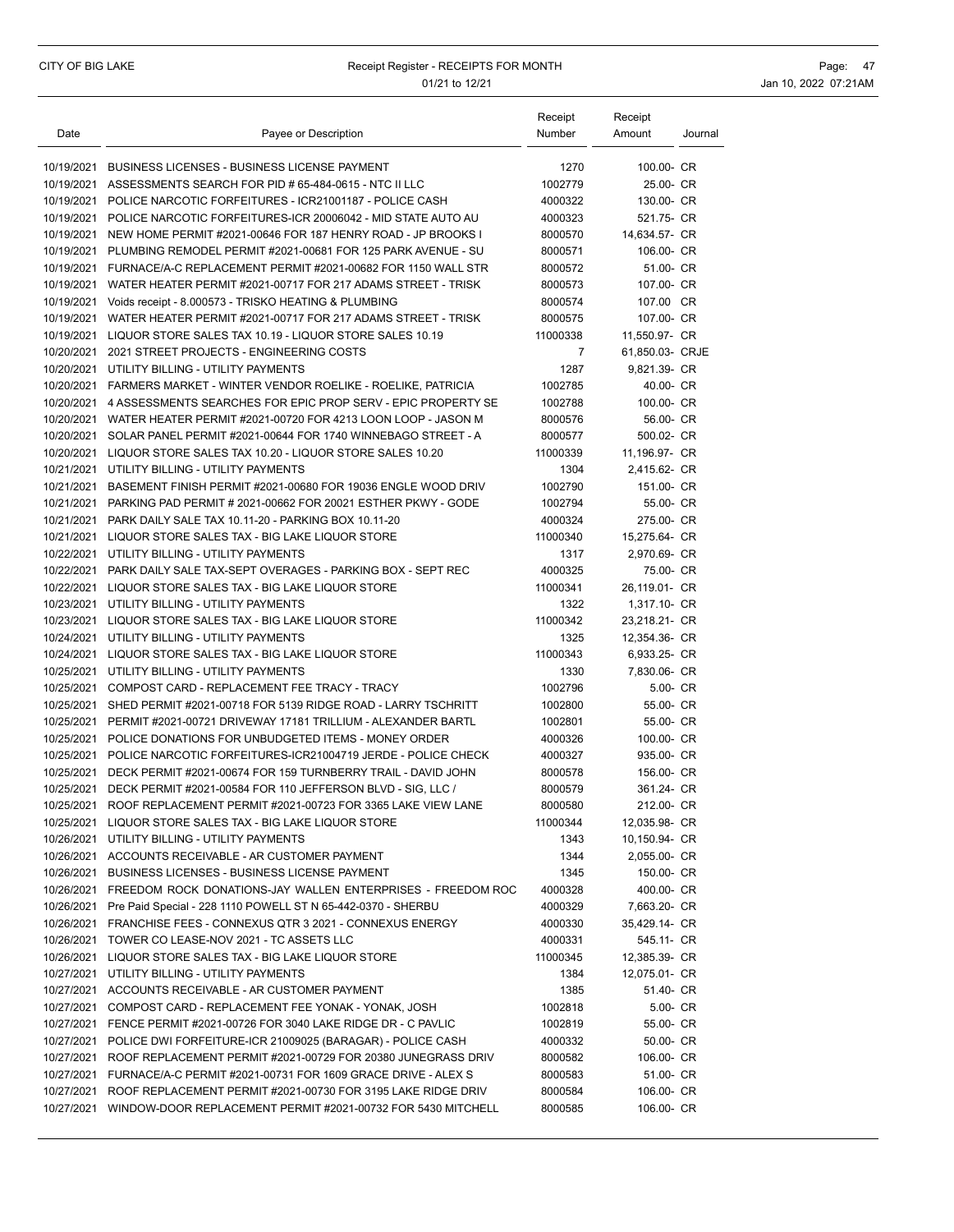### CITY OF BIG LAKE **Receipt Register - RECEIPTS FOR MONTH Page: 47** Page: 47 01/21 to 12/21 **Jan 10, 2022 07:21AM**

| Date       | Payee or Description                                                                                                        | Receipt<br>Number | Receipt<br>Amount       | Journal |
|------------|-----------------------------------------------------------------------------------------------------------------------------|-------------------|-------------------------|---------|
|            |                                                                                                                             |                   |                         |         |
|            | 10/19/2021 BUSINESS LICENSES - BUSINESS LICENSE PAYMENT<br>10/19/2021 ASSESSMENTS SEARCH FOR PID # 65-484-0615 - NTC II LLC | 1270<br>1002779   | 100.00- CR<br>25.00- CR |         |
| 10/19/2021 | POLICE NARCOTIC FORFEITURES - ICR21001187 - POLICE CASH                                                                     | 4000322           | 130.00- CR              |         |
|            | 10/19/2021 POLICE NARCOTIC FORFEITURES-ICR 20006042 - MID STATE AUTO AU                                                     | 4000323           | 521.75- CR              |         |
|            | 10/19/2021 NEW HOME PERMIT #2021-00646 FOR 187 HENRY ROAD - JP BROOKS I                                                     | 8000570           | 14,634.57- CR           |         |
|            | 10/19/2021 PLUMBING REMODEL PERMIT #2021-00681 FOR 125 PARK AVENUE - SU                                                     | 8000571           | 106.00- CR              |         |
|            | 10/19/2021 FURNACE/A-C REPLACEMENT PERMIT #2021-00682 FOR 1150 WALL STR                                                     | 8000572           | 51.00- CR               |         |
| 10/19/2021 | WATER HEATER PERMIT #2021-00717 FOR 217 ADAMS STREET - TRISK                                                                | 8000573           | 107.00- CR              |         |
|            | 10/19/2021 Voids receipt - 8.000573 - TRISKO HEATING & PLUMBING                                                             | 8000574           | 107.00 CR               |         |
|            | 10/19/2021 WATER HEATER PERMIT #2021-00717 FOR 217 ADAMS STREET - TRISK                                                     | 8000575           | 107.00- CR              |         |
|            | 10/19/2021 LIQUOR STORE SALES TAX 10.19 - LIQUOR STORE SALES 10.19                                                          | 11000338          | 11,550.97- CR           |         |
| 10/20/2021 | 2021 STREET PROJECTS - ENGINEERING COSTS                                                                                    | $\overline{7}$    | 61,850.03- CRJE         |         |
| 10/20/2021 | UTILITY BILLING - UTILITY PAYMENTS                                                                                          | 1287              | 9,821.39- CR            |         |
|            | 10/20/2021  FARMERS MARKET - WINTER VENDOR ROELIKE - ROELIKE, PATRICIA                                                      | 1002785           | 40.00- CR               |         |
|            | 10/20/2021 4 ASSESSMENTS SEARCHES FOR EPIC PROP SERV - EPIC PROPERTY SE                                                     | 1002788           | 100.00- CR              |         |
|            | 10/20/2021 WATER HEATER PERMIT #2021-00720 FOR 4213 LOON LOOP - JASON M                                                     | 8000576           | 56.00- CR               |         |
| 10/20/2021 | SOLAR PANEL PERMIT #2021-00644 FOR 1740 WINNEBAGO STREET - A                                                                | 8000577           | 500.02- CR              |         |
| 10/20/2021 | LIQUOR STORE SALES TAX 10.20 - LIQUOR STORE SALES 10.20                                                                     | 11000339          | 11.196.97- CR           |         |
|            | 10/21/2021 UTILITY BILLING - UTILITY PAYMENTS                                                                               | 1304              | 2.415.62- CR            |         |
|            | 10/21/2021 BASEMENT FINISH PERMIT #2021-00680 FOR 19036 ENGLE WOOD DRIV                                                     | 1002790           | 151.00- CR              |         |
|            | 10/21/2021 PARKING PAD PERMIT # 2021-00662 FOR 20021 ESTHER PKWY - GODE                                                     | 1002794           | 55.00- CR               |         |
|            | 10/21/2021 PARK DAILY SALE TAX 10.11-20 - PARKING BOX 10.11-20                                                              | 4000324           | 275.00- CR              |         |
| 10/21/2021 | LIQUOR STORE SALES TAX - BIG LAKE LIQUOR STORE                                                                              | 11000340          | 15,275.64- CR           |         |
|            | 10/22/2021 UTILITY BILLING - UTILITY PAYMENTS                                                                               | 1317              | 2,970.69- CR            |         |
|            | 10/22/2021 PARK DAILY SALE TAX-SEPT OVERAGES - PARKING BOX - SEPT REC                                                       | 4000325           | 75.00- CR               |         |
|            | 10/22/2021 LIQUOR STORE SALES TAX - BIG LAKE LIQUOR STORE                                                                   | 11000341          | 26,119.01- CR           |         |
| 10/23/2021 | UTILITY BILLING - UTILITY PAYMENTS                                                                                          | 1322              | 1,317.10- CR            |         |
| 10/23/2021 | LIQUOR STORE SALES TAX - BIG LAKE LIQUOR STORE                                                                              | 11000342          | 23,218.21- CR           |         |
|            | 10/24/2021 UTILITY BILLING - UTILITY PAYMENTS                                                                               | 1325              | 12,354.36- CR           |         |
|            | 10/24/2021 LIQUOR STORE SALES TAX - BIG LAKE LIQUOR STORE                                                                   | 11000343          | 6,933.25- CR            |         |
|            | 10/25/2021 UTILITY BILLING - UTILITY PAYMENTS                                                                               | 1330              | 7,830.06- CR            |         |
| 10/25/2021 | COMPOST CARD - REPLACEMENT FEE TRACY - TRACY                                                                                | 1002796           | 5.00- CR                |         |
| 10/25/2021 | SHED PERMIT #2021-00718 FOR 5139 RIDGE ROAD - LARRY TSCHRITT                                                                | 1002800           | 55.00- CR               |         |
|            | 10/25/2021 PERMIT #2021-00721 DRIVEWAY 17181 TRILLIUM - ALEXANDER BARTL                                                     | 1002801           | 55.00- CR               |         |
|            | 10/25/2021 POLICE DONATIONS FOR UNBUDGETED ITEMS - MONEY ORDER                                                              | 4000326           | 100.00- CR              |         |
|            | 10/25/2021 POLICE NARCOTIC FORFEITURES-ICR21004719 JERDE - POLICE CHECK                                                     | 4000327           | 935.00- CR              |         |
| 10/25/2021 | DECK PERMIT #2021-00674 FOR 159 TURNBERRY TRAIL - DAVID JOHN                                                                | 8000578           | 156.00- CR              |         |
|            | 10/25/2021 DECK PERMIT #2021-00584 FOR 110 JEFFERSON BLVD - SIG, LLC /                                                      | 8000579           | 361.24- CR              |         |
|            | 10/25/2021 ROOF REPLACEMENT PERMIT #2021-00723 FOR 3365 LAKE VIEW LANE                                                      | 8000580           | 212.00- CR              |         |
|            | 10/25/2021 LIQUOR STORE SALES TAX - BIG LAKE LIQUOR STORE                                                                   | 11000344          | 12,035.98- CR           |         |
|            | 10/26/2021 UTILITY BILLING - UTILITY PAYMENTS                                                                               | 1343              | 10,150.94- CR           |         |
|            | 10/26/2021 ACCOUNTS RECEIVABLE - AR CUSTOMER PAYMENT                                                                        | 1344              | 2,055.00- CR            |         |
|            | 10/26/2021 BUSINESS LICENSES - BUSINESS LICENSE PAYMENT                                                                     | 1345              | 150.00- CR              |         |
|            | 10/26/2021 FREEDOM ROCK DONATIONS-JAY WALLEN ENTERPRISES - FREEDOM ROC                                                      | 4000328           | 400.00- CR              |         |
|            | 10/26/2021 Pre Paid Special - 228 1110 POWELL ST N 65-442-0370 - SHERBU                                                     | 4000329           | 7,663.20- CR            |         |
|            | 10/26/2021 FRANCHISE FEES - CONNEXUS QTR 3 2021 - CONNEXUS ENERGY                                                           | 4000330           | 35,429.14- CR           |         |
|            | 10/26/2021 TOWER CO LEASE-NOV 2021 - TC ASSETS LLC                                                                          | 4000331           | 545.11- CR              |         |
|            | 10/26/2021 LIQUOR STORE SALES TAX - BIG LAKE LIQUOR STORE                                                                   | 11000345          | 12,385.39- CR           |         |
|            | 10/27/2021 UTILITY BILLING - UTILITY PAYMENTS                                                                               | 1384              | 12,075.01- CR           |         |
|            | 10/27/2021 ACCOUNTS RECEIVABLE - AR CUSTOMER PAYMENT                                                                        | 1385              | 51.40- CR               |         |
|            | 10/27/2021 COMPOST CARD - REPLACEMENT FEE YONAK - YONAK, JOSH                                                               | 1002818           | 5.00- CR                |         |
|            | 10/27/2021 FENCE PERMIT #2021-00726 FOR 3040 LAKE RIDGE DR - C PAVLIC                                                       | 1002819           | 55.00- CR               |         |
|            | 10/27/2021 POLICE DWI FORFEITURE-ICR 21009025 (BARAGAR) - POLICE CASH                                                       | 4000332           | 50.00- CR               |         |
|            | 10/27/2021 ROOF REPLACEMENT PERMIT #2021-00729 FOR 20380 JUNEGRASS DRIV                                                     | 8000582           | 106.00- CR              |         |
|            | 10/27/2021 FURNACE/A-C PERMIT #2021-00731 FOR 1609 GRACE DRIVE - ALEX S                                                     | 8000583           | 51.00- CR               |         |
|            | 10/27/2021 ROOF REPLACEMENT PERMIT #2021-00730 FOR 3195 LAKE RIDGE DRIV                                                     | 8000584           | 106.00- CR              |         |
|            | 10/27/2021 WINDOW-DOOR REPLACEMENT PERMIT #2021-00732 FOR 5430 MITCHELL                                                     | 8000585           | 106.00- CR              |         |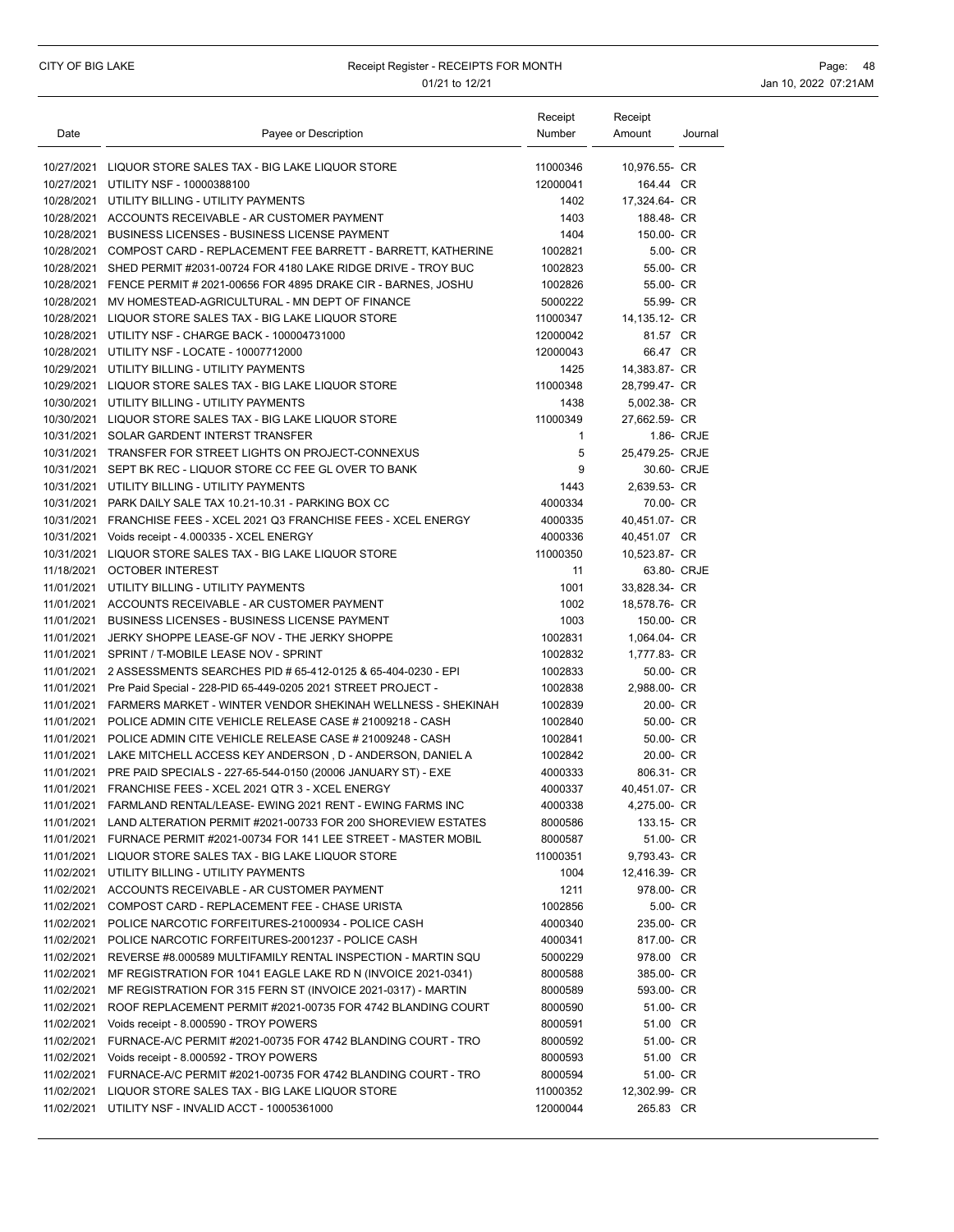# CITY OF BIG LAKE **Receipt Register - RECEIPTS FOR MONTH Page: 48** Page: 48 01/21 to 12/21 **Jan 10, 2022 07:21AM**

|            |                                                                         | Receipt      | Receipt         |             |
|------------|-------------------------------------------------------------------------|--------------|-----------------|-------------|
| Date       | Payee or Description                                                    | Number       | Amount          | Journal     |
|            | 10/27/2021 LIQUOR STORE SALES TAX - BIG LAKE LIQUOR STORE               | 11000346     | 10,976.55- CR   |             |
|            | 10/27/2021 UTILITY NSF - 10000388100                                    | 12000041     | 164.44 CR       |             |
|            | 10/28/2021 UTILITY BILLING - UTILITY PAYMENTS                           | 1402         | 17,324.64- CR   |             |
|            | 10/28/2021 ACCOUNTS RECEIVABLE - AR CUSTOMER PAYMENT                    | 1403         | 188.48- CR      |             |
|            | 10/28/2021 BUSINESS LICENSES - BUSINESS LICENSE PAYMENT                 | 1404         | 150.00- CR      |             |
|            | 10/28/2021 COMPOST CARD - REPLACEMENT FEE BARRETT - BARRETT, KATHERINE  | 1002821      | 5.00- CR        |             |
|            | 10/28/2021 SHED PERMIT #2031-00724 FOR 4180 LAKE RIDGE DRIVE - TROY BUC | 1002823      | 55.00- CR       |             |
|            | 10/28/2021 FENCE PERMIT # 2021-00656 FOR 4895 DRAKE CIR - BARNES, JOSHU | 1002826      | 55.00- CR       |             |
|            | 10/28/2021 MV HOMESTEAD-AGRICULTURAL - MN DEPT OF FINANCE               | 5000222      | 55.99- CR       |             |
|            | 10/28/2021 LIQUOR STORE SALES TAX - BIG LAKE LIQUOR STORE               | 11000347     | 14,135.12- CR   |             |
|            | 10/28/2021 UTILITY NSF - CHARGE BACK - 100004731000                     | 12000042     | 81.57 CR        |             |
|            | 10/28/2021 UTILITY NSF - LOCATE - 10007712000                           | 12000043     | 66.47 CR        |             |
|            | 10/29/2021 UTILITY BILLING - UTILITY PAYMENTS                           | 1425         | 14,383.87- CR   |             |
|            | 10/29/2021 LIQUOR STORE SALES TAX - BIG LAKE LIQUOR STORE               | 11000348     | 28,799.47- CR   |             |
|            | 10/30/2021 UTILITY BILLING - UTILITY PAYMENTS                           | 1438         | 5,002.38- CR    |             |
|            | 10/30/2021 LIQUOR STORE SALES TAX - BIG LAKE LIQUOR STORE               | 11000349     | 27,662.59- CR   |             |
|            | 10/31/2021 SOLAR GARDENT INTERST TRANSFER                               | $\mathbf{1}$ |                 | 1.86- CRJE  |
|            | 10/31/2021 TRANSFER FOR STREET LIGHTS ON PROJECT-CONNEXUS               | 5            | 25.479.25- CRJE |             |
|            | 10/31/2021 SEPT BK REC - LIQUOR STORE CC FEE GL OVER TO BANK            | 9            |                 | 30.60- CRJE |
|            | 10/31/2021 UTILITY BILLING - UTILITY PAYMENTS                           | 1443         | 2,639.53- CR    |             |
|            | 10/31/2021 PARK DAILY SALE TAX 10.21-10.31 - PARKING BOX CC             | 4000334      | 70.00- CR       |             |
|            | 10/31/2021 FRANCHISE FEES - XCEL 2021 Q3 FRANCHISE FEES - XCEL ENERGY   | 4000335      | 40.451.07- CR   |             |
|            | 10/31/2021 Voids receipt - 4.000335 - XCEL ENERGY                       | 4000336      | 40,451.07 CR    |             |
|            | 10/31/2021 LIQUOR STORE SALES TAX - BIG LAKE LIQUOR STORE               | 11000350     | 10,523.87- CR   |             |
|            | 11/18/2021 OCTOBER INTEREST                                             | 11           |                 | 63.80- CRJE |
|            | 11/01/2021 UTILITY BILLING - UTILITY PAYMENTS                           | 1001         | 33,828.34- CR   |             |
|            | 11/01/2021 ACCOUNTS RECEIVABLE - AR CUSTOMER PAYMENT                    | 1002         | 18,578.76- CR   |             |
|            | 11/01/2021 BUSINESS LICENSES - BUSINESS LICENSE PAYMENT                 | 1003         | 150.00- CR      |             |
|            | 11/01/2021 JERKY SHOPPE LEASE-GF NOV - THE JERKY SHOPPE                 | 1002831      | 1,064.04- CR    |             |
|            | 11/01/2021 SPRINT / T-MOBILE LEASE NOV - SPRINT                         | 1002832      | 1,777.83- CR    |             |
|            | 11/01/2021 2 ASSESSMENTS SEARCHES PID # 65-412-0125 & 65-404-0230 - EPI | 1002833      | 50.00- CR       |             |
|            | 11/01/2021 Pre Paid Special - 228-PID 65-449-0205 2021 STREET PROJECT - | 1002838      | 2,988.00- CR    |             |
| 11/01/2021 | FARMERS MARKET - WINTER VENDOR SHEKINAH WELLNESS - SHEKINAH             | 1002839      | 20.00- CR       |             |
|            | 11/01/2021 POLICE ADMIN CITE VEHICLE RELEASE CASE # 21009218 - CASH     | 1002840      | 50.00- CR       |             |
|            | 11/01/2021 POLICE ADMIN CITE VEHICLE RELEASE CASE # 21009248 - CASH     | 1002841      | 50.00- CR       |             |
|            | 11/01/2021 LAKE MITCHELL ACCESS KEY ANDERSON, D - ANDERSON, DANIEL A    | 1002842      | 20.00- CR       |             |
|            | 11/01/2021 PRE PAID SPECIALS - 227-65-544-0150 (20006 JANUARY ST) - EXE | 4000333      | 806.31- CR      |             |
|            | 11/01/2021 FRANCHISE FEES - XCEL 2021 QTR 3 - XCEL ENERGY               | 4000337      | 40,451.07- CR   |             |
|            | 11/01/2021 FARMLAND RENTAL/LEASE- EWING 2021 RENT - EWING FARMS INC     | 4000338      | 4,275.00- CR    |             |
|            | 11/01/2021 LAND ALTERATION PERMIT #2021-00733 FOR 200 SHOREVIEW ESTATES | 8000586      | 133.15- CR      |             |
| 11/01/2021 | FURNACE PERMIT #2021-00734 FOR 141 LEE STREET - MASTER MOBIL            | 8000587      | 51.00- CR       |             |
|            | 11/01/2021 LIQUOR STORE SALES TAX - BIG LAKE LIQUOR STORE               | 11000351     | 9,793.43- CR    |             |
|            | 11/02/2021 UTILITY BILLING - UTILITY PAYMENTS                           | 1004         | 12,416.39- CR   |             |
|            | 11/02/2021 ACCOUNTS RECEIVABLE - AR CUSTOMER PAYMENT                    | 1211         | 978.00- CR      |             |
|            | 11/02/2021 COMPOST CARD - REPLACEMENT FEE - CHASE URISTA                | 1002856      | 5.00- CR        |             |
| 11/02/2021 | POLICE NARCOTIC FORFEITURES-21000934 - POLICE CASH                      | 4000340      | 235.00- CR      |             |
| 11/02/2021 | POLICE NARCOTIC FORFEITURES-2001237 - POLICE CASH                       | 4000341      | 817.00- CR      |             |
| 11/02/2021 | REVERSE #8.000589 MULTIFAMILY RENTAL INSPECTION - MARTIN SQU            | 5000229      | 978.00 CR       |             |
| 11/02/2021 | MF REGISTRATION FOR 1041 EAGLE LAKE RD N (INVOICE 2021-0341)            | 8000588      | 385.00- CR      |             |
| 11/02/2021 | MF REGISTRATION FOR 315 FERN ST (INVOICE 2021-0317) - MARTIN            | 8000589      | 593.00- CR      |             |
| 11/02/2021 | ROOF REPLACEMENT PERMIT #2021-00735 FOR 4742 BLANDING COURT             | 8000590      | 51.00- CR       |             |
| 11/02/2021 | Voids receipt - 8.000590 - TROY POWERS                                  | 8000591      | 51.00 CR        |             |
| 11/02/2021 | FURNACE-A/C PERMIT #2021-00735 FOR 4742 BLANDING COURT - TRO            | 8000592      | 51.00- CR       |             |
|            | 11/02/2021 Voids receipt - 8.000592 - TROY POWERS                       | 8000593      | 51.00 CR        |             |
|            | 11/02/2021 FURNACE-A/C PERMIT #2021-00735 FOR 4742 BLANDING COURT - TRO | 8000594      | 51.00- CR       |             |
| 11/02/2021 | LIQUOR STORE SALES TAX - BIG LAKE LIQUOR STORE                          | 11000352     | 12,302.99- CR   |             |
|            | 11/02/2021 UTILITY NSF - INVALID ACCT - 10005361000                     | 12000044     | 265.83 CR       |             |
|            |                                                                         |              |                 |             |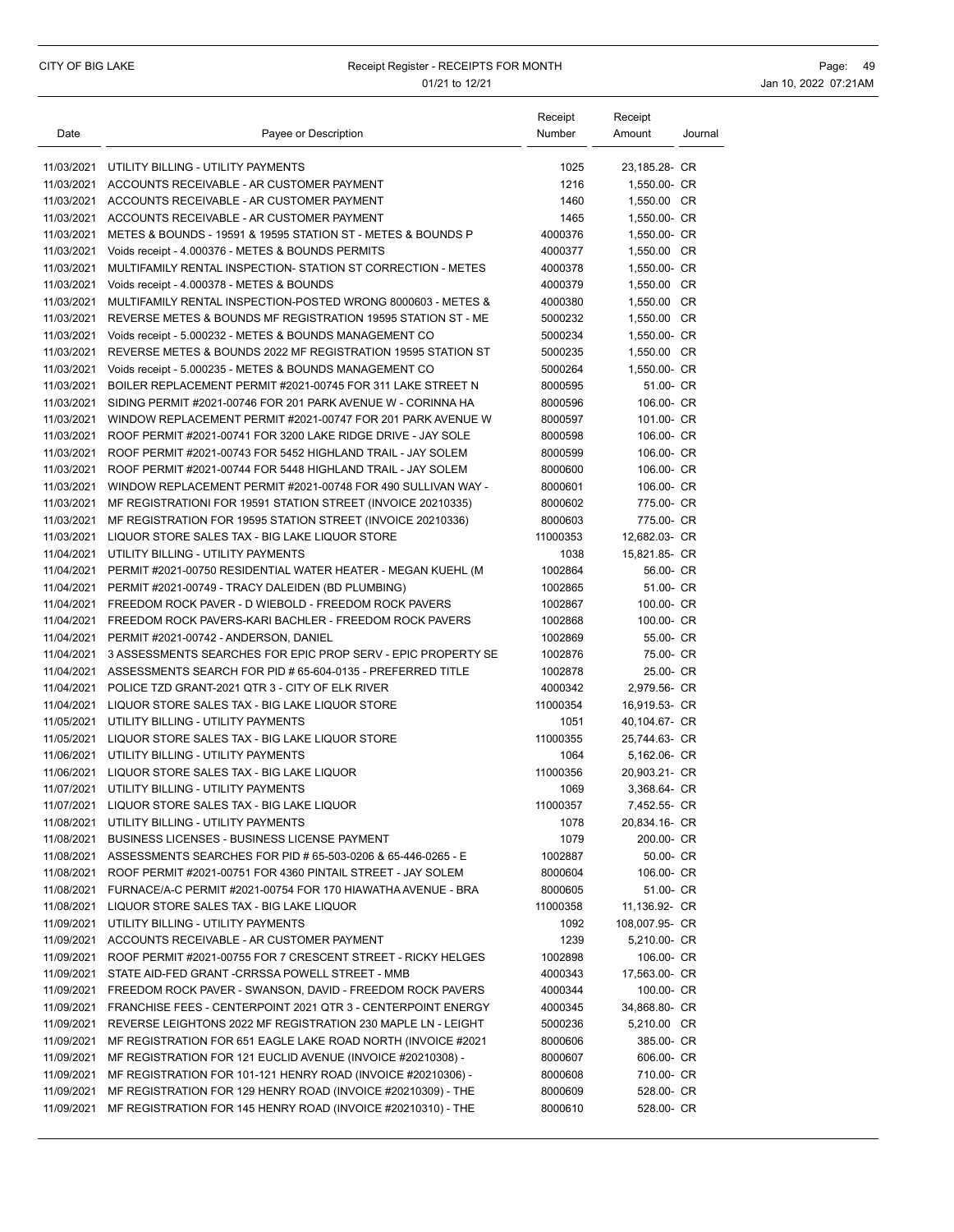### CITY OF BIG LAKE **Receipt Register - RECEIPTS FOR MONTH Page: 49** Page: 49 01/21 to 12/21 **Jan 10, 2022 07:21AM**

| Date       | Payee or Description                                                    | Receipt<br>Number | Receipt<br>Amount | Journal |
|------------|-------------------------------------------------------------------------|-------------------|-------------------|---------|
|            | 11/03/2021 UTILITY BILLING - UTILITY PAYMENTS                           | 1025              | 23,185.28- CR     |         |
|            | 11/03/2021 ACCOUNTS RECEIVABLE - AR CUSTOMER PAYMENT                    | 1216              | 1,550.00- CR      |         |
|            | 11/03/2021 ACCOUNTS RECEIVABLE - AR CUSTOMER PAYMENT                    | 1460              | 1,550.00 CR       |         |
|            | 11/03/2021 ACCOUNTS RECEIVABLE - AR CUSTOMER PAYMENT                    | 1465              | 1,550.00- CR      |         |
| 11/03/2021 | METES & BOUNDS - 19591 & 19595 STATION ST - METES & BOUNDS P            | 4000376           | 1,550.00- CR      |         |
| 11/03/2021 | Voids receipt - 4.000376 - METES & BOUNDS PERMITS                       | 4000377           | 1,550.00 CR       |         |
| 11/03/2021 | MULTIFAMILY RENTAL INSPECTION- STATION ST CORRECTION - METES            | 4000378           | 1,550.00- CR      |         |
| 11/03/2021 | Voids receipt - 4.000378 - METES & BOUNDS                               | 4000379           | 1,550.00 CR       |         |
| 11/03/2021 | MULTIFAMILY RENTAL INSPECTION-POSTED WRONG 8000603 - METES &            | 4000380           | 1,550.00 CR       |         |
| 11/03/2021 | REVERSE METES & BOUNDS MF REGISTRATION 19595 STATION ST - ME            | 5000232           | 1,550.00 CR       |         |
| 11/03/2021 | Voids receipt - 5.000232 - METES & BOUNDS MANAGEMENT CO                 | 5000234           | 1,550.00- CR      |         |
| 11/03/2021 | REVERSE METES & BOUNDS 2022 MF REGISTRATION 19595 STATION ST            | 5000235           | 1,550.00 CR       |         |
|            | 11/03/2021 Voids receipt - 5.000235 - METES & BOUNDS MANAGEMENT CO      | 5000264           | 1,550.00- CR      |         |
| 11/03/2021 | BOILER REPLACEMENT PERMIT #2021-00745 FOR 311 LAKE STREET N             | 8000595           | 51.00- CR         |         |
| 11/03/2021 | SIDING PERMIT #2021-00746 FOR 201 PARK AVENUE W - CORINNA HA            | 8000596           | 106.00- CR        |         |
| 11/03/2021 | WINDOW REPLACEMENT PERMIT #2021-00747 FOR 201 PARK AVENUE W             | 8000597           | 101.00- CR        |         |
| 11/03/2021 | ROOF PERMIT #2021-00741 FOR 3200 LAKE RIDGE DRIVE - JAY SOLE            | 8000598           | 106.00- CR        |         |
| 11/03/2021 | ROOF PERMIT #2021-00743 FOR 5452 HIGHLAND TRAIL - JAY SOLEM             | 8000599           | 106.00- CR        |         |
| 11/03/2021 | ROOF PERMIT #2021-00744 FOR 5448 HIGHLAND TRAIL - JAY SOLEM             | 8000600           | 106.00- CR        |         |
| 11/03/2021 | WINDOW REPLACEMENT PERMIT #2021-00748 FOR 490 SULLIVAN WAY -            | 8000601           | 106.00- CR        |         |
| 11/03/2021 | MF REGISTRATIONI FOR 19591 STATION STREET (INVOICE 20210335)            | 8000602           | 775.00- CR        |         |
| 11/03/2021 | MF REGISTRATION FOR 19595 STATION STREET (INVOICE 20210336)             | 8000603           | 775.00- CR        |         |
|            | 11/03/2021 LIQUOR STORE SALES TAX - BIG LAKE LIQUOR STORE               | 11000353          | 12,682.03- CR     |         |
| 11/04/2021 | UTILITY BILLING - UTILITY PAYMENTS                                      | 1038              | 15,821.85- CR     |         |
|            | 11/04/2021 PERMIT #2021-00750 RESIDENTIAL WATER HEATER - MEGAN KUEHL (M | 1002864           | 56.00- CR         |         |
|            | 11/04/2021 PERMIT #2021-00749 - TRACY DALEIDEN (BD PLUMBING)            | 1002865           | 51.00- CR         |         |
|            | 11/04/2021 FREEDOM ROCK PAVER - D WIEBOLD - FREEDOM ROCK PAVERS         | 1002867           | 100.00- CR        |         |
|            | 11/04/2021 FREEDOM ROCK PAVERS-KARI BACHLER - FREEDOM ROCK PAVERS       | 1002868           | 100.00- CR        |         |
| 11/04/2021 | PERMIT #2021-00742 - ANDERSON, DANIEL                                   | 1002869           | 55.00- CR         |         |
| 11/04/2021 | 3 ASSESSMENTS SEARCHES FOR EPIC PROP SERV - EPIC PROPERTY SE            | 1002876           | 75.00- CR         |         |
|            | 11/04/2021 ASSESSMENTS SEARCH FOR PID # 65-604-0135 - PREFERRED TITLE   | 1002878           | 25.00- CR         |         |
|            | 11/04/2021 POLICE TZD GRANT-2021 QTR 3 - CITY OF ELK RIVER              | 4000342           | 2,979.56- CR      |         |
|            | 11/04/2021 LIQUOR STORE SALES TAX - BIG LAKE LIQUOR STORE               | 11000354          | 16,919.53- CR     |         |
| 11/05/2021 | UTILITY BILLING - UTILITY PAYMENTS                                      | 1051              | 40,104.67- CR     |         |
|            | 11/05/2021 LIQUOR STORE SALES TAX - BIG LAKE LIQUOR STORE               | 11000355          | 25,744.63- CR     |         |
|            | 11/06/2021 UTILITY BILLING - UTILITY PAYMENTS                           | 1064              | 5,162.06- CR      |         |
|            | 11/06/2021 LIQUOR STORE SALES TAX - BIG LAKE LIQUOR                     | 11000356          | 20,903.21- CR     |         |
|            | 11/07/2021 UTILITY BILLING - UTILITY PAYMENTS                           | 1069              | 3.368.64- CR      |         |
| 11/07/2021 | LIQUOR STORE SALES TAX - BIG LAKE LIQUOR                                | 11000357          | 7,452.55- CR      |         |
| 11/08/2021 | UTILITY BILLING - UTILITY PAYMENTS                                      | 1078              | 20,834.16- CR     |         |
| 11/08/2021 | BUSINESS LICENSES - BUSINESS LICENSE PAYMENT                            | 1079              | 200.00- CR        |         |
|            | 11/08/2021 ASSESSMENTS SEARCHES FOR PID # 65-503-0206 & 65-446-0265 - E | 1002887           | 50.00- CR         |         |
|            | 11/08/2021 ROOF PERMIT #2021-00751 FOR 4360 PINTAIL STREET - JAY SOLEM  | 8000604           | 106.00- CR        |         |
| 11/08/2021 | FURNACE/A-C PERMIT #2021-00754 FOR 170 HIAWATHA AVENUE - BRA            | 8000605           | 51.00- CR         |         |
|            | 11/08/2021 LIQUOR STORE SALES TAX - BIG LAKE LIQUOR                     | 11000358          | 11,136.92- CR     |         |
| 11/09/2021 | UTILITY BILLING - UTILITY PAYMENTS                                      | 1092              | 108,007.95- CR    |         |
|            | 11/09/2021 ACCOUNTS RECEIVABLE - AR CUSTOMER PAYMENT                    | 1239              | 5,210.00- CR      |         |
| 11/09/2021 | ROOF PERMIT #2021-00755 FOR 7 CRESCENT STREET - RICKY HELGES            | 1002898           | 106.00- CR        |         |
| 11/09/2021 | STATE AID-FED GRANT - CRRSSA POWELL STREET - MMB                        | 4000343           | 17,563.00- CR     |         |
| 11/09/2021 | FREEDOM ROCK PAVER - SWANSON, DAVID - FREEDOM ROCK PAVERS               | 4000344           | 100.00- CR        |         |
| 11/09/2021 | FRANCHISE FEES - CENTERPOINT 2021 QTR 3 - CENTERPOINT ENERGY            | 4000345           | 34,868.80- CR     |         |
| 11/09/2021 | REVERSE LEIGHTONS 2022 MF REGISTRATION 230 MAPLE LN - LEIGHT            | 5000236           | 5,210.00 CR       |         |
| 11/09/2021 | MF REGISTRATION FOR 651 EAGLE LAKE ROAD NORTH (INVOICE #2021            | 8000606           | 385.00- CR        |         |
| 11/09/2021 | MF REGISTRATION FOR 121 EUCLID AVENUE (INVOICE #20210308) -             | 8000607           | 606.00- CR        |         |
| 11/09/2021 | MF REGISTRATION FOR 101-121 HENRY ROAD (INVOICE #20210306) -            | 8000608           | 710.00- CR        |         |
| 11/09/2021 | MF REGISTRATION FOR 129 HENRY ROAD (INVOICE #20210309) - THE            | 8000609           | 528.00- CR        |         |
| 11/09/2021 | MF REGISTRATION FOR 145 HENRY ROAD (INVOICE #20210310) - THE            | 8000610           | 528.00- CR        |         |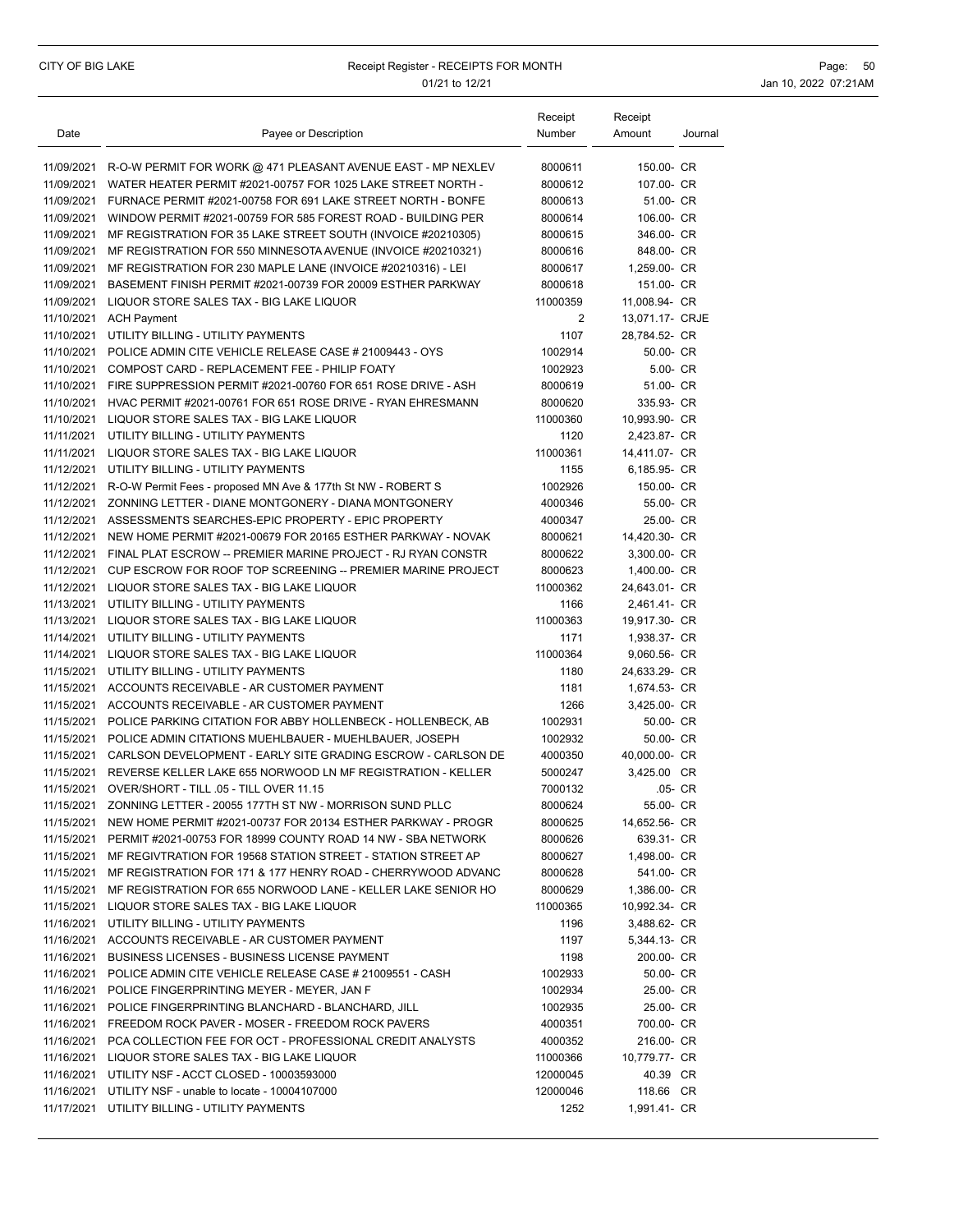| Payee or Description<br>Number<br>Amount<br>Date<br>R-O-W PERMIT FOR WORK @ 471 PLEASANT AVENUE EAST - MP NEXLEV<br>8000611<br>150.00- CR<br>11/09/2021<br>107.00- CR<br>11/09/2021<br>WATER HEATER PERMIT #2021-00757 FOR 1025 LAKE STREET NORTH -<br>8000612<br>11/09/2021 FURNACE PERMIT #2021-00758 FOR 691 LAKE STREET NORTH - BONFE<br>8000613<br>51.00- CR<br>11/09/2021 WINDOW PERMIT #2021-00759 FOR 585 FOREST ROAD - BUILDING PER<br>8000614<br>106.00- CR<br>11/09/2021<br>346.00- CR<br>MF REGISTRATION FOR 35 LAKE STREET SOUTH (INVOICE #20210305)<br>8000615<br>11/09/2021<br>MF REGISTRATION FOR 550 MINNESOTA AVENUE (INVOICE #20210321)<br>8000616<br>848.00- CR<br>11/09/2021 MF REGISTRATION FOR 230 MAPLE LANE (INVOICE #20210316) - LEI<br>1,259.00- CR<br>8000617<br>11/09/2021<br>151.00- CR<br>BASEMENT FINISH PERMIT #2021-00739 FOR 20009 ESTHER PARKWAY<br>8000618<br>11000359<br>11/09/2021 LIQUOR STORE SALES TAX - BIG LAKE LIQUOR<br>11.008.94- CR<br>11/10/2021 ACH Payment<br>2<br>13,071.17- CRJE<br>1107<br>11/10/2021<br>UTILITY BILLING - UTILITY PAYMENTS<br>28,784.52- CR<br>1002914<br>11/10/2021 POLICE ADMIN CITE VEHICLE RELEASE CASE # 21009443 - OYS<br>50.00- CR<br>11/10/2021 COMPOST CARD - REPLACEMENT FEE - PHILIP FOATY<br>1002923<br>5.00- CR<br>8000619<br>51.00- CR<br>11/10/2021 FIRE SUPPRESSION PERMIT #2021-00760 FOR 651 ROSE DRIVE - ASH<br>11/10/2021 HVAC PERMIT #2021-00761 FOR 651 ROSE DRIVE - RYAN EHRESMANN<br>8000620<br>335.93- CR<br>10,993.90- CR<br>11/10/2021 LIQUOR STORE SALES TAX - BIG LAKE LIQUOR<br>11000360<br>11/11/2021 UTILITY BILLING - UTILITY PAYMENTS<br>1120<br>2,423.87- CR<br>11000361<br>11/11/2021 LIQUOR STORE SALES TAX - BIG LAKE LIQUOR<br>14.411.07- CR<br>11/12/2021 UTILITY BILLING - UTILITY PAYMENTS<br>1155<br>6,185.95- CR<br>11/12/2021 R-O-W Permit Fees - proposed MN Ave & 177th St NW - ROBERT S<br>1002926<br>150.00- CR<br>11/12/2021 ZONNING LETTER - DIANE MONTGONERY - DIANA MONTGONERY<br>4000346<br>55.00- CR<br>11/12/2021 ASSESSMENTS SEARCHES-EPIC PROPERTY - EPIC PROPERTY<br>4000347<br>25.00- CR<br>14,420.30- CR<br>11/12/2021 NEW HOME PERMIT #2021-00679 FOR 20165 ESTHER PARKWAY - NOVAK<br>8000621<br>11/12/2021 FINAL PLAT ESCROW -- PREMIER MARINE PROJECT - RJ RYAN CONSTR<br>8000622<br>3,300.00- CR<br>11/12/2021 CUP ESCROW FOR ROOF TOP SCREENING -- PREMIER MARINE PROJECT<br>8000623<br>1,400.00- CR<br>11/12/2021 LIQUOR STORE SALES TAX - BIG LAKE LIQUOR<br>11000362<br>24,643.01- CR<br>11/13/2021 UTILITY BILLING - UTILITY PAYMENTS<br>1166<br>2,461.41- CR<br>11/13/2021 LIQUOR STORE SALES TAX - BIG LAKE LIQUOR<br>11000363<br>19,917.30- CR<br>11/14/2021 UTILITY BILLING - UTILITY PAYMENTS<br>1171<br>1,938.37- CR<br>11/14/2021 LIQUOR STORE SALES TAX - BIG LAKE LIQUOR<br>11000364<br>9,060.56- CR<br>11/15/2021 UTILITY BILLING - UTILITY PAYMENTS<br>1180<br>24,633.29- CR<br>11/15/2021 ACCOUNTS RECEIVABLE - AR CUSTOMER PAYMENT<br>1181<br>1,674.53- CR<br>11/15/2021 ACCOUNTS RECEIVABLE - AR CUSTOMER PAYMENT<br>1266<br>3,425.00- CR<br>11/15/2021 POLICE PARKING CITATION FOR ABBY HOLLENBECK - HOLLENBECK, AB<br>1002931<br>50.00- CR<br>11/15/2021 POLICE ADMIN CITATIONS MUEHLBAUER - MUEHLBAUER, JOSEPH<br>1002932<br>50.00- CR<br>11/15/2021 CARLSON DEVELOPMENT - EARLY SITE GRADING ESCROW - CARLSON DE<br>40,000.00- CR<br>4000350<br>11/15/2021 REVERSE KELLER LAKE 655 NORWOOD LN MF REGISTRATION - KELLER<br>3,425.00 CR<br>5000247<br>11/15/2021 OVER/SHORT - TILL .05 - TILL OVER 11.15<br>7000132<br>.05- CR<br>11/15/2021 ZONNING LETTER - 20055 177TH ST NW - MORRISON SUND PLLC<br>8000624<br>55.00- CR<br>11/15/2021 NEW HOME PERMIT #2021-00737 FOR 20134 ESTHER PARKWAY - PROGR<br>8000625<br>14,652.56- CR<br>11/15/2021 PERMIT #2021-00753 FOR 18999 COUNTY ROAD 14 NW - SBA NETWORK<br>8000626<br>639.31- CR<br>11/15/2021 MF REGIVTRATION FOR 19568 STATION STREET - STATION STREET AP<br>1,498.00- CR<br>8000627<br>11/15/2021 MF REGISTRATION FOR 171 & 177 HENRY ROAD - CHERRYWOOD ADVANC<br>8000628<br>541.00- CR<br>11/15/2021 MF REGISTRATION FOR 655 NORWOOD LANE - KELLER LAKE SENIOR HO<br>8000629<br>1,386.00- CR<br>11/15/2021 LIQUOR STORE SALES TAX - BIG LAKE LIQUOR<br>11000365<br>10,992.34- CR<br>11/16/2021 UTILITY BILLING - UTILITY PAYMENTS<br>1196<br>3,488.62- CR<br>11/16/2021 ACCOUNTS RECEIVABLE - AR CUSTOMER PAYMENT<br>1197<br>5,344.13- CR<br>BUSINESS LICENSES - BUSINESS LICENSE PAYMENT<br>1198<br>200.00- CR<br>11/16/2021<br>11/16/2021 POLICE ADMIN CITE VEHICLE RELEASE CASE # 21009551 - CASH<br>1002933<br>50.00- CR<br>11/16/2021 POLICE FINGERPRINTING MEYER - MEYER, JAN F<br>1002934<br>25.00- CR<br>11/16/2021 POLICE FINGERPRINTING BLANCHARD - BLANCHARD, JILL<br>25.00- CR<br>1002935<br>11/16/2021 FREEDOM ROCK PAVER - MOSER - FREEDOM ROCK PAVERS<br>700.00- CR<br>4000351<br>11/16/2021 PCA COLLECTION FEE FOR OCT - PROFESSIONAL CREDIT ANALYSTS<br>216.00- CR<br>4000352<br>11/16/2021 LIQUOR STORE SALES TAX - BIG LAKE LIQUOR<br>11000366<br>10,779.77- CR<br>11/16/2021 UTILITY NSF - ACCT CLOSED - 10003593000<br>12000045<br>40.39 CR<br>11/16/2021 UTILITY NSF - unable to locate - 10004107000<br>118.66 CR<br>12000046 |  | Receipt | Receipt |         |
|------------------------------------------------------------------------------------------------------------------------------------------------------------------------------------------------------------------------------------------------------------------------------------------------------------------------------------------------------------------------------------------------------------------------------------------------------------------------------------------------------------------------------------------------------------------------------------------------------------------------------------------------------------------------------------------------------------------------------------------------------------------------------------------------------------------------------------------------------------------------------------------------------------------------------------------------------------------------------------------------------------------------------------------------------------------------------------------------------------------------------------------------------------------------------------------------------------------------------------------------------------------------------------------------------------------------------------------------------------------------------------------------------------------------------------------------------------------------------------------------------------------------------------------------------------------------------------------------------------------------------------------------------------------------------------------------------------------------------------------------------------------------------------------------------------------------------------------------------------------------------------------------------------------------------------------------------------------------------------------------------------------------------------------------------------------------------------------------------------------------------------------------------------------------------------------------------------------------------------------------------------------------------------------------------------------------------------------------------------------------------------------------------------------------------------------------------------------------------------------------------------------------------------------------------------------------------------------------------------------------------------------------------------------------------------------------------------------------------------------------------------------------------------------------------------------------------------------------------------------------------------------------------------------------------------------------------------------------------------------------------------------------------------------------------------------------------------------------------------------------------------------------------------------------------------------------------------------------------------------------------------------------------------------------------------------------------------------------------------------------------------------------------------------------------------------------------------------------------------------------------------------------------------------------------------------------------------------------------------------------------------------------------------------------------------------------------------------------------------------------------------------------------------------------------------------------------------------------------------------------------------------------------------------------------------------------------------------------------------------------------------------------------------------------------------------------------------------------------------------------------------------------------------------------------------------------------------------------------------------------------------------------------------------------------------------------------------------------------------------------------------------------------------------------------------------------------------------------------------------------------------------------------------------------------------------------------------------------------------------------------------------------------------------------------------------------------------------------------------------------------------------------------------------------------------------------------------------------------------------------------------------------------------------------------------------------------------------------------------------------------------------------------------------------------------------------------------------------------------------------------------------------------------------------------------------------------------------------------------------------------------------------------|--|---------|---------|---------|
|                                                                                                                                                                                                                                                                                                                                                                                                                                                                                                                                                                                                                                                                                                                                                                                                                                                                                                                                                                                                                                                                                                                                                                                                                                                                                                                                                                                                                                                                                                                                                                                                                                                                                                                                                                                                                                                                                                                                                                                                                                                                                                                                                                                                                                                                                                                                                                                                                                                                                                                                                                                                                                                                                                                                                                                                                                                                                                                                                                                                                                                                                                                                                                                                                                                                                                                                                                                                                                                                                                                                                                                                                                                                                                                                                                                                                                                                                                                                                                                                                                                                                                                                                                                                                                                                                                                                                                                                                                                                                                                                                                                                                                                                                                                                                                                                                                                                                                                                                                                                                                                                                                                                                                                                                                                                              |  |         |         | Journal |
|                                                                                                                                                                                                                                                                                                                                                                                                                                                                                                                                                                                                                                                                                                                                                                                                                                                                                                                                                                                                                                                                                                                                                                                                                                                                                                                                                                                                                                                                                                                                                                                                                                                                                                                                                                                                                                                                                                                                                                                                                                                                                                                                                                                                                                                                                                                                                                                                                                                                                                                                                                                                                                                                                                                                                                                                                                                                                                                                                                                                                                                                                                                                                                                                                                                                                                                                                                                                                                                                                                                                                                                                                                                                                                                                                                                                                                                                                                                                                                                                                                                                                                                                                                                                                                                                                                                                                                                                                                                                                                                                                                                                                                                                                                                                                                                                                                                                                                                                                                                                                                                                                                                                                                                                                                                                              |  |         |         |         |
|                                                                                                                                                                                                                                                                                                                                                                                                                                                                                                                                                                                                                                                                                                                                                                                                                                                                                                                                                                                                                                                                                                                                                                                                                                                                                                                                                                                                                                                                                                                                                                                                                                                                                                                                                                                                                                                                                                                                                                                                                                                                                                                                                                                                                                                                                                                                                                                                                                                                                                                                                                                                                                                                                                                                                                                                                                                                                                                                                                                                                                                                                                                                                                                                                                                                                                                                                                                                                                                                                                                                                                                                                                                                                                                                                                                                                                                                                                                                                                                                                                                                                                                                                                                                                                                                                                                                                                                                                                                                                                                                                                                                                                                                                                                                                                                                                                                                                                                                                                                                                                                                                                                                                                                                                                                                              |  |         |         |         |
|                                                                                                                                                                                                                                                                                                                                                                                                                                                                                                                                                                                                                                                                                                                                                                                                                                                                                                                                                                                                                                                                                                                                                                                                                                                                                                                                                                                                                                                                                                                                                                                                                                                                                                                                                                                                                                                                                                                                                                                                                                                                                                                                                                                                                                                                                                                                                                                                                                                                                                                                                                                                                                                                                                                                                                                                                                                                                                                                                                                                                                                                                                                                                                                                                                                                                                                                                                                                                                                                                                                                                                                                                                                                                                                                                                                                                                                                                                                                                                                                                                                                                                                                                                                                                                                                                                                                                                                                                                                                                                                                                                                                                                                                                                                                                                                                                                                                                                                                                                                                                                                                                                                                                                                                                                                                              |  |         |         |         |
|                                                                                                                                                                                                                                                                                                                                                                                                                                                                                                                                                                                                                                                                                                                                                                                                                                                                                                                                                                                                                                                                                                                                                                                                                                                                                                                                                                                                                                                                                                                                                                                                                                                                                                                                                                                                                                                                                                                                                                                                                                                                                                                                                                                                                                                                                                                                                                                                                                                                                                                                                                                                                                                                                                                                                                                                                                                                                                                                                                                                                                                                                                                                                                                                                                                                                                                                                                                                                                                                                                                                                                                                                                                                                                                                                                                                                                                                                                                                                                                                                                                                                                                                                                                                                                                                                                                                                                                                                                                                                                                                                                                                                                                                                                                                                                                                                                                                                                                                                                                                                                                                                                                                                                                                                                                                              |  |         |         |         |
|                                                                                                                                                                                                                                                                                                                                                                                                                                                                                                                                                                                                                                                                                                                                                                                                                                                                                                                                                                                                                                                                                                                                                                                                                                                                                                                                                                                                                                                                                                                                                                                                                                                                                                                                                                                                                                                                                                                                                                                                                                                                                                                                                                                                                                                                                                                                                                                                                                                                                                                                                                                                                                                                                                                                                                                                                                                                                                                                                                                                                                                                                                                                                                                                                                                                                                                                                                                                                                                                                                                                                                                                                                                                                                                                                                                                                                                                                                                                                                                                                                                                                                                                                                                                                                                                                                                                                                                                                                                                                                                                                                                                                                                                                                                                                                                                                                                                                                                                                                                                                                                                                                                                                                                                                                                                              |  |         |         |         |
|                                                                                                                                                                                                                                                                                                                                                                                                                                                                                                                                                                                                                                                                                                                                                                                                                                                                                                                                                                                                                                                                                                                                                                                                                                                                                                                                                                                                                                                                                                                                                                                                                                                                                                                                                                                                                                                                                                                                                                                                                                                                                                                                                                                                                                                                                                                                                                                                                                                                                                                                                                                                                                                                                                                                                                                                                                                                                                                                                                                                                                                                                                                                                                                                                                                                                                                                                                                                                                                                                                                                                                                                                                                                                                                                                                                                                                                                                                                                                                                                                                                                                                                                                                                                                                                                                                                                                                                                                                                                                                                                                                                                                                                                                                                                                                                                                                                                                                                                                                                                                                                                                                                                                                                                                                                                              |  |         |         |         |
|                                                                                                                                                                                                                                                                                                                                                                                                                                                                                                                                                                                                                                                                                                                                                                                                                                                                                                                                                                                                                                                                                                                                                                                                                                                                                                                                                                                                                                                                                                                                                                                                                                                                                                                                                                                                                                                                                                                                                                                                                                                                                                                                                                                                                                                                                                                                                                                                                                                                                                                                                                                                                                                                                                                                                                                                                                                                                                                                                                                                                                                                                                                                                                                                                                                                                                                                                                                                                                                                                                                                                                                                                                                                                                                                                                                                                                                                                                                                                                                                                                                                                                                                                                                                                                                                                                                                                                                                                                                                                                                                                                                                                                                                                                                                                                                                                                                                                                                                                                                                                                                                                                                                                                                                                                                                              |  |         |         |         |
|                                                                                                                                                                                                                                                                                                                                                                                                                                                                                                                                                                                                                                                                                                                                                                                                                                                                                                                                                                                                                                                                                                                                                                                                                                                                                                                                                                                                                                                                                                                                                                                                                                                                                                                                                                                                                                                                                                                                                                                                                                                                                                                                                                                                                                                                                                                                                                                                                                                                                                                                                                                                                                                                                                                                                                                                                                                                                                                                                                                                                                                                                                                                                                                                                                                                                                                                                                                                                                                                                                                                                                                                                                                                                                                                                                                                                                                                                                                                                                                                                                                                                                                                                                                                                                                                                                                                                                                                                                                                                                                                                                                                                                                                                                                                                                                                                                                                                                                                                                                                                                                                                                                                                                                                                                                                              |  |         |         |         |
|                                                                                                                                                                                                                                                                                                                                                                                                                                                                                                                                                                                                                                                                                                                                                                                                                                                                                                                                                                                                                                                                                                                                                                                                                                                                                                                                                                                                                                                                                                                                                                                                                                                                                                                                                                                                                                                                                                                                                                                                                                                                                                                                                                                                                                                                                                                                                                                                                                                                                                                                                                                                                                                                                                                                                                                                                                                                                                                                                                                                                                                                                                                                                                                                                                                                                                                                                                                                                                                                                                                                                                                                                                                                                                                                                                                                                                                                                                                                                                                                                                                                                                                                                                                                                                                                                                                                                                                                                                                                                                                                                                                                                                                                                                                                                                                                                                                                                                                                                                                                                                                                                                                                                                                                                                                                              |  |         |         |         |
|                                                                                                                                                                                                                                                                                                                                                                                                                                                                                                                                                                                                                                                                                                                                                                                                                                                                                                                                                                                                                                                                                                                                                                                                                                                                                                                                                                                                                                                                                                                                                                                                                                                                                                                                                                                                                                                                                                                                                                                                                                                                                                                                                                                                                                                                                                                                                                                                                                                                                                                                                                                                                                                                                                                                                                                                                                                                                                                                                                                                                                                                                                                                                                                                                                                                                                                                                                                                                                                                                                                                                                                                                                                                                                                                                                                                                                                                                                                                                                                                                                                                                                                                                                                                                                                                                                                                                                                                                                                                                                                                                                                                                                                                                                                                                                                                                                                                                                                                                                                                                                                                                                                                                                                                                                                                              |  |         |         |         |
|                                                                                                                                                                                                                                                                                                                                                                                                                                                                                                                                                                                                                                                                                                                                                                                                                                                                                                                                                                                                                                                                                                                                                                                                                                                                                                                                                                                                                                                                                                                                                                                                                                                                                                                                                                                                                                                                                                                                                                                                                                                                                                                                                                                                                                                                                                                                                                                                                                                                                                                                                                                                                                                                                                                                                                                                                                                                                                                                                                                                                                                                                                                                                                                                                                                                                                                                                                                                                                                                                                                                                                                                                                                                                                                                                                                                                                                                                                                                                                                                                                                                                                                                                                                                                                                                                                                                                                                                                                                                                                                                                                                                                                                                                                                                                                                                                                                                                                                                                                                                                                                                                                                                                                                                                                                                              |  |         |         |         |
|                                                                                                                                                                                                                                                                                                                                                                                                                                                                                                                                                                                                                                                                                                                                                                                                                                                                                                                                                                                                                                                                                                                                                                                                                                                                                                                                                                                                                                                                                                                                                                                                                                                                                                                                                                                                                                                                                                                                                                                                                                                                                                                                                                                                                                                                                                                                                                                                                                                                                                                                                                                                                                                                                                                                                                                                                                                                                                                                                                                                                                                                                                                                                                                                                                                                                                                                                                                                                                                                                                                                                                                                                                                                                                                                                                                                                                                                                                                                                                                                                                                                                                                                                                                                                                                                                                                                                                                                                                                                                                                                                                                                                                                                                                                                                                                                                                                                                                                                                                                                                                                                                                                                                                                                                                                                              |  |         |         |         |
|                                                                                                                                                                                                                                                                                                                                                                                                                                                                                                                                                                                                                                                                                                                                                                                                                                                                                                                                                                                                                                                                                                                                                                                                                                                                                                                                                                                                                                                                                                                                                                                                                                                                                                                                                                                                                                                                                                                                                                                                                                                                                                                                                                                                                                                                                                                                                                                                                                                                                                                                                                                                                                                                                                                                                                                                                                                                                                                                                                                                                                                                                                                                                                                                                                                                                                                                                                                                                                                                                                                                                                                                                                                                                                                                                                                                                                                                                                                                                                                                                                                                                                                                                                                                                                                                                                                                                                                                                                                                                                                                                                                                                                                                                                                                                                                                                                                                                                                                                                                                                                                                                                                                                                                                                                                                              |  |         |         |         |
|                                                                                                                                                                                                                                                                                                                                                                                                                                                                                                                                                                                                                                                                                                                                                                                                                                                                                                                                                                                                                                                                                                                                                                                                                                                                                                                                                                                                                                                                                                                                                                                                                                                                                                                                                                                                                                                                                                                                                                                                                                                                                                                                                                                                                                                                                                                                                                                                                                                                                                                                                                                                                                                                                                                                                                                                                                                                                                                                                                                                                                                                                                                                                                                                                                                                                                                                                                                                                                                                                                                                                                                                                                                                                                                                                                                                                                                                                                                                                                                                                                                                                                                                                                                                                                                                                                                                                                                                                                                                                                                                                                                                                                                                                                                                                                                                                                                                                                                                                                                                                                                                                                                                                                                                                                                                              |  |         |         |         |
|                                                                                                                                                                                                                                                                                                                                                                                                                                                                                                                                                                                                                                                                                                                                                                                                                                                                                                                                                                                                                                                                                                                                                                                                                                                                                                                                                                                                                                                                                                                                                                                                                                                                                                                                                                                                                                                                                                                                                                                                                                                                                                                                                                                                                                                                                                                                                                                                                                                                                                                                                                                                                                                                                                                                                                                                                                                                                                                                                                                                                                                                                                                                                                                                                                                                                                                                                                                                                                                                                                                                                                                                                                                                                                                                                                                                                                                                                                                                                                                                                                                                                                                                                                                                                                                                                                                                                                                                                                                                                                                                                                                                                                                                                                                                                                                                                                                                                                                                                                                                                                                                                                                                                                                                                                                                              |  |         |         |         |
|                                                                                                                                                                                                                                                                                                                                                                                                                                                                                                                                                                                                                                                                                                                                                                                                                                                                                                                                                                                                                                                                                                                                                                                                                                                                                                                                                                                                                                                                                                                                                                                                                                                                                                                                                                                                                                                                                                                                                                                                                                                                                                                                                                                                                                                                                                                                                                                                                                                                                                                                                                                                                                                                                                                                                                                                                                                                                                                                                                                                                                                                                                                                                                                                                                                                                                                                                                                                                                                                                                                                                                                                                                                                                                                                                                                                                                                                                                                                                                                                                                                                                                                                                                                                                                                                                                                                                                                                                                                                                                                                                                                                                                                                                                                                                                                                                                                                                                                                                                                                                                                                                                                                                                                                                                                                              |  |         |         |         |
|                                                                                                                                                                                                                                                                                                                                                                                                                                                                                                                                                                                                                                                                                                                                                                                                                                                                                                                                                                                                                                                                                                                                                                                                                                                                                                                                                                                                                                                                                                                                                                                                                                                                                                                                                                                                                                                                                                                                                                                                                                                                                                                                                                                                                                                                                                                                                                                                                                                                                                                                                                                                                                                                                                                                                                                                                                                                                                                                                                                                                                                                                                                                                                                                                                                                                                                                                                                                                                                                                                                                                                                                                                                                                                                                                                                                                                                                                                                                                                                                                                                                                                                                                                                                                                                                                                                                                                                                                                                                                                                                                                                                                                                                                                                                                                                                                                                                                                                                                                                                                                                                                                                                                                                                                                                                              |  |         |         |         |
|                                                                                                                                                                                                                                                                                                                                                                                                                                                                                                                                                                                                                                                                                                                                                                                                                                                                                                                                                                                                                                                                                                                                                                                                                                                                                                                                                                                                                                                                                                                                                                                                                                                                                                                                                                                                                                                                                                                                                                                                                                                                                                                                                                                                                                                                                                                                                                                                                                                                                                                                                                                                                                                                                                                                                                                                                                                                                                                                                                                                                                                                                                                                                                                                                                                                                                                                                                                                                                                                                                                                                                                                                                                                                                                                                                                                                                                                                                                                                                                                                                                                                                                                                                                                                                                                                                                                                                                                                                                                                                                                                                                                                                                                                                                                                                                                                                                                                                                                                                                                                                                                                                                                                                                                                                                                              |  |         |         |         |
|                                                                                                                                                                                                                                                                                                                                                                                                                                                                                                                                                                                                                                                                                                                                                                                                                                                                                                                                                                                                                                                                                                                                                                                                                                                                                                                                                                                                                                                                                                                                                                                                                                                                                                                                                                                                                                                                                                                                                                                                                                                                                                                                                                                                                                                                                                                                                                                                                                                                                                                                                                                                                                                                                                                                                                                                                                                                                                                                                                                                                                                                                                                                                                                                                                                                                                                                                                                                                                                                                                                                                                                                                                                                                                                                                                                                                                                                                                                                                                                                                                                                                                                                                                                                                                                                                                                                                                                                                                                                                                                                                                                                                                                                                                                                                                                                                                                                                                                                                                                                                                                                                                                                                                                                                                                                              |  |         |         |         |
|                                                                                                                                                                                                                                                                                                                                                                                                                                                                                                                                                                                                                                                                                                                                                                                                                                                                                                                                                                                                                                                                                                                                                                                                                                                                                                                                                                                                                                                                                                                                                                                                                                                                                                                                                                                                                                                                                                                                                                                                                                                                                                                                                                                                                                                                                                                                                                                                                                                                                                                                                                                                                                                                                                                                                                                                                                                                                                                                                                                                                                                                                                                                                                                                                                                                                                                                                                                                                                                                                                                                                                                                                                                                                                                                                                                                                                                                                                                                                                                                                                                                                                                                                                                                                                                                                                                                                                                                                                                                                                                                                                                                                                                                                                                                                                                                                                                                                                                                                                                                                                                                                                                                                                                                                                                                              |  |         |         |         |
|                                                                                                                                                                                                                                                                                                                                                                                                                                                                                                                                                                                                                                                                                                                                                                                                                                                                                                                                                                                                                                                                                                                                                                                                                                                                                                                                                                                                                                                                                                                                                                                                                                                                                                                                                                                                                                                                                                                                                                                                                                                                                                                                                                                                                                                                                                                                                                                                                                                                                                                                                                                                                                                                                                                                                                                                                                                                                                                                                                                                                                                                                                                                                                                                                                                                                                                                                                                                                                                                                                                                                                                                                                                                                                                                                                                                                                                                                                                                                                                                                                                                                                                                                                                                                                                                                                                                                                                                                                                                                                                                                                                                                                                                                                                                                                                                                                                                                                                                                                                                                                                                                                                                                                                                                                                                              |  |         |         |         |
|                                                                                                                                                                                                                                                                                                                                                                                                                                                                                                                                                                                                                                                                                                                                                                                                                                                                                                                                                                                                                                                                                                                                                                                                                                                                                                                                                                                                                                                                                                                                                                                                                                                                                                                                                                                                                                                                                                                                                                                                                                                                                                                                                                                                                                                                                                                                                                                                                                                                                                                                                                                                                                                                                                                                                                                                                                                                                                                                                                                                                                                                                                                                                                                                                                                                                                                                                                                                                                                                                                                                                                                                                                                                                                                                                                                                                                                                                                                                                                                                                                                                                                                                                                                                                                                                                                                                                                                                                                                                                                                                                                                                                                                                                                                                                                                                                                                                                                                                                                                                                                                                                                                                                                                                                                                                              |  |         |         |         |
|                                                                                                                                                                                                                                                                                                                                                                                                                                                                                                                                                                                                                                                                                                                                                                                                                                                                                                                                                                                                                                                                                                                                                                                                                                                                                                                                                                                                                                                                                                                                                                                                                                                                                                                                                                                                                                                                                                                                                                                                                                                                                                                                                                                                                                                                                                                                                                                                                                                                                                                                                                                                                                                                                                                                                                                                                                                                                                                                                                                                                                                                                                                                                                                                                                                                                                                                                                                                                                                                                                                                                                                                                                                                                                                                                                                                                                                                                                                                                                                                                                                                                                                                                                                                                                                                                                                                                                                                                                                                                                                                                                                                                                                                                                                                                                                                                                                                                                                                                                                                                                                                                                                                                                                                                                                                              |  |         |         |         |
|                                                                                                                                                                                                                                                                                                                                                                                                                                                                                                                                                                                                                                                                                                                                                                                                                                                                                                                                                                                                                                                                                                                                                                                                                                                                                                                                                                                                                                                                                                                                                                                                                                                                                                                                                                                                                                                                                                                                                                                                                                                                                                                                                                                                                                                                                                                                                                                                                                                                                                                                                                                                                                                                                                                                                                                                                                                                                                                                                                                                                                                                                                                                                                                                                                                                                                                                                                                                                                                                                                                                                                                                                                                                                                                                                                                                                                                                                                                                                                                                                                                                                                                                                                                                                                                                                                                                                                                                                                                                                                                                                                                                                                                                                                                                                                                                                                                                                                                                                                                                                                                                                                                                                                                                                                                                              |  |         |         |         |
|                                                                                                                                                                                                                                                                                                                                                                                                                                                                                                                                                                                                                                                                                                                                                                                                                                                                                                                                                                                                                                                                                                                                                                                                                                                                                                                                                                                                                                                                                                                                                                                                                                                                                                                                                                                                                                                                                                                                                                                                                                                                                                                                                                                                                                                                                                                                                                                                                                                                                                                                                                                                                                                                                                                                                                                                                                                                                                                                                                                                                                                                                                                                                                                                                                                                                                                                                                                                                                                                                                                                                                                                                                                                                                                                                                                                                                                                                                                                                                                                                                                                                                                                                                                                                                                                                                                                                                                                                                                                                                                                                                                                                                                                                                                                                                                                                                                                                                                                                                                                                                                                                                                                                                                                                                                                              |  |         |         |         |
|                                                                                                                                                                                                                                                                                                                                                                                                                                                                                                                                                                                                                                                                                                                                                                                                                                                                                                                                                                                                                                                                                                                                                                                                                                                                                                                                                                                                                                                                                                                                                                                                                                                                                                                                                                                                                                                                                                                                                                                                                                                                                                                                                                                                                                                                                                                                                                                                                                                                                                                                                                                                                                                                                                                                                                                                                                                                                                                                                                                                                                                                                                                                                                                                                                                                                                                                                                                                                                                                                                                                                                                                                                                                                                                                                                                                                                                                                                                                                                                                                                                                                                                                                                                                                                                                                                                                                                                                                                                                                                                                                                                                                                                                                                                                                                                                                                                                                                                                                                                                                                                                                                                                                                                                                                                                              |  |         |         |         |
|                                                                                                                                                                                                                                                                                                                                                                                                                                                                                                                                                                                                                                                                                                                                                                                                                                                                                                                                                                                                                                                                                                                                                                                                                                                                                                                                                                                                                                                                                                                                                                                                                                                                                                                                                                                                                                                                                                                                                                                                                                                                                                                                                                                                                                                                                                                                                                                                                                                                                                                                                                                                                                                                                                                                                                                                                                                                                                                                                                                                                                                                                                                                                                                                                                                                                                                                                                                                                                                                                                                                                                                                                                                                                                                                                                                                                                                                                                                                                                                                                                                                                                                                                                                                                                                                                                                                                                                                                                                                                                                                                                                                                                                                                                                                                                                                                                                                                                                                                                                                                                                                                                                                                                                                                                                                              |  |         |         |         |
|                                                                                                                                                                                                                                                                                                                                                                                                                                                                                                                                                                                                                                                                                                                                                                                                                                                                                                                                                                                                                                                                                                                                                                                                                                                                                                                                                                                                                                                                                                                                                                                                                                                                                                                                                                                                                                                                                                                                                                                                                                                                                                                                                                                                                                                                                                                                                                                                                                                                                                                                                                                                                                                                                                                                                                                                                                                                                                                                                                                                                                                                                                                                                                                                                                                                                                                                                                                                                                                                                                                                                                                                                                                                                                                                                                                                                                                                                                                                                                                                                                                                                                                                                                                                                                                                                                                                                                                                                                                                                                                                                                                                                                                                                                                                                                                                                                                                                                                                                                                                                                                                                                                                                                                                                                                                              |  |         |         |         |
|                                                                                                                                                                                                                                                                                                                                                                                                                                                                                                                                                                                                                                                                                                                                                                                                                                                                                                                                                                                                                                                                                                                                                                                                                                                                                                                                                                                                                                                                                                                                                                                                                                                                                                                                                                                                                                                                                                                                                                                                                                                                                                                                                                                                                                                                                                                                                                                                                                                                                                                                                                                                                                                                                                                                                                                                                                                                                                                                                                                                                                                                                                                                                                                                                                                                                                                                                                                                                                                                                                                                                                                                                                                                                                                                                                                                                                                                                                                                                                                                                                                                                                                                                                                                                                                                                                                                                                                                                                                                                                                                                                                                                                                                                                                                                                                                                                                                                                                                                                                                                                                                                                                                                                                                                                                                              |  |         |         |         |
|                                                                                                                                                                                                                                                                                                                                                                                                                                                                                                                                                                                                                                                                                                                                                                                                                                                                                                                                                                                                                                                                                                                                                                                                                                                                                                                                                                                                                                                                                                                                                                                                                                                                                                                                                                                                                                                                                                                                                                                                                                                                                                                                                                                                                                                                                                                                                                                                                                                                                                                                                                                                                                                                                                                                                                                                                                                                                                                                                                                                                                                                                                                                                                                                                                                                                                                                                                                                                                                                                                                                                                                                                                                                                                                                                                                                                                                                                                                                                                                                                                                                                                                                                                                                                                                                                                                                                                                                                                                                                                                                                                                                                                                                                                                                                                                                                                                                                                                                                                                                                                                                                                                                                                                                                                                                              |  |         |         |         |
|                                                                                                                                                                                                                                                                                                                                                                                                                                                                                                                                                                                                                                                                                                                                                                                                                                                                                                                                                                                                                                                                                                                                                                                                                                                                                                                                                                                                                                                                                                                                                                                                                                                                                                                                                                                                                                                                                                                                                                                                                                                                                                                                                                                                                                                                                                                                                                                                                                                                                                                                                                                                                                                                                                                                                                                                                                                                                                                                                                                                                                                                                                                                                                                                                                                                                                                                                                                                                                                                                                                                                                                                                                                                                                                                                                                                                                                                                                                                                                                                                                                                                                                                                                                                                                                                                                                                                                                                                                                                                                                                                                                                                                                                                                                                                                                                                                                                                                                                                                                                                                                                                                                                                                                                                                                                              |  |         |         |         |
|                                                                                                                                                                                                                                                                                                                                                                                                                                                                                                                                                                                                                                                                                                                                                                                                                                                                                                                                                                                                                                                                                                                                                                                                                                                                                                                                                                                                                                                                                                                                                                                                                                                                                                                                                                                                                                                                                                                                                                                                                                                                                                                                                                                                                                                                                                                                                                                                                                                                                                                                                                                                                                                                                                                                                                                                                                                                                                                                                                                                                                                                                                                                                                                                                                                                                                                                                                                                                                                                                                                                                                                                                                                                                                                                                                                                                                                                                                                                                                                                                                                                                                                                                                                                                                                                                                                                                                                                                                                                                                                                                                                                                                                                                                                                                                                                                                                                                                                                                                                                                                                                                                                                                                                                                                                                              |  |         |         |         |
|                                                                                                                                                                                                                                                                                                                                                                                                                                                                                                                                                                                                                                                                                                                                                                                                                                                                                                                                                                                                                                                                                                                                                                                                                                                                                                                                                                                                                                                                                                                                                                                                                                                                                                                                                                                                                                                                                                                                                                                                                                                                                                                                                                                                                                                                                                                                                                                                                                                                                                                                                                                                                                                                                                                                                                                                                                                                                                                                                                                                                                                                                                                                                                                                                                                                                                                                                                                                                                                                                                                                                                                                                                                                                                                                                                                                                                                                                                                                                                                                                                                                                                                                                                                                                                                                                                                                                                                                                                                                                                                                                                                                                                                                                                                                                                                                                                                                                                                                                                                                                                                                                                                                                                                                                                                                              |  |         |         |         |
|                                                                                                                                                                                                                                                                                                                                                                                                                                                                                                                                                                                                                                                                                                                                                                                                                                                                                                                                                                                                                                                                                                                                                                                                                                                                                                                                                                                                                                                                                                                                                                                                                                                                                                                                                                                                                                                                                                                                                                                                                                                                                                                                                                                                                                                                                                                                                                                                                                                                                                                                                                                                                                                                                                                                                                                                                                                                                                                                                                                                                                                                                                                                                                                                                                                                                                                                                                                                                                                                                                                                                                                                                                                                                                                                                                                                                                                                                                                                                                                                                                                                                                                                                                                                                                                                                                                                                                                                                                                                                                                                                                                                                                                                                                                                                                                                                                                                                                                                                                                                                                                                                                                                                                                                                                                                              |  |         |         |         |
|                                                                                                                                                                                                                                                                                                                                                                                                                                                                                                                                                                                                                                                                                                                                                                                                                                                                                                                                                                                                                                                                                                                                                                                                                                                                                                                                                                                                                                                                                                                                                                                                                                                                                                                                                                                                                                                                                                                                                                                                                                                                                                                                                                                                                                                                                                                                                                                                                                                                                                                                                                                                                                                                                                                                                                                                                                                                                                                                                                                                                                                                                                                                                                                                                                                                                                                                                                                                                                                                                                                                                                                                                                                                                                                                                                                                                                                                                                                                                                                                                                                                                                                                                                                                                                                                                                                                                                                                                                                                                                                                                                                                                                                                                                                                                                                                                                                                                                                                                                                                                                                                                                                                                                                                                                                                              |  |         |         |         |
|                                                                                                                                                                                                                                                                                                                                                                                                                                                                                                                                                                                                                                                                                                                                                                                                                                                                                                                                                                                                                                                                                                                                                                                                                                                                                                                                                                                                                                                                                                                                                                                                                                                                                                                                                                                                                                                                                                                                                                                                                                                                                                                                                                                                                                                                                                                                                                                                                                                                                                                                                                                                                                                                                                                                                                                                                                                                                                                                                                                                                                                                                                                                                                                                                                                                                                                                                                                                                                                                                                                                                                                                                                                                                                                                                                                                                                                                                                                                                                                                                                                                                                                                                                                                                                                                                                                                                                                                                                                                                                                                                                                                                                                                                                                                                                                                                                                                                                                                                                                                                                                                                                                                                                                                                                                                              |  |         |         |         |
|                                                                                                                                                                                                                                                                                                                                                                                                                                                                                                                                                                                                                                                                                                                                                                                                                                                                                                                                                                                                                                                                                                                                                                                                                                                                                                                                                                                                                                                                                                                                                                                                                                                                                                                                                                                                                                                                                                                                                                                                                                                                                                                                                                                                                                                                                                                                                                                                                                                                                                                                                                                                                                                                                                                                                                                                                                                                                                                                                                                                                                                                                                                                                                                                                                                                                                                                                                                                                                                                                                                                                                                                                                                                                                                                                                                                                                                                                                                                                                                                                                                                                                                                                                                                                                                                                                                                                                                                                                                                                                                                                                                                                                                                                                                                                                                                                                                                                                                                                                                                                                                                                                                                                                                                                                                                              |  |         |         |         |
|                                                                                                                                                                                                                                                                                                                                                                                                                                                                                                                                                                                                                                                                                                                                                                                                                                                                                                                                                                                                                                                                                                                                                                                                                                                                                                                                                                                                                                                                                                                                                                                                                                                                                                                                                                                                                                                                                                                                                                                                                                                                                                                                                                                                                                                                                                                                                                                                                                                                                                                                                                                                                                                                                                                                                                                                                                                                                                                                                                                                                                                                                                                                                                                                                                                                                                                                                                                                                                                                                                                                                                                                                                                                                                                                                                                                                                                                                                                                                                                                                                                                                                                                                                                                                                                                                                                                                                                                                                                                                                                                                                                                                                                                                                                                                                                                                                                                                                                                                                                                                                                                                                                                                                                                                                                                              |  |         |         |         |
|                                                                                                                                                                                                                                                                                                                                                                                                                                                                                                                                                                                                                                                                                                                                                                                                                                                                                                                                                                                                                                                                                                                                                                                                                                                                                                                                                                                                                                                                                                                                                                                                                                                                                                                                                                                                                                                                                                                                                                                                                                                                                                                                                                                                                                                                                                                                                                                                                                                                                                                                                                                                                                                                                                                                                                                                                                                                                                                                                                                                                                                                                                                                                                                                                                                                                                                                                                                                                                                                                                                                                                                                                                                                                                                                                                                                                                                                                                                                                                                                                                                                                                                                                                                                                                                                                                                                                                                                                                                                                                                                                                                                                                                                                                                                                                                                                                                                                                                                                                                                                                                                                                                                                                                                                                                                              |  |         |         |         |
|                                                                                                                                                                                                                                                                                                                                                                                                                                                                                                                                                                                                                                                                                                                                                                                                                                                                                                                                                                                                                                                                                                                                                                                                                                                                                                                                                                                                                                                                                                                                                                                                                                                                                                                                                                                                                                                                                                                                                                                                                                                                                                                                                                                                                                                                                                                                                                                                                                                                                                                                                                                                                                                                                                                                                                                                                                                                                                                                                                                                                                                                                                                                                                                                                                                                                                                                                                                                                                                                                                                                                                                                                                                                                                                                                                                                                                                                                                                                                                                                                                                                                                                                                                                                                                                                                                                                                                                                                                                                                                                                                                                                                                                                                                                                                                                                                                                                                                                                                                                                                                                                                                                                                                                                                                                                              |  |         |         |         |
|                                                                                                                                                                                                                                                                                                                                                                                                                                                                                                                                                                                                                                                                                                                                                                                                                                                                                                                                                                                                                                                                                                                                                                                                                                                                                                                                                                                                                                                                                                                                                                                                                                                                                                                                                                                                                                                                                                                                                                                                                                                                                                                                                                                                                                                                                                                                                                                                                                                                                                                                                                                                                                                                                                                                                                                                                                                                                                                                                                                                                                                                                                                                                                                                                                                                                                                                                                                                                                                                                                                                                                                                                                                                                                                                                                                                                                                                                                                                                                                                                                                                                                                                                                                                                                                                                                                                                                                                                                                                                                                                                                                                                                                                                                                                                                                                                                                                                                                                                                                                                                                                                                                                                                                                                                                                              |  |         |         |         |
|                                                                                                                                                                                                                                                                                                                                                                                                                                                                                                                                                                                                                                                                                                                                                                                                                                                                                                                                                                                                                                                                                                                                                                                                                                                                                                                                                                                                                                                                                                                                                                                                                                                                                                                                                                                                                                                                                                                                                                                                                                                                                                                                                                                                                                                                                                                                                                                                                                                                                                                                                                                                                                                                                                                                                                                                                                                                                                                                                                                                                                                                                                                                                                                                                                                                                                                                                                                                                                                                                                                                                                                                                                                                                                                                                                                                                                                                                                                                                                                                                                                                                                                                                                                                                                                                                                                                                                                                                                                                                                                                                                                                                                                                                                                                                                                                                                                                                                                                                                                                                                                                                                                                                                                                                                                                              |  |         |         |         |
|                                                                                                                                                                                                                                                                                                                                                                                                                                                                                                                                                                                                                                                                                                                                                                                                                                                                                                                                                                                                                                                                                                                                                                                                                                                                                                                                                                                                                                                                                                                                                                                                                                                                                                                                                                                                                                                                                                                                                                                                                                                                                                                                                                                                                                                                                                                                                                                                                                                                                                                                                                                                                                                                                                                                                                                                                                                                                                                                                                                                                                                                                                                                                                                                                                                                                                                                                                                                                                                                                                                                                                                                                                                                                                                                                                                                                                                                                                                                                                                                                                                                                                                                                                                                                                                                                                                                                                                                                                                                                                                                                                                                                                                                                                                                                                                                                                                                                                                                                                                                                                                                                                                                                                                                                                                                              |  |         |         |         |
|                                                                                                                                                                                                                                                                                                                                                                                                                                                                                                                                                                                                                                                                                                                                                                                                                                                                                                                                                                                                                                                                                                                                                                                                                                                                                                                                                                                                                                                                                                                                                                                                                                                                                                                                                                                                                                                                                                                                                                                                                                                                                                                                                                                                                                                                                                                                                                                                                                                                                                                                                                                                                                                                                                                                                                                                                                                                                                                                                                                                                                                                                                                                                                                                                                                                                                                                                                                                                                                                                                                                                                                                                                                                                                                                                                                                                                                                                                                                                                                                                                                                                                                                                                                                                                                                                                                                                                                                                                                                                                                                                                                                                                                                                                                                                                                                                                                                                                                                                                                                                                                                                                                                                                                                                                                                              |  |         |         |         |
|                                                                                                                                                                                                                                                                                                                                                                                                                                                                                                                                                                                                                                                                                                                                                                                                                                                                                                                                                                                                                                                                                                                                                                                                                                                                                                                                                                                                                                                                                                                                                                                                                                                                                                                                                                                                                                                                                                                                                                                                                                                                                                                                                                                                                                                                                                                                                                                                                                                                                                                                                                                                                                                                                                                                                                                                                                                                                                                                                                                                                                                                                                                                                                                                                                                                                                                                                                                                                                                                                                                                                                                                                                                                                                                                                                                                                                                                                                                                                                                                                                                                                                                                                                                                                                                                                                                                                                                                                                                                                                                                                                                                                                                                                                                                                                                                                                                                                                                                                                                                                                                                                                                                                                                                                                                                              |  |         |         |         |
|                                                                                                                                                                                                                                                                                                                                                                                                                                                                                                                                                                                                                                                                                                                                                                                                                                                                                                                                                                                                                                                                                                                                                                                                                                                                                                                                                                                                                                                                                                                                                                                                                                                                                                                                                                                                                                                                                                                                                                                                                                                                                                                                                                                                                                                                                                                                                                                                                                                                                                                                                                                                                                                                                                                                                                                                                                                                                                                                                                                                                                                                                                                                                                                                                                                                                                                                                                                                                                                                                                                                                                                                                                                                                                                                                                                                                                                                                                                                                                                                                                                                                                                                                                                                                                                                                                                                                                                                                                                                                                                                                                                                                                                                                                                                                                                                                                                                                                                                                                                                                                                                                                                                                                                                                                                                              |  |         |         |         |
|                                                                                                                                                                                                                                                                                                                                                                                                                                                                                                                                                                                                                                                                                                                                                                                                                                                                                                                                                                                                                                                                                                                                                                                                                                                                                                                                                                                                                                                                                                                                                                                                                                                                                                                                                                                                                                                                                                                                                                                                                                                                                                                                                                                                                                                                                                                                                                                                                                                                                                                                                                                                                                                                                                                                                                                                                                                                                                                                                                                                                                                                                                                                                                                                                                                                                                                                                                                                                                                                                                                                                                                                                                                                                                                                                                                                                                                                                                                                                                                                                                                                                                                                                                                                                                                                                                                                                                                                                                                                                                                                                                                                                                                                                                                                                                                                                                                                                                                                                                                                                                                                                                                                                                                                                                                                              |  |         |         |         |
|                                                                                                                                                                                                                                                                                                                                                                                                                                                                                                                                                                                                                                                                                                                                                                                                                                                                                                                                                                                                                                                                                                                                                                                                                                                                                                                                                                                                                                                                                                                                                                                                                                                                                                                                                                                                                                                                                                                                                                                                                                                                                                                                                                                                                                                                                                                                                                                                                                                                                                                                                                                                                                                                                                                                                                                                                                                                                                                                                                                                                                                                                                                                                                                                                                                                                                                                                                                                                                                                                                                                                                                                                                                                                                                                                                                                                                                                                                                                                                                                                                                                                                                                                                                                                                                                                                                                                                                                                                                                                                                                                                                                                                                                                                                                                                                                                                                                                                                                                                                                                                                                                                                                                                                                                                                                              |  |         |         |         |
|                                                                                                                                                                                                                                                                                                                                                                                                                                                                                                                                                                                                                                                                                                                                                                                                                                                                                                                                                                                                                                                                                                                                                                                                                                                                                                                                                                                                                                                                                                                                                                                                                                                                                                                                                                                                                                                                                                                                                                                                                                                                                                                                                                                                                                                                                                                                                                                                                                                                                                                                                                                                                                                                                                                                                                                                                                                                                                                                                                                                                                                                                                                                                                                                                                                                                                                                                                                                                                                                                                                                                                                                                                                                                                                                                                                                                                                                                                                                                                                                                                                                                                                                                                                                                                                                                                                                                                                                                                                                                                                                                                                                                                                                                                                                                                                                                                                                                                                                                                                                                                                                                                                                                                                                                                                                              |  |         |         |         |
|                                                                                                                                                                                                                                                                                                                                                                                                                                                                                                                                                                                                                                                                                                                                                                                                                                                                                                                                                                                                                                                                                                                                                                                                                                                                                                                                                                                                                                                                                                                                                                                                                                                                                                                                                                                                                                                                                                                                                                                                                                                                                                                                                                                                                                                                                                                                                                                                                                                                                                                                                                                                                                                                                                                                                                                                                                                                                                                                                                                                                                                                                                                                                                                                                                                                                                                                                                                                                                                                                                                                                                                                                                                                                                                                                                                                                                                                                                                                                                                                                                                                                                                                                                                                                                                                                                                                                                                                                                                                                                                                                                                                                                                                                                                                                                                                                                                                                                                                                                                                                                                                                                                                                                                                                                                                              |  |         |         |         |
|                                                                                                                                                                                                                                                                                                                                                                                                                                                                                                                                                                                                                                                                                                                                                                                                                                                                                                                                                                                                                                                                                                                                                                                                                                                                                                                                                                                                                                                                                                                                                                                                                                                                                                                                                                                                                                                                                                                                                                                                                                                                                                                                                                                                                                                                                                                                                                                                                                                                                                                                                                                                                                                                                                                                                                                                                                                                                                                                                                                                                                                                                                                                                                                                                                                                                                                                                                                                                                                                                                                                                                                                                                                                                                                                                                                                                                                                                                                                                                                                                                                                                                                                                                                                                                                                                                                                                                                                                                                                                                                                                                                                                                                                                                                                                                                                                                                                                                                                                                                                                                                                                                                                                                                                                                                                              |  |         |         |         |
|                                                                                                                                                                                                                                                                                                                                                                                                                                                                                                                                                                                                                                                                                                                                                                                                                                                                                                                                                                                                                                                                                                                                                                                                                                                                                                                                                                                                                                                                                                                                                                                                                                                                                                                                                                                                                                                                                                                                                                                                                                                                                                                                                                                                                                                                                                                                                                                                                                                                                                                                                                                                                                                                                                                                                                                                                                                                                                                                                                                                                                                                                                                                                                                                                                                                                                                                                                                                                                                                                                                                                                                                                                                                                                                                                                                                                                                                                                                                                                                                                                                                                                                                                                                                                                                                                                                                                                                                                                                                                                                                                                                                                                                                                                                                                                                                                                                                                                                                                                                                                                                                                                                                                                                                                                                                              |  |         |         |         |
|                                                                                                                                                                                                                                                                                                                                                                                                                                                                                                                                                                                                                                                                                                                                                                                                                                                                                                                                                                                                                                                                                                                                                                                                                                                                                                                                                                                                                                                                                                                                                                                                                                                                                                                                                                                                                                                                                                                                                                                                                                                                                                                                                                                                                                                                                                                                                                                                                                                                                                                                                                                                                                                                                                                                                                                                                                                                                                                                                                                                                                                                                                                                                                                                                                                                                                                                                                                                                                                                                                                                                                                                                                                                                                                                                                                                                                                                                                                                                                                                                                                                                                                                                                                                                                                                                                                                                                                                                                                                                                                                                                                                                                                                                                                                                                                                                                                                                                                                                                                                                                                                                                                                                                                                                                                                              |  |         |         |         |
|                                                                                                                                                                                                                                                                                                                                                                                                                                                                                                                                                                                                                                                                                                                                                                                                                                                                                                                                                                                                                                                                                                                                                                                                                                                                                                                                                                                                                                                                                                                                                                                                                                                                                                                                                                                                                                                                                                                                                                                                                                                                                                                                                                                                                                                                                                                                                                                                                                                                                                                                                                                                                                                                                                                                                                                                                                                                                                                                                                                                                                                                                                                                                                                                                                                                                                                                                                                                                                                                                                                                                                                                                                                                                                                                                                                                                                                                                                                                                                                                                                                                                                                                                                                                                                                                                                                                                                                                                                                                                                                                                                                                                                                                                                                                                                                                                                                                                                                                                                                                                                                                                                                                                                                                                                                                              |  |         |         |         |
|                                                                                                                                                                                                                                                                                                                                                                                                                                                                                                                                                                                                                                                                                                                                                                                                                                                                                                                                                                                                                                                                                                                                                                                                                                                                                                                                                                                                                                                                                                                                                                                                                                                                                                                                                                                                                                                                                                                                                                                                                                                                                                                                                                                                                                                                                                                                                                                                                                                                                                                                                                                                                                                                                                                                                                                                                                                                                                                                                                                                                                                                                                                                                                                                                                                                                                                                                                                                                                                                                                                                                                                                                                                                                                                                                                                                                                                                                                                                                                                                                                                                                                                                                                                                                                                                                                                                                                                                                                                                                                                                                                                                                                                                                                                                                                                                                                                                                                                                                                                                                                                                                                                                                                                                                                                                              |  |         |         |         |
| 11/17/2021 UTILITY BILLING - UTILITY PAYMENTS<br>1252<br>1,991.41- CR                                                                                                                                                                                                                                                                                                                                                                                                                                                                                                                                                                                                                                                                                                                                                                                                                                                                                                                                                                                                                                                                                                                                                                                                                                                                                                                                                                                                                                                                                                                                                                                                                                                                                                                                                                                                                                                                                                                                                                                                                                                                                                                                                                                                                                                                                                                                                                                                                                                                                                                                                                                                                                                                                                                                                                                                                                                                                                                                                                                                                                                                                                                                                                                                                                                                                                                                                                                                                                                                                                                                                                                                                                                                                                                                                                                                                                                                                                                                                                                                                                                                                                                                                                                                                                                                                                                                                                                                                                                                                                                                                                                                                                                                                                                                                                                                                                                                                                                                                                                                                                                                                                                                                                                                        |  |         |         |         |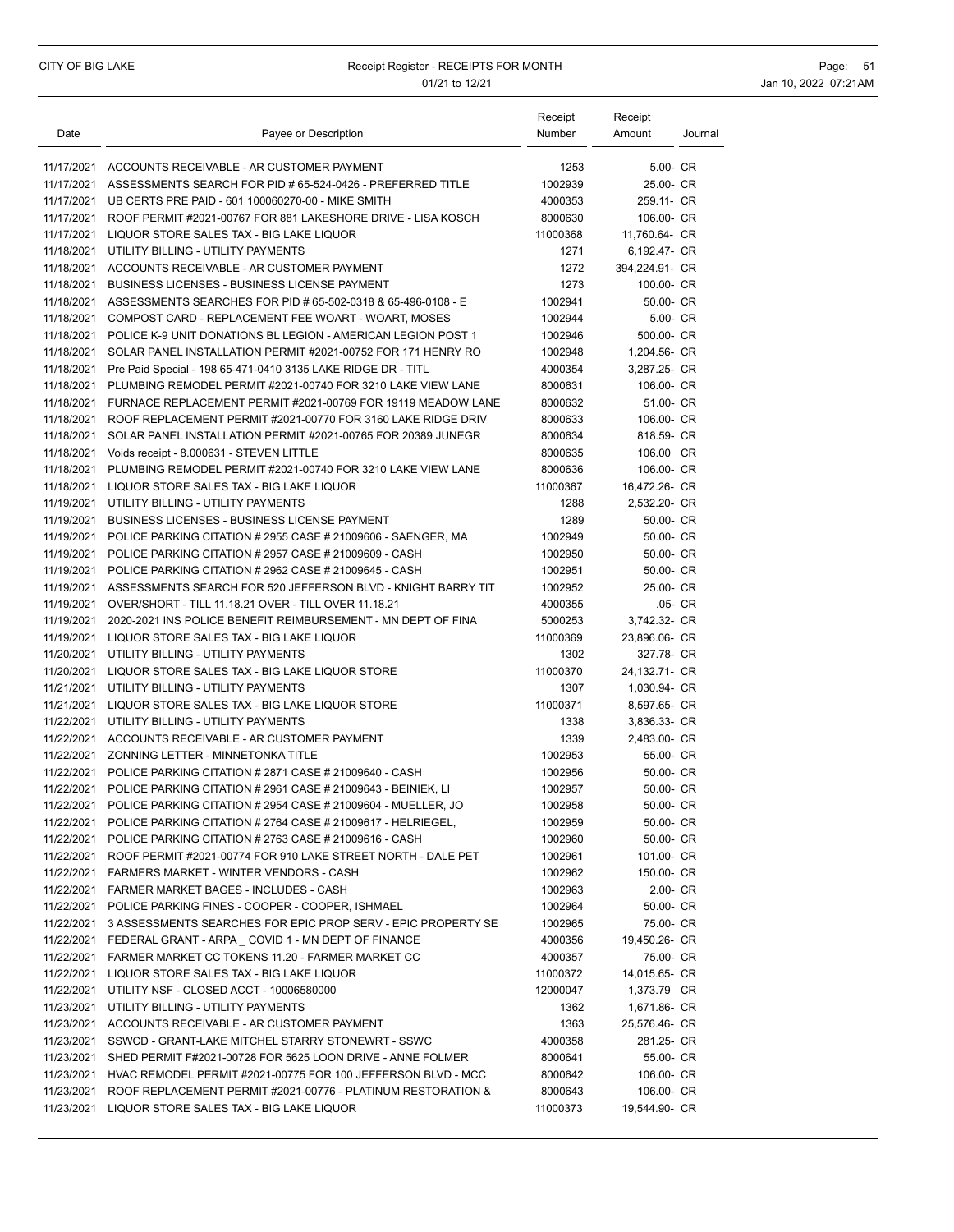### CITY OF BIG LAKE **Receipt Register - RECEIPTS FOR MONTH Page: 51** Page: 51 01/21 to 12/21 **Jan 10, 2022 07:21AM**

|            |                                                                                                       | Receipt            | Receipt                      |         |
|------------|-------------------------------------------------------------------------------------------------------|--------------------|------------------------------|---------|
| Date       | Payee or Description                                                                                  | Number             | Amount                       | Journal |
|            | 11/17/2021 ACCOUNTS RECEIVABLE - AR CUSTOMER PAYMENT                                                  | 1253               | 5.00- CR                     |         |
|            | 11/17/2021 ASSESSMENTS SEARCH FOR PID # 65-524-0426 - PREFERRED TITLE                                 | 1002939            | 25.00- CR                    |         |
|            | 11/17/2021 UB CERTS PRE PAID - 601 100060270-00 - MIKE SMITH                                          | 4000353            | 259.11- CR                   |         |
|            | 11/17/2021 ROOF PERMIT #2021-00767 FOR 881 LAKESHORE DRIVE - LISA KOSCH                               | 8000630            | 106.00- CR                   |         |
| 11/17/2021 | LIQUOR STORE SALES TAX - BIG LAKE LIQUOR                                                              | 11000368           | 11,760.64- CR                |         |
|            | 11/18/2021 UTILITY BILLING - UTILITY PAYMENTS                                                         | 1271               | 6,192.47- CR                 |         |
|            | 11/18/2021 ACCOUNTS RECEIVABLE - AR CUSTOMER PAYMENT                                                  | 1272               | 394,224.91- CR               |         |
|            | 11/18/2021 BUSINESS LICENSES - BUSINESS LICENSE PAYMENT                                               | 1273               | 100.00- CR                   |         |
|            | 11/18/2021 ASSESSMENTS SEARCHES FOR PID # 65-502-0318 & 65-496-0108 - E                               | 1002941            | 50.00- CR                    |         |
|            | 11/18/2021 COMPOST CARD - REPLACEMENT FEE WOART - WOART, MOSES                                        | 1002944            | 5.00- CR                     |         |
|            | 11/18/2021 POLICE K-9 UNIT DONATIONS BL LEGION - AMERICAN LEGION POST 1                               | 1002946            | 500.00- CR                   |         |
|            | 11/18/2021 SOLAR PANEL INSTALLATION PERMIT #2021-00752 FOR 171 HENRY RO                               | 1002948            | 1,204.56- CR                 |         |
|            | 11/18/2021 Pre Paid Special - 198 65-471-0410 3135 LAKE RIDGE DR - TITL                               | 4000354            | 3,287.25- CR                 |         |
|            | 11/18/2021 PLUMBING REMODEL PERMIT #2021-00740 FOR 3210 LAKE VIEW LANE                                | 8000631            | 106.00- CR                   |         |
|            | 11/18/2021 FURNACE REPLACEMENT PERMIT #2021-00769 FOR 19119 MEADOW LANE                               | 8000632            | 51.00- CR                    |         |
| 11/18/2021 | ROOF REPLACEMENT PERMIT#2021-00770 FOR 3160 LAKE RIDGE DRIV                                           | 8000633            | 106.00- CR                   |         |
| 11/18/2021 | SOLAR PANEL INSTALLATION PERMIT #2021-00765 FOR 20389 JUNEGR                                          | 8000634            | 818.59- CR                   |         |
|            | 11/18/2021 Voids receipt - 8.000631 - STEVEN LITTLE                                                   | 8000635            | 106.00 CR                    |         |
|            | 11/18/2021 PLUMBING REMODEL PERMIT #2021-00740 FOR 3210 LAKE VIEW LANE                                | 8000636            | 106.00- CR                   |         |
|            | 11/18/2021 LIQUOR STORE SALES TAX - BIG LAKE LIQUOR                                                   | 11000367           | 16,472.26- CR                |         |
|            | 11/19/2021 UTILITY BILLING - UTILITY PAYMENTS                                                         | 1288               | 2,532.20- CR                 |         |
|            | 11/19/2021 BUSINESS LICENSES - BUSINESS LICENSE PAYMENT                                               | 1289               | 50.00- CR                    |         |
|            | 11/19/2021 POLICE PARKING CITATION # 2955 CASE # 21009606 - SAENGER, MA                               | 1002949            | 50.00- CR                    |         |
|            | 11/19/2021 POLICE PARKING CITATION # 2957 CASE # 21009609 - CASH                                      | 1002950            | 50.00- CR                    |         |
| 11/19/2021 | POLICE PARKING CITATION # 2962 CASE # 21009645 - CASH                                                 | 1002951            | 50.00- CR                    |         |
|            | 11/19/2021 ASSESSMENTS SEARCH FOR 520 JEFFERSON BLVD - KNIGHT BARRY TIT                               | 1002952            | 25.00- CR                    |         |
|            | 11/19/2021 OVER/SHORT - TILL 11.18.21 OVER - TILL OVER 11.18.21                                       | 4000355            | .05- CR                      |         |
|            | 11/19/2021 2020-2021 INS POLICE BENEFIT REIMBURSEMENT - MN DEPT OF FINA                               | 5000253            | 3,742.32- CR                 |         |
|            | 11/19/2021 LIQUOR STORE SALES TAX - BIG LAKE LIQUOR                                                   | 11000369           | 23,896.06- CR                |         |
|            | 11/20/2021 UTILITY BILLING - UTILITY PAYMENTS                                                         | 1302               | 327.78- CR                   |         |
|            | 11/20/2021 LIQUOR STORE SALES TAX - BIG LAKE LIQUOR STORE                                             | 11000370           | 24,132.71- CR                |         |
|            | 11/21/2021 UTILITY BILLING - UTILITY PAYMENTS                                                         | 1307               | 1,030.94- CR                 |         |
|            | 11/21/2021 LIQUOR STORE SALES TAX - BIG LAKE LIQUOR STORE                                             | 11000371           | 8,597.65- CR<br>3,836.33- CR |         |
|            | 11/22/2021 UTILITY BILLING - UTILITY PAYMENTS<br>11/22/2021 ACCOUNTS RECEIVABLE - AR CUSTOMER PAYMENT | 1338<br>1339       |                              |         |
|            | 11/22/2021 ZONNING LETTER - MINNETONKA TITLE                                                          |                    | 2,483.00- CR<br>55.00- CR    |         |
|            | 11/22/2021 POLICE PARKING CITATION # 2871 CASE # 21009640 - CASH                                      | 1002953<br>1002956 | 50.00- CR                    |         |
|            | 11/22/2021 POLICE PARKING CITATION # 2961 CASE # 21009643 - BEINIEK, LI                               | 1002957            | 50.00- CR                    |         |
|            | 11/22/2021 POLICE PARKING CITATION # 2954 CASE # 21009604 - MUELLER, JO                               | 1002958            | 50.00- CR                    |         |
|            | 11/22/2021 POLICE PARKING CITATION # 2764 CASE # 21009617 - HELRIEGEL.                                | 1002959            | 50.00- CR                    |         |
|            | 11/22/2021 POLICE PARKING CITATION # 2763 CASE # 21009616 - CASH                                      | 1002960            | 50.00- CR                    |         |
|            | 11/22/2021 ROOF PERMIT #2021-00774 FOR 910 LAKE STREET NORTH - DALE PET                               | 1002961            | 101.00- CR                   |         |
|            | 11/22/2021 FARMERS MARKET - WINTER VENDORS - CASH                                                     | 1002962            | 150.00- CR                   |         |
|            | 11/22/2021 FARMER MARKET BAGES - INCLUDES - CASH                                                      | 1002963            | 2.00- CR                     |         |
|            | 11/22/2021 POLICE PARKING FINES - COOPER - COOPER, ISHMAEL                                            | 1002964            | 50.00- CR                    |         |
|            | 11/22/2021 3 ASSESSMENTS SEARCHES FOR EPIC PROP SERV - EPIC PROPERTY SE                               | 1002965            | 75.00- CR                    |         |
|            | 11/22/2021 FEDERAL GRANT - ARPA _ COVID 1 - MN DEPT OF FINANCE                                        | 4000356            | 19,450.26- CR                |         |
|            | 11/22/2021 FARMER MARKET CC TOKENS 11.20 - FARMER MARKET CC                                           | 4000357            | 75.00- CR                    |         |
|            | 11/22/2021 LIQUOR STORE SALES TAX - BIG LAKE LIQUOR                                                   | 11000372           | 14,015.65- CR                |         |
|            | 11/22/2021 UTILITY NSF - CLOSED ACCT - 10006580000                                                    | 12000047           | 1,373.79 CR                  |         |
|            | 11/23/2021 UTILITY BILLING - UTILITY PAYMENTS                                                         | 1362               | 1,671.86- CR                 |         |
|            | 11/23/2021 ACCOUNTS RECEIVABLE - AR CUSTOMER PAYMENT                                                  | 1363               | 25,576.46- CR                |         |
|            | 11/23/2021 SSWCD - GRANT-LAKE MITCHEL STARRY STONEWRT - SSWC                                          | 4000358            | 281.25- CR                   |         |
|            | 11/23/2021 SHED PERMIT F#2021-00728 FOR 5625 LOON DRIVE - ANNE FOLMER                                 | 8000641            | 55.00- CR                    |         |
|            | 11/23/2021 HVAC REMODEL PERMIT #2021-00775 FOR 100 JEFFERSON BLVD - MCC                               | 8000642            | 106.00- CR                   |         |
|            | 11/23/2021 ROOF REPLACEMENT PERMIT #2021-00776 - PLATINUM RESTORATION &                               | 8000643            | 106.00- CR                   |         |
|            | 11/23/2021 LIQUOR STORE SALES TAX - BIG LAKE LIQUOR                                                   | 11000373           | 19,544.90- CR                |         |
|            |                                                                                                       |                    |                              |         |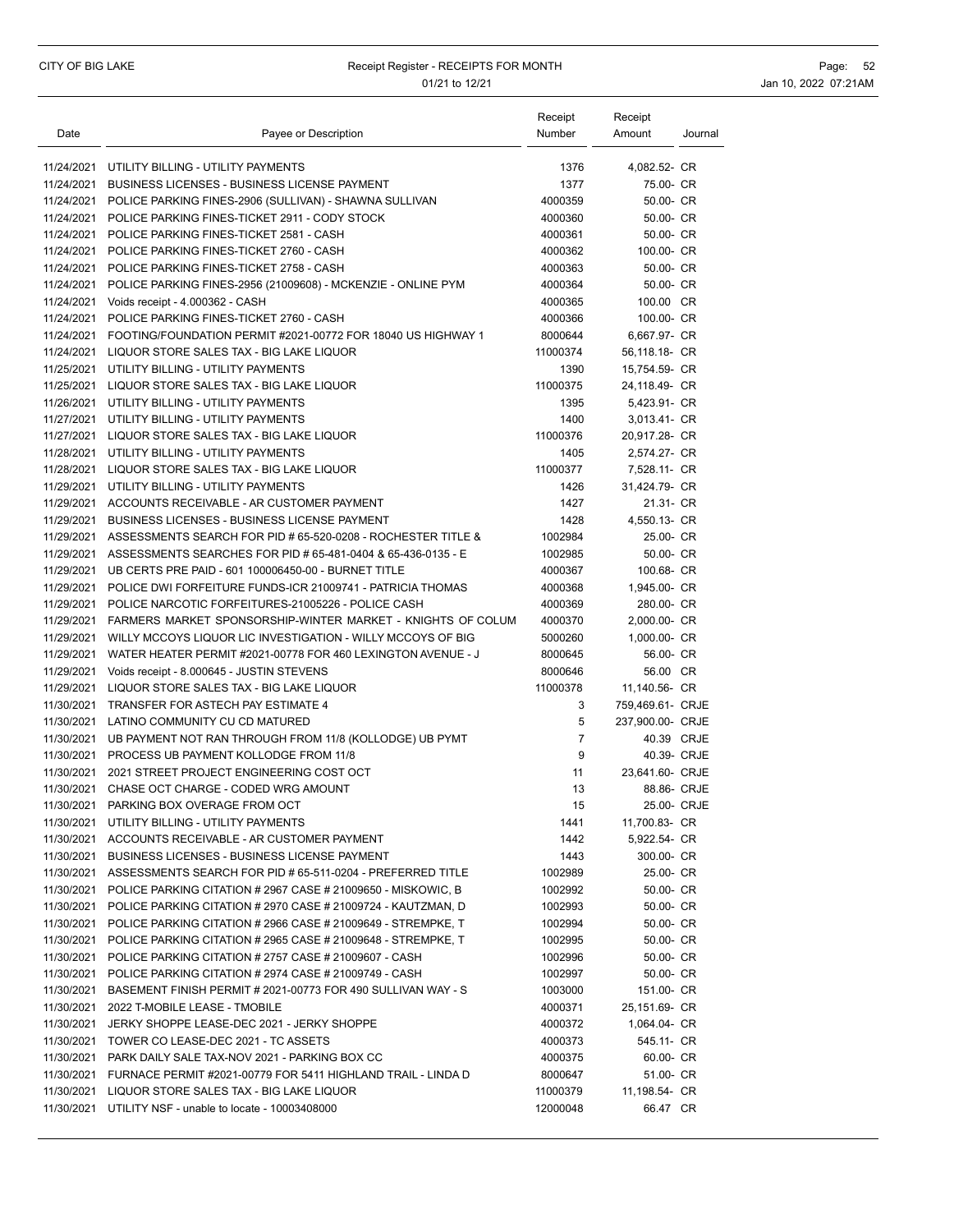### CITY OF BIG LAKE **Receipt Register - RECEIPTS FOR MONTH Page: 52** Page: 52 01/21 to 12/21 **Jan 10, 2022 07:21AM**

| Date       | Payee or Description                                                                                                                   | Receipt<br>Number  | Receipt<br>Amount          | Journal |
|------------|----------------------------------------------------------------------------------------------------------------------------------------|--------------------|----------------------------|---------|
|            |                                                                                                                                        |                    |                            |         |
|            | 11/24/2021 UTILITY BILLING - UTILITY PAYMENTS                                                                                          | 1376               | 4,082.52- CR               |         |
| 11/24/2021 | BUSINESS LICENSES - BUSINESS LICENSE PAYMENT                                                                                           | 1377               | 75.00- CR                  |         |
|            | 11/24/2021 POLICE PARKING FINES-2906 (SULLIVAN) - SHAWNA SULLIVAN                                                                      | 4000359            | 50.00- CR                  |         |
|            | 11/24/2021 POLICE PARKING FINES-TICKET 2911 - CODY STOCK                                                                               | 4000360            | 50.00- CR                  |         |
| 11/24/2021 | POLICE PARKING FINES-TICKET 2581 - CASH                                                                                                | 4000361            | 50.00- CR                  |         |
|            | 11/24/2021 POLICE PARKING FINES-TICKET 2760 - CASH                                                                                     | 4000362            | 100.00- CR                 |         |
|            | 11/24/2021 POLICE PARKING FINES-TICKET 2758 - CASH                                                                                     | 4000363            | 50.00- CR                  |         |
|            | 11/24/2021 POLICE PARKING FINES-2956 (21009608) - MCKENZIE - ONLINE PYM<br>11/24/2021 Voids receipt - 4.000362 - CASH                  | 4000364<br>4000365 | 50.00- CR<br>100.00 CR     |         |
|            | 11/24/2021 POLICE PARKING FINES-TICKET 2760 - CASH                                                                                     | 4000366            | 100.00- CR                 |         |
|            | 11/24/2021 FOOTING/FOUNDATION PERMIT #2021-00772 FOR 18040 US HIGHWAY 1                                                                | 8000644            | 6,667.97- CR               |         |
|            | 11/24/2021 LIQUOR STORE SALES TAX - BIG LAKE LIQUOR                                                                                    | 11000374           | 56,118.18- CR              |         |
|            | 11/25/2021 UTILITY BILLING - UTILITY PAYMENTS                                                                                          | 1390               | 15,754.59- CR              |         |
|            | 11/25/2021 LIQUOR STORE SALES TAX - BIG LAKE LIQUOR                                                                                    | 11000375           | 24,118.49- CR              |         |
|            | 11/26/2021 UTILITY BILLING - UTILITY PAYMENTS                                                                                          | 1395               | 5,423.91- CR               |         |
|            | 11/27/2021 UTILITY BILLING - UTILITY PAYMENTS                                                                                          | 1400               | 3,013.41- CR               |         |
|            | 11/27/2021 LIQUOR STORE SALES TAX - BIG LAKE LIQUOR                                                                                    | 11000376           | 20,917.28- CR              |         |
|            | 11/28/2021 UTILITY BILLING - UTILITY PAYMENTS                                                                                          | 1405               | 2,574.27- CR               |         |
|            | 11/28/2021 LIQUOR STORE SALES TAX - BIG LAKE LIQUOR                                                                                    | 11000377           | 7,528.11- CR               |         |
|            | 11/29/2021 UTILITY BILLING - UTILITY PAYMENTS                                                                                          | 1426               | 31,424.79- CR              |         |
|            | 11/29/2021 ACCOUNTS RECEIVABLE - AR CUSTOMER PAYMENT                                                                                   | 1427               | 21.31- CR                  |         |
|            | 11/29/2021 BUSINESS LICENSES - BUSINESS LICENSE PAYMENT                                                                                | 1428               | 4,550.13- CR               |         |
|            | 11/29/2021 ASSESSMENTS SEARCH FOR PID # 65-520-0208 - ROCHESTER TITLE &                                                                | 1002984            | 25.00- CR                  |         |
|            | 11/29/2021 ASSESSMENTS SEARCHES FOR PID # 65-481-0404 & 65-436-0135 - E                                                                | 1002985            | 50.00- CR                  |         |
|            | 11/29/2021 UB CERTS PRE PAID - 601 100006450-00 - BURNET TITLE                                                                         | 4000367            | 100.68- CR                 |         |
|            | 11/29/2021 POLICE DWI FORFEITURE FUNDS-ICR 21009741 - PATRICIA THOMAS<br>11/29/2021 POLICE NARCOTIC FORFEITURES-21005226 - POLICE CASH | 4000368            | 1,945.00- CR               |         |
|            | 11/29/2021 FARMERS MARKET SPONSORSHIP-WINTER MARKET - KNIGHTS OF COLUM                                                                 | 4000369<br>4000370 | 280.00- CR<br>2,000.00- CR |         |
|            | 11/29/2021 WILLY MCCOYS LIQUOR LIC INVESTIGATION - WILLY MCCOYS OF BIG                                                                 | 5000260            | 1,000.00- CR               |         |
|            | 11/29/2021 WATER HEATER PERMIT #2021-00778 FOR 460 LEXINGTON AVENUE - J                                                                | 8000645            | 56.00- CR                  |         |
|            | 11/29/2021 Voids receipt - 8.000645 - JUSTIN STEVENS                                                                                   | 8000646            | 56.00 CR                   |         |
|            | 11/29/2021 LIQUOR STORE SALES TAX - BIG LAKE LIQUOR                                                                                    | 11000378           | 11,140.56- CR              |         |
|            | 11/30/2021 TRANSFER FOR ASTECH PAY ESTIMATE 4                                                                                          | 3                  | 759,469.61- CRJE           |         |
|            | 11/30/2021 LATINO COMMUNITY CU CD MATURED                                                                                              | 5                  | 237,900.00- CRJE           |         |
|            | 11/30/2021 UB PAYMENT NOT RAN THROUGH FROM 11/8 (KOLLODGE) UB PYMT                                                                     | $\overline{7}$     | 40.39 CRJE                 |         |
|            | 11/30/2021 PROCESS UB PAYMENT KOLLODGE FROM 11/8                                                                                       | 9                  | 40.39- CRJE                |         |
|            | 11/30/2021 2021 STREET PROJECT ENGINEERING COST OCT                                                                                    | 11                 | 23.641.60- CRJE            |         |
|            | 11/30/2021 CHASE OCT CHARGE - CODED WRG AMOUNT                                                                                         | 13                 | 88.86- CRJE                |         |
|            | 11/30/2021 PARKING BOX OVERAGE FROM OCT                                                                                                | 15                 | 25.00- CRJE                |         |
|            | 11/30/2021 UTILITY BILLING - UTILITY PAYMENTS                                                                                          | 1441               | 11,700.83- CR              |         |
|            | 11/30/2021 ACCOUNTS RECEIVABLE - AR CUSTOMER PAYMENT                                                                                   | 1442               | 5,922.54- CR               |         |
|            | 11/30/2021 BUSINESS LICENSES - BUSINESS LICENSE PAYMENT                                                                                | 1443               | 300.00- CR                 |         |
|            | 11/30/2021 ASSESSMENTS SEARCH FOR PID # 65-511-0204 - PREFERRED TITLE                                                                  | 1002989            | 25.00- CR                  |         |
|            | 11/30/2021 POLICE PARKING CITATION # 2967 CASE # 21009650 - MISKOWIC, B                                                                | 1002992            | 50.00- CR                  |         |
|            | 11/30/2021 POLICE PARKING CITATION # 2970 CASE # 21009724 - KAUTZMAN, D                                                                | 1002993            | 50.00- CR                  |         |
|            | 11/30/2021 POLICE PARKING CITATION # 2966 CASE # 21009649 - STREMPKE. T                                                                | 1002994            | 50.00- CR                  |         |
|            | 11/30/2021 POLICE PARKING CITATION # 2965 CASE # 21009648 - STREMPKE, T                                                                | 1002995            | 50.00- CR                  |         |
|            | 11/30/2021 POLICE PARKING CITATION # 2757 CASE # 21009607 - CASH<br>11/30/2021 POLICE PARKING CITATION # 2974 CASE # 21009749 - CASH   | 1002996            | 50.00- CR                  |         |
|            | 11/30/2021 BASEMENT FINISH PERMIT # 2021-00773 FOR 490 SULLIVAN WAY - S                                                                | 1002997<br>1003000 | 50.00- CR<br>151.00- CR    |         |
|            | 11/30/2021 2022 T-MOBILE LEASE - TMOBILE                                                                                               | 4000371            | 25,151.69- CR              |         |
|            | 11/30/2021 JERKY SHOPPE LEASE-DEC 2021 - JERKY SHOPPE                                                                                  | 4000372            | 1,064.04- CR               |         |
|            | 11/30/2021 TOWER CO LEASE-DEC 2021 - TC ASSETS                                                                                         | 4000373            | 545.11- CR                 |         |
|            | 11/30/2021 PARK DAILY SALE TAX-NOV 2021 - PARKING BOX CC                                                                               | 4000375            | 60.00- CR                  |         |
|            | 11/30/2021 FURNACE PERMIT #2021-00779 FOR 5411 HIGHLAND TRAIL - LINDA D                                                                | 8000647            | 51.00- CR                  |         |
|            | 11/30/2021 LIQUOR STORE SALES TAX - BIG LAKE LIQUOR                                                                                    | 11000379           | 11,198.54- CR              |         |
|            | 11/30/2021 UTILITY NSF - unable to locate - 10003408000                                                                                | 12000048           | 66.47 CR                   |         |
|            |                                                                                                                                        |                    |                            |         |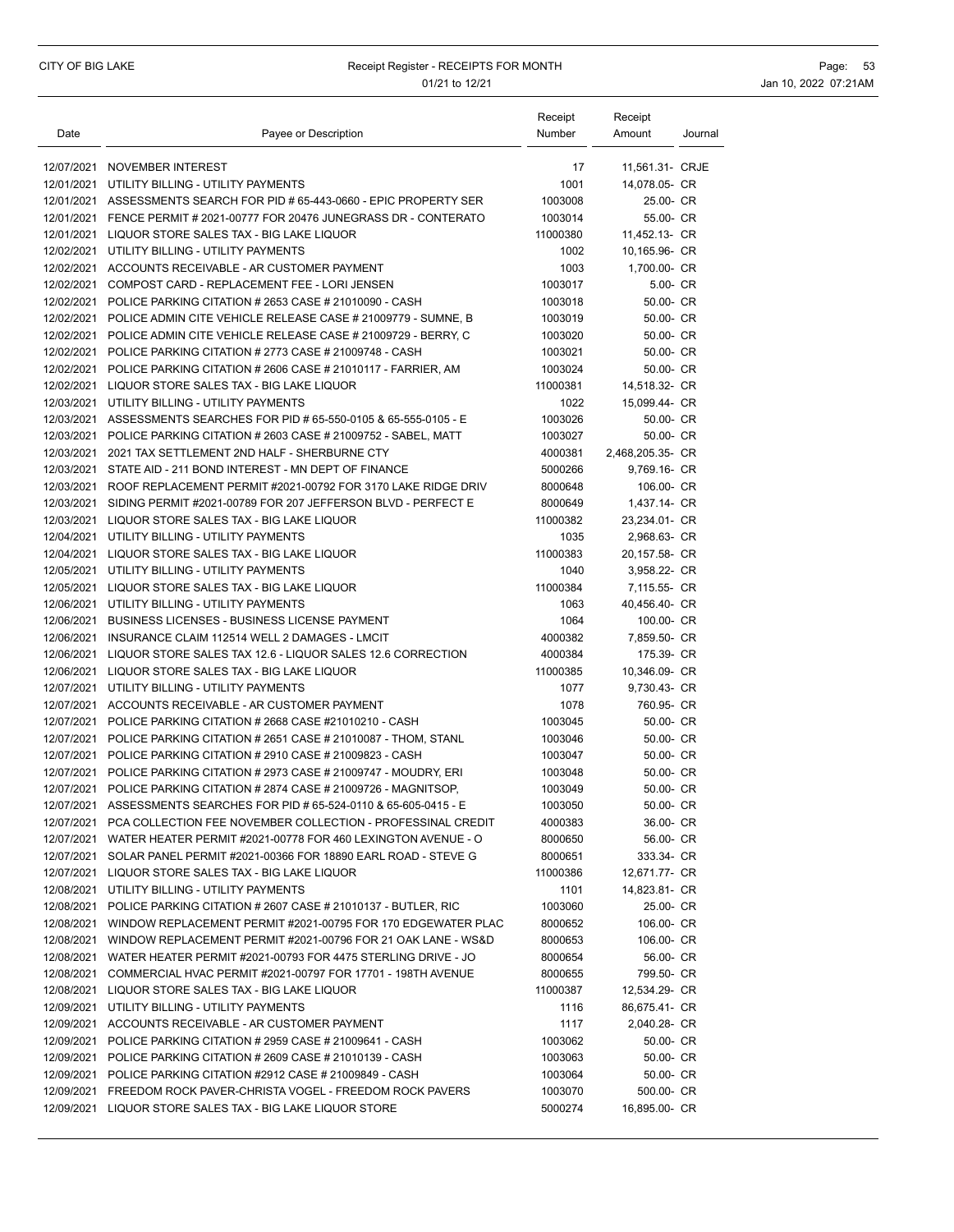### CITY OF BIG LAKE **Receipt Register - RECEIPTS FOR MONTH Page: 53** 01/21 to 12/21 **Jan 10, 2022 07:21AM**

| Date | Payee or Description                                                                                                                              | Receipt<br>Number   | Receipt<br>Amount       | Journal |
|------|---------------------------------------------------------------------------------------------------------------------------------------------------|---------------------|-------------------------|---------|
|      | 12/07/2021 NOVEMBER INTEREST                                                                                                                      | 17                  | 11,561.31- CRJE         |         |
|      | 12/01/2021 UTILITY BILLING - UTILITY PAYMENTS                                                                                                     | 1001                | 14,078.05- CR           |         |
|      | 12/01/2021 ASSESSMENTS SEARCH FOR PID # 65-443-0660 - EPIC PROPERTY SER                                                                           | 1003008             | 25.00- CR               |         |
|      | 12/01/2021 FENCE PERMIT # 2021-00777 FOR 20476 JUNEGRASS DR - CONTERATO                                                                           | 1003014             | 55.00- CR               |         |
|      | 12/01/2021 LIQUOR STORE SALES TAX - BIG LAKE LIQUOR                                                                                               | 11000380            | 11,452.13- CR           |         |
|      | 12/02/2021 UTILITY BILLING - UTILITY PAYMENTS                                                                                                     | 1002                | 10,165.96- CR           |         |
|      | 12/02/2021 ACCOUNTS RECEIVABLE - AR CUSTOMER PAYMENT                                                                                              | 1003                | 1,700.00- CR            |         |
|      | 12/02/2021 COMPOST CARD - REPLACEMENT FEE - LORI JENSEN                                                                                           | 1003017             | 5.00- CR                |         |
|      | 12/02/2021 POLICE PARKING CITATION # 2653 CASE # 21010090 - CASH                                                                                  | 1003018             | 50.00- CR               |         |
|      | 12/02/2021 POLICE ADMIN CITE VEHICLE RELEASE CASE # 21009779 - SUMNE, B                                                                           | 1003019             | 50.00- CR               |         |
|      | 12/02/2021 POLICE ADMIN CITE VEHICLE RELEASE CASE # 21009729 - BERRY, C                                                                           | 1003020             | 50.00- CR               |         |
|      | 12/02/2021 POLICE PARKING CITATION # 2773 CASE # 21009748 - CASH                                                                                  | 1003021             | 50.00- CR               |         |
|      | 12/02/2021 POLICE PARKING CITATION # 2606 CASE # 21010117 - FARRIER, AM                                                                           | 1003024             | 50.00- CR               |         |
|      | 12/02/2021 LIQUOR STORE SALES TAX - BIG LAKE LIQUOR                                                                                               | 11000381            | 14,518.32- CR           |         |
|      | 12/03/2021 UTILITY BILLING - UTILITY PAYMENTS                                                                                                     | 1022                | 15,099.44- CR           |         |
|      | 12/03/2021 ASSESSMENTS SEARCHES FOR PID # 65-550-0105 & 65-555-0105 - E                                                                           | 1003026             | 50.00- CR               |         |
|      | 12/03/2021 POLICE PARKING CITATION # 2603 CASE # 21009752 - SABEL, MATT                                                                           | 1003027             | 50.00- CR               |         |
|      | 12/03/2021 2021 TAX SETTLEMENT 2ND HALF - SHERBURNE CTY                                                                                           | 4000381             | 2,468,205.35- CR        |         |
|      | 12/03/2021 STATE AID - 211 BOND INTEREST - MN DEPT OF FINANCE                                                                                     | 5000266             | 9,769.16- CR            |         |
|      | 12/03/2021 ROOF REPLACEMENT PERMIT #2021-00792 FOR 3170 LAKE RIDGE DRIV                                                                           | 8000648             | 106.00- CR              |         |
|      | 12/03/2021 SIDING PERMIT #2021-00789 FOR 207 JEFFERSON BLVD - PERFECT E                                                                           | 8000649             | 1,437.14- CR            |         |
|      | 12/03/2021 LIQUOR STORE SALES TAX - BIG LAKE LIQUOR                                                                                               | 11000382            | 23,234.01- CR           |         |
|      | 12/04/2021 UTILITY BILLING - UTILITY PAYMENTS                                                                                                     | 1035                | 2,968.63- CR            |         |
|      | 12/04/2021 LIQUOR STORE SALES TAX - BIG LAKE LIQUOR                                                                                               | 11000383            | 20,157.58- CR           |         |
|      | 12/05/2021 UTILITY BILLING - UTILITY PAYMENTS                                                                                                     | 1040                | 3,958.22- CR            |         |
|      | 12/05/2021 LIQUOR STORE SALES TAX - BIG LAKE LIQUOR                                                                                               | 11000384            | 7,115.55- CR            |         |
|      | 12/06/2021 UTILITY BILLING - UTILITY PAYMENTS                                                                                                     | 1063                | 40,456.40- CR           |         |
|      | 12/06/2021 BUSINESS LICENSES - BUSINESS LICENSE PAYMENT                                                                                           | 1064                | 100.00- CR              |         |
|      | 12/06/2021 INSURANCE CLAIM 112514 WELL 2 DAMAGES - LMCIT                                                                                          | 4000382             | 7,859.50- CR            |         |
|      | 12/06/2021 LIQUOR STORE SALES TAX 12.6 - LIQUOR SALES 12.6 CORRECTION                                                                             | 4000384             | 175.39- CR              |         |
|      | 12/06/2021 LIQUOR STORE SALES TAX - BIG LAKE LIQUOR                                                                                               | 11000385            | 10,346.09- CR           |         |
|      | 12/07/2021 UTILITY BILLING - UTILITY PAYMENTS                                                                                                     | 1077                | 9,730.43- CR            |         |
|      | 12/07/2021 ACCOUNTS RECEIVABLE - AR CUSTOMER PAYMENT                                                                                              | 1078                | 760.95- CR              |         |
|      | 12/07/2021 POLICE PARKING CITATION # 2668 CASE #21010210 - CASH                                                                                   | 1003045             | 50.00- CR               |         |
|      | 12/07/2021 POLICE PARKING CITATION # 2651 CASE # 21010087 - THOM, STANL                                                                           | 1003046             | 50.00- CR               |         |
|      | 12/07/2021 POLICE PARKING CITATION # 2910 CASE # 21009823 - CASH                                                                                  | 1003047             | 50.00- CR               |         |
|      | 12/07/2021 POLICE PARKING CITATION # 2973 CASE # 21009747 - MOUDRY, ERI                                                                           | 1003048             | 50.00- CR               |         |
|      | 12/07/2021 POLICE PARKING CITATION # 2874 CASE # 21009726 - MAGNITSOP.                                                                            | 1003049             | 50.00- CR               |         |
|      | 12/07/2021 ASSESSMENTS SEARCHES FOR PID # 65-524-0110 & 65-605-0415 - E                                                                           | 1003050             | 50.00- CR               |         |
|      | 12/07/2021 PCA COLLECTION FEE NOVEMBER COLLECTION - PROFESSINAL CREDIT<br>12/07/2021 WATER HEATER PERMIT #2021-00778 FOR 460 LEXINGTON AVENUE - O | 4000383             | 36.00- CR               |         |
|      | 12/07/2021 SOLAR PANEL PERMIT #2021-00366 FOR 18890 EARL ROAD - STEVE G                                                                           | 8000650             | 56.00- CR<br>333.34- CR |         |
|      | 12/07/2021 LIQUOR STORE SALES TAX - BIG LAKE LIQUOR                                                                                               | 8000651<br>11000386 | 12,671.77- CR           |         |
|      | 12/08/2021 UTILITY BILLING - UTILITY PAYMENTS                                                                                                     | 1101                | 14,823.81- CR           |         |
|      | 12/08/2021 POLICE PARKING CITATION # 2607 CASE # 21010137 - BUTLER, RIC                                                                           | 1003060             | 25.00- CR               |         |
|      | 12/08/2021 WINDOW REPLACEMENT PERMIT #2021-00795 FOR 170 EDGEWATER PLAC                                                                           | 8000652             | 106.00- CR              |         |
|      | 12/08/2021 WINDOW REPLACEMENT PERMIT #2021-00796 FOR 21 OAK LANE - WS&D                                                                           | 8000653             | 106.00- CR              |         |
|      | 12/08/2021 WATER HEATER PERMIT #2021-00793 FOR 4475 STERLING DRIVE - JO                                                                           | 8000654             | 56.00- CR               |         |
|      | 12/08/2021 COMMERCIAL HVAC PERMIT #2021-00797 FOR 17701 - 198TH AVENUE                                                                            | 8000655             | 799.50- CR              |         |
|      | 12/08/2021 LIQUOR STORE SALES TAX - BIG LAKE LIQUOR                                                                                               | 11000387            | 12,534.29- CR           |         |
|      | 12/09/2021 UTILITY BILLING - UTILITY PAYMENTS                                                                                                     | 1116                | 86,675.41- CR           |         |
|      | 12/09/2021 ACCOUNTS RECEIVABLE - AR CUSTOMER PAYMENT                                                                                              | 1117                | 2,040.28- CR            |         |
|      | 12/09/2021 POLICE PARKING CITATION # 2959 CASE # 21009641 - CASH                                                                                  | 1003062             | 50.00- CR               |         |
|      | 12/09/2021 POLICE PARKING CITATION # 2609 CASE # 21010139 - CASH                                                                                  | 1003063             | 50.00- CR               |         |
|      | 12/09/2021 POLICE PARKING CITATION #2912 CASE # 21009849 - CASH                                                                                   | 1003064             | 50.00- CR               |         |
|      | 12/09/2021 FREEDOM ROCK PAVER-CHRISTA VOGEL - FREEDOM ROCK PAVERS                                                                                 | 1003070             | 500.00- CR              |         |
|      | 12/09/2021 LIQUOR STORE SALES TAX - BIG LAKE LIQUOR STORE                                                                                         | 5000274             | 16,895.00- CR           |         |
|      |                                                                                                                                                   |                     |                         |         |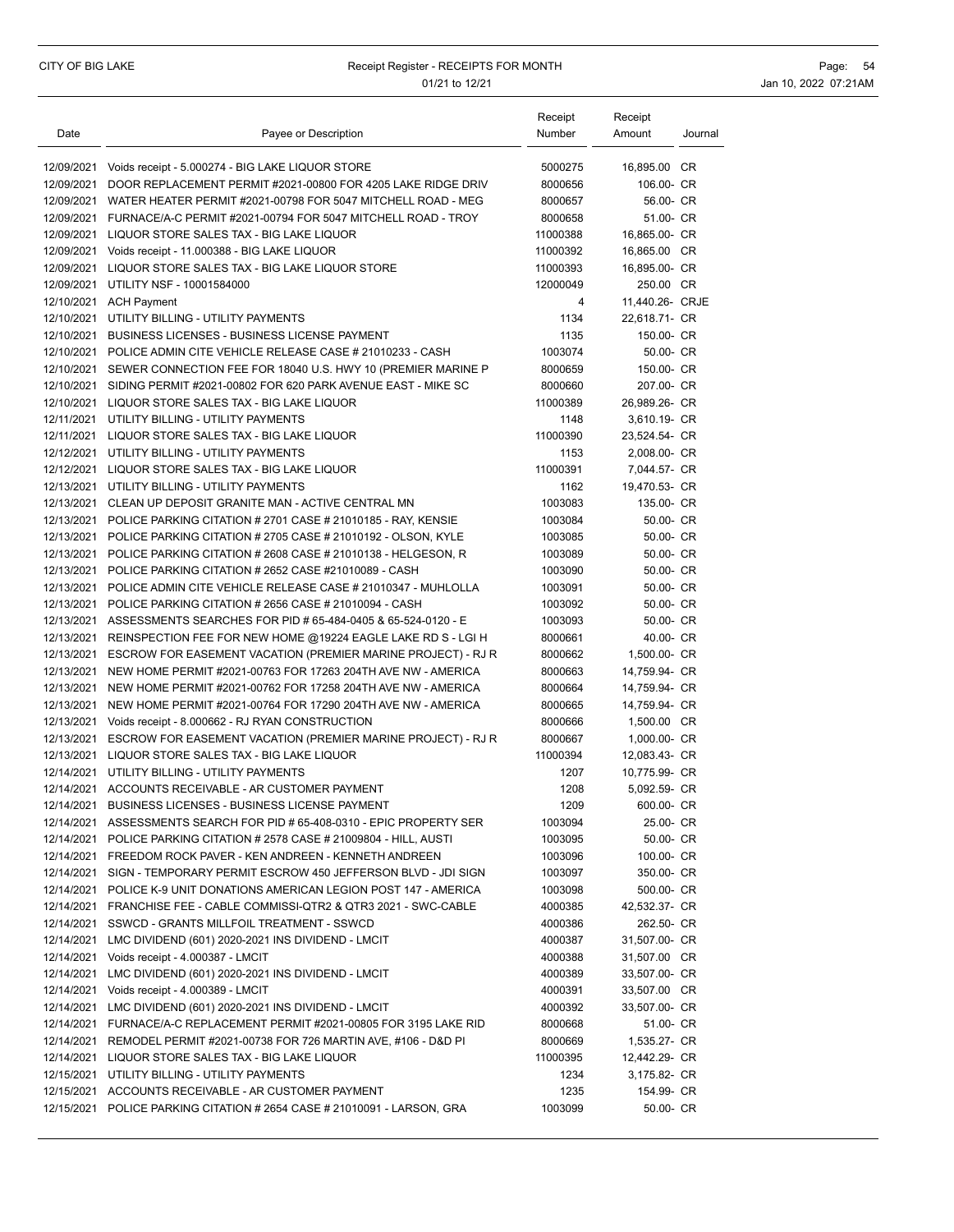### CITY OF BIG LAKE **Receipt Register - RECEIPTS FOR MONTH Page: 54** Page: 54 01/21 to 12/21 **Jan 10, 2022 07:21AM**

| Date | Payee or Description                                                    | Receipt<br>Number | Receipt<br>Amount | Journal |
|------|-------------------------------------------------------------------------|-------------------|-------------------|---------|
|      |                                                                         |                   |                   |         |
|      | 12/09/2021 Voids receipt - 5.000274 - BIG LAKE LIQUOR STORE             | 5000275           | 16,895.00 CR      |         |
|      | 12/09/2021 DOOR REPLACEMENT PERMIT #2021-00800 FOR 4205 LAKE RIDGE DRIV | 8000656           | 106.00- CR        |         |
|      | 12/09/2021 WATER HEATER PERMIT #2021-00798 FOR 5047 MITCHELL ROAD - MEG | 8000657           | 56.00- CR         |         |
|      | 12/09/2021 FURNACE/A-C PERMIT #2021-00794 FOR 5047 MITCHELL ROAD - TROY | 8000658           | 51.00- CR         |         |
|      | 12/09/2021 LIQUOR STORE SALES TAX - BIG LAKE LIQUOR                     | 11000388          | 16,865.00- CR     |         |
|      | 12/09/2021 Voids receipt - 11.000388 - BIG LAKE LIQUOR                  | 11000392          | 16,865.00 CR      |         |
|      | 12/09/2021 LIQUOR STORE SALES TAX - BIG LAKE LIQUOR STORE               | 11000393          | 16,895.00- CR     |         |
|      | 12/09/2021 UTILITY NSF - 10001584000                                    | 12000049          | 250.00 CR         |         |
|      | 12/10/2021 ACH Payment                                                  | 4                 | 11.440.26- CRJE   |         |
|      | 12/10/2021 UTILITY BILLING - UTILITY PAYMENTS                           | 1134              | 22,618.71- CR     |         |
|      | 12/10/2021 BUSINESS LICENSES - BUSINESS LICENSE PAYMENT                 | 1135              | 150.00- CR        |         |
|      | 12/10/2021 POLICE ADMIN CITE VEHICLE RELEASE CASE # 21010233 - CASH     | 1003074           | 50.00- CR         |         |
|      | 12/10/2021 SEWER CONNECTION FEE FOR 18040 U.S. HWY 10 (PREMIER MARINE P | 8000659           | 150.00- CR        |         |
|      | 12/10/2021 SIDING PERMIT #2021-00802 FOR 620 PARK AVENUE EAST - MIKE SC | 8000660           | 207.00- CR        |         |
|      | 12/10/2021 LIQUOR STORE SALES TAX - BIG LAKE LIQUOR                     | 11000389          | 26,989.26- CR     |         |
|      | 12/11/2021 UTILITY BILLING - UTILITY PAYMENTS                           | 1148              | 3,610.19- CR      |         |
|      | 12/11/2021 LIQUOR STORE SALES TAX - BIG LAKE LIQUOR                     | 11000390          | 23,524.54- CR     |         |
|      | 12/12/2021 UTILITY BILLING - UTILITY PAYMENTS                           | 1153              | 2,008.00- CR      |         |
|      | 12/12/2021 LIQUOR STORE SALES TAX - BIG LAKE LIQUOR                     | 11000391          | 7,044.57- CR      |         |
|      | 12/13/2021 UTILITY BILLING - UTILITY PAYMENTS                           | 1162              | 19,470.53- CR     |         |
|      | 12/13/2021 CLEAN UP DEPOSIT GRANITE MAN - ACTIVE CENTRAL MN             | 1003083           | 135.00- CR        |         |
|      | 12/13/2021 POLICE PARKING CITATION # 2701 CASE # 21010185 - RAY, KENSIE | 1003084           | 50.00- CR         |         |
|      | 12/13/2021 POLICE PARKING CITATION # 2705 CASE # 21010192 - OLSON, KYLE | 1003085           | 50.00- CR         |         |
|      | 12/13/2021 POLICE PARKING CITATION # 2608 CASE # 21010138 - HELGESON, R | 1003089           | 50.00- CR         |         |
|      | 12/13/2021 POLICE PARKING CITATION # 2652 CASE #21010089 - CASH         | 1003090           | 50.00- CR         |         |
|      | 12/13/2021 POLICE ADMIN CITE VEHICLE RELEASE CASE # 21010347 - MUHLOLLA | 1003091           | 50.00- CR         |         |
|      | 12/13/2021 POLICE PARKING CITATION # 2656 CASE # 21010094 - CASH        | 1003092           | 50.00- CR         |         |
|      | 12/13/2021 ASSESSMENTS SEARCHES FOR PID # 65-484-0405 & 65-524-0120 - E | 1003093           | 50.00- CR         |         |
|      | 12/13/2021 REINSPECTION FEE FOR NEW HOME @19224 EAGLE LAKE RD S - LGI H | 8000661           | 40.00- CR         |         |
|      | 12/13/2021 ESCROW FOR EASEMENT VACATION (PREMIER MARINE PROJECT) - RJ R | 8000662           | 1,500.00- CR      |         |
|      | 12/13/2021 NEW HOME PERMIT #2021-00763 FOR 17263 204TH AVE NW - AMERICA | 8000663           | 14,759.94- CR     |         |
|      | 12/13/2021 NEW HOME PERMIT #2021-00762 FOR 17258 204TH AVE NW - AMERICA | 8000664           | 14,759.94- CR     |         |
|      | 12/13/2021 NEW HOME PERMIT #2021-00764 FOR 17290 204TH AVE NW - AMERICA | 8000665           | 14,759.94- CR     |         |
|      | 12/13/2021 Voids receipt - 8.000662 - RJ RYAN CONSTRUCTION              | 8000666           | 1,500.00 CR       |         |
|      | 12/13/2021 ESCROW FOR EASEMENT VACATION (PREMIER MARINE PROJECT) - RJ R | 8000667           | 1,000.00- CR      |         |
|      | 12/13/2021 LIQUOR STORE SALES TAX - BIG LAKE LIQUOR                     | 11000394          | 12,083.43- CR     |         |
|      | 12/14/2021 UTILITY BILLING - UTILITY PAYMENTS                           | 1207              | 10,775.99- CR     |         |
|      | 12/14/2021 ACCOUNTS RECEIVABLE - AR CUSTOMER PAYMENT                    | 1208              | 5,092.59- CR      |         |
|      | 12/14/2021 BUSINESS LICENSES - BUSINESS LICENSE PAYMENT                 | 1209              | 600.00- CR        |         |
|      | 12/14/2021 ASSESSMENTS SEARCH FOR PID # 65-408-0310 - EPIC PROPERTY SER | 1003094           | 25.00- CR         |         |
|      | 12/14/2021 POLICE PARKING CITATION # 2578 CASE # 21009804 - HILL, AUSTI | 1003095           | 50.00- CR         |         |
|      | 12/14/2021 FREEDOM ROCK PAVER - KEN ANDREEN - KENNETH ANDREEN           | 1003096           | 100.00- CR        |         |
|      | 12/14/2021 SIGN - TEMPORARY PERMIT ESCROW 450 JEFFERSON BLVD - JDI SIGN | 1003097           | 350.00- CR        |         |
|      | 12/14/2021 POLICE K-9 UNIT DONATIONS AMERICAN LEGION POST 147 - AMERICA | 1003098           | 500.00- CR        |         |
|      | 12/14/2021 FRANCHISE FEE - CABLE COMMISSI-QTR2 & QTR3 2021 - SWC-CABLE  | 4000385           | 42,532.37- CR     |         |
|      | 12/14/2021 SSWCD - GRANTS MILLFOIL TREATMENT - SSWCD                    | 4000386           | 262.50- CR        |         |
|      | 12/14/2021 LMC DIVIDEND (601) 2020-2021 INS DIVIDEND - LMCIT            | 4000387           | 31,507.00- CR     |         |
|      | 12/14/2021 Voids receipt - 4.000387 - LMCIT                             | 4000388           | 31,507.00 CR      |         |
|      | 12/14/2021 LMC DIVIDEND (601) 2020-2021 INS DIVIDEND - LMCIT            | 4000389           | 33,507.00- CR     |         |
|      | 12/14/2021 Voids receipt - 4.000389 - LMCIT                             | 4000391           | 33,507.00 CR      |         |
|      | 12/14/2021 LMC DIVIDEND (601) 2020-2021 INS DIVIDEND - LMCIT            | 4000392           | 33,507.00- CR     |         |
|      | 12/14/2021 FURNACE/A-C REPLACEMENT PERMIT #2021-00805 FOR 3195 LAKE RID | 8000668           | 51.00- CR         |         |
|      | 12/14/2021 REMODEL PERMIT #2021-00738 FOR 726 MARTIN AVE, #106 - D&D PI | 8000669           | 1,535.27- CR      |         |
|      | 12/14/2021 LIQUOR STORE SALES TAX - BIG LAKE LIQUOR                     | 11000395          | 12,442.29- CR     |         |
|      | 12/15/2021 UTILITY BILLING - UTILITY PAYMENTS                           | 1234              | 3,175.82- CR      |         |
|      | 12/15/2021 ACCOUNTS RECEIVABLE - AR CUSTOMER PAYMENT                    | 1235              | 154.99- CR        |         |
|      | 12/15/2021 POLICE PARKING CITATION # 2654 CASE # 21010091 - LARSON, GRA | 1003099           | 50.00- CR         |         |
|      |                                                                         |                   |                   |         |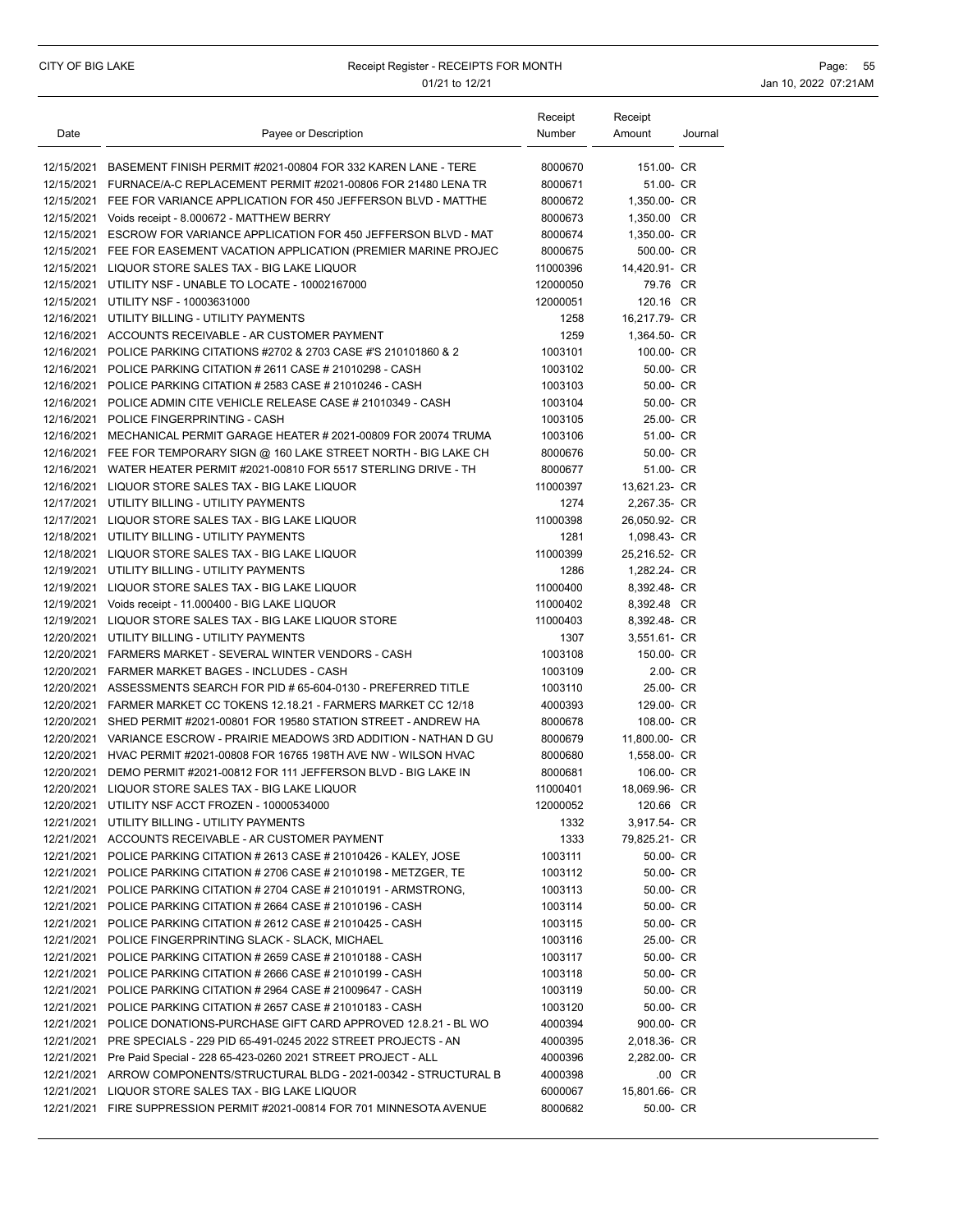| Date | Payee or Description                                                                                                                        | Receipt<br>Number  | Receipt<br>Amount           | Journal |
|------|---------------------------------------------------------------------------------------------------------------------------------------------|--------------------|-----------------------------|---------|
|      |                                                                                                                                             |                    |                             |         |
|      | 12/15/2021 BASEMENT FINISH PERMIT #2021-00804 FOR 332 KAREN LANE - TERE                                                                     | 8000670            | 151.00- CR                  |         |
|      | 12/15/2021 FURNACE/A-C REPLACEMENT PERMIT#2021-00806 FOR 21480 LENA TR                                                                      | 8000671            | 51.00- CR                   |         |
|      | 12/15/2021 FEE FOR VARIANCE APPLICATION FOR 450 JEFFERSON BLVD - MATTHE                                                                     | 8000672            | 1,350.00- CR                |         |
|      | 12/15/2021 Voids receipt - 8.000672 - MATTHEW BERRY                                                                                         | 8000673            | 1,350.00 CR                 |         |
|      | 12/15/2021 ESCROW FOR VARIANCE APPLICATION FOR 450 JEFFERSON BLVD - MAT                                                                     | 8000674            | 1,350.00- CR                |         |
|      | 12/15/2021 FEE FOR EASEMENT VACATION APPLICATION (PREMIER MARINE PROJEC                                                                     | 8000675            | 500.00- CR                  |         |
|      | 12/15/2021 LIQUOR STORE SALES TAX - BIG LAKE LIQUOR                                                                                         | 11000396           | 14,420.91- CR               |         |
|      | 12/15/2021 UTILITY NSF - UNABLE TO LOCATE - 10002167000                                                                                     | 12000050           | 79.76 CR                    |         |
|      | 12/15/2021 UTILITY NSF - 10003631000<br>12/16/2021 UTILITY BILLING - UTILITY PAYMENTS                                                       | 12000051           | 120.16 CR                   |         |
|      | 12/16/2021 ACCOUNTS RECEIVABLE - AR CUSTOMER PAYMENT                                                                                        | 1258<br>1259       | 16,217.79- CR               |         |
|      |                                                                                                                                             | 1003101            | 1,364.50- CR                |         |
|      | 12/16/2021 POLICE PARKING CITATIONS #2702 & 2703 CASE #'S 210101860 & 2<br>12/16/2021 POLICE PARKING CITATION # 2611 CASE # 21010298 - CASH | 1003102            | 100.00- CR<br>50.00- CR     |         |
|      | 12/16/2021 POLICE PARKING CITATION # 2583 CASE # 21010246 - CASH                                                                            | 1003103            | 50.00- CR                   |         |
|      | 12/16/2021 POLICE ADMIN CITE VEHICLE RELEASE CASE # 21010349 - CASH                                                                         | 1003104            | 50.00- CR                   |         |
|      | 12/16/2021 POLICE FINGERPRINTING - CASH                                                                                                     |                    | 25.00- CR                   |         |
|      | 12/16/2021 MECHANICAL PERMIT GARAGE HEATER # 2021-00809 FOR 20074 TRUMA                                                                     | 1003105<br>1003106 | 51.00- CR                   |         |
|      |                                                                                                                                             | 8000676            | 50.00- CR                   |         |
|      | 12/16/2021 FEE FOR TEMPORARY SIGN @ 160 LAKE STREET NORTH - BIG LAKE CH                                                                     | 8000677            |                             |         |
|      | 12/16/2021 WATER HEATER PERMIT #2021-00810 FOR 5517 STERLING DRIVE - TH                                                                     |                    | 51.00- CR                   |         |
|      | 12/16/2021 LIQUOR STORE SALES TAX - BIG LAKE LIQUOR                                                                                         | 11000397           | 13.621.23- CR               |         |
|      | 12/17/2021 UTILITY BILLING - UTILITY PAYMENTS                                                                                               | 1274               | 2,267.35- CR                |         |
|      | 12/17/2021 LIQUOR STORE SALES TAX - BIG LAKE LIQUOR                                                                                         | 11000398           | 26,050.92- CR               |         |
|      | 12/18/2021 UTILITY BILLING - UTILITY PAYMENTS                                                                                               | 1281               | 1,098.43- CR                |         |
|      | 12/18/2021 LIQUOR STORE SALES TAX - BIG LAKE LIQUOR                                                                                         | 11000399           | 25,216.52- CR               |         |
|      | 12/19/2021 UTILITY BILLING - UTILITY PAYMENTS                                                                                               | 1286               | 1,282.24- CR                |         |
|      | 12/19/2021 LIQUOR STORE SALES TAX - BIG LAKE LIQUOR                                                                                         | 11000400           | 8,392.48- CR                |         |
|      | 12/19/2021 Voids receipt - 11.000400 - BIG LAKE LIQUOR                                                                                      | 11000402           | 8,392.48 CR                 |         |
|      | 12/19/2021 LIQUOR STORE SALES TAX - BIG LAKE LIQUOR STORE                                                                                   | 11000403           | 8,392.48- CR                |         |
|      | 12/20/2021 UTILITY BILLING - UTILITY PAYMENTS                                                                                               | 1307               | 3,551.61- CR                |         |
|      | 12/20/2021  FARMERS MARKET - SEVERAL WINTER VENDORS - CASH                                                                                  | 1003108            | 150.00- CR                  |         |
|      | 12/20/2021 FARMER MARKET BAGES - INCLUDES - CASH                                                                                            | 1003109            | 2.00- CR                    |         |
|      | 12/20/2021 ASSESSMENTS SEARCH FOR PID # 65-604-0130 - PREFERRED TITLE                                                                       | 1003110            | 25.00- CR<br>129.00- CR     |         |
|      | 12/20/2021 FARMER MARKET CC TOKENS 12.18.21 - FARMERS MARKET CC 12/18                                                                       | 4000393            |                             |         |
|      | 12/20/2021 SHED PERMIT #2021-00801 FOR 19580 STATION STREET - ANDREW HA                                                                     | 8000678            | 108.00- CR                  |         |
|      | 12/20/2021 VARIANCE ESCROW - PRAIRIE MEADOWS 3RD ADDITION - NATHAN D GU                                                                     | 8000679            | 11,800.00- CR               |         |
|      | 12/20/2021 HVAC PERMIT #2021-00808 FOR 16765 198TH AVE NW - WILSON HVAC                                                                     | 8000680            | 1,558.00- CR                |         |
|      | 12/20/2021 DEMO PERMIT #2021-00812 FOR 111 JEFFERSON BLVD - BIG LAKE IN<br>12/20/2021 LIQUOR STORE SALES TAX - BIG LAKE LIQUOR              | 8000681            | 106.00- CR<br>18,069.96- CR |         |
|      |                                                                                                                                             | 11000401           |                             |         |
|      | 12/20/2021 UTILITY NSF ACCT FROZEN - 10000534000<br>12/21/2021 UTILITY BILLING - UTILITY PAYMENTS                                           | 12000052           | 120.66 CR<br>3,917.54- CR   |         |
|      | 12/21/2021 ACCOUNTS RECEIVABLE - AR CUSTOMER PAYMENT                                                                                        | 1332               |                             |         |
|      | 12/21/2021 POLICE PARKING CITATION # 2613 CASE # 21010426 - KALEY, JOSE                                                                     | 1333<br>1003111    | 79,825.21- CR<br>50.00- CR  |         |
|      | 12/21/2021 POLICE PARKING CITATION # 2706 CASE # 21010198 - METZGER, TE                                                                     | 1003112            | 50.00- CR                   |         |
|      | 12/21/2021 POLICE PARKING CITATION # 2704 CASE # 21010191 - ARMSTRONG,                                                                      | 1003113            | 50.00- CR                   |         |
|      | 12/21/2021 POLICE PARKING CITATION # 2664 CASE # 21010196 - CASH                                                                            | 1003114            | 50.00- CR                   |         |
|      | 12/21/2021 POLICE PARKING CITATION # 2612 CASE # 21010425 - CASH                                                                            | 1003115            | 50.00- CR                   |         |
|      | 12/21/2021 POLICE FINGERPRINTING SLACK - SLACK, MICHAEL                                                                                     | 1003116            | 25.00- CR                   |         |
|      | 12/21/2021 POLICE PARKING CITATION # 2659 CASE # 21010188 - CASH                                                                            | 1003117            | 50.00- CR                   |         |
|      | 12/21/2021 POLICE PARKING CITATION # 2666 CASE # 21010199 - CASH                                                                            | 1003118            | 50.00- CR                   |         |
|      | 12/21/2021 POLICE PARKING CITATION # 2964 CASE # 21009647 - CASH                                                                            | 1003119            | 50.00- CR                   |         |
|      | 12/21/2021 POLICE PARKING CITATION # 2657 CASE # 21010183 - CASH                                                                            | 1003120            | 50.00- CR                   |         |
|      | 12/21/2021 POLICE DONATIONS-PURCHASE GIFT CARD APPROVED 12.8.21 - BL WO                                                                     | 4000394            | 900.00- CR                  |         |
|      | 12/21/2021 PRE SPECIALS - 229 PID 65-491-0245 2022 STREET PROJECTS - AN                                                                     | 4000395            | 2,018.36- CR                |         |
|      | 12/21/2021 Pre Paid Special - 228 65-423-0260 2021 STREET PROJECT - ALL                                                                     | 4000396            | 2,282.00- CR                |         |
|      | 12/21/2021 ARROW COMPONENTS/STRUCTURAL BLDG - 2021-00342 - STRUCTURAL B                                                                     | 4000398            | .00 CR                      |         |
|      | 12/21/2021 LIQUOR STORE SALES TAX - BIG LAKE LIQUOR                                                                                         | 6000067            | 15,801.66- CR               |         |
|      | 12/21/2021 FIRE SUPPRESSION PERMIT #2021-00814 FOR 701 MINNESOTA AVENUE                                                                     | 8000682            | 50.00- CR                   |         |
|      |                                                                                                                                             |                    |                             |         |